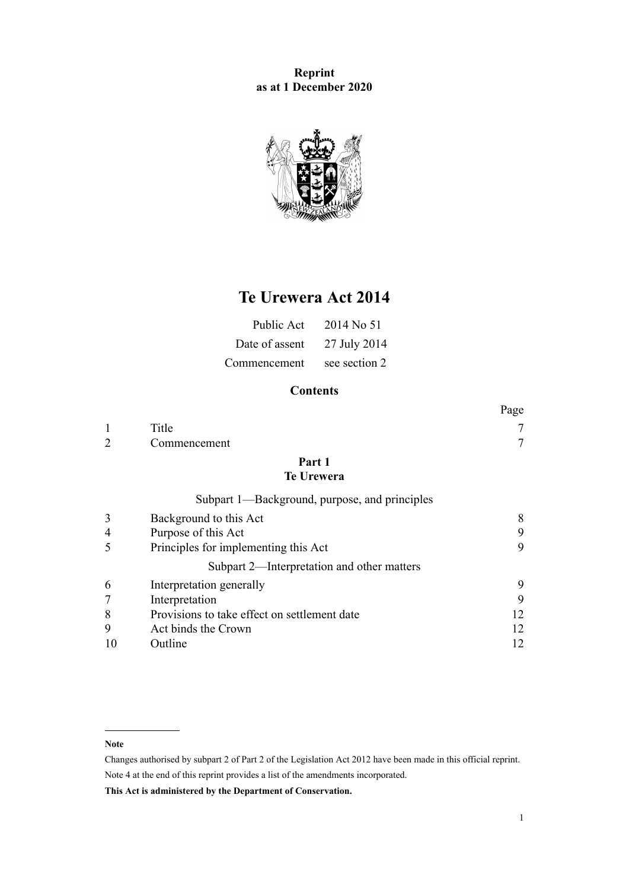**Reprint as at 1 December 2020**



# **Te Urewera Act 2014**

| Public Act     | 2014 No 51    |
|----------------|---------------|
| Date of assent | 27 July 2014  |
| Commencement   | see section 2 |

## **Contents**

|                |                                               | Page |
|----------------|-----------------------------------------------|------|
|                | Title                                         |      |
| $\overline{2}$ | Commencement                                  | 7    |
|                | Part 1<br><b>Te Urewera</b>                   |      |
|                | Subpart 1—Background, purpose, and principles |      |
| 3              | Background to this Act                        | 8    |
| 4              | Purpose of this Act                           | 9    |
| 5              | Principles for implementing this Act          | 9    |
|                | Subpart 2—Interpretation and other matters    |      |
| 6              | Interpretation generally                      | 9    |
| 7              | Interpretation                                | 9    |
| 8              | Provisions to take effect on settlement date  | 12   |
| 9              | Act binds the Crown                           | 12   |
| 10             | Outline                                       | 12   |

#### **Note**

Changes authorised by [subpart 2](http://legislation.govt.nz/pdflink.aspx?id=DLM2998524) of Part 2 of the Legislation Act 2012 have been made in this official reprint. Note 4 at the end of this reprint provides a list of the amendments incorporated.

**This Act is administered by the Department of Conservation.**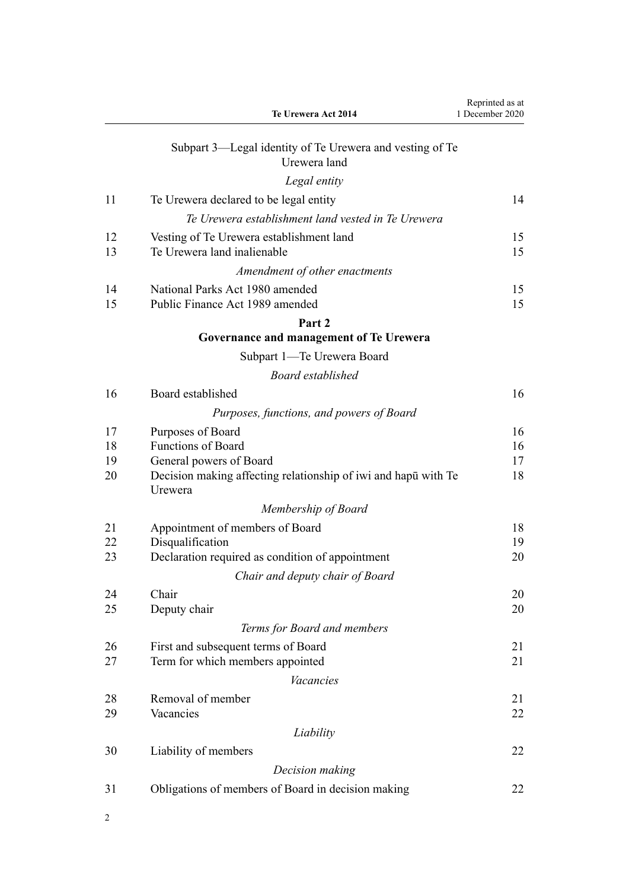|          | Te Urewera Act 2014                                                       | Reprinted as at<br>1 December 2020 |
|----------|---------------------------------------------------------------------------|------------------------------------|
|          | Subpart 3—Legal identity of Te Urewera and vesting of Te<br>Urewera land  |                                    |
|          | Legal entity                                                              |                                    |
| 11       | Te Urewera declared to be legal entity                                    | 14                                 |
|          | Te Urewera establishment land vested in Te Urewera                        |                                    |
| 12<br>13 | Vesting of Te Urewera establishment land<br>Te Urewera land inalienable   | 15<br>15                           |
|          | Amendment of other enactments                                             |                                    |
| 14<br>15 | National Parks Act 1980 amended<br>Public Finance Act 1989 amended        | 15<br>15                           |
|          | Part 2                                                                    |                                    |
|          | Governance and management of Te Urewera                                   |                                    |
|          | Subpart 1—Te Urewera Board                                                |                                    |
|          | <b>Board established</b>                                                  |                                    |
| 16       | Board established                                                         | 16                                 |
|          | Purposes, functions, and powers of Board                                  |                                    |
| 17       | Purposes of Board                                                         | 16                                 |
| 18       | <b>Functions of Board</b>                                                 | 16                                 |
| 19       | General powers of Board                                                   | 17                                 |
| 20       | Decision making affecting relationship of iwi and hapu with Te<br>Urewera | 18                                 |
|          | Membership of Board                                                       |                                    |
| 21       | Appointment of members of Board                                           | 18                                 |
| 22       | Disqualification                                                          | 19                                 |
| 23       | Declaration required as condition of appointment                          | 20                                 |
|          | Chair and deputy chair of Board                                           |                                    |
| 24<br>25 | Chair<br>Deputy chair                                                     | 20<br>20                           |
|          | Terms for Board and members                                               |                                    |
| 26       | First and subsequent terms of Board                                       | 21                                 |
| 27       | Term for which members appointed                                          | 21                                 |
|          | <b>Vacancies</b>                                                          |                                    |
| 28       | Removal of member                                                         | 21                                 |
| 29       | Vacancies                                                                 | 22                                 |
|          | Liability                                                                 |                                    |
| 30       | Liability of members                                                      | 22                                 |
|          | Decision making                                                           |                                    |
| 31       | Obligations of members of Board in decision making                        | 22                                 |
|          |                                                                           |                                    |

2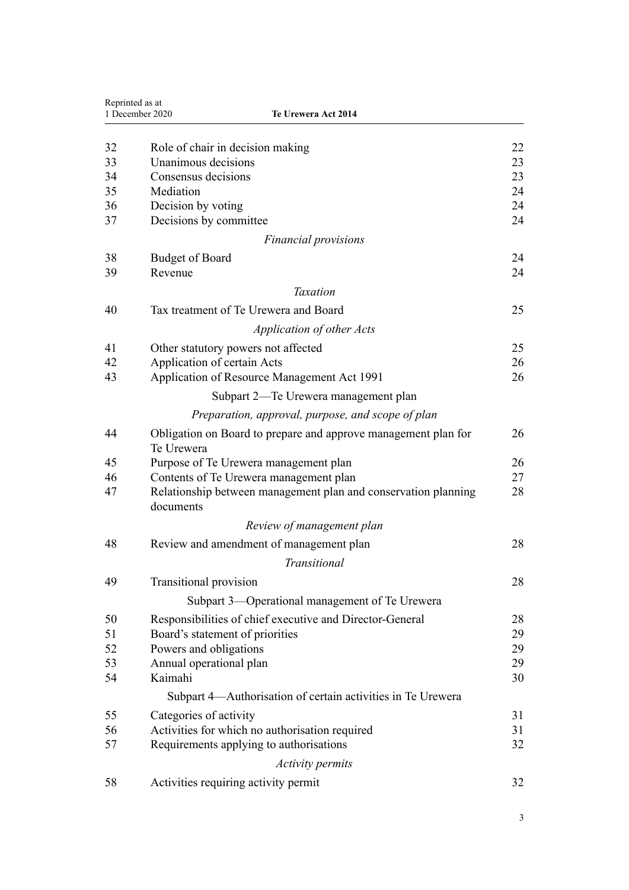| Reprinted as at<br>1 December 2020<br>Te Urewera Act 2014 |                                                                             |    |
|-----------------------------------------------------------|-----------------------------------------------------------------------------|----|
|                                                           |                                                                             |    |
| 32                                                        | Role of chair in decision making                                            | 22 |
| 33                                                        | Unanimous decisions                                                         | 23 |
| 34                                                        | Consensus decisions                                                         | 23 |
| 35                                                        | Mediation                                                                   | 24 |
| 36                                                        | Decision by voting                                                          | 24 |
| 37                                                        | Decisions by committee                                                      | 24 |
|                                                           | <b>Financial provisions</b>                                                 |    |
| 38                                                        | <b>Budget of Board</b>                                                      | 24 |
| 39                                                        | Revenue                                                                     | 24 |
|                                                           | <b>Taxation</b>                                                             |    |
| 40                                                        | Tax treatment of Te Urewera and Board                                       | 25 |
|                                                           | <b>Application of other Acts</b>                                            |    |
| 41                                                        | Other statutory powers not affected                                         | 25 |
| 42                                                        | Application of certain Acts                                                 | 26 |
| 43                                                        | Application of Resource Management Act 1991                                 | 26 |
|                                                           | Subpart 2—Te Urewera management plan                                        |    |
|                                                           | Preparation, approval, purpose, and scope of plan                           |    |
| 44                                                        | Obligation on Board to prepare and approve management plan for              | 26 |
|                                                           | Te Urewera                                                                  |    |
| 45                                                        | Purpose of Te Urewera management plan                                       | 26 |
| 46                                                        | Contents of Te Urewera management plan                                      | 27 |
| 47                                                        | Relationship between management plan and conservation planning<br>documents | 28 |
|                                                           | Review of management plan                                                   |    |
| 48                                                        | Review and amendment of management plan                                     | 28 |
|                                                           | Transitional                                                                |    |
| 49                                                        | Transitional provision                                                      | 28 |
|                                                           | Subpart 3—Operational management of Te Urewera                              |    |
| 50                                                        | Responsibilities of chief executive and Director-General                    | 28 |
| 51                                                        | Board's statement of priorities                                             | 29 |
| 52                                                        | Powers and obligations                                                      | 29 |
| 53                                                        | Annual operational plan                                                     | 29 |
| 54                                                        | Kaimahi                                                                     | 30 |
|                                                           | Subpart 4—Authorisation of certain activities in Te Urewera                 |    |
| 55                                                        | Categories of activity                                                      | 31 |
| 56                                                        | Activities for which no authorisation required                              | 31 |
| 57                                                        | Requirements applying to authorisations                                     | 32 |
|                                                           | <b>Activity permits</b>                                                     |    |
| 58                                                        | Activities requiring activity permit                                        | 32 |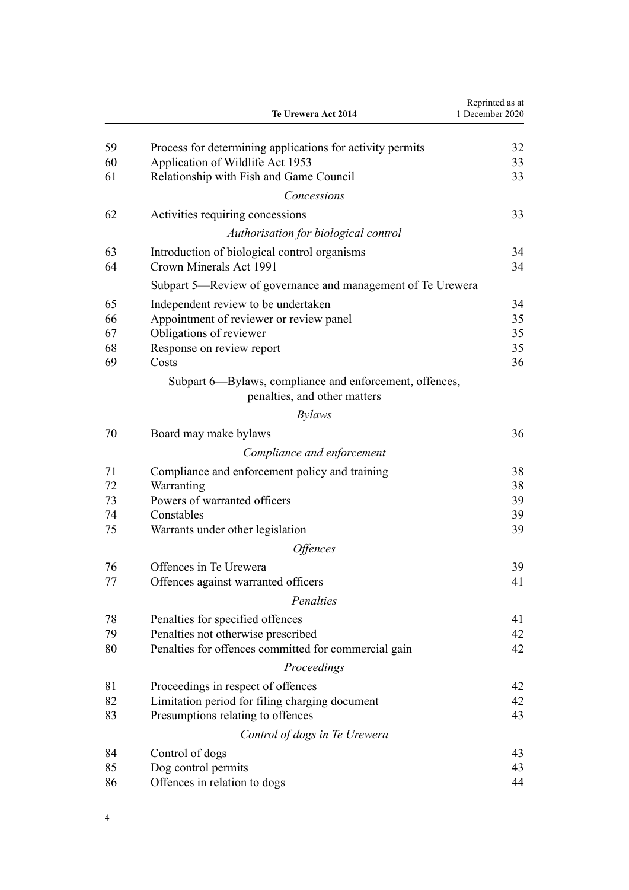|          | Te Urewera Act 2014                                                                     | Reprinted as at<br>1 December 2020 |
|----------|-----------------------------------------------------------------------------------------|------------------------------------|
| 59       | Process for determining applications for activity permits                               | 32                                 |
| 60       | Application of Wildlife Act 1953                                                        | 33                                 |
| 61       | Relationship with Fish and Game Council                                                 | 33                                 |
|          | Concessions                                                                             |                                    |
| 62       | Activities requiring concessions                                                        | 33                                 |
|          | Authorisation for biological control                                                    |                                    |
| 63       | Introduction of biological control organisms                                            | 34                                 |
| 64       | Crown Minerals Act 1991                                                                 | 34                                 |
|          | Subpart 5—Review of governance and management of Te Urewera                             |                                    |
| 65       | Independent review to be undertaken                                                     | 34                                 |
| 66       | Appointment of reviewer or review panel                                                 | 35                                 |
| 67       | Obligations of reviewer                                                                 | 35                                 |
| 68       | Response on review report                                                               | 35                                 |
| 69       | Costs                                                                                   | 36                                 |
|          | Subpart 6—Bylaws, compliance and enforcement, offences,<br>penalties, and other matters |                                    |
|          | <i>Bylaws</i>                                                                           |                                    |
| 70       | Board may make bylaws                                                                   | 36                                 |
|          | Compliance and enforcement                                                              |                                    |
| 71       | Compliance and enforcement policy and training                                          | 38                                 |
| 72       | Warranting                                                                              | 38                                 |
| 73       | Powers of warranted officers                                                            | 39                                 |
| 74       | Constables                                                                              | 39                                 |
| 75       | Warrants under other legislation                                                        | 39                                 |
|          | <i><b>Offences</b></i>                                                                  |                                    |
| 76       | Offences in Te Urewera                                                                  | 39                                 |
| 77       | Offences against warranted officers                                                     | 41                                 |
|          | Penalties                                                                               |                                    |
| 78       | Penalties for specified offences                                                        | 41                                 |
| 79       | Penalties not otherwise prescribed                                                      | 42                                 |
| 80       | Penalties for offences committed for commercial gain                                    | 42                                 |
|          | Proceedings                                                                             |                                    |
| 81       |                                                                                         | 42                                 |
| 82       | Proceedings in respect of offences<br>Limitation period for filing charging document    | 42                                 |
| 83       | Presumptions relating to offences                                                       | 43                                 |
|          | Control of dogs in Te Urewera                                                           |                                    |
|          |                                                                                         |                                    |
| 84<br>85 | Control of dogs<br>Dog control permits                                                  | 43<br>43                           |
| 86       | Offences in relation to dogs                                                            | 44                                 |
|          |                                                                                         |                                    |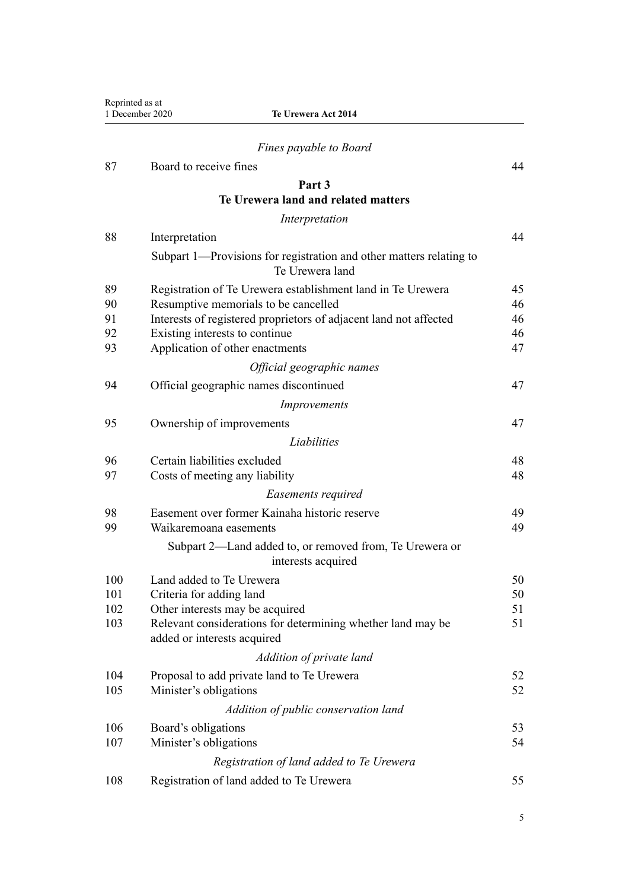| Reprinted as at | 1 December 2020<br>Te Urewera Act 2014                                                     |    |
|-----------------|--------------------------------------------------------------------------------------------|----|
|                 | Fines payable to Board                                                                     |    |
| 87              | Board to receive fines                                                                     | 44 |
|                 | Part 3                                                                                     |    |
|                 | Te Urewera land and related matters                                                        |    |
|                 | Interpretation                                                                             |    |
| 88              | Interpretation                                                                             | 44 |
|                 | Subpart 1-Provisions for registration and other matters relating to<br>Te Urewera land     |    |
| 89              | Registration of Te Urewera establishment land in Te Urewera                                | 45 |
| 90              | Resumptive memorials to be cancelled                                                       | 46 |
| 91              | Interests of registered proprietors of adjacent land not affected                          | 46 |
| 92              | Existing interests to continue                                                             | 46 |
| 93              | Application of other enactments                                                            | 47 |
|                 | Official geographic names                                                                  |    |
| 94              | Official geographic names discontinued                                                     | 47 |
|                 | Improvements                                                                               |    |
| 95              | Ownership of improvements                                                                  | 47 |
|                 | Liabilities                                                                                |    |
| 96              | Certain liabilities excluded                                                               | 48 |
| 97              | Costs of meeting any liability                                                             | 48 |
|                 | Easements required                                                                         |    |
| 98              | Easement over former Kainaha historic reserve                                              | 49 |
| 99              | Waikaremoana easements                                                                     | 49 |
|                 | Subpart 2—Land added to, or removed from, Te Urewera or<br>interests acquired              |    |
| 100             | Land added to Te Urewera                                                                   | 50 |
| 101             | Criteria for adding land                                                                   | 50 |
| 102             | Other interests may be acquired                                                            | 51 |
| 103             | Relevant considerations for determining whether land may be<br>added or interests acquired | 51 |
|                 | Addition of private land                                                                   |    |
| 104             | Proposal to add private land to Te Urewera                                                 | 52 |
| 105             | Minister's obligations                                                                     | 52 |
|                 | Addition of public conservation land                                                       |    |
| 106             | Board's obligations                                                                        | 53 |
| 107             | Minister's obligations                                                                     | 54 |
|                 | Registration of land added to Te Urewera                                                   |    |
| 108             | Registration of land added to Te Urewera                                                   | 55 |
|                 |                                                                                            |    |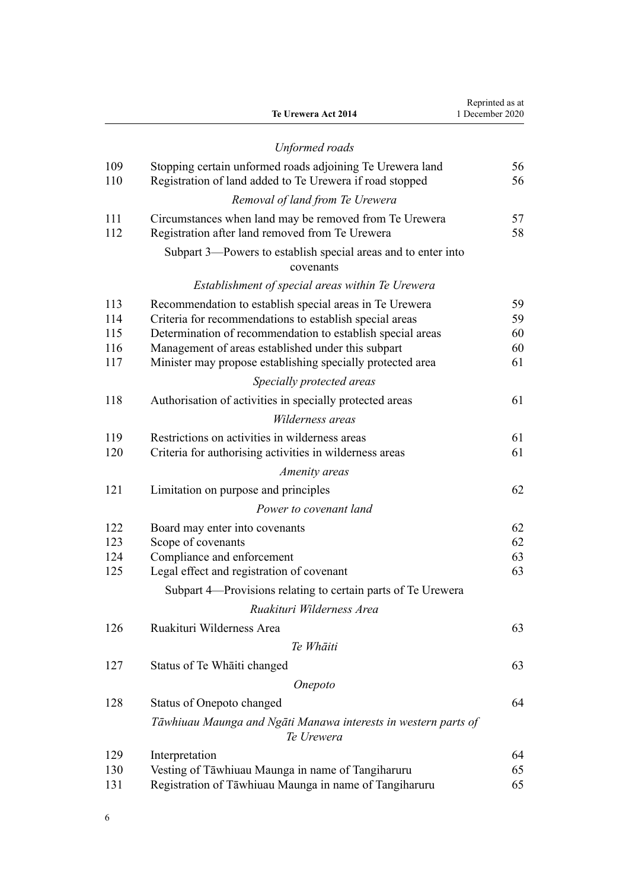|            | Te Urewera Act 2014                                                                                       | Reprinted as at<br>1 December 2020 |
|------------|-----------------------------------------------------------------------------------------------------------|------------------------------------|
|            | <b>Unformed</b> roads                                                                                     |                                    |
| 109        | Stopping certain unformed roads adjoining Te Urewera land                                                 | 56                                 |
| 110        | Registration of land added to Te Urewera if road stopped                                                  | 56                                 |
|            | Removal of land from Te Urewera                                                                           |                                    |
| 111<br>112 | Circumstances when land may be removed from Te Urewera<br>Registration after land removed from Te Urewera | 57<br>58                           |
|            | Subpart 3—Powers to establish special areas and to enter into<br>covenants                                |                                    |
|            | Establishment of special areas within Te Urewera                                                          |                                    |
| 113        | Recommendation to establish special areas in Te Urewera                                                   | 59                                 |
| 114        | Criteria for recommendations to establish special areas                                                   | 59                                 |
| 115        | Determination of recommendation to establish special areas                                                | 60                                 |
| 116        | Management of areas established under this subpart                                                        | 60                                 |
| 117        | Minister may propose establishing specially protected area                                                | 61                                 |
|            | Specially protected areas                                                                                 |                                    |
| 118        | Authorisation of activities in specially protected areas                                                  | 61                                 |
|            | Wilderness areas                                                                                          |                                    |
| 119        | Restrictions on activities in wilderness areas                                                            | 61                                 |
| 120        | Criteria for authorising activities in wilderness areas                                                   | 61                                 |
|            | Amenity areas                                                                                             |                                    |
| 121        | Limitation on purpose and principles                                                                      | 62                                 |
|            | Power to covenant land                                                                                    |                                    |
| 122        | Board may enter into covenants                                                                            | 62                                 |
| 123        | Scope of covenants                                                                                        | 62                                 |
| 124        | Compliance and enforcement                                                                                | 63                                 |
| 125        | Legal effect and registration of covenant                                                                 | 63                                 |
|            | Subpart 4—Provisions relating to certain parts of Te Urewera                                              |                                    |
|            | Ruakituri Wilderness Area                                                                                 |                                    |
| 126        | Ruakituri Wilderness Area                                                                                 | 63                                 |
|            | Te Whāiti                                                                                                 |                                    |
| 127        | Status of Te Whaiti changed                                                                               | 63                                 |
|            | Onepoto                                                                                                   |                                    |
| 128        | <b>Status of Onepoto changed</b>                                                                          | 64                                 |
|            | Tāwhiuau Maunga and Ngāti Manawa interests in western parts of<br>Te Urewera                              |                                    |
| 129        | Interpretation                                                                                            | 64                                 |
| 130        | Vesting of Tāwhiuau Maunga in name of Tangiharuru                                                         | 65                                 |
| 131        | Registration of Tāwhiuau Maunga in name of Tangiharuru                                                    | 65                                 |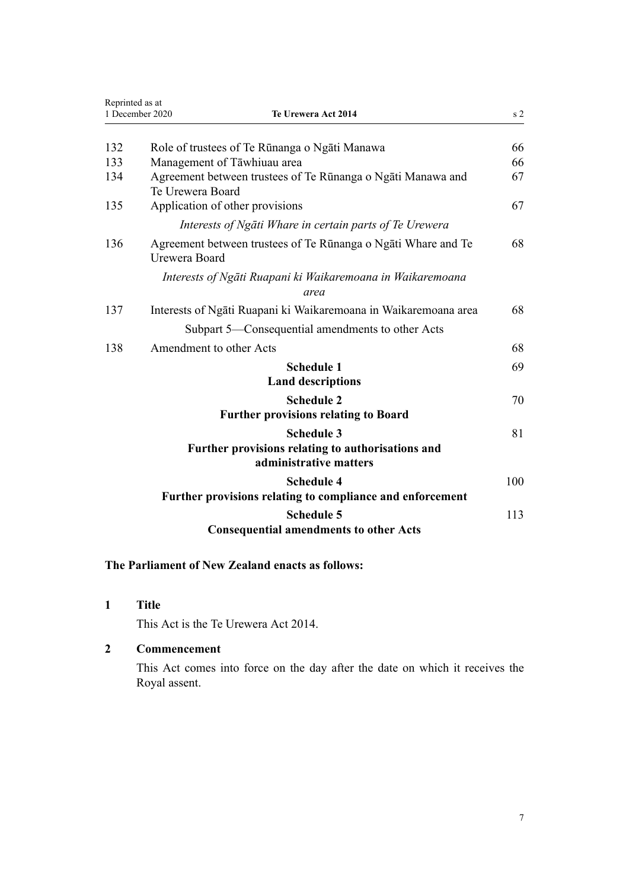<span id="page-6-0"></span>

|     | Reprinted as at<br>1 December 2020<br>Te Urewera Act 2014                                        |     |
|-----|--------------------------------------------------------------------------------------------------|-----|
| 132 | Role of trustees of Te Rūnanga o Ngāti Manawa                                                    | 66  |
| 133 | Management of Tāwhiuau area                                                                      | 66  |
| 134 | Agreement between trustees of Te Rūnanga o Ngāti Manawa and<br>Te Urewera Board                  | 67  |
| 135 | Application of other provisions                                                                  | 67  |
|     | Interests of Ngāti Whare in certain parts of Te Urewera                                          |     |
| 136 | Agreement between trustees of Te Rūnanga o Ngāti Whare and Te<br>Urewera Board                   | 68  |
|     | Interests of Ngāti Ruapani ki Waikaremoana in Waikaremoana<br>area                               |     |
| 137 | Interests of Ngati Ruapani ki Waikaremoana in Waikaremoana area                                  | 68  |
|     | Subpart 5—Consequential amendments to other Acts                                                 |     |
| 138 | Amendment to other Acts                                                                          | 68  |
|     | <b>Schedule 1</b>                                                                                | 69  |
|     | <b>Land descriptions</b>                                                                         |     |
|     | <b>Schedule 2</b>                                                                                | 70  |
|     | <b>Further provisions relating to Board</b>                                                      |     |
|     | <b>Schedule 3</b><br>Further provisions relating to authorisations and<br>administrative matters | 81  |
|     | <b>Schedule 4</b><br>Further provisions relating to compliance and enforcement                   | 100 |
|     | <b>Schedule 5</b><br><b>Consequential amendments to other Acts</b>                               | 113 |

## **The Parliament of New Zealand enacts as follows:**

**1 Title**

This Act is the Te Urewera Act 2014.

## **2 Commencement**

This Act comes into force on the day after the date on which it receives the Royal assent.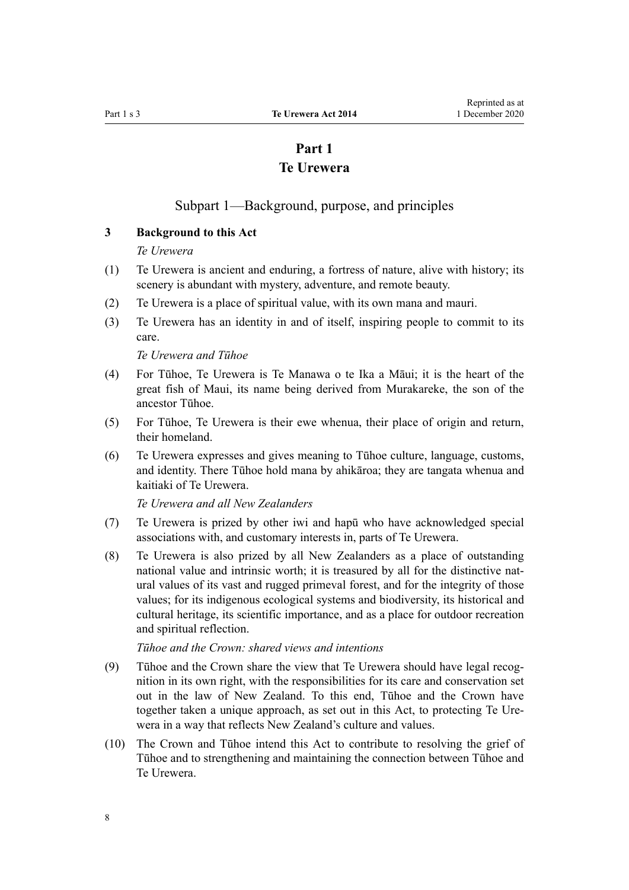# **Part 1 Te Urewera**

## Subpart 1—Background, purpose, and principles

#### <span id="page-7-0"></span>**3 Background to this Act**

#### *Te Urewera*

- (1) Te Urewera is ancient and enduring, a fortress of nature, alive with history; its scenery is abundant with mystery, adventure, and remote beauty.
- (2) Te Urewera is a place of spiritual value, with its own mana and mauri.
- (3) Te Urewera has an identity in and of itself, inspiring people to commit to its care.

*Te Urewera and Tūhoe*

- (4) For Tūhoe, Te Urewera is Te Manawa o te Ika a Māui; it is the heart of the great fish of Maui, its name being derived from Murakareke, the son of the ancestor Tūhoe.
- (5) For Tūhoe, Te Urewera is their ewe whenua, their place of origin and return, their homeland.
- (6) Te Urewera expresses and gives meaning to Tūhoe culture, language, customs, and identity. There Tūhoe hold mana by ahikāroa; they are tangata whenua and kaitiaki of Te Urewera.

*Te Urewera and all New Zealanders*

- (7) Te Urewera is prized by other iwi and hapū who have acknowledged special associations with, and customary interests in, parts of Te Urewera.
- (8) Te Urewera is also prized by all New Zealanders as a place of outstanding national value and intrinsic worth; it is treasured by all for the distinctive natural values of its vast and rugged primeval forest, and for the integrity of those values; for its indigenous ecological systems and biodiversity, its historical and cultural heritage, its scientific importance, and as a place for outdoor recreation and spiritual reflection.

*Tūhoe and the Crown: shared views and intentions*

- (9) Tūhoe and the Crown share the view that Te Urewera should have legal recognition in its own right, with the responsibilities for its care and conservation set out in the law of New Zealand. To this end, Tūhoe and the Crown have together taken a unique approach, as set out in this Act, to protecting Te Urewera in a way that reflects New Zealand's culture and values.
- (10) The Crown and Tūhoe intend this Act to contribute to resolving the grief of Tūhoe and to strengthening and maintaining the connection between Tūhoe and Te Urewera.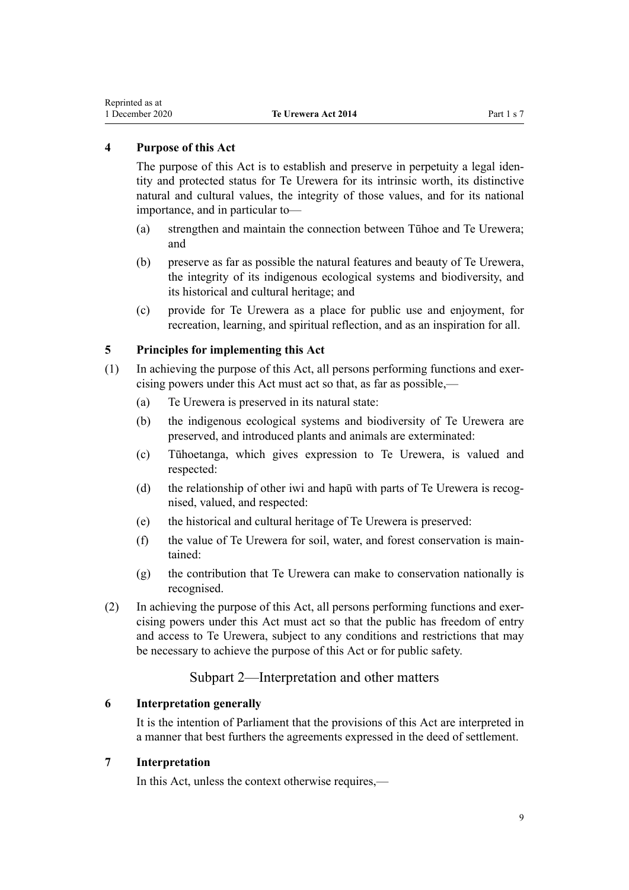## <span id="page-8-0"></span>**4 Purpose of this Act**

The purpose of this Act is to establish and preserve in perpetuity a legal identity and protected status for Te Urewera for its intrinsic worth, its distinctive natural and cultural values, the integrity of those values, and for its national importance, and in particular to—

- (a) strengthen and maintain the connection between Tūhoe and Te Urewera; and
- (b) preserve as far as possible the natural features and beauty of Te Urewera, the integrity of its indigenous ecological systems and biodiversity, and its historical and cultural heritage; and
- (c) provide for Te Urewera as a place for public use and enjoyment, for recreation, learning, and spiritual reflection, and as an inspiration for all.

## **5 Principles for implementing this Act**

- (1) In achieving the purpose of this Act, all persons performing functions and exercising powers under this Act must act so that, as far as possible,—
	- (a) Te Urewera is preserved in its natural state:
	- (b) the indigenous ecological systems and biodiversity of Te Urewera are preserved, and introduced plants and animals are exterminated:
	- (c) Tūhoetanga, which gives expression to Te Urewera, is valued and respected:
	- (d) the relationship of other iwi and hapū with parts of Te Urewera is recognised, valued, and respected:
	- (e) the historical and cultural heritage of Te Urewera is preserved:
	- (f) the value of Te Urewera for soil, water, and forest conservation is maintained:
	- (g) the contribution that Te Urewera can make to conservation nationally is recognised.
- (2) In achieving the purpose of this Act, all persons performing functions and exercising powers under this Act must act so that the public has freedom of entry and access to Te Urewera, subject to any conditions and restrictions that may be necessary to achieve the purpose of this Act or for public safety.

## Subpart 2—Interpretation and other matters

#### **6 Interpretation generally**

It is the intention of Parliament that the provisions of this Act are interpreted in a manner that best furthers the agreements expressed in the deed of settlement.

#### **7 Interpretation**

In this Act, unless the context otherwise requires,—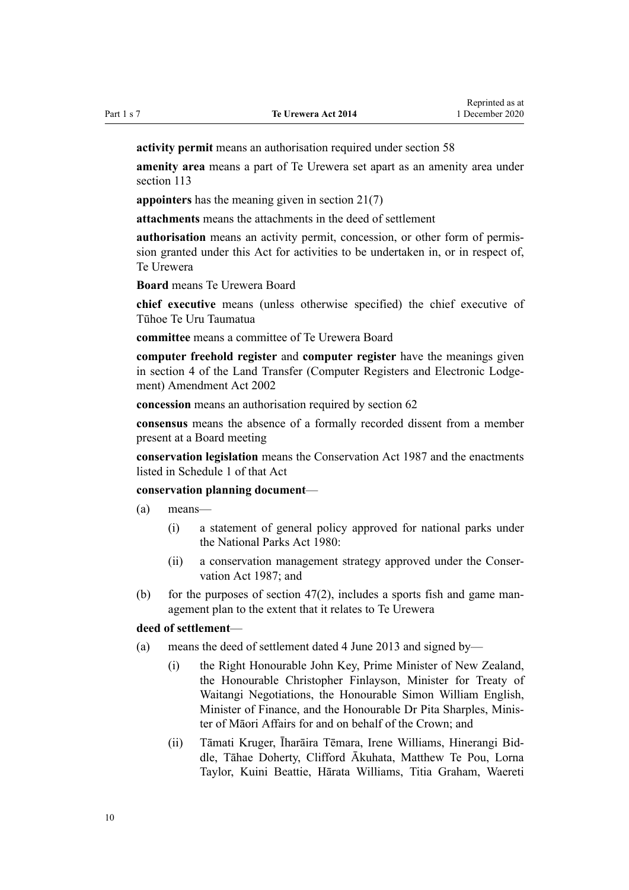**activity permit** means an authorisation required under [section 58](#page-31-0)

**amenity area** means a part of Te Urewera set apart as an amenity area under [section 113](#page-58-0)

**appointers** has the meaning given in [section 21\(7\)](#page-17-0)

**attachments** means the attachments in the deed of settlement

**authorisation** means an activity permit, concession, or other form of permission granted under this Act for activities to be undertaken in, or in respect of, Te Urewera

**Board** means Te Urewera Board

**chief executive** means (unless otherwise specified) the chief executive of Tūhoe Te Uru Taumatua

**committee** means a committee of Te Urewera Board

**computer freehold register** and **computer register** have the meanings given in [section 4](http://legislation.govt.nz/pdflink.aspx?id=DLM140144) of the Land Transfer (Computer Registers and Electronic Lodgement) Amendment Act 2002

**concession** means an authorisation required by [section 62](#page-32-0)

**consensus** means the absence of a formally recorded dissent from a member present at a Board meeting

**conservation legislation** means the [Conservation Act 1987](http://legislation.govt.nz/pdflink.aspx?id=DLM103609) and the enactments listed in [Schedule 1](http://legislation.govt.nz/pdflink.aspx?id=DLM107200) of that Act

#### **conservation planning document**—

(a) means—

- (i) a statement of general policy approved for national parks under the [National Parks Act 1980:](http://legislation.govt.nz/pdflink.aspx?id=DLM36962)
- (ii) a conservation management strategy approved under the [Conser](http://legislation.govt.nz/pdflink.aspx?id=DLM103609)[vation Act 1987](http://legislation.govt.nz/pdflink.aspx?id=DLM103609); and
- (b) for the purposes of section  $47(2)$ , includes a sports fish and game management plan to the extent that it relates to Te Urewera

#### **deed of settlement**—

- (a) means the deed of settlement dated 4 June 2013 and signed by—
	- (i) the Right Honourable John Key, Prime Minister of New Zealand, the Honourable Christopher Finlayson, Minister for Treaty of Waitangi Negotiations, the Honourable Simon William English, Minister of Finance, and the Honourable Dr Pita Sharples, Minister of Māori Affairs for and on behalf of the Crown; and
	- (ii) Tāmati Kruger, Īharāira Tēmara, Irene Williams, Hinerangi Biddle, Tāhae Doherty, Clifford Ākuhata, Matthew Te Pou, Lorna Taylor, Kuini Beattie, Hārata Williams, Titia Graham, Waereti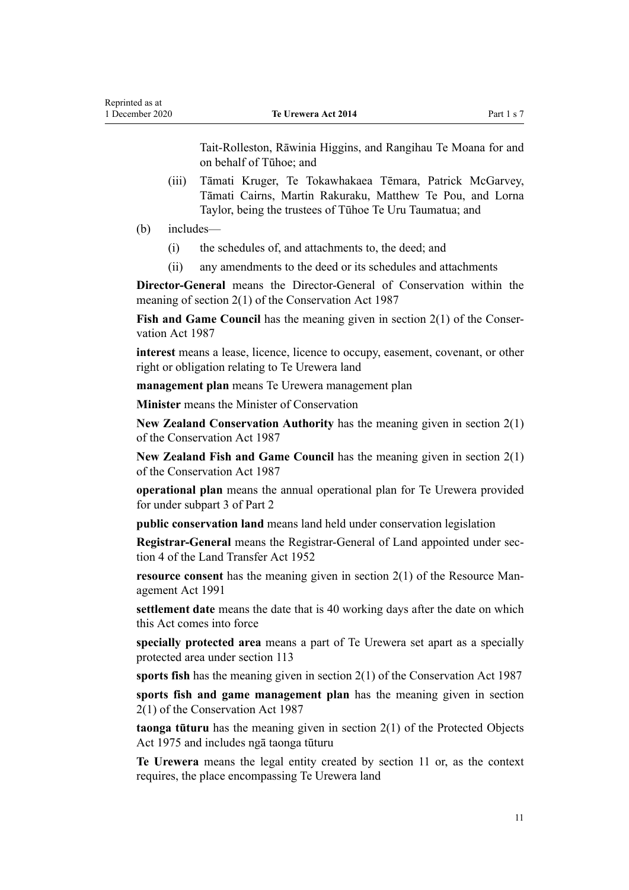Tait-Rolleston, Rāwinia Higgins, and Rangihau Te Moana for and on behalf of Tūhoe; and

- (iii) Tāmati Kruger, Te Tokawhakaea Tēmara, Patrick McGarvey, Tāmati Cairns, Martin Rakuraku, Matthew Te Pou, and Lorna Taylor, being the trustees of Tūhoe Te Uru Taumatua; and
- (b) includes—
	- (i) the schedules of, and attachments to, the deed; and
	- (ii) any amendments to the deed or its schedules and attachments

**Director-General** means the Director-General of Conservation within the meaning of [section 2\(1\)](http://legislation.govt.nz/pdflink.aspx?id=DLM103616) of the Conservation Act 1987

**Fish and Game Council** has the meaning given in [section 2\(1\)](http://legislation.govt.nz/pdflink.aspx?id=DLM103616) of the Conservation Act 1987

**interest** means a lease, licence, licence to occupy, easement, covenant, or other right or obligation relating to Te Urewera land

**management plan** means Te Urewera management plan

**Minister** means the Minister of Conservation

**New Zealand Conservation Authority** has the meaning given in [section 2\(1\)](http://legislation.govt.nz/pdflink.aspx?id=DLM103616) of the Conservation Act 1987

**New Zealand Fish and Game Council** has the meaning given in [section 2\(1\)](http://legislation.govt.nz/pdflink.aspx?id=DLM103616) of the Conservation Act 1987

**operational plan** means the annual operational plan for Te Urewera provided for under [subpart 3](#page-27-0) of Part 2

**public conservation land** means land held under conservation legislation

**Registrar-General** means the Registrar-General of Land appointed under [sec](http://legislation.govt.nz/pdflink.aspx?id=DLM270019)[tion 4](http://legislation.govt.nz/pdflink.aspx?id=DLM270019) of the Land Transfer Act 1952

**resource consent** has the meaning given in [section 2\(1\)](http://legislation.govt.nz/pdflink.aspx?id=DLM230272) of the Resource Management Act 1991

**settlement date** means the date that is 40 working days after the date on which this Act comes into force

**specially protected area** means a part of Te Urewera set apart as a specially protected area under [section 113](#page-58-0)

**sports fish** has the meaning given in [section 2\(1\)](http://legislation.govt.nz/pdflink.aspx?id=DLM103616) of the Conservation Act 1987

**sports fish and game management plan** has the meaning given in [section](http://legislation.govt.nz/pdflink.aspx?id=DLM103616) [2\(1\)](http://legislation.govt.nz/pdflink.aspx?id=DLM103616) of the Conservation Act 1987

**taonga tūturu** has the meaning given in [section 2\(1\)](http://legislation.govt.nz/pdflink.aspx?id=DLM432125) of the Protected Objects Act 1975 and includes ngā taonga tūturu

**Te Urewera** means the legal entity created by [section 11](#page-13-0) or, as the context requires, the place encompassing Te Urewera land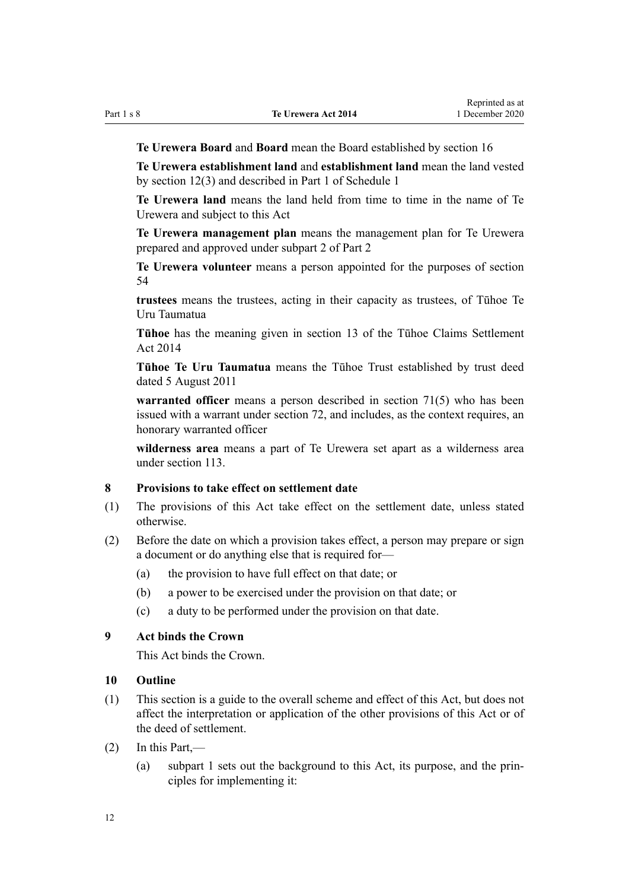<span id="page-11-0"></span>

**Te Urewera Board** and **Board** mean the Board established by [section 16](#page-15-0)

**Te Urewera establishment land** and **establishment land** mean the land vested by [section 12\(3\)](#page-14-0) and described in [Part 1](#page-68-0) of Schedule 1

**Te Urewera land** means the land held from time to time in the name of Te Urewera and subject to this Act

**Te Urewera management plan** means the management plan for Te Urewera prepared and approved under [subpart 2](#page-25-0) of Part 2

**Te Urewera volunteer** means a person appointed for the purposes of [section](#page-29-0) [54](#page-29-0)

**trustees** means the trustees, acting in their capacity as trustees, of Tūhoe Te Uru Taumatua

**Tūhoe** has the meaning given in [section 13](http://legislation.govt.nz/pdflink.aspx?id=DLM5481318) of the Tūhoe Claims Settlement Act 2014

**Tūhoe Te Uru Taumatua** means the Tūhoe Trust established by trust deed dated 5 August 2011

**warranted officer** means a person described in [section 71\(5\)](#page-37-0) who has been issued with a warrant under [section 72,](#page-37-0) and includes, as the context requires, an honorary warranted officer

**wilderness area** means a part of Te Urewera set apart as a wilderness area under [section 113.](#page-58-0)

## **8 Provisions to take effect on settlement date**

- (1) The provisions of this Act take effect on the settlement date, unless stated otherwise.
- (2) Before the date on which a provision takes effect, a person may prepare or sign a document or do anything else that is required for—
	- (a) the provision to have full effect on that date; or
	- (b) a power to be exercised under the provision on that date; or
	- (c) a duty to be performed under the provision on that date.

## **9 Act binds the Crown**

This Act binds the Crown.

#### **10 Outline**

- (1) This section is a guide to the overall scheme and effect of this Act, but does not affect the interpretation or application of the other provisions of this Act or of the deed of settlement.
- (2) In this Part,—
	- (a) [subpart 1](#page-7-0) sets out the background to this Act, its purpose, and the principles for implementing it: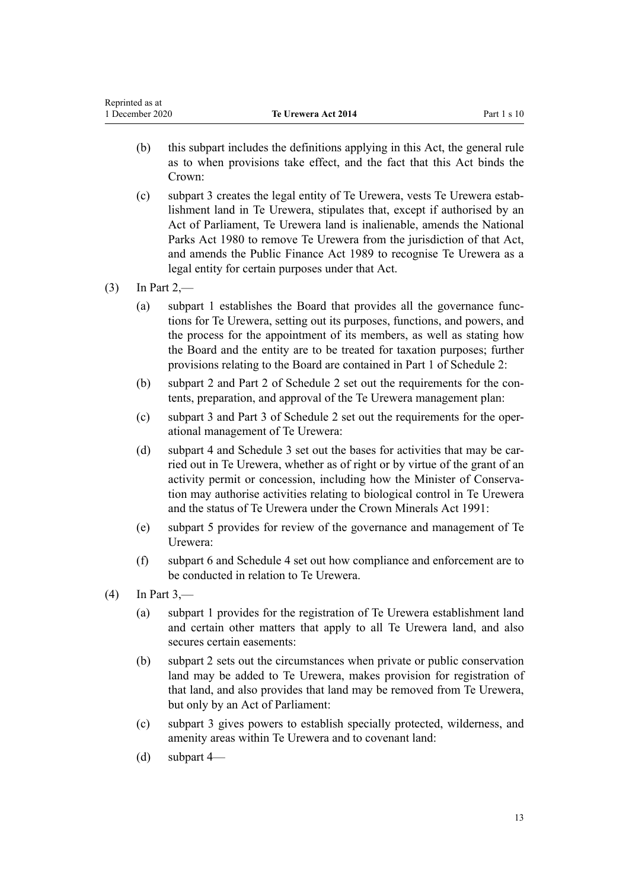- (b) this subpart includes the definitions applying in this Act, the general rule as to when provisions take effect, and the fact that this Act binds the Crown:
- (c) [subpart 3](#page-13-0) creates the legal entity of Te Urewera, vests Te Urewera establishment land in Te Urewera, stipulates that, except if authorised by an Act of Parliament, Te Urewera land is inalienable, amends the [National](http://legislation.govt.nz/pdflink.aspx?id=DLM36962) [Parks Act 1980](http://legislation.govt.nz/pdflink.aspx?id=DLM36962) to remove Te Urewera from the jurisdiction of that Act, and amends the [Public Finance Act 1989](http://legislation.govt.nz/pdflink.aspx?id=DLM160808) to recognise Te Urewera as a legal entity for certain purposes under that Act.

## $(3)$  In [Part 2,](#page-15-0)—

- (a) [subpart 1](#page-7-0) establishes the Board that provides all the governance functions for Te Urewera, setting out its purposes, functions, and powers, and the process for the appointment of its members, as well as stating how the Board and the entity are to be treated for taxation purposes; further provisions relating to the Board are contained in [Part 1](#page-70-0) of Schedule 2:
- (b) [subpart 2](#page-25-0) and [Part 2](#page-76-0) of Schedule 2 set out the requirements for the contents, preparation, and approval of the Te Urewera management plan:
- (c) [subpart 3](#page-27-0) and [Part 3](#page-79-0) of Schedule 2 set out the requirements for the operational management of Te Urewera:
- (d) [subpart 4](#page-30-0) and Schedule 3 set out the bases for activities that may be carried out in Te Urewera, whether as of right or by virtue of the grant of an activity permit or concession, including how the Minister of Conservation may authorise activities relating to biological control in Te Urewera and the status of Te Urewera under the [Crown Minerals Act 1991](http://legislation.govt.nz/pdflink.aspx?id=DLM242535):
- (e) [subpart 5](#page-33-0) provides for review of the governance and management of Te Urewera:
- (f) [subpart 6](#page-35-0) and [Schedule 4](#page-99-0) set out how compliance and enforcement are to be conducted in relation to Te Urewera.
- $(4)$  In [Part 3,](#page-43-0)
	- (a) [subpart 1](#page-44-0) provides for the registration of Te Urewera establishment land and certain other matters that apply to all Te Urewera land, and also secures certain easements:
	- (b) [subpart 2](#page-49-0) sets out the circumstances when private or public conservation land may be added to Te Urewera, makes provision for registration of that land, and also provides that land may be removed from Te Urewera, but only by an Act of Parliament:
	- (c) [subpart 3](#page-58-0) gives powers to establish specially protected, wilderness, and amenity areas within Te Urewera and to covenant land:
	- (d) [subpart 4—](#page-62-0)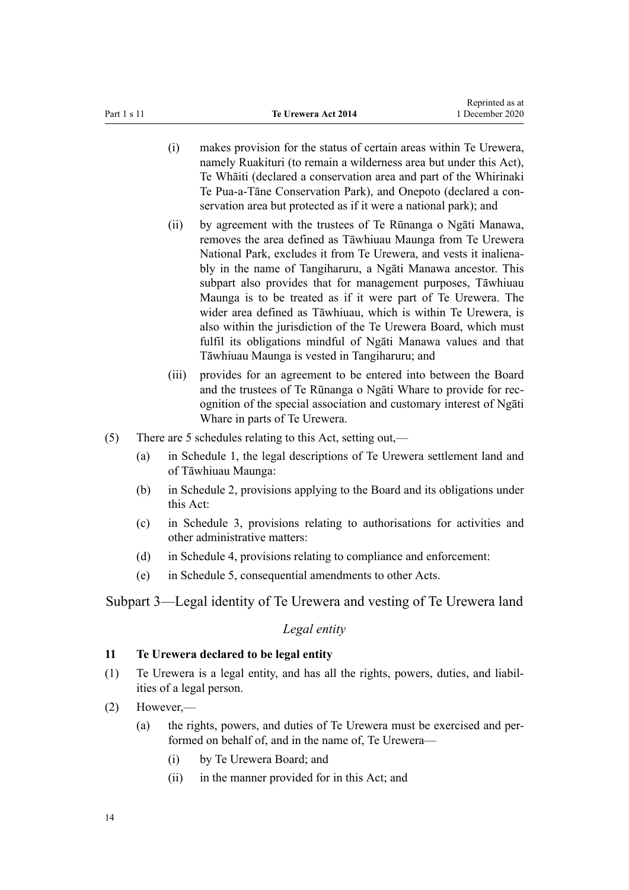- <span id="page-13-0"></span>(i) makes provision for the status of certain areas within Te Urewera, namely Ruakituri (to remain a wilderness area but under this Act), Te Whāiti (declared a conservation area and part of the Whirinaki Te Pua-a-Tāne Conservation Park), and Onepoto (declared a conservation area but protected as if it were a national park); and
- (ii) by agreement with the trustees of Te Rūnanga o Ngāti Manawa, removes the area defined as Tāwhiuau Maunga from Te Urewera National Park, excludes it from Te Urewera, and vests it inalienably in the name of Tangiharuru, a Ngāti Manawa ancestor. This subpart also provides that for management purposes, Tāwhiuau Maunga is to be treated as if it were part of Te Urewera. The wider area defined as Tāwhiuau, which is within Te Urewera, is also within the jurisdiction of the Te Urewera Board, which must fulfil its obligations mindful of Ngāti Manawa values and that Tāwhiuau Maunga is vested in Tangiharuru; and
- (iii) provides for an agreement to be entered into between the Board and the trustees of Te Rūnanga o Ngāti Whare to provide for recognition of the special association and customary interest of Ngāti Whare in parts of Te Urewera.
- (5) There are 5 schedules relating to this Act, setting out,—
	- (a) in [Schedule 1,](#page-68-0) the legal descriptions of Te Urewera settlement land and of Tāwhiuau Maunga:
	- (b) in [Schedule 2](#page-69-0), provisions applying to the Board and its obligations under this Act:
	- (c) in [Schedule 3,](#page-80-0) provisions relating to authorisations for activities and other administrative matters:
	- (d) in [Schedule 4,](#page-99-0) provisions relating to compliance and enforcement:
	- (e) in [Schedule 5,](#page-112-0) consequential amendments to other Acts.

Subpart 3—Legal identity of Te Urewera and vesting of Te Urewera land

#### *Legal entity*

## **11 Te Urewera declared to be legal entity**

- (1) Te Urewera is a legal entity, and has all the rights, powers, duties, and liabilities of a legal person.
- (2) However,—
	- (a) the rights, powers, and duties of Te Urewera must be exercised and performed on behalf of, and in the name of, Te Urewera—
		- (i) by Te Urewera Board; and
		- (ii) in the manner provided for in this Act; and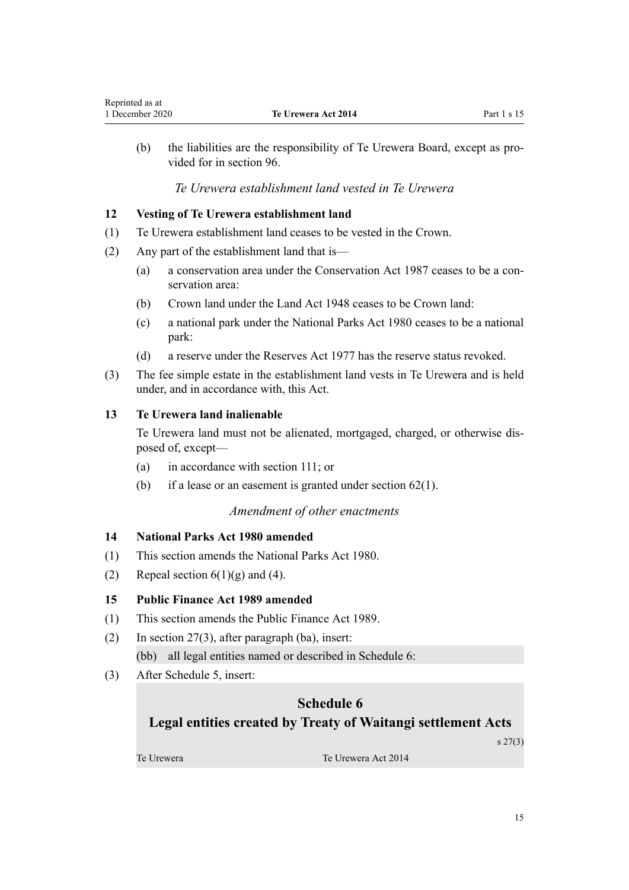<span id="page-14-0"></span>(b) the liabilities are the responsibility of Te Urewera Board, except as provided for in [section 96.](#page-47-0)

## *Te Urewera establishment land vested in Te Urewera*

## **12 Vesting of Te Urewera establishment land**

- (1) Te Urewera establishment land ceases to be vested in the Crown.
- (2) Any part of the establishment land that is—
	- (a) a conservation area under the [Conservation Act 1987](http://legislation.govt.nz/pdflink.aspx?id=DLM103609) ceases to be a conservation area:
	- (b) Crown land under the [Land Act 1948](http://legislation.govt.nz/pdflink.aspx?id=DLM250585) ceases to be Crown land:
	- (c) a national park under the [National Parks Act 1980](http://legislation.govt.nz/pdflink.aspx?id=DLM36962) ceases to be a national park:
	- (d) a reserve under the [Reserves Act 1977](http://legislation.govt.nz/pdflink.aspx?id=DLM444304) has the reserve status revoked.
- (3) The fee simple estate in the establishment land vests in Te Urewera and is held under, and in accordance with, this Act.

## **13 Te Urewera land inalienable**

Te Urewera land must not be alienated, mortgaged, charged, or otherwise disposed of, except—

- (a) in accordance with [section 111;](#page-56-0) or
- (b) if a lease or an easement is granted under section  $62(1)$ .

#### *Amendment of other enactments*

## **14 National Parks Act 1980 amended**

- (1) This section amends the [National Parks Act 1980](http://legislation.govt.nz/pdflink.aspx?id=DLM36962).
- (2) Repeal section  $6(1)(g)$  and (4).

## **15 Public Finance Act 1989 amended**

- (1) This section amends the [Public Finance Act 1989.](http://legislation.govt.nz/pdflink.aspx?id=DLM160808)
- (2) In [section 27\(3\)](http://legislation.govt.nz/pdflink.aspx?id=DLM162017), after paragraph (ba), insert: (bb) all legal entities named or described in Schedule 6:
- (3) After [Schedule 5](http://legislation.govt.nz/pdflink.aspx?id=DLM163652), insert:

# **Schedule 6 Legal entities created by Treaty of Waitangi settlement Acts**

s 27(3)

Te Urewera Te Urewera Act 2014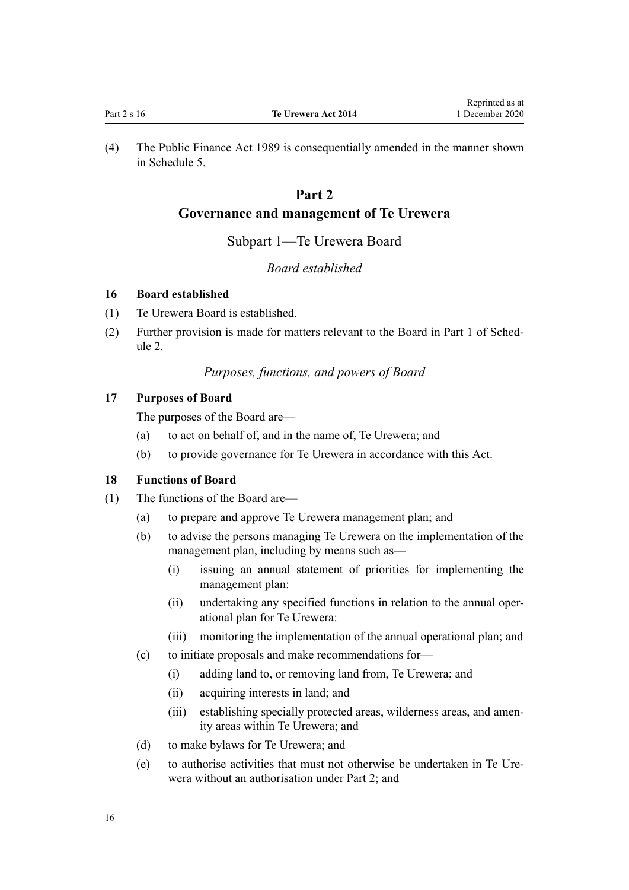<span id="page-15-0"></span>(4) The [Public Finance Act 1989](http://legislation.govt.nz/pdflink.aspx?id=DLM160808) is consequentially amended in the manner shown in [Schedule 5.](#page-112-0)

# **Part 2**

## **Governance and management of Te Urewera**

#### Subpart 1—Te Urewera Board

## *Board established*

#### **16 Board established**

- (1) Te Urewera Board is established.
- (2) Further provision is made for matters relevant to the Board in [Part 1](#page-70-0) of Schedule 2.

## *Purposes, functions, and powers of Board*

## **17 Purposes of Board**

The purposes of the Board are—

- (a) to act on behalf of, and in the name of, Te Urewera; and
- (b) to provide governance for Te Urewera in accordance with this Act.

## **18 Functions of Board**

- (1) The functions of the Board are—
	- (a) to prepare and approve Te Urewera management plan; and
	- (b) to advise the persons managing Te Urewera on the implementation of the management plan, including by means such as—
		- (i) issuing an annual statement of priorities for implementing the management plan:
		- (ii) undertaking any specified functions in relation to the annual operational plan for Te Urewera:
		- (iii) monitoring the implementation of the annual operational plan; and
	- (c) to initiate proposals and make recommendations for—
		- (i) adding land to, or removing land from, Te Urewera; and
		- (ii) acquiring interests in land; and
		- (iii) establishing specially protected areas, wilderness areas, and amenity areas within Te Urewera; and
	- (d) to make bylaws for Te Urewera; and
	- (e) to authorise activities that must not otherwise be undertaken in Te Urewera without an authorisation under Part 2; and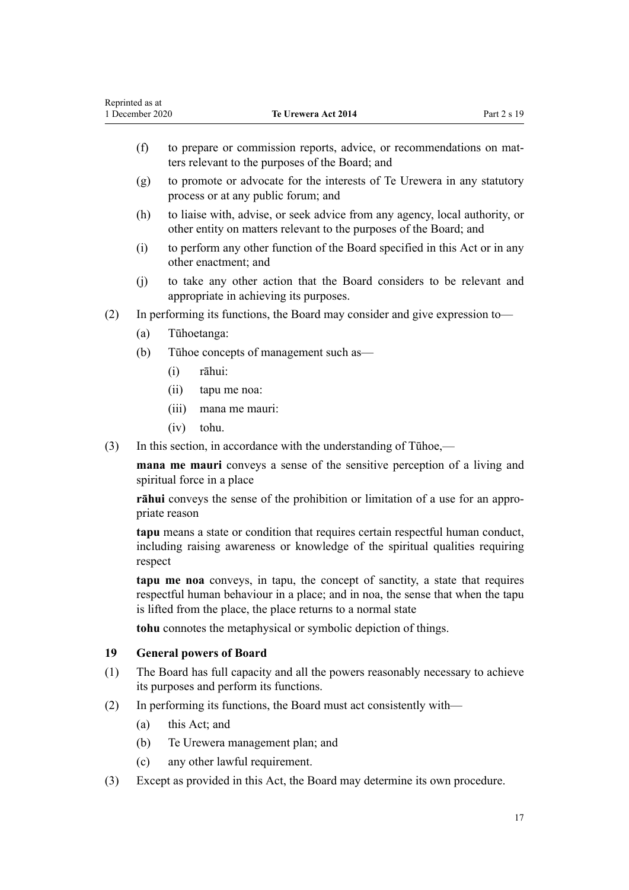|                                                                                                                                                          | (f)                                                                                                                   | to prepare or commission reports, advice, or recommendations on mat-<br>ters relevant to the purposes of the Board; and |  |  |
|----------------------------------------------------------------------------------------------------------------------------------------------------------|-----------------------------------------------------------------------------------------------------------------------|-------------------------------------------------------------------------------------------------------------------------|--|--|
|                                                                                                                                                          | to promote or advocate for the interests of Te Urewera in any statutory<br>(g)<br>process or at any public forum; and |                                                                                                                         |  |  |
| to liaise with, advise, or seek advice from any agency, local authority, or<br>(h)<br>other entity on matters relevant to the purposes of the Board; and |                                                                                                                       |                                                                                                                         |  |  |
|                                                                                                                                                          | to perform any other function of the Board specified in this Act or in any<br>(i)<br>other enactment; and             |                                                                                                                         |  |  |
|                                                                                                                                                          | to take any other action that the Board considers to be relevant and<br>(i)<br>appropriate in achieving its purposes. |                                                                                                                         |  |  |
| (2)                                                                                                                                                      |                                                                                                                       | In performing its functions, the Board may consider and give expression to—                                             |  |  |
|                                                                                                                                                          | (a)                                                                                                                   | Tūhoetanga:                                                                                                             |  |  |
|                                                                                                                                                          | Tühoe concepts of management such as—<br>(b)                                                                          |                                                                                                                         |  |  |
|                                                                                                                                                          |                                                                                                                       | rāhui:<br>(i)                                                                                                           |  |  |
|                                                                                                                                                          |                                                                                                                       | (ii)<br>tapu me noa:                                                                                                    |  |  |
|                                                                                                                                                          |                                                                                                                       | (111)<br>mana me mauri:                                                                                                 |  |  |

1 December 2020 **Te Urewera Act 2014** Part 2 s 19

(iv) tohu.

<span id="page-16-0"></span>Reprinted as at

(3) In this section, in accordance with the understanding of Tūhoe,—

**mana me mauri** conveys a sense of the sensitive perception of a living and spiritual force in a place

**rāhui** conveys the sense of the prohibition or limitation of a use for an appropriate reason

**tapu** means a state or condition that requires certain respectful human conduct, including raising awareness or knowledge of the spiritual qualities requiring respect

**tapu me noa** conveys, in tapu, the concept of sanctity, a state that requires respectful human behaviour in a place; and in noa, the sense that when the tapu is lifted from the place, the place returns to a normal state

**tohu** connotes the metaphysical or symbolic depiction of things.

## **19 General powers of Board**

- (1) The Board has full capacity and all the powers reasonably necessary to achieve its purposes and perform its functions.
- (2) In performing its functions, the Board must act consistently with—
	- (a) this Act; and
	- (b) Te Urewera management plan; and
	- (c) any other lawful requirement.
- (3) Except as provided in this Act, the Board may determine its own procedure.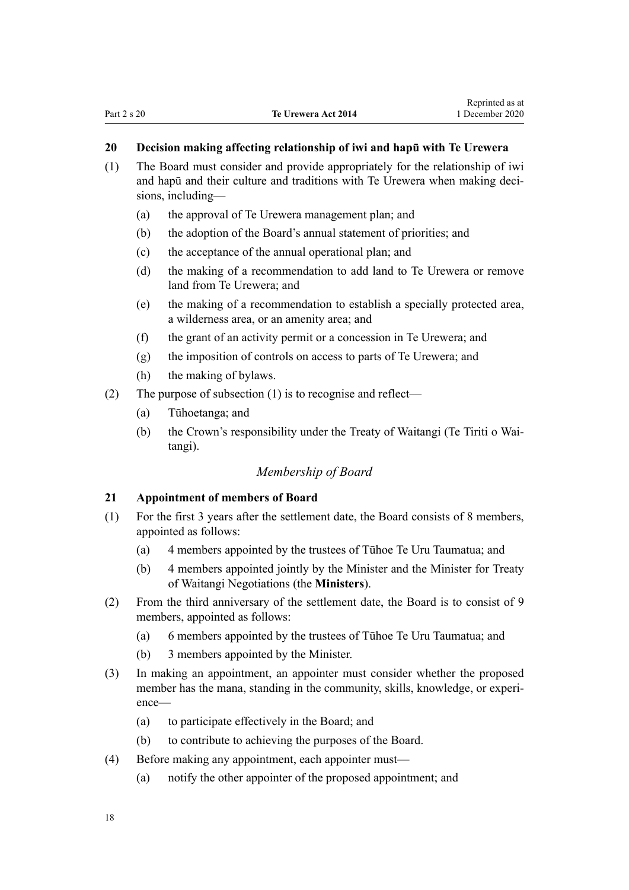## <span id="page-17-0"></span>**20 Decision making affecting relationship of iwi and hapū with Te Urewera**

- (1) The Board must consider and provide appropriately for the relationship of iwi and hapū and their culture and traditions with Te Urewera when making decisions, including—
	- (a) the approval of Te Urewera management plan; and
	- (b) the adoption of the Board's annual statement of priorities; and
	- (c) the acceptance of the annual operational plan; and
	- (d) the making of a recommendation to add land to Te Urewera or remove land from Te Urewera; and
	- (e) the making of a recommendation to establish a specially protected area, a wilderness area, or an amenity area; and
	- (f) the grant of an activity permit or a concession in Te Urewera; and
	- (g) the imposition of controls on access to parts of Te Urewera; and
	- (h) the making of bylaws.
- (2) The purpose of subsection (1) is to recognise and reflect—
	- (a) Tūhoetanga; and
	- (b) the Crown's responsibility under the Treaty of Waitangi (Te Tiriti o Waitangi).

## *Membership of Board*

#### **21 Appointment of members of Board**

- (1) For the first 3 years after the settlement date, the Board consists of 8 members, appointed as follows:
	- (a) 4 members appointed by the trustees of Tūhoe Te Uru Taumatua; and
	- (b) 4 members appointed jointly by the Minister and the Minister for Treaty of Waitangi Negotiations (the **Ministers**).
- (2) From the third anniversary of the settlement date, the Board is to consist of 9 members, appointed as follows:
	- (a) 6 members appointed by the trustees of Tūhoe Te Uru Taumatua; and
	- (b) 3 members appointed by the Minister.
- (3) In making an appointment, an appointer must consider whether the proposed member has the mana, standing in the community, skills, knowledge, or experience—
	- (a) to participate effectively in the Board; and
	- (b) to contribute to achieving the purposes of the Board.
- (4) Before making any appointment, each appointer must—
	- (a) notify the other appointer of the proposed appointment; and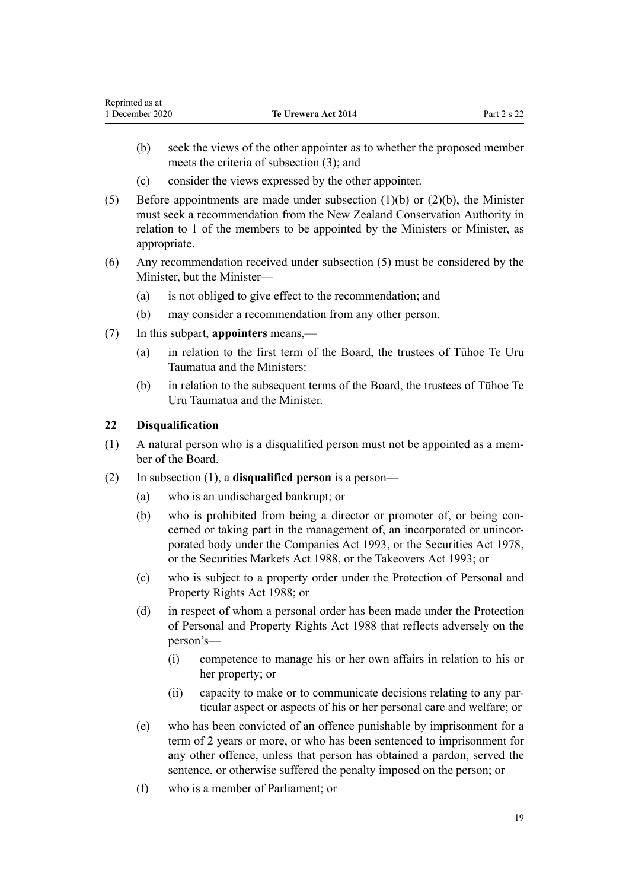- <span id="page-18-0"></span>(b) seek the views of the other appointer as to whether the proposed member meets the criteria of subsection (3); and
- (c) consider the views expressed by the other appointer.
- (5) Before appointments are made under subsection (1)(b) or (2)(b), the Minister must seek a recommendation from the New Zealand Conservation Authority in relation to 1 of the members to be appointed by the Ministers or Minister, as appropriate.
- (6) Any recommendation received under subsection (5) must be considered by the Minister, but the Minister—
	- (a) is not obliged to give effect to the recommendation; and
	- (b) may consider a recommendation from any other person.
- (7) In this subpart, **appointers** means,—
	- (a) in relation to the first term of the Board, the trustees of Tūhoe Te Uru Taumatua and the Ministers:
	- (b) in relation to the subsequent terms of the Board, the trustees of Tūhoe Te Uru Taumatua and the Minister.

#### **22 Disqualification**

- (1) A natural person who is a disqualified person must not be appointed as a member of the Board.
- (2) In subsection (1), a **disqualified person** is a person—
	- (a) who is an undischarged bankrupt; or
	- (b) who is prohibited from being a director or promoter of, or being concerned or taking part in the management of, an incorporated or unincorporated body under the [Companies Act 1993,](http://legislation.govt.nz/pdflink.aspx?id=DLM319569) or the [Securities Act 1978](http://legislation.govt.nz/pdflink.aspx?id=DLM25999), or the [Securities Markets Act 1988,](http://legislation.govt.nz/pdflink.aspx?id=DLM139726) or the [Takeovers Act 1993](http://legislation.govt.nz/pdflink.aspx?id=DLM325508); or
	- (c) who is subject to a property order under the [Protection of Personal and](http://legislation.govt.nz/pdflink.aspx?id=DLM126527) [Property Rights Act 1988](http://legislation.govt.nz/pdflink.aspx?id=DLM126527); or
	- (d) in respect of whom a personal order has been made under the [Protection](http://legislation.govt.nz/pdflink.aspx?id=DLM126527) [of Personal and Property Rights Act 1988](http://legislation.govt.nz/pdflink.aspx?id=DLM126527) that reflects adversely on the person's—
		- (i) competence to manage his or her own affairs in relation to his or her property; or
		- (ii) capacity to make or to communicate decisions relating to any particular aspect or aspects of his or her personal care and welfare; or
	- (e) who has been convicted of an offence punishable by imprisonment for a term of 2 years or more, or who has been sentenced to imprisonment for any other offence, unless that person has obtained a pardon, served the sentence, or otherwise suffered the penalty imposed on the person; or
	- (f) who is a member of Parliament; or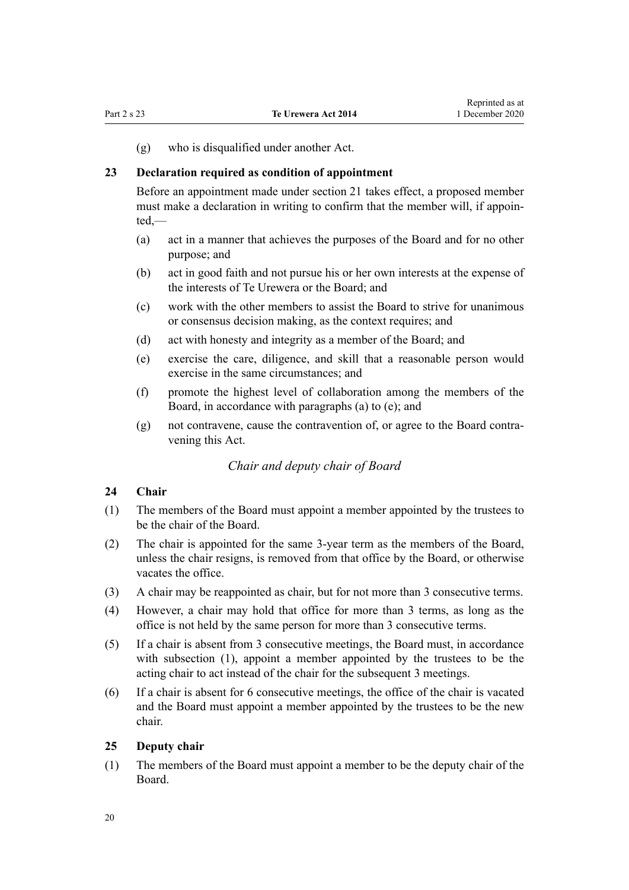<span id="page-19-0"></span>(g) who is disqualified under another Act.

#### **23 Declaration required as condition of appointment**

Before an appointment made under [section 21](#page-17-0) takes effect, a proposed member must make a declaration in writing to confirm that the member will, if appointed,—

- (a) act in a manner that achieves the purposes of the Board and for no other purpose; and
- (b) act in good faith and not pursue his or her own interests at the expense of the interests of Te Urewera or the Board; and
- (c) work with the other members to assist the Board to strive for unanimous or consensus decision making, as the context requires; and
- (d) act with honesty and integrity as a member of the Board; and
- (e) exercise the care, diligence, and skill that a reasonable person would exercise in the same circumstances; and
- (f) promote the highest level of collaboration among the members of the Board, in accordance with paragraphs (a) to (e); and
- (g) not contravene, cause the contravention of, or agree to the Board contravening this Act.

#### *Chair and deputy chair of Board*

## **24 Chair**

- (1) The members of the Board must appoint a member appointed by the trustees to be the chair of the Board.
- (2) The chair is appointed for the same 3-year term as the members of the Board, unless the chair resigns, is removed from that office by the Board, or otherwise vacates the office.
- (3) A chair may be reappointed as chair, but for not more than 3 consecutive terms.
- (4) However, a chair may hold that office for more than 3 terms, as long as the office is not held by the same person for more than 3 consecutive terms.
- (5) If a chair is absent from 3 consecutive meetings, the Board must, in accordance with subsection (1), appoint a member appointed by the trustees to be the acting chair to act instead of the chair for the subsequent 3 meetings.
- (6) If a chair is absent for 6 consecutive meetings, the office of the chair is vacated and the Board must appoint a member appointed by the trustees to be the new chair.

#### **25 Deputy chair**

(1) The members of the Board must appoint a member to be the deputy chair of the Board.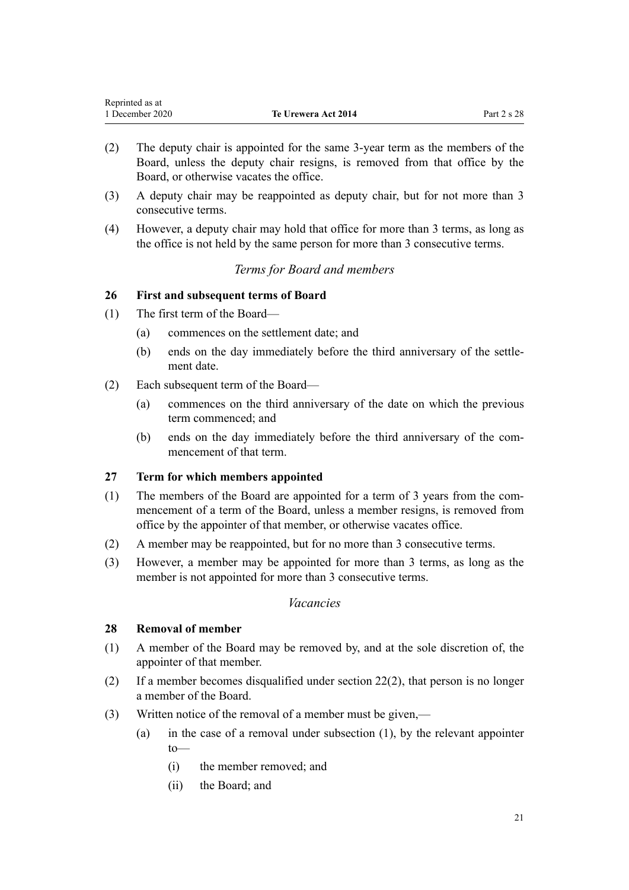<span id="page-20-0"></span>

| Reprinted as at |                            |             |
|-----------------|----------------------------|-------------|
| 1 December 2020 | <b>Te Urewera Act 2014</b> | Part 2 s 28 |

- (2) The deputy chair is appointed for the same 3-year term as the members of the Board, unless the deputy chair resigns, is removed from that office by the Board, or otherwise vacates the office.
- (3) A deputy chair may be reappointed as deputy chair, but for not more than 3 consecutive terms.
- (4) However, a deputy chair may hold that office for more than 3 terms, as long as the office is not held by the same person for more than 3 consecutive terms.

## *Terms for Board and members*

## **26 First and subsequent terms of Board**

- (1) The first term of the Board—
	- (a) commences on the settlement date; and
	- (b) ends on the day immediately before the third anniversary of the settlement date.
- (2) Each subsequent term of the Board—
	- (a) commences on the third anniversary of the date on which the previous term commenced; and
	- (b) ends on the day immediately before the third anniversary of the commencement of that term.

#### **27 Term for which members appointed**

- (1) The members of the Board are appointed for a term of 3 years from the commencement of a term of the Board, unless a member resigns, is removed from office by the appointer of that member, or otherwise vacates office.
- (2) A member may be reappointed, but for no more than 3 consecutive terms.
- (3) However, a member may be appointed for more than 3 terms, as long as the member is not appointed for more than 3 consecutive terms.

#### *Vacancies*

#### **28 Removal of member**

- (1) A member of the Board may be removed by, and at the sole discretion of, the appointer of that member.
- (2) If a member becomes disqualified under [section 22\(2\),](#page-18-0) that person is no longer a member of the Board.
- (3) Written notice of the removal of a member must be given,—
	- (a) in the case of a removal under subsection (1), by the relevant appointer to—
		- (i) the member removed; and
		- (ii) the Board; and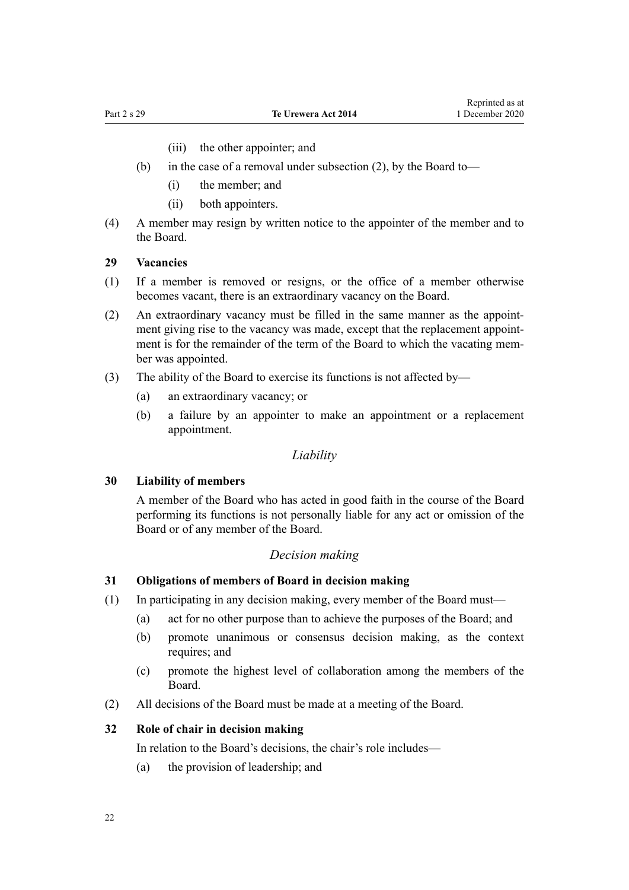(iii) the other appointer; and

- <span id="page-21-0"></span>(b) in the case of a removal under subsection (2), by the Board to—
	- (i) the member; and
	- (ii) both appointers.
- (4) A member may resign by written notice to the appointer of the member and to the Board.

## **29 Vacancies**

- (1) If a member is removed or resigns, or the office of a member otherwise becomes vacant, there is an extraordinary vacancy on the Board.
- (2) An extraordinary vacancy must be filled in the same manner as the appointment giving rise to the vacancy was made, except that the replacement appointment is for the remainder of the term of the Board to which the vacating member was appointed.
- (3) The ability of the Board to exercise its functions is not affected by—
	- (a) an extraordinary vacancy; or
	- (b) a failure by an appointer to make an appointment or a replacement appointment.

#### *Liability*

#### **30 Liability of members**

A member of the Board who has acted in good faith in the course of the Board performing its functions is not personally liable for any act or omission of the Board or of any member of the Board.

#### *Decision making*

#### **31 Obligations of members of Board in decision making**

- (1) In participating in any decision making, every member of the Board must—
	- (a) act for no other purpose than to achieve the purposes of the Board; and
	- (b) promote unanimous or consensus decision making, as the context requires; and
	- (c) promote the highest level of collaboration among the members of the Board.
- (2) All decisions of the Board must be made at a meeting of the Board.

## **32 Role of chair in decision making**

In relation to the Board's decisions, the chair's role includes—

(a) the provision of leadership; and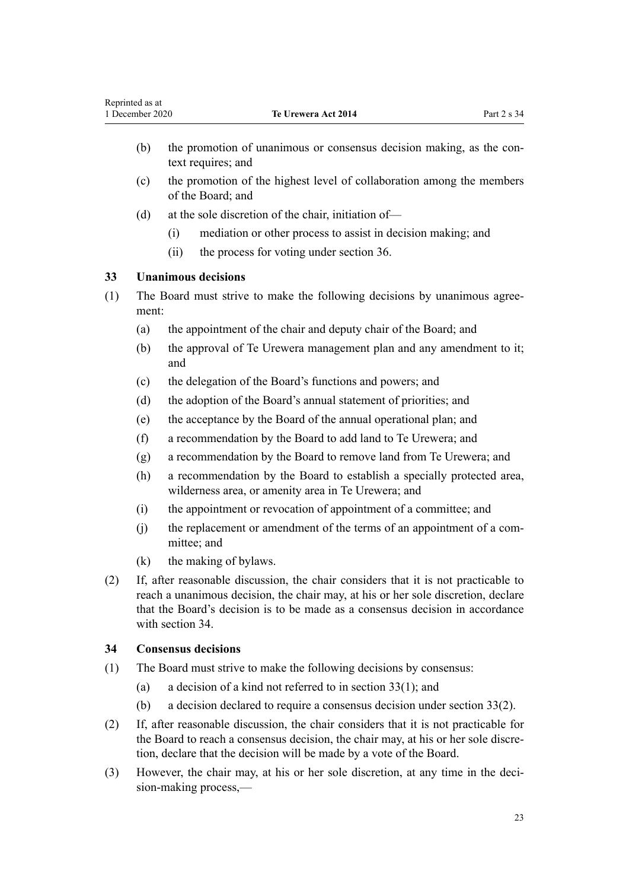- <span id="page-22-0"></span>(b) the promotion of unanimous or consensus decision making, as the context requires; and
- (c) the promotion of the highest level of collaboration among the members of the Board; and
- (d) at the sole discretion of the chair, initiation of—
	- (i) mediation or other process to assist in decision making; and
	- (ii) the process for voting under [section 36](#page-23-0).

## **33 Unanimous decisions**

- (1) The Board must strive to make the following decisions by unanimous agreement:
	- (a) the appointment of the chair and deputy chair of the Board; and
	- (b) the approval of Te Urewera management plan and any amendment to it; and
	- (c) the delegation of the Board's functions and powers; and
	- (d) the adoption of the Board's annual statement of priorities; and
	- (e) the acceptance by the Board of the annual operational plan; and
	- (f) a recommendation by the Board to add land to Te Urewera; and
	- (g) a recommendation by the Board to remove land from Te Urewera; and
	- (h) a recommendation by the Board to establish a specially protected area, wilderness area, or amenity area in Te Urewera; and
	- (i) the appointment or revocation of appointment of a committee; and
	- (j) the replacement or amendment of the terms of an appointment of a committee; and
	- (k) the making of bylaws.
- (2) If, after reasonable discussion, the chair considers that it is not practicable to reach a unanimous decision, the chair may, at his or her sole discretion, declare that the Board's decision is to be made as a consensus decision in accordance with section 34.

## **34 Consensus decisions**

- (1) The Board must strive to make the following decisions by consensus:
	- (a) a decision of a kind not referred to in section  $33(1)$ ; and
	- (b) a decision declared to require a consensus decision under section 33(2).
- (2) If, after reasonable discussion, the chair considers that it is not practicable for the Board to reach a consensus decision, the chair may, at his or her sole discretion, declare that the decision will be made by a vote of the Board.
- (3) However, the chair may, at his or her sole discretion, at any time in the decision-making process,—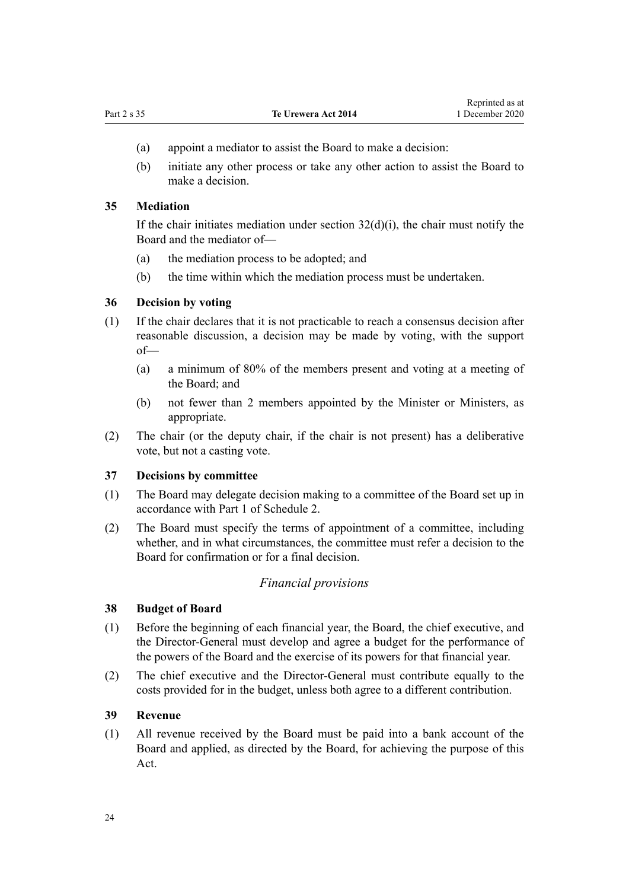- <span id="page-23-0"></span>(a) appoint a mediator to assist the Board to make a decision:
- (b) initiate any other process or take any other action to assist the Board to make a decision.

#### **35 Mediation**

If the chair initiates mediation under section  $32(d)(i)$ , the chair must notify the Board and the mediator of—

- (a) the mediation process to be adopted; and
- (b) the time within which the mediation process must be undertaken.

#### **36 Decision by voting**

- (1) If the chair declares that it is not practicable to reach a consensus decision after reasonable discussion, a decision may be made by voting, with the support of—
	- (a) a minimum of 80% of the members present and voting at a meeting of the Board; and
	- (b) not fewer than 2 members appointed by the Minister or Ministers, as appropriate.
- (2) The chair (or the deputy chair, if the chair is not present) has a deliberative vote, but not a casting vote.

#### **37 Decisions by committee**

- (1) The Board may delegate decision making to a committee of the Board set up in accordance with [Part 1](#page-70-0) of Schedule 2.
- (2) The Board must specify the terms of appointment of a committee, including whether, and in what circumstances, the committee must refer a decision to the Board for confirmation or for a final decision.

#### *Financial provisions*

## **38 Budget of Board**

- (1) Before the beginning of each financial year, the Board, the chief executive, and the Director-General must develop and agree a budget for the performance of the powers of the Board and the exercise of its powers for that financial year.
- (2) The chief executive and the Director-General must contribute equally to the costs provided for in the budget, unless both agree to a different contribution.

#### **39 Revenue**

(1) All revenue received by the Board must be paid into a bank account of the Board and applied, as directed by the Board, for achieving the purpose of this Act.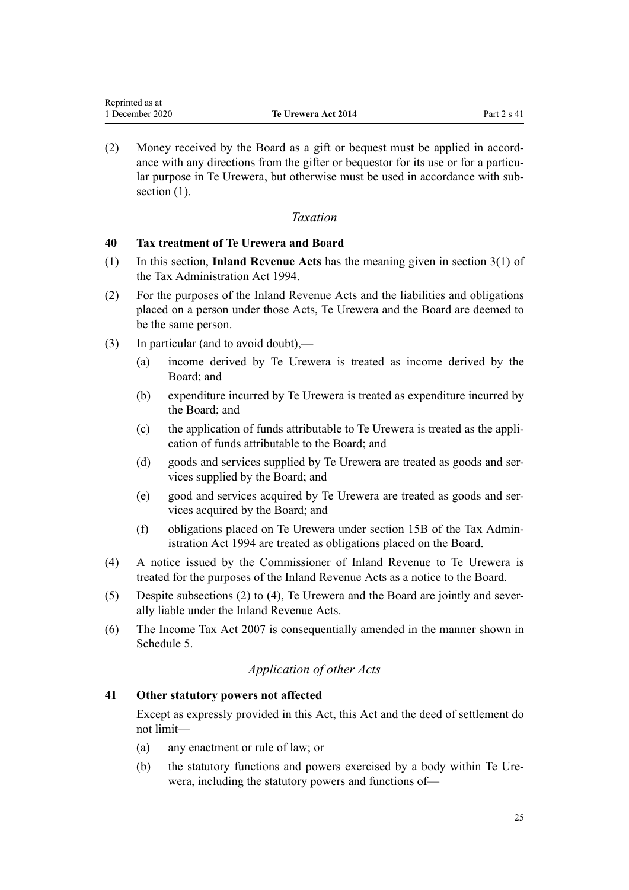<span id="page-24-0"></span>(2) Money received by the Board as a gift or bequest must be applied in accordance with any directions from the gifter or bequestor for its use or for a particular purpose in Te Urewera, but otherwise must be used in accordance with subsection  $(1)$ .

## *Taxation*

## **40 Tax treatment of Te Urewera and Board**

- (1) In this section, **Inland Revenue Acts** has the meaning given in [section 3\(1\)](http://legislation.govt.nz/pdflink.aspx?id=DLM348353) of the Tax Administration Act 1994.
- (2) For the purposes of the Inland Revenue Acts and the liabilities and obligations placed on a person under those Acts, Te Urewera and the Board are deemed to be the same person.
- (3) In particular (and to avoid doubt),—
	- (a) income derived by Te Urewera is treated as income derived by the Board; and
	- (b) expenditure incurred by Te Urewera is treated as expenditure incurred by the Board; and
	- (c) the application of funds attributable to Te Urewera is treated as the application of funds attributable to the Board; and
	- (d) goods and services supplied by Te Urewera are treated as goods and services supplied by the Board; and
	- (e) good and services acquired by Te Urewera are treated as goods and services acquired by the Board; and
	- (f) obligations placed on Te Urewera under [section 15B](http://legislation.govt.nz/pdflink.aspx?id=DLM350173) of the Tax Administration Act 1994 are treated as obligations placed on the Board.
- (4) A notice issued by the Commissioner of Inland Revenue to Te Urewera is treated for the purposes of the Inland Revenue Acts as a notice to the Board.
- (5) Despite subsections (2) to (4), Te Urewera and the Board are jointly and severally liable under the Inland Revenue Acts.
- (6) The [Income Tax Act 2007](http://legislation.govt.nz/pdflink.aspx?id=DLM1512300) is consequentially amended in the manner shown in [Schedule 5.](#page-112-0)

## *Application of other Acts*

## **41 Other statutory powers not affected**

Except as expressly provided in this Act, this Act and the deed of settlement do not limit—

- (a) any enactment or rule of law; or
- (b) the statutory functions and powers exercised by a body within Te Urewera, including the statutory powers and functions of—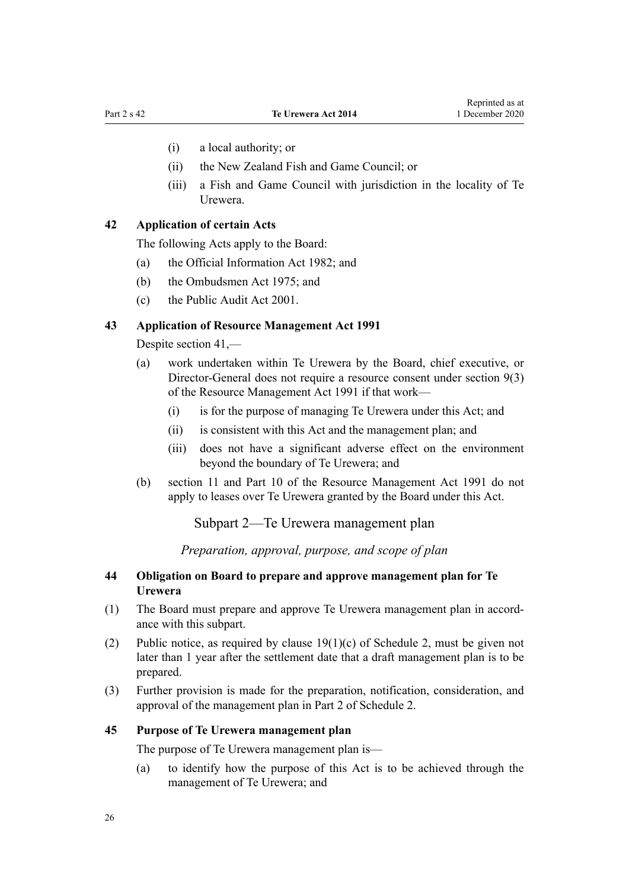- <span id="page-25-0"></span>(i) a local authority; or
- (ii) the New Zealand Fish and Game Council; or
- (iii) a Fish and Game Council with jurisdiction in the locality of Te Urewera.

## **42 Application of certain Acts**

The following Acts apply to the Board:

- (a) the [Official Information Act 1982;](http://legislation.govt.nz/pdflink.aspx?id=DLM64784) and
- (b) the [Ombudsmen Act 1975](http://legislation.govt.nz/pdflink.aspx?id=DLM430983); and
- (c) the [Public Audit Act 2001.](http://legislation.govt.nz/pdflink.aspx?id=DLM88540)

#### **43 Application of Resource Management Act 1991**

Despite [section 41](#page-24-0),—

- (a) work undertaken within Te Urewera by the Board, chief executive, or Director-General does not require a resource consent under [section 9\(3\)](http://legislation.govt.nz/pdflink.aspx?id=DLM231918) of the Resource Management Act 1991 if that work—
	- (i) is for the purpose of managing Te Urewera under this Act; and
	- (ii) is consistent with this Act and the management plan; and
	- (iii) does not have a significant adverse effect on the environment beyond the boundary of Te Urewera; and
- (b) [section 11](http://legislation.govt.nz/pdflink.aspx?id=DLM231942) and [Part 10](http://legislation.govt.nz/pdflink.aspx?id=DLM236786) of the Resource Management Act 1991 do not apply to leases over Te Urewera granted by the Board under this Act.

Subpart 2—Te Urewera management plan

*Preparation, approval, purpose, and scope of plan*

#### **44 Obligation on Board to prepare and approve management plan for Te Urewera**

- (1) The Board must prepare and approve Te Urewera management plan in accordance with this subpart.
- (2) Public notice, as required by clause  $19(1)(c)$  of Schedule 2, must be given not later than 1 year after the settlement date that a draft management plan is to be prepared.
- (3) Further provision is made for the preparation, notification, consideration, and approval of the management plan in [Part 2](#page-76-0) of Schedule 2.

#### **45 Purpose of Te Urewera management plan**

The purpose of Te Urewera management plan is—

(a) to identify how the purpose of this Act is to be achieved through the management of Te Urewera; and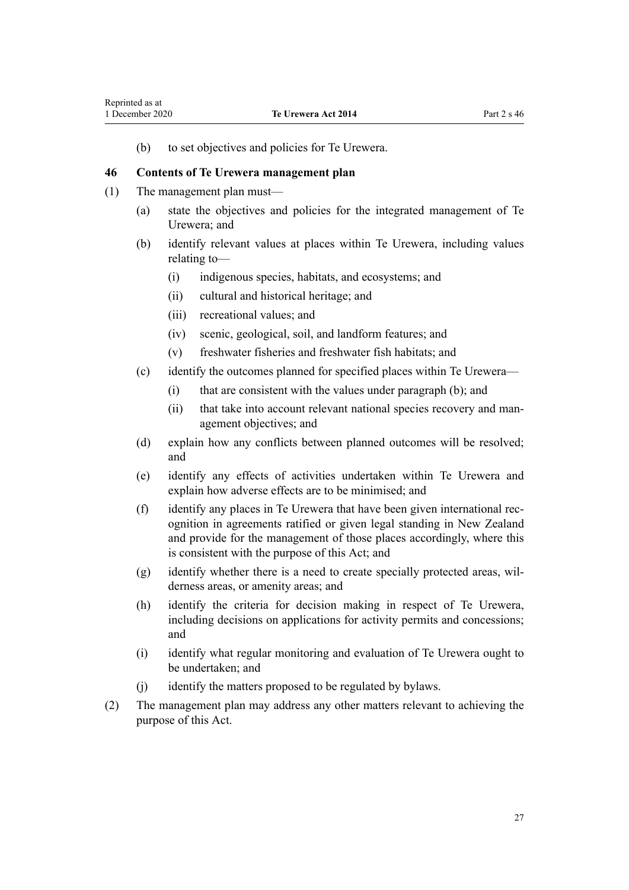<span id="page-26-0"></span>(b) to set objectives and policies for Te Urewera.

#### **46 Contents of Te Urewera management plan**

- (1) The management plan must—
	- (a) state the objectives and policies for the integrated management of Te Urewera; and
	- (b) identify relevant values at places within Te Urewera, including values relating to—
		- (i) indigenous species, habitats, and ecosystems; and
		- (ii) cultural and historical heritage; and
		- (iii) recreational values; and
		- (iv) scenic, geological, soil, and landform features; and
		- (v) freshwater fisheries and freshwater fish habitats; and
	- (c) identify the outcomes planned for specified places within Te Urewera—
		- (i) that are consistent with the values under paragraph (b); and
		- (ii) that take into account relevant national species recovery and management objectives; and
	- (d) explain how any conflicts between planned outcomes will be resolved; and
	- (e) identify any effects of activities undertaken within Te Urewera and explain how adverse effects are to be minimised; and
	- (f) identify any places in Te Urewera that have been given international recognition in agreements ratified or given legal standing in New Zealand and provide for the management of those places accordingly, where this is consistent with the purpose of this Act; and
	- (g) identify whether there is a need to create specially protected areas, wilderness areas, or amenity areas; and
	- (h) identify the criteria for decision making in respect of Te Urewera, including decisions on applications for activity permits and concessions; and
	- (i) identify what regular monitoring and evaluation of Te Urewera ought to be undertaken; and
	- (j) identify the matters proposed to be regulated by bylaws.
- (2) The management plan may address any other matters relevant to achieving the purpose of this Act.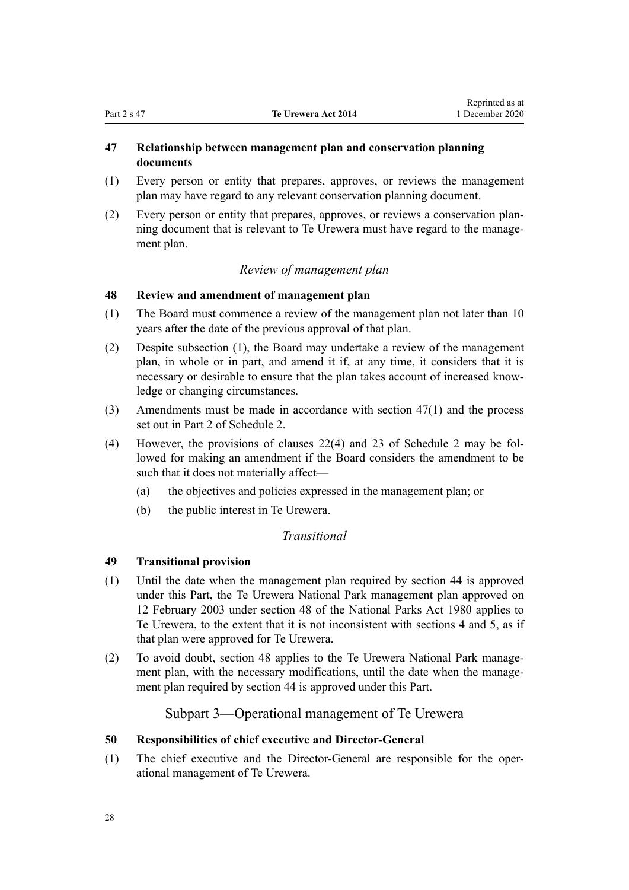## <span id="page-27-0"></span>**47 Relationship between management plan and conservation planning documents**

- (1) Every person or entity that prepares, approves, or reviews the management plan may have regard to any relevant conservation planning document.
- (2) Every person or entity that prepares, approves, or reviews a conservation planning document that is relevant to Te Urewera must have regard to the management plan.

## *Review of management plan*

## **48 Review and amendment of management plan**

- (1) The Board must commence a review of the management plan not later than 10 years after the date of the previous approval of that plan.
- (2) Despite subsection (1), the Board may undertake a review of the management plan, in whole or in part, and amend it if, at any time, it considers that it is necessary or desirable to ensure that the plan takes account of increased knowledge or changing circumstances.
- (3) Amendments must be made in accordance with section 47(1) and the process set out in [Part 2](#page-76-0) of Schedule 2.
- (4) However, the provisions of [clauses 22\(4\)](#page-77-0) and [23](#page-78-0) of Schedule 2 may be followed for making an amendment if the Board considers the amendment to be such that it does not materially affect—
	- (a) the objectives and policies expressed in the management plan; or
	- (b) the public interest in Te Urewera.

## *Transitional*

## **49 Transitional provision**

- (1) Until the date when the management plan required by [section 44](#page-25-0) is approved under this Part, the Te Urewera National Park management plan approved on 12 February 2003 under [section 48](http://legislation.govt.nz/pdflink.aspx?id=DLM38214) of the National Parks Act 1980 applies to Te Urewera, to the extent that it is not inconsistent with [sections 4](#page-8-0) and [5,](#page-8-0) as if that plan were approved for Te Urewera.
- (2) To avoid doubt, section 48 applies to the Te Urewera National Park management plan, with the necessary modifications, until the date when the management plan required by [section 44](#page-25-0) is approved under this Part.

## Subpart 3—Operational management of Te Urewera

## **50 Responsibilities of chief executive and Director-General**

(1) The chief executive and the Director-General are responsible for the operational management of Te Urewera.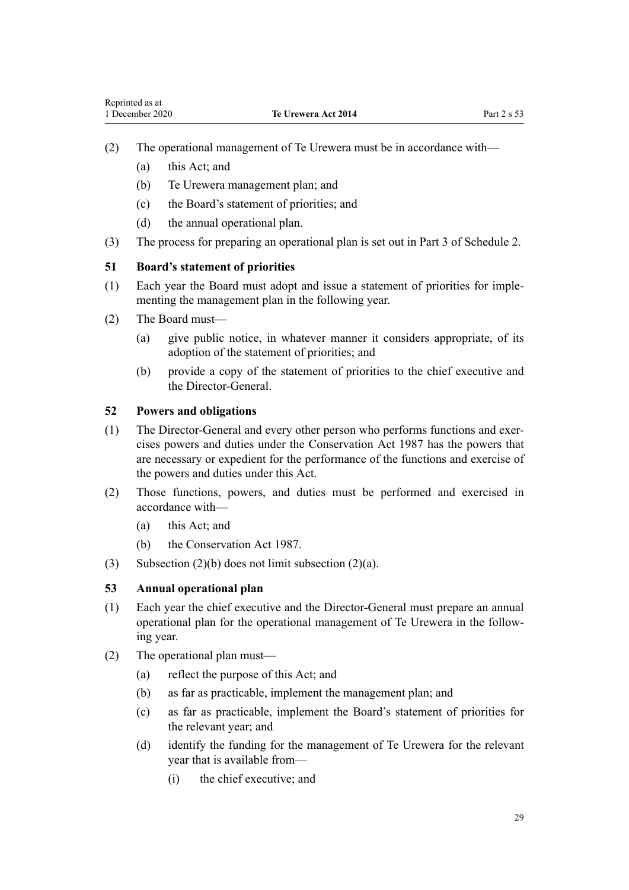- <span id="page-28-0"></span>(2) The operational management of Te Urewera must be in accordance with—
	- (a) this Act; and
	- (b) Te Urewera management plan; and
	- (c) the Board's statement of priorities; and
	- (d) the annual operational plan.
- (3) The process for preparing an operational plan is set out in [Part 3](#page-79-0) of Schedule 2.

#### **51 Board's statement of priorities**

- (1) Each year the Board must adopt and issue a statement of priorities for implementing the management plan in the following year.
- (2) The Board must—
	- (a) give public notice, in whatever manner it considers appropriate, of its adoption of the statement of priorities; and
	- (b) provide a copy of the statement of priorities to the chief executive and the Director-General.

## **52 Powers and obligations**

- (1) The Director-General and every other person who performs functions and exercises powers and duties under the [Conservation Act 1987](http://legislation.govt.nz/pdflink.aspx?id=DLM103609) has the powers that are necessary or expedient for the performance of the functions and exercise of the powers and duties under this Act.
- (2) Those functions, powers, and duties must be performed and exercised in accordance with—
	- (a) this Act; and
	- (b) the [Conservation Act 1987.](http://legislation.govt.nz/pdflink.aspx?id=DLM103609)
- (3) Subsection  $(2)(b)$  does not limit subsection  $(2)(a)$ .

## **53 Annual operational plan**

- (1) Each year the chief executive and the Director-General must prepare an annual operational plan for the operational management of Te Urewera in the following year.
- (2) The operational plan must—
	- (a) reflect the purpose of this Act; and
	- (b) as far as practicable, implement the management plan; and
	- (c) as far as practicable, implement the Board's statement of priorities for the relevant year; and
	- (d) identify the funding for the management of Te Urewera for the relevant year that is available from—
		- (i) the chief executive; and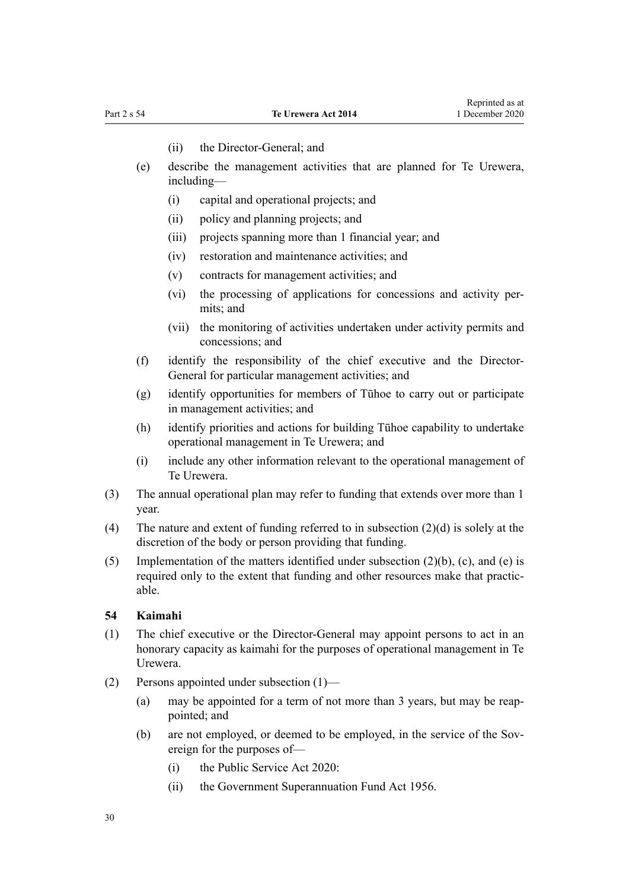- (ii) the Director-General; and
- <span id="page-29-0"></span>(e) describe the management activities that are planned for Te Urewera, including—
	- (i) capital and operational projects; and
	- (ii) policy and planning projects; and
	- (iii) projects spanning more than 1 financial year; and
	- (iv) restoration and maintenance activities; and
	- (v) contracts for management activities; and
	- (vi) the processing of applications for concessions and activity permits; and
	- (vii) the monitoring of activities undertaken under activity permits and concessions; and
- (f) identify the responsibility of the chief executive and the Director-General for particular management activities; and
- (g) identify opportunities for members of Tūhoe to carry out or participate in management activities; and
- (h) identify priorities and actions for building Tūhoe capability to undertake operational management in Te Urewera; and
- (i) include any other information relevant to the operational management of Te Urewera.
- (3) The annual operational plan may refer to funding that extends over more than 1 year.
- (4) The nature and extent of funding referred to in subsection (2)(d) is solely at the discretion of the body or person providing that funding.
- (5) Implementation of the matters identified under subsection (2)(b), (c), and (e) is required only to the extent that funding and other resources make that practicable.

#### **54 Kaimahi**

- (1) The chief executive or the Director-General may appoint persons to act in an honorary capacity as kaimahi for the purposes of operational management in Te Urewera.
- (2) Persons appointed under subsection (1)—
	- (a) may be appointed for a term of not more than 3 years, but may be reappointed; and
	- (b) are not employed, or deemed to be employed, in the service of the Sovereign for the purposes of—
		- (i) the [Public Service Act 2020](http://legislation.govt.nz/pdflink.aspx?id=LMS106157):
		- (ii) the [Government Superannuation Fund Act 1956.](http://legislation.govt.nz/pdflink.aspx?id=DLM446000)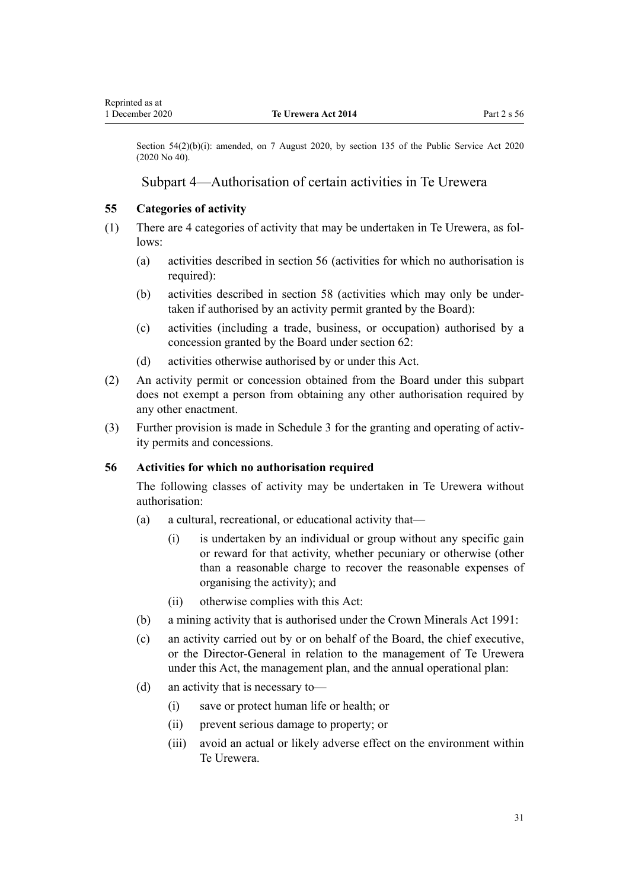<span id="page-30-0"></span>Section 54(2)(b)(i): amended, on 7 August 2020, by [section 135](http://legislation.govt.nz/pdflink.aspx?id=LMS176959) of the Public Service Act 2020 (2020 No 40).

## Subpart 4—Authorisation of certain activities in Te Urewera

#### **55 Categories of activity**

- (1) There are 4 categories of activity that may be undertaken in Te Urewera, as follows:
	- (a) activities described in section 56 (activities for which no authorisation is required):
	- (b) activities described in [section 58](#page-31-0) (activities which may only be undertaken if authorised by an activity permit granted by the Board):
	- (c) activities (including a trade, business, or occupation) authorised by a concession granted by the Board under [section 62](#page-32-0):
	- (d) activities otherwise authorised by or under this Act.
- (2) An activity permit or concession obtained from the Board under this subpart does not exempt a person from obtaining any other authorisation required by any other enactment.
- (3) Further provision is made in [Schedule 3](#page-80-0) for the granting and operating of activity permits and concessions.

#### **56 Activities for which no authorisation required**

The following classes of activity may be undertaken in Te Urewera without authorisation:

- (a) a cultural, recreational, or educational activity that—
	- (i) is undertaken by an individual or group without any specific gain or reward for that activity, whether pecuniary or otherwise (other than a reasonable charge to recover the reasonable expenses of organising the activity); and
	- (ii) otherwise complies with this Act:
- (b) a mining activity that is authorised under the [Crown Minerals Act 1991:](http://legislation.govt.nz/pdflink.aspx?id=DLM242535)
- (c) an activity carried out by or on behalf of the Board, the chief executive, or the Director-General in relation to the management of Te Urewera under this Act, the management plan, and the annual operational plan:
- (d) an activity that is necessary to—
	- (i) save or protect human life or health; or
	- (ii) prevent serious damage to property; or
	- (iii) avoid an actual or likely adverse effect on the environment within Te Urewera.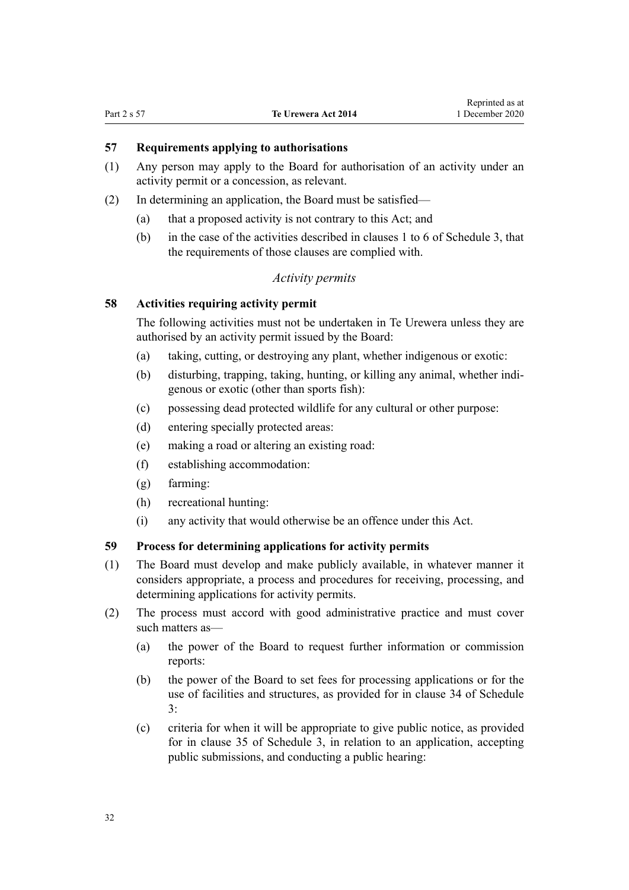## <span id="page-31-0"></span>**57 Requirements applying to authorisations**

- (1) Any person may apply to the Board for authorisation of an activity under an activity permit or a concession, as relevant.
- (2) In determining an application, the Board must be satisfied—
	- (a) that a proposed activity is not contrary to this Act; and
	- (b) in the case of the activities described in [clauses 1 to 6](#page-81-0) of Schedule 3, that the requirements of those clauses are complied with.

## *Activity permits*

#### **58 Activities requiring activity permit**

The following activities must not be undertaken in Te Urewera unless they are authorised by an activity permit issued by the Board:

- (a) taking, cutting, or destroying any plant, whether indigenous or exotic:
- (b) disturbing, trapping, taking, hunting, or killing any animal, whether indigenous or exotic (other than sports fish):
- (c) possessing dead protected wildlife for any cultural or other purpose:
- (d) entering specially protected areas:
- (e) making a road or altering an existing road:
- (f) establishing accommodation:
- (g) farming:
- (h) recreational hunting:
- (i) any activity that would otherwise be an offence under this Act.

#### **59 Process for determining applications for activity permits**

- (1) The Board must develop and make publicly available, in whatever manner it considers appropriate, a process and procedures for receiving, processing, and determining applications for activity permits.
- (2) The process must accord with good administrative practice and must cover such matters as—
	- (a) the power of the Board to request further information or commission reports:
	- (b) the power of the Board to set fees for processing applications or for the use of facilities and structures, as provided for in [clause 34](#page-97-0) of Schedule 3:
	- (c) criteria for when it will be appropriate to give public notice, as provided for in [clause 35](#page-98-0) of Schedule 3, in relation to an application, accepting public submissions, and conducting a public hearing: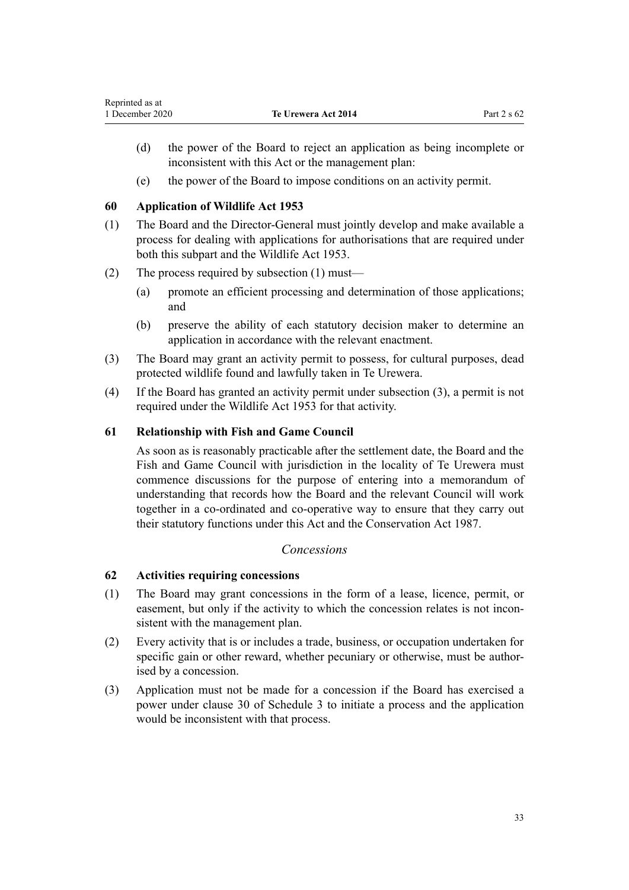- <span id="page-32-0"></span>(d) the power of the Board to reject an application as being incomplete or inconsistent with this Act or the management plan:
- (e) the power of the Board to impose conditions on an activity permit.

## **60 Application of Wildlife Act 1953**

- (1) The Board and the Director-General must jointly develop and make available a process for dealing with applications for authorisations that are required under both this subpart and the [Wildlife Act 1953](http://legislation.govt.nz/pdflink.aspx?id=DLM276813).
- (2) The process required by subsection (1) must—
	- (a) promote an efficient processing and determination of those applications; and
	- (b) preserve the ability of each statutory decision maker to determine an application in accordance with the relevant enactment.
- (3) The Board may grant an activity permit to possess, for cultural purposes, dead protected wildlife found and lawfully taken in Te Urewera.
- (4) If the Board has granted an activity permit under subsection (3), a permit is not required under the [Wildlife Act 1953](http://legislation.govt.nz/pdflink.aspx?id=DLM276813) for that activity.

## **61 Relationship with Fish and Game Council**

As soon as is reasonably practicable after the settlement date, the Board and the Fish and Game Council with jurisdiction in the locality of Te Urewera must commence discussions for the purpose of entering into a memorandum of understanding that records how the Board and the relevant Council will work together in a co-ordinated and co-operative way to ensure that they carry out their statutory functions under this Act and the [Conservation Act 1987](http://legislation.govt.nz/pdflink.aspx?id=DLM103609).

## *Concessions*

## **62 Activities requiring concessions**

- (1) The Board may grant concessions in the form of a lease, licence, permit, or easement, but only if the activity to which the concession relates is not inconsistent with the management plan.
- (2) Every activity that is or includes a trade, business, or occupation undertaken for specific gain or other reward, whether pecuniary or otherwise, must be authorised by a concession.
- (3) Application must not be made for a concession if the Board has exercised a power under [clause 30](#page-95-0) of Schedule 3 to initiate a process and the application would be inconsistent with that process.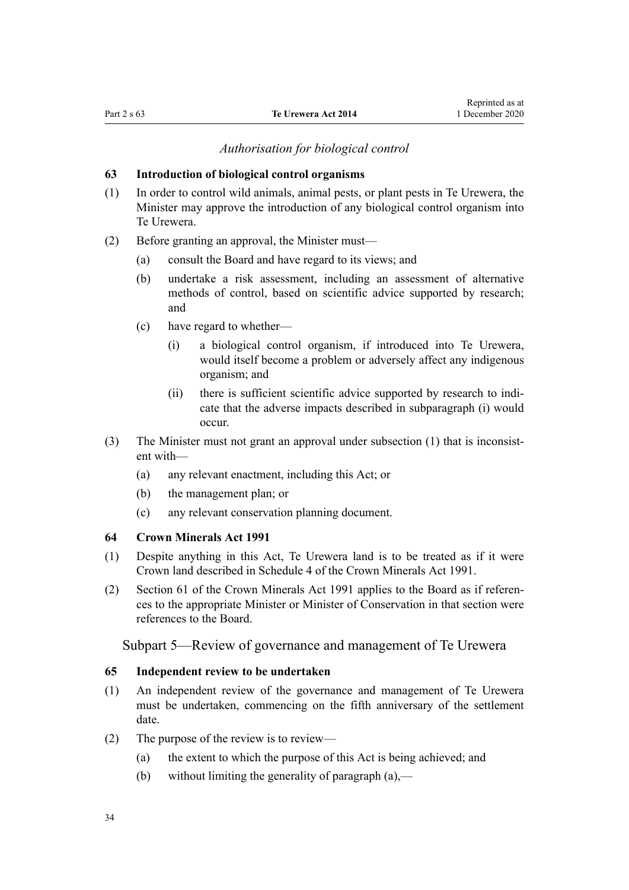## *Authorisation for biological control*

#### <span id="page-33-0"></span>**63 Introduction of biological control organisms**

- (1) In order to control wild animals, animal pests, or plant pests in Te Urewera, the Minister may approve the introduction of any biological control organism into Te Urewera.
- (2) Before granting an approval, the Minister must—
	- (a) consult the Board and have regard to its views; and
	- (b) undertake a risk assessment, including an assessment of alternative methods of control, based on scientific advice supported by research; and
	- (c) have regard to whether—
		- (i) a biological control organism, if introduced into Te Urewera, would itself become a problem or adversely affect any indigenous organism; and
		- (ii) there is sufficient scientific advice supported by research to indicate that the adverse impacts described in subparagraph (i) would occur.
- (3) The Minister must not grant an approval under subsection (1) that is inconsistent with—
	- (a) any relevant enactment, including this Act; or
	- (b) the management plan; or
	- (c) any relevant conservation planning document.

#### **64 Crown Minerals Act 1991**

- (1) Despite anything in this Act, Te Urewera land is to be treated as if it were Crown land described in [Schedule 4](http://legislation.govt.nz/pdflink.aspx?id=DLM247378) of the Crown Minerals Act 1991.
- (2) [Section 61](http://legislation.govt.nz/pdflink.aspx?id=DLM246714) of the Crown Minerals Act 1991 applies to the Board as if references to the appropriate Minister or Minister of Conservation in that section were references to the Board.

## Subpart 5—Review of governance and management of Te Urewera

#### **65 Independent review to be undertaken**

- (1) An independent review of the governance and management of Te Urewera must be undertaken, commencing on the fifth anniversary of the settlement date.
- (2) The purpose of the review is to review—
	- (a) the extent to which the purpose of this Act is being achieved; and
	- (b) without limiting the generality of paragraph  $(a)$ ,—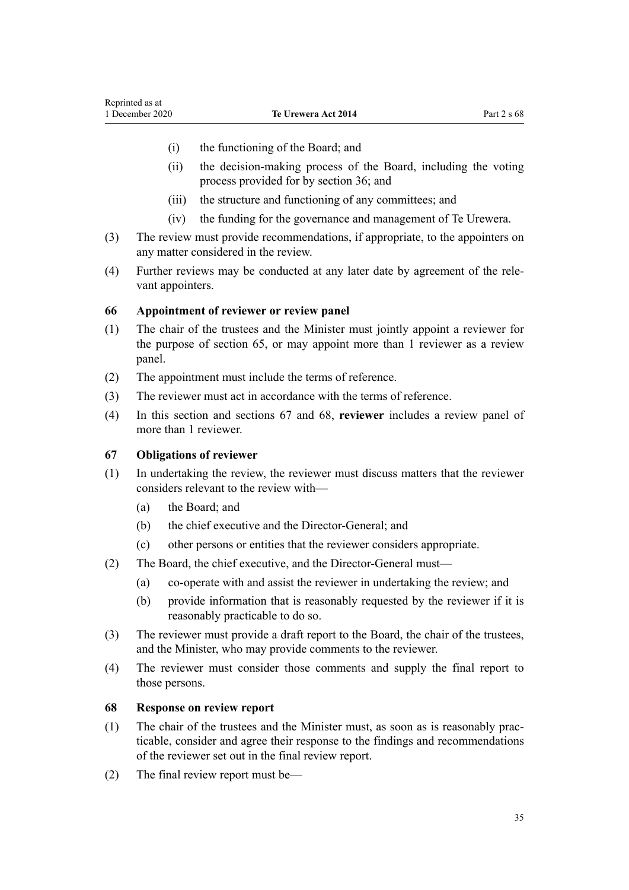- <span id="page-34-0"></span>(i) the functioning of the Board; and
- (ii) the decision-making process of the Board, including the voting process provided for by [section 36;](#page-23-0) and
- (iii) the structure and functioning of any committees; and
- (iv) the funding for the governance and management of Te Urewera.
- (3) The review must provide recommendations, if appropriate, to the appointers on any matter considered in the review.
- (4) Further reviews may be conducted at any later date by agreement of the relevant appointers.

#### **66 Appointment of reviewer or review panel**

- (1) The chair of the trustees and the Minister must jointly appoint a reviewer for the purpose of [section 65,](#page-33-0) or may appoint more than 1 reviewer as a review panel.
- (2) The appointment must include the terms of reference.
- (3) The reviewer must act in accordance with the terms of reference.
- (4) In this section and sections 67 and 68, **reviewer** includes a review panel of more than 1 reviewer.

#### **67 Obligations of reviewer**

- (1) In undertaking the review, the reviewer must discuss matters that the reviewer considers relevant to the review with—
	- (a) the Board; and
	- (b) the chief executive and the Director-General; and
	- (c) other persons or entities that the reviewer considers appropriate.
- (2) The Board, the chief executive, and the Director-General must—
	- (a) co-operate with and assist the reviewer in undertaking the review; and
	- (b) provide information that is reasonably requested by the reviewer if it is reasonably practicable to do so.
- (3) The reviewer must provide a draft report to the Board, the chair of the trustees, and the Minister, who may provide comments to the reviewer.
- (4) The reviewer must consider those comments and supply the final report to those persons.

#### **68 Response on review report**

- (1) The chair of the trustees and the Minister must, as soon as is reasonably practicable, consider and agree their response to the findings and recommendations of the reviewer set out in the final review report.
- (2) The final review report must be—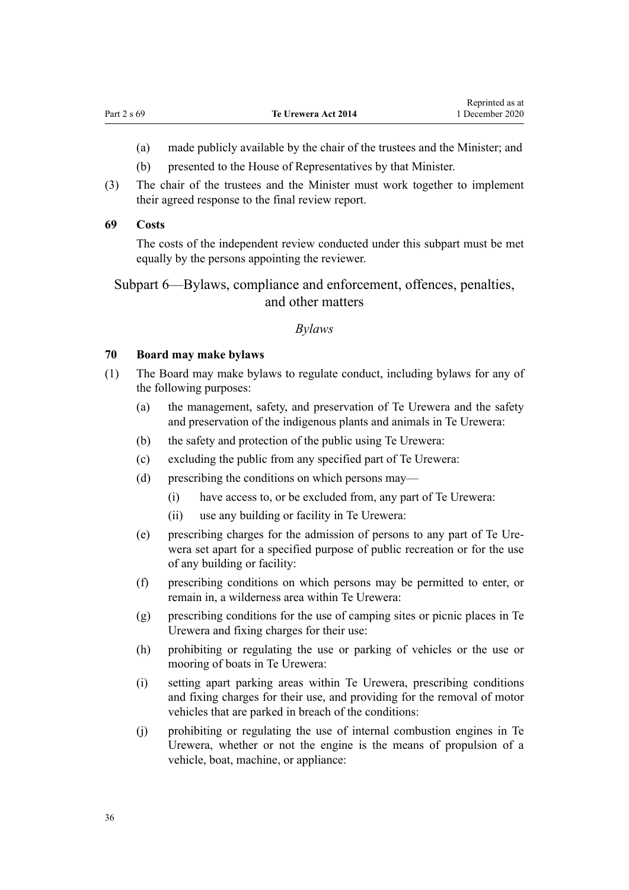- <span id="page-35-0"></span>(a) made publicly available by the chair of the trustees and the Minister; and
- (b) presented to the House of Representatives by that Minister.
- (3) The chair of the trustees and the Minister must work together to implement their agreed response to the final review report.

#### **69 Costs**

The costs of the independent review conducted under this subpart must be met equally by the persons appointing the reviewer.

# Subpart 6—Bylaws, compliance and enforcement, offences, penalties, and other matters

#### *Bylaws*

## **70 Board may make bylaws**

- (1) The Board may make bylaws to regulate conduct, including bylaws for any of the following purposes:
	- (a) the management, safety, and preservation of Te Urewera and the safety and preservation of the indigenous plants and animals in Te Urewera:
	- (b) the safety and protection of the public using Te Urewera:
	- (c) excluding the public from any specified part of Te Urewera:
	- (d) prescribing the conditions on which persons may—
		- (i) have access to, or be excluded from, any part of Te Urewera:
		- (ii) use any building or facility in Te Urewera:
	- (e) prescribing charges for the admission of persons to any part of Te Urewera set apart for a specified purpose of public recreation or for the use of any building or facility:
	- (f) prescribing conditions on which persons may be permitted to enter, or remain in, a wilderness area within Te Urewera:
	- (g) prescribing conditions for the use of camping sites or picnic places in Te Urewera and fixing charges for their use:
	- (h) prohibiting or regulating the use or parking of vehicles or the use or mooring of boats in Te Urewera:
	- (i) setting apart parking areas within Te Urewera, prescribing conditions and fixing charges for their use, and providing for the removal of motor vehicles that are parked in breach of the conditions:
	- (j) prohibiting or regulating the use of internal combustion engines in Te Urewera, whether or not the engine is the means of propulsion of a vehicle, boat, machine, or appliance: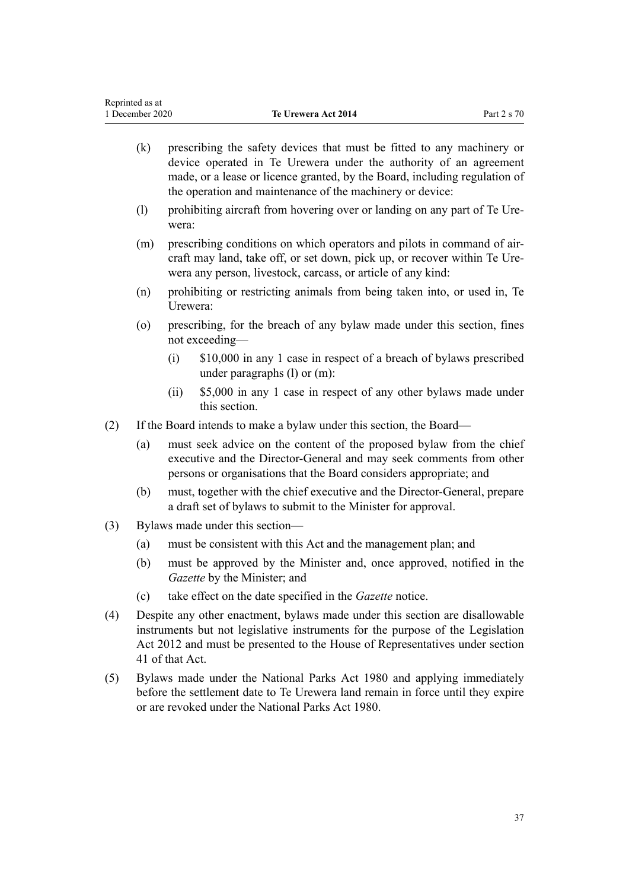(k) prescribing the safety devices that must be fitted to any machinery or

- device operated in Te Urewera under the authority of an agreement made, or a lease or licence granted, by the Board, including regulation of the operation and maintenance of the machinery or device: (l) prohibiting aircraft from hovering over or landing on any part of Te Urewera: (m) prescribing conditions on which operators and pilots in command of aircraft may land, take off, or set down, pick up, or recover within Te Urewera any person, livestock, carcass, or article of any kind: (n) prohibiting or restricting animals from being taken into, or used in, Te Urewera: (o) prescribing, for the breach of any bylaw made under this section, fines not exceeding— (i) \$10,000 in any 1 case in respect of a breach of bylaws prescribed under paragraphs (l) or (m): (ii) \$5,000 in any 1 case in respect of any other bylaws made under this section. (2) If the Board intends to make a bylaw under this section, the Board— (a) must seek advice on the content of the proposed bylaw from the chief executive and the Director-General and may seek comments from other persons or organisations that the Board considers appropriate; and (b) must, together with the chief executive and the Director-General, prepare a draft set of bylaws to submit to the Minister for approval. (3) Bylaws made under this section— (a) must be consistent with this Act and the management plan; and (b) must be approved by the Minister and, once approved, notified in the *Gazette* by the Minister; and (c) take effect on the date specified in the *Gazette* notice. (4) Despite any other enactment, bylaws made under this section are disallowable
- instruments but not legislative instruments for the purpose of the [Legislation](http://legislation.govt.nz/pdflink.aspx?id=DLM2997643) [Act 2012](http://legislation.govt.nz/pdflink.aspx?id=DLM2997643) and must be presented to the House of Representatives under [section](http://legislation.govt.nz/pdflink.aspx?id=DLM2998573) [41](http://legislation.govt.nz/pdflink.aspx?id=DLM2998573) of that Act.
- (5) Bylaws made under the [National Parks Act 1980](http://legislation.govt.nz/pdflink.aspx?id=DLM36962) and applying immediately before the settlement date to Te Urewera land remain in force until they expire or are revoked under the National Parks Act 1980.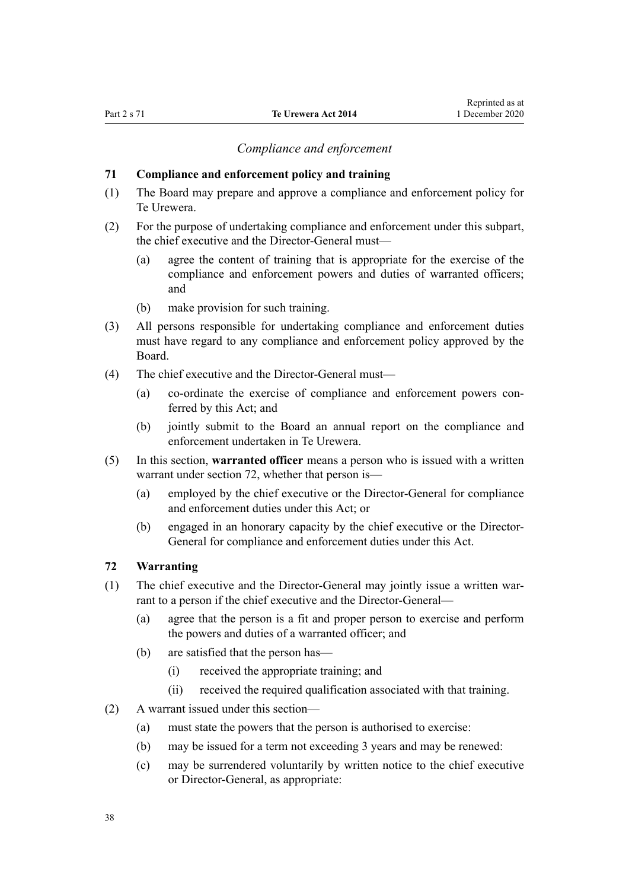# *Compliance and enforcement*

#### **71 Compliance and enforcement policy and training**

- (1) The Board may prepare and approve a compliance and enforcement policy for Te Urewera.
- (2) For the purpose of undertaking compliance and enforcement under this subpart, the chief executive and the Director-General must—
	- (a) agree the content of training that is appropriate for the exercise of the compliance and enforcement powers and duties of warranted officers; and
	- (b) make provision for such training.
- (3) All persons responsible for undertaking compliance and enforcement duties must have regard to any compliance and enforcement policy approved by the Board.
- (4) The chief executive and the Director-General must—
	- (a) co-ordinate the exercise of compliance and enforcement powers conferred by this Act; and
	- (b) jointly submit to the Board an annual report on the compliance and enforcement undertaken in Te Urewera.
- (5) In this section, **warranted officer** means a person who is issued with a written warrant under section 72, whether that person is—
	- (a) employed by the chief executive or the Director-General for compliance and enforcement duties under this Act; or
	- (b) engaged in an honorary capacity by the chief executive or the Director-General for compliance and enforcement duties under this Act.

## **72 Warranting**

- (1) The chief executive and the Director-General may jointly issue a written warrant to a person if the chief executive and the Director-General—
	- (a) agree that the person is a fit and proper person to exercise and perform the powers and duties of a warranted officer; and
	- (b) are satisfied that the person has—
		- (i) received the appropriate training; and
		- (ii) received the required qualification associated with that training.
- (2) A warrant issued under this section—
	- (a) must state the powers that the person is authorised to exercise:
	- (b) may be issued for a term not exceeding 3 years and may be renewed:
	- (c) may be surrendered voluntarily by written notice to the chief executive or Director-General, as appropriate: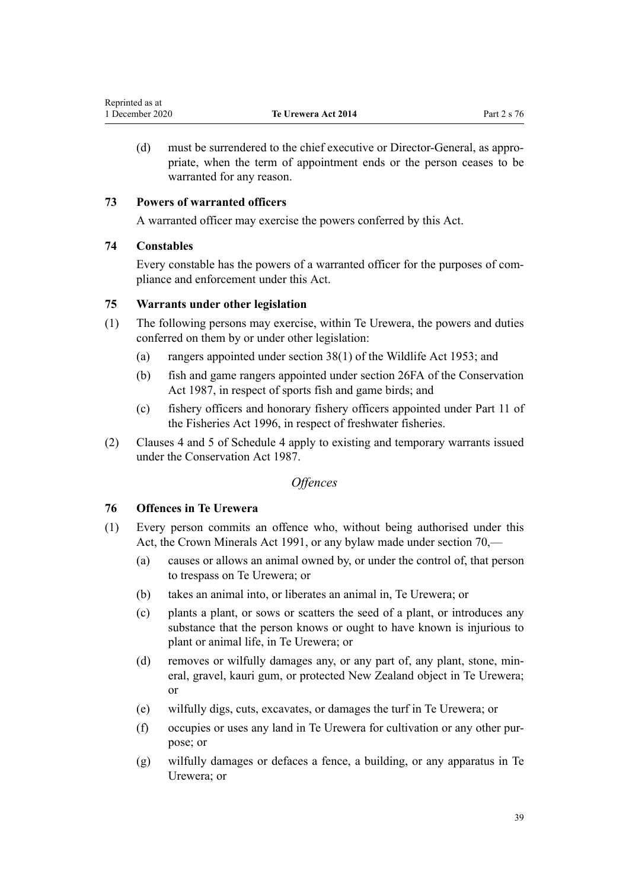<span id="page-38-0"></span>(d) must be surrendered to the chief executive or Director-General, as appropriate, when the term of appointment ends or the person ceases to be warranted for any reason.

# **73 Powers of warranted officers**

A warranted officer may exercise the powers conferred by this Act.

# **74 Constables**

Every constable has the powers of a warranted officer for the purposes of compliance and enforcement under this Act.

# **75 Warrants under other legislation**

- (1) The following persons may exercise, within Te Urewera, the powers and duties conferred on them by or under other legislation:
	- (a) rangers appointed under [section 38\(1\)](http://legislation.govt.nz/pdflink.aspx?id=DLM277803) of the Wildlife Act 1953; and
	- (b) fish and game rangers appointed under [section 26FA](http://legislation.govt.nz/pdflink.aspx?id=DLM104989) of the Conservation Act 1987, in respect of sports fish and game birds; and
	- (c) fishery officers and honorary fishery officers appointed under [Part 11](http://legislation.govt.nz/pdflink.aspx?id=DLM398399) of the Fisheries Act 1996, in respect of freshwater fisheries.
- (2) [Clauses 4](#page-101-0) and [5](#page-101-0) of Schedule 4 apply to existing and temporary warrants issued under the [Conservation Act 1987.](http://legislation.govt.nz/pdflink.aspx?id=DLM103609)

# *Offences*

# **76 Offences in Te Urewera**

- (1) Every person commits an offence who, without being authorised under this Act, the [Crown Minerals Act 1991,](http://legislation.govt.nz/pdflink.aspx?id=DLM242535) or any bylaw made under [section 70](#page-35-0),—
	- (a) causes or allows an animal owned by, or under the control of, that person to trespass on Te Urewera; or
	- (b) takes an animal into, or liberates an animal in, Te Urewera; or
	- (c) plants a plant, or sows or scatters the seed of a plant, or introduces any substance that the person knows or ought to have known is injurious to plant or animal life, in Te Urewera; or
	- (d) removes or wilfully damages any, or any part of, any plant, stone, mineral, gravel, kauri gum, or protected New Zealand object in Te Urewera; or
	- (e) wilfully digs, cuts, excavates, or damages the turf in Te Urewera; or
	- (f) occupies or uses any land in Te Urewera for cultivation or any other purpose; or
	- (g) wilfully damages or defaces a fence, a building, or any apparatus in Te Urewera; or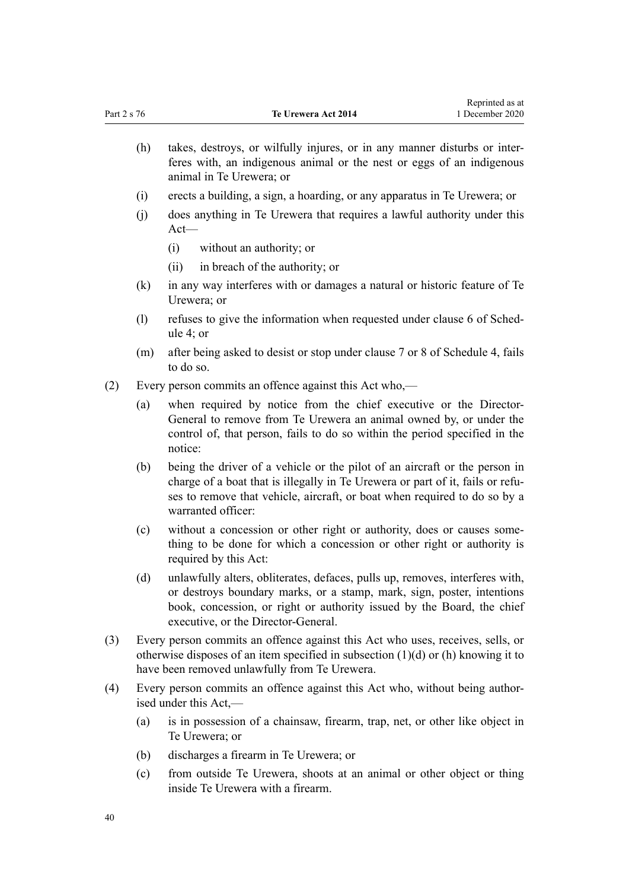(h) takes, destroys, or wilfully injures, or in any manner disturbs or interferes with, an indigenous animal or the nest or eggs of an indigenous animal in Te Urewera; or

Reprinted as at

- (i) erects a building, a sign, a hoarding, or any apparatus in Te Urewera; or
- (j) does anything in Te Urewera that requires a lawful authority under this Act—
	- (i) without an authority; or
	- (ii) in breach of the authority; or
- (k) in any way interferes with or damages a natural or historic feature of Te Urewera; or
- (l) refuses to give the information when requested under [clause 6](#page-101-0) of Schedule 4; or
- (m) after being asked to desist or stop under [clause 7](#page-101-0) or [8](#page-102-0) of Schedule 4, fails to do so.
- (2) Every person commits an offence against this Act who,—
	- (a) when required by notice from the chief executive or the Director-General to remove from Te Urewera an animal owned by, or under the control of, that person, fails to do so within the period specified in the notice:
	- (b) being the driver of a vehicle or the pilot of an aircraft or the person in charge of a boat that is illegally in Te Urewera or part of it, fails or refuses to remove that vehicle, aircraft, or boat when required to do so by a warranted officer:
	- (c) without a concession or other right or authority, does or causes something to be done for which a concession or other right or authority is required by this Act:
	- (d) unlawfully alters, obliterates, defaces, pulls up, removes, interferes with, or destroys boundary marks, or a stamp, mark, sign, poster, intentions book, concession, or right or authority issued by the Board, the chief executive, or the Director-General.
- (3) Every person commits an offence against this Act who uses, receives, sells, or otherwise disposes of an item specified in subsection (1)(d) or (h) knowing it to have been removed unlawfully from Te Urewera.
- (4) Every person commits an offence against this Act who, without being authorised under this Act,—
	- (a) is in possession of a chainsaw, firearm, trap, net, or other like object in Te Urewera; or
	- (b) discharges a firearm in Te Urewera; or
	- (c) from outside Te Urewera, shoots at an animal or other object or thing inside Te Urewera with a firearm.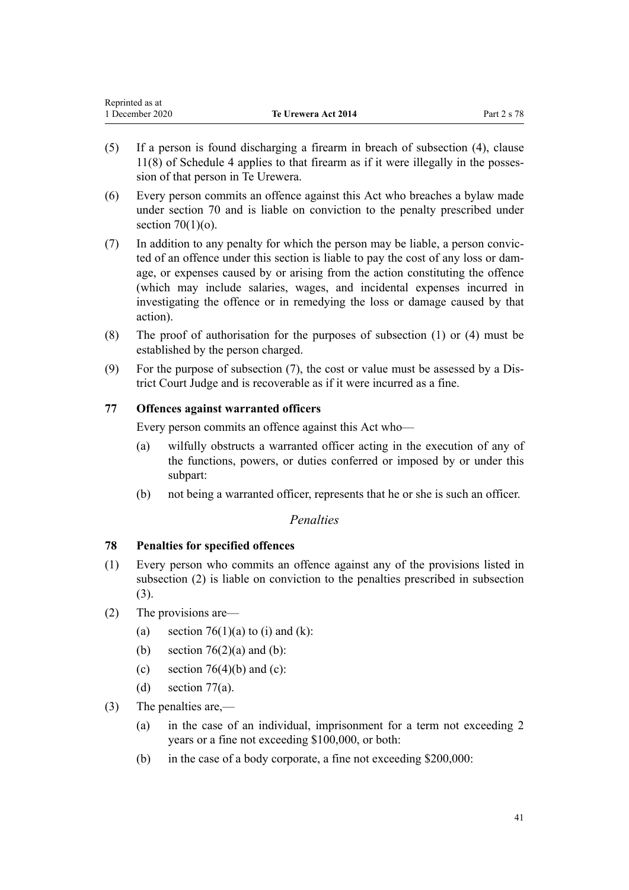<span id="page-40-0"></span>

| Reprinted as at |                            |             |
|-----------------|----------------------------|-------------|
| 1 December 2020 | <b>Te Urewera Act 2014</b> | Part 2 s 78 |

- (5) If a person is found discharging a firearm in breach of subsection (4), [clause](#page-102-0) [11\(8\)](#page-102-0) of Schedule 4 applies to that firearm as if it were illegally in the possession of that person in Te Urewera.
- (6) Every person commits an offence against this Act who breaches a bylaw made under [section 70](#page-35-0) and is liable on conviction to the penalty prescribed under section  $70(1)(o)$ .
- (7) In addition to any penalty for which the person may be liable, a person convicted of an offence under this section is liable to pay the cost of any loss or damage, or expenses caused by or arising from the action constituting the offence (which may include salaries, wages, and incidental expenses incurred in investigating the offence or in remedying the loss or damage caused by that action).
- (8) The proof of authorisation for the purposes of subsection (1) or (4) must be established by the person charged.
- (9) For the purpose of subsection (7), the cost or value must be assessed by a District Court Judge and is recoverable as if it were incurred as a fine.

# **77 Offences against warranted officers**

Every person commits an offence against this Act who—

- (a) wilfully obstructs a warranted officer acting in the execution of any of the functions, powers, or duties conferred or imposed by or under this subpart:
- (b) not being a warranted officer, represents that he or she is such an officer.

# *Penalties*

# **78 Penalties for specified offences**

- (1) Every person who commits an offence against any of the provisions listed in subsection (2) is liable on conviction to the penalties prescribed in subsection (3).
- (2) The provisions are—
	- (a) section  $76(1)(a)$  to (i) and (k):
	- (b) section  $76(2)(a)$  and (b):
	- (c) section  $76(4)(b)$  and (c):
	- (d) section  $77(a)$ .
- (3) The penalties are,—
	- (a) in the case of an individual, imprisonment for a term not exceeding 2 years or a fine not exceeding \$100,000, or both:
	- (b) in the case of a body corporate, a fine not exceeding \$200,000: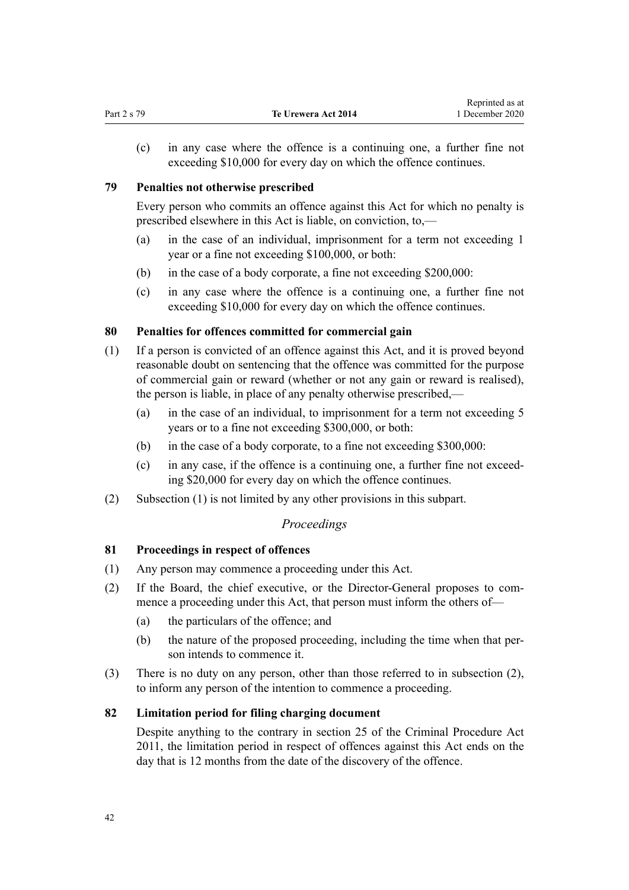(c) in any case where the offence is a continuing one, a further fine not exceeding \$10,000 for every day on which the offence continues.

# **79 Penalties not otherwise prescribed**

Every person who commits an offence against this Act for which no penalty is prescribed elsewhere in this Act is liable, on conviction, to,—

- (a) in the case of an individual, imprisonment for a term not exceeding 1 year or a fine not exceeding \$100,000, or both:
- (b) in the case of a body corporate, a fine not exceeding \$200,000:
- (c) in any case where the offence is a continuing one, a further fine not exceeding \$10,000 for every day on which the offence continues.

# **80 Penalties for offences committed for commercial gain**

- (1) If a person is convicted of an offence against this Act, and it is proved beyond reasonable doubt on sentencing that the offence was committed for the purpose of commercial gain or reward (whether or not any gain or reward is realised), the person is liable, in place of any penalty otherwise prescribed,—
	- (a) in the case of an individual, to imprisonment for a term not exceeding 5 years or to a fine not exceeding \$300,000, or both:
	- (b) in the case of a body corporate, to a fine not exceeding \$300,000:
	- (c) in any case, if the offence is a continuing one, a further fine not exceeding \$20,000 for every day on which the offence continues.
- (2) Subsection (1) is not limited by any other provisions in this subpart.

# *Proceedings*

# **81 Proceedings in respect of offences**

- (1) Any person may commence a proceeding under this Act.
- (2) If the Board, the chief executive, or the Director-General proposes to commence a proceeding under this Act, that person must inform the others of—
	- (a) the particulars of the offence; and
	- (b) the nature of the proposed proceeding, including the time when that person intends to commence it.
- (3) There is no duty on any person, other than those referred to in subsection (2), to inform any person of the intention to commence a proceeding.

# **82 Limitation period for filing charging document**

Despite anything to the contrary in section 25 of the Criminal Procedure Act 2011, the limitation period in respect of offences against this Act ends on the day that is 12 months from the date of the discovery of the offence.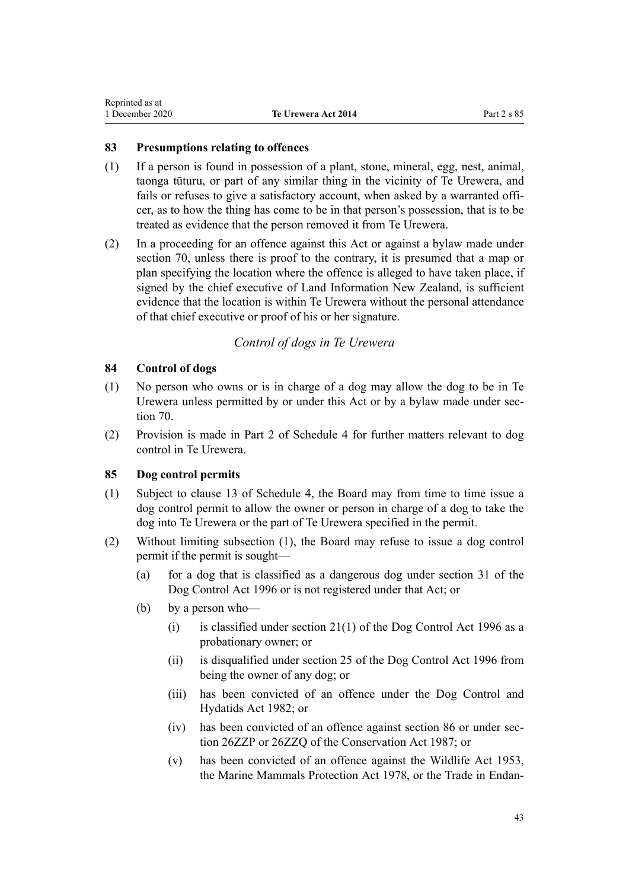# <span id="page-42-0"></span>**83 Presumptions relating to offences**

- (1) If a person is found in possession of a plant, stone, mineral, egg, nest, animal, taonga tūturu, or part of any similar thing in the vicinity of Te Urewera, and fails or refuses to give a satisfactory account, when asked by a warranted officer, as to how the thing has come to be in that person's possession, that is to be treated as evidence that the person removed it from Te Urewera.
- (2) In a proceeding for an offence against this Act or against a bylaw made under [section 70](#page-35-0), unless there is proof to the contrary, it is presumed that a map or plan specifying the location where the offence is alleged to have taken place, if signed by the chief executive of Land Information New Zealand, is sufficient evidence that the location is within Te Urewera without the personal attendance of that chief executive or proof of his or her signature.

# *Control of dogs in Te Urewera*

# **84 Control of dogs**

- (1) No person who owns or is in charge of a dog may allow the dog to be in Te Urewera unless permitted by or under this Act or by a bylaw made under [sec](#page-35-0)[tion 70](#page-35-0).
- (2) Provision is made in [Part 2](#page-107-0) of Schedule 4 for further matters relevant to dog control in Te Urewera.

# **85 Dog control permits**

- (1) Subject to [clause 13](#page-104-0) of Schedule 4, the Board may from time to time issue a dog control permit to allow the owner or person in charge of a dog to take the dog into Te Urewera or the part of Te Urewera specified in the permit.
- (2) Without limiting subsection (1), the Board may refuse to issue a dog control permit if the permit is sought—
	- (a) for a dog that is classified as a dangerous dog under [section 31](http://legislation.govt.nz/pdflink.aspx?id=DLM374887) of the Dog Control Act 1996 or is not registered under that Act; or
	- (b) by a person who—
		- (i) is classified under section  $21(1)$  of the Dog Control Act 1996 as a probationary owner; or
		- (ii) is disqualified under [section 25](http://legislation.govt.nz/pdflink.aspx?id=DLM374853) of the Dog Control Act 1996 from being the owner of any dog; or
		- (iii) has been convicted of an offence under the Dog Control and Hydatids Act 1982; or
		- (iv) has been convicted of an offence against [section 86](#page-43-0) or under [sec](http://legislation.govt.nz/pdflink.aspx?id=DLM106092)[tion 26ZZP](http://legislation.govt.nz/pdflink.aspx?id=DLM106092) or [26ZZQ](http://legislation.govt.nz/pdflink.aspx?id=DLM106094) of the Conservation Act 1987; or
		- (v) has been convicted of an offence against the [Wildlife Act 1953](http://legislation.govt.nz/pdflink.aspx?id=DLM276813), the [Marine Mammals Protection Act 1978](http://legislation.govt.nz/pdflink.aspx?id=DLM25110), or the [Trade in Endan-](http://legislation.govt.nz/pdflink.aspx?id=DLM145965)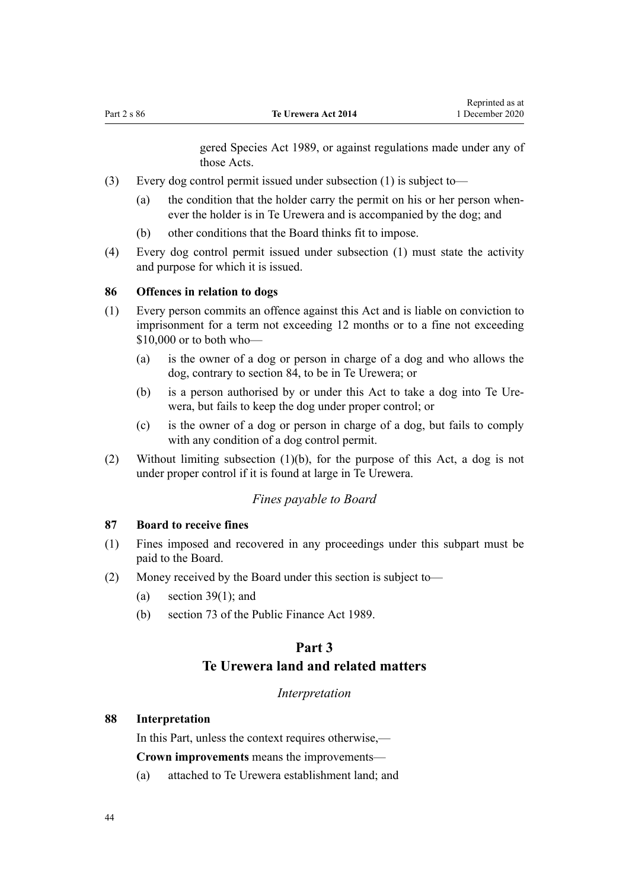[gered Species Act 1989](http://legislation.govt.nz/pdflink.aspx?id=DLM145965), or against regulations made under any of those Acts.

- <span id="page-43-0"></span>(3) Every dog control permit issued under subsection (1) is subject to—
	- (a) the condition that the holder carry the permit on his or her person whenever the holder is in Te Urewera and is accompanied by the dog; and
	- (b) other conditions that the Board thinks fit to impose.
- (4) Every dog control permit issued under subsection (1) must state the activity and purpose for which it is issued.

#### **86 Offences in relation to dogs**

- (1) Every person commits an offence against this Act and is liable on conviction to imprisonment for a term not exceeding 12 months or to a fine not exceeding \$10,000 or to both who—
	- (a) is the owner of a dog or person in charge of a dog and who allows the dog, contrary to [section 84](#page-42-0), to be in Te Urewera; or
	- (b) is a person authorised by or under this Act to take a dog into Te Urewera, but fails to keep the dog under proper control; or
	- (c) is the owner of a dog or person in charge of a dog, but fails to comply with any condition of a dog control permit.
- (2) Without limiting subsection (1)(b), for the purpose of this Act, a dog is not under proper control if it is found at large in Te Urewera.

#### *Fines payable to Board*

#### **87 Board to receive fines**

- (1) Fines imposed and recovered in any proceedings under this subpart must be paid to the Board.
- (2) Money received by the Board under this section is subject to—
	- (a) section  $39(1)$ ; and
	- (b) [section 73](http://legislation.govt.nz/pdflink.aspx?id=DLM163137) of the Public Finance Act 1989.

# **Part 3**

# **Te Urewera land and related matters**

#### *Interpretation*

# **88 Interpretation**

In this Part, unless the context requires otherwise,—

**Crown improvements** means the improvements—

(a) attached to Te Urewera establishment land; and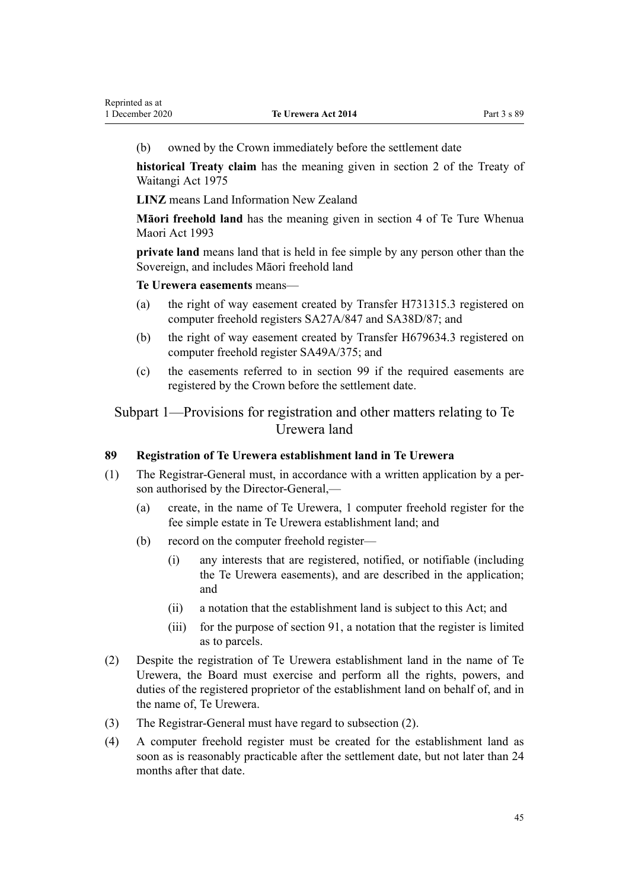(b) owned by the Crown immediately before the settlement date

**historical Treaty claim** has the meaning given in [section 2](http://legislation.govt.nz/pdflink.aspx?id=DLM435375) of the Treaty of Waitangi Act 1975

**LINZ** means Land Information New Zealand

**Māori freehold land** has the meaning given in [section 4](http://legislation.govt.nz/pdflink.aspx?id=DLM289897) of Te Ture Whenua Maori Act 1993

**private land** means land that is held in fee simple by any person other than the Sovereign, and includes Māori freehold land

**Te Urewera easements** means—

- (a) the right of way easement created by Transfer H731315.3 registered on computer freehold registers SA27A/847 and SA38D/87; and
- (b) the right of way easement created by Transfer H679634.3 registered on computer freehold register SA49A/375; and
- (c) the easements referred to in [section 99](#page-48-0) if the required easements are registered by the Crown before the settlement date.

Subpart 1—Provisions for registration and other matters relating to Te Urewera land

# **89 Registration of Te Urewera establishment land in Te Urewera**

- (1) The Registrar-General must, in accordance with a written application by a person authorised by the Director-General,—
	- (a) create, in the name of Te Urewera, 1 computer freehold register for the fee simple estate in Te Urewera establishment land; and
	- (b) record on the computer freehold register—
		- (i) any interests that are registered, notified, or notifiable (including the Te Urewera easements), and are described in the application; and
		- (ii) a notation that the establishment land is subject to this Act; and
		- (iii) for the purpose of [section 91](#page-45-0), a notation that the register is limited as to parcels.
- (2) Despite the registration of Te Urewera establishment land in the name of Te Urewera, the Board must exercise and perform all the rights, powers, and duties of the registered proprietor of the establishment land on behalf of, and in the name of, Te Urewera.
- (3) The Registrar-General must have regard to subsection (2).
- (4) A computer freehold register must be created for the establishment land as soon as is reasonably practicable after the settlement date, but not later than 24 months after that date.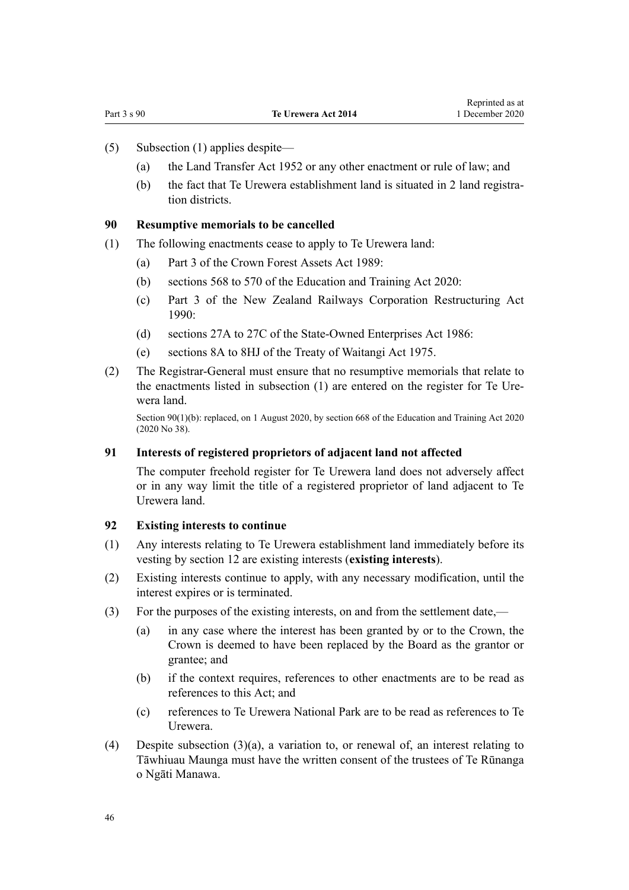- <span id="page-45-0"></span>(5) Subsection (1) applies despite—
	- (a) the [Land Transfer Act 1952](http://legislation.govt.nz/pdflink.aspx?id=DLM269031) or any other enactment or rule of law; and
	- (b) the fact that Te Urewera establishment land is situated in 2 land registration districts.

#### **90 Resumptive memorials to be cancelled**

- (1) The following enactments cease to apply to Te Urewera land:
	- (a) [Part 3](http://legislation.govt.nz/pdflink.aspx?id=DLM192356) of the Crown Forest Assets Act 1989:
	- (b) [sections 568 to 570](http://legislation.govt.nz/pdflink.aspx?id=LMS172546) of the Education and Training Act 2020:
	- (c) [Part 3](http://legislation.govt.nz/pdflink.aspx?id=DLM223144) of the New Zealand Railways Corporation Restructuring Act  $1990$
	- (d) [sections 27A to 27C](http://legislation.govt.nz/pdflink.aspx?id=DLM98097) of the State-Owned Enterprises Act 1986:
	- (e) [sections 8A to 8HJ](http://legislation.govt.nz/pdflink.aspx?id=DLM435544) of the Treaty of Waitangi Act 1975.
- (2) The Registrar-General must ensure that no resumptive memorials that relate to the enactments listed in subsection (1) are entered on the register for Te Urewera land.

Section 90(1)(b): replaced, on 1 August 2020, by [section 668](http://legislation.govt.nz/pdflink.aspx?id=LMS367713) of the Education and Training Act 2020 (2020 No 38).

#### **91 Interests of registered proprietors of adjacent land not affected**

The computer freehold register for Te Urewera land does not adversely affect or in any way limit the title of a registered proprietor of land adjacent to Te Urewera land.

# **92 Existing interests to continue**

- (1) Any interests relating to Te Urewera establishment land immediately before its vesting by [section 12](#page-14-0) are existing interests (**existing interests**).
- (2) Existing interests continue to apply, with any necessary modification, until the interest expires or is terminated.
- (3) For the purposes of the existing interests, on and from the settlement date,—
	- (a) in any case where the interest has been granted by or to the Crown, the Crown is deemed to have been replaced by the Board as the grantor or grantee; and
	- (b) if the context requires, references to other enactments are to be read as references to this Act; and
	- (c) references to Te Urewera National Park are to be read as references to Te Urewera.
- (4) Despite subsection (3)(a), a variation to, or renewal of, an interest relating to Tāwhiuau Maunga must have the written consent of the trustees of Te Rūnanga o Ngāti Manawa.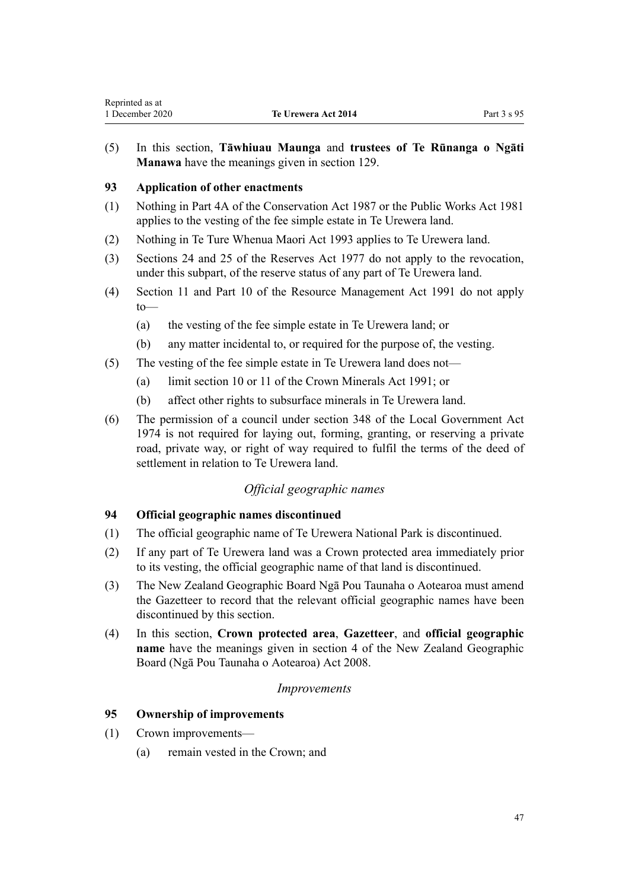<span id="page-46-0"></span>(5) In this section, **Tāwhiuau Maunga** and **trustees of Te Rūnanga o Ngāti Manawa** have the meanings given in [section 129](#page-63-0).

# **93 Application of other enactments**

- (1) Nothing in [Part 4A](http://legislation.govt.nz/pdflink.aspx?id=DLM104697) of the Conservation Act 1987 or the [Public Works Act 1981](http://legislation.govt.nz/pdflink.aspx?id=DLM45426) applies to the vesting of the fee simple estate in Te Urewera land.
- (2) Nothing in [Te Ture Whenua Maori Act 1993](http://legislation.govt.nz/pdflink.aspx?id=DLM289881) applies to Te Urewera land.
- (3) [Sections 24](http://legislation.govt.nz/pdflink.aspx?id=DLM444632) and [25](http://legislation.govt.nz/pdflink.aspx?id=DLM444648) of the Reserves Act 1977 do not apply to the revocation, under this subpart, of the reserve status of any part of Te Urewera land.
- (4) [Section 11](http://legislation.govt.nz/pdflink.aspx?id=DLM231942) and [Part 10](http://legislation.govt.nz/pdflink.aspx?id=DLM236786) of the Resource Management Act 1991 do not apply to—
	- (a) the vesting of the fee simple estate in Te Urewera land; or
	- (b) any matter incidental to, or required for the purpose of, the vesting.
- (5) The vesting of the fee simple estate in Te Urewera land does not—
	- (a) limit [section 10](http://legislation.govt.nz/pdflink.aspx?id=DLM246310) or [11](http://legislation.govt.nz/pdflink.aspx?id=DLM246311) of the Crown Minerals Act 1991; or
	- (b) affect other rights to subsurface minerals in Te Urewera land.
- (6) The permission of a council under [section 348](http://legislation.govt.nz/pdflink.aspx?id=DLM420676) of the Local Government Act 1974 is not required for laying out, forming, granting, or reserving a private road, private way, or right of way required to fulfil the terms of the deed of settlement in relation to Te Urewera land.

# *Official geographic names*

# **94 Official geographic names discontinued**

- (1) The official geographic name of Te Urewera National Park is discontinued.
- (2) If any part of Te Urewera land was a Crown protected area immediately prior to its vesting, the official geographic name of that land is discontinued.
- (3) The New Zealand Geographic Board Ngā Pou Taunaha o Aotearoa must amend the Gazetteer to record that the relevant official geographic names have been discontinued by this section.
- (4) In this section, **Crown protected area**, **Gazetteer**, and **official geographic name** have the meanings given in [section 4](http://legislation.govt.nz/pdflink.aspx?id=DLM1065420) of the New Zealand Geographic Board (Ngā Pou Taunaha o Aotearoa) Act 2008.

# *Improvements*

#### **95 Ownership of improvements**

- (1) Crown improvements—
	- (a) remain vested in the Crown; and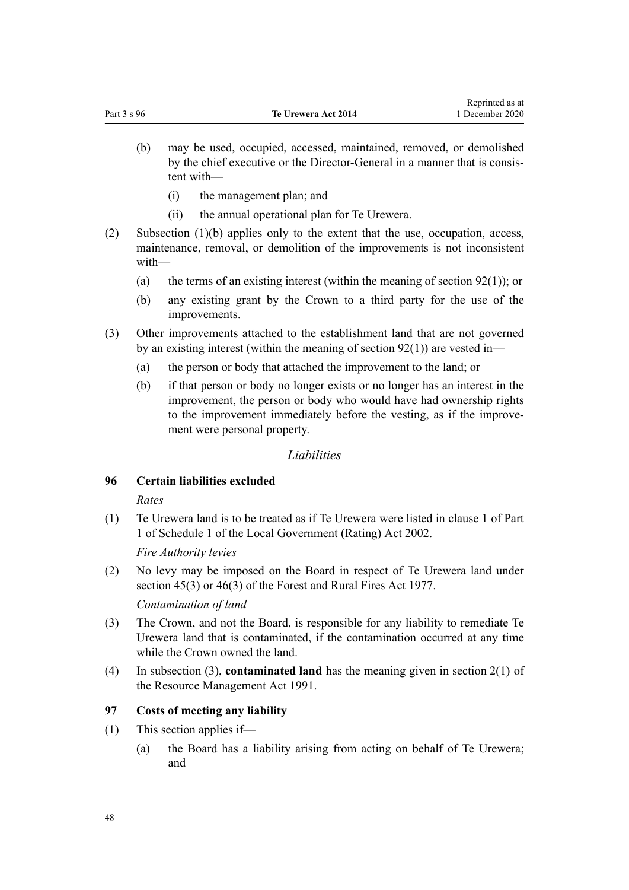- <span id="page-47-0"></span>(b) may be used, occupied, accessed, maintained, removed, or demolished by the chief executive or the Director-General in a manner that is consistent with—
	- (i) the management plan; and
	- (ii) the annual operational plan for Te Urewera.
- (2) Subsection  $(1)(b)$  applies only to the extent that the use, occupation, access, maintenance, removal, or demolition of the improvements is not inconsistent with—
	- (a) the terms of an existing interest (within the meaning of section  $92(1)$ ); or
	- (b) any existing grant by the Crown to a third party for the use of the improvements.
- (3) Other improvements attached to the establishment land that are not governed by an existing interest (within the meaning of [section 92\(1\)\)](#page-45-0) are vested in—
	- (a) the person or body that attached the improvement to the land; or
	- (b) if that person or body no longer exists or no longer has an interest in the improvement, the person or body who would have had ownership rights to the improvement immediately before the vesting, as if the improvement were personal property.

#### *Liabilities*

# **96 Certain liabilities excluded**

#### *Rates*

(1) Te Urewera land is to be treated as if Te Urewera were listed in [clause 1](http://legislation.govt.nz/pdflink.aspx?id=DLM1733703) of Part 1 of Schedule 1 of the Local Government (Rating) Act 2002.

*Fire Authority levies*

(2) No levy may be imposed on the Board in respect of Te Urewera land under [section 45\(3\)](http://legislation.govt.nz/pdflink.aspx?id=DLM443520) or [46\(3\)](http://legislation.govt.nz/pdflink.aspx?id=DLM443524) of the Forest and Rural Fires Act 1977.

*Contamination of land*

- (3) The Crown, and not the Board, is responsible for any liability to remediate Te Urewera land that is contaminated, if the contamination occurred at any time while the Crown owned the land.
- (4) In subsection (3), **contaminated land** has the meaning given in [section 2\(1\)](http://legislation.govt.nz/pdflink.aspx?id=DLM230272) of the Resource Management Act 1991.

# **97 Costs of meeting any liability**

- (1) This section applies if—
	- (a) the Board has a liability arising from acting on behalf of Te Urewera; and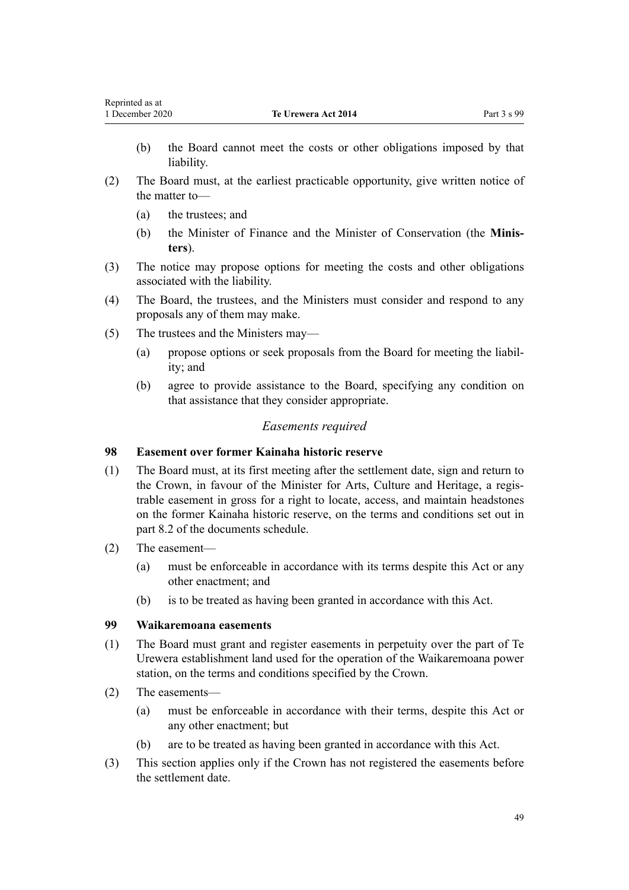- <span id="page-48-0"></span>(b) the Board cannot meet the costs or other obligations imposed by that liability.
- (2) The Board must, at the earliest practicable opportunity, give written notice of the matter to—
	- (a) the trustees; and
	- (b) the Minister of Finance and the Minister of Conservation (the **Ministers**).
- (3) The notice may propose options for meeting the costs and other obligations associated with the liability.
- (4) The Board, the trustees, and the Ministers must consider and respond to any proposals any of them may make.
- (5) The trustees and the Ministers may—
	- (a) propose options or seek proposals from the Board for meeting the liability; and
	- (b) agree to provide assistance to the Board, specifying any condition on that assistance that they consider appropriate.

#### *Easements required*

#### **98 Easement over former Kainaha historic reserve**

- (1) The Board must, at its first meeting after the settlement date, sign and return to the Crown, in favour of the Minister for Arts, Culture and Heritage, a registrable easement in gross for a right to locate, access, and maintain headstones on the former Kainaha historic reserve, on the terms and conditions set out in part 8.2 of the documents schedule.
- (2) The easement—
	- (a) must be enforceable in accordance with its terms despite this Act or any other enactment; and
	- (b) is to be treated as having been granted in accordance with this Act.

#### **99 Waikaremoana easements**

- (1) The Board must grant and register easements in perpetuity over the part of Te Urewera establishment land used for the operation of the Waikaremoana power station, on the terms and conditions specified by the Crown.
- (2) The easements—
	- (a) must be enforceable in accordance with their terms, despite this Act or any other enactment; but
	- (b) are to be treated as having been granted in accordance with this Act.
- (3) This section applies only if the Crown has not registered the easements before the settlement date.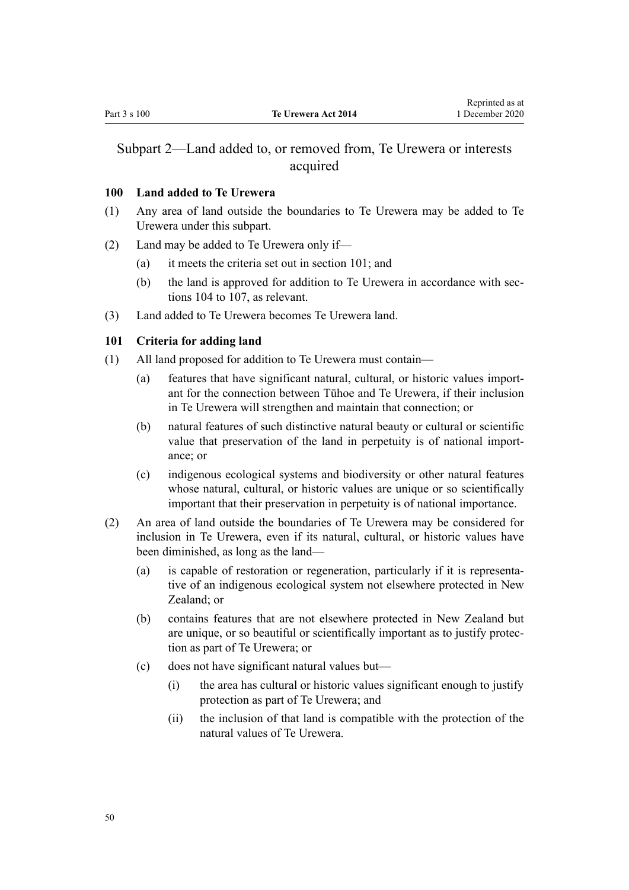# <span id="page-49-0"></span>Subpart 2—Land added to, or removed from, Te Urewera or interests acquired

# **100 Land added to Te Urewera**

- (1) Any area of land outside the boundaries to Te Urewera may be added to Te Urewera under this subpart.
- (2) Land may be added to Te Urewera only if—
	- (a) it meets the criteria set out in section 101; and
	- (b) the land is approved for addition to Te Urewera in accordance with [sec](#page-51-0)[tions 104 to 107,](#page-51-0) as relevant.
- (3) Land added to Te Urewera becomes Te Urewera land.

# **101 Criteria for adding land**

- (1) All land proposed for addition to Te Urewera must contain—
	- (a) features that have significant natural, cultural, or historic values important for the connection between Tūhoe and Te Urewera, if their inclusion in Te Urewera will strengthen and maintain that connection; or
	- (b) natural features of such distinctive natural beauty or cultural or scientific value that preservation of the land in perpetuity is of national importance; or
	- (c) indigenous ecological systems and biodiversity or other natural features whose natural, cultural, or historic values are unique or so scientifically important that their preservation in perpetuity is of national importance.
- (2) An area of land outside the boundaries of Te Urewera may be considered for inclusion in Te Urewera, even if its natural, cultural, or historic values have been diminished, as long as the land—
	- (a) is capable of restoration or regeneration, particularly if it is representative of an indigenous ecological system not elsewhere protected in New Zealand; or
	- (b) contains features that are not elsewhere protected in New Zealand but are unique, or so beautiful or scientifically important as to justify protection as part of Te Urewera; or
	- (c) does not have significant natural values but—
		- (i) the area has cultural or historic values significant enough to justify protection as part of Te Urewera; and
		- (ii) the inclusion of that land is compatible with the protection of the natural values of Te Urewera.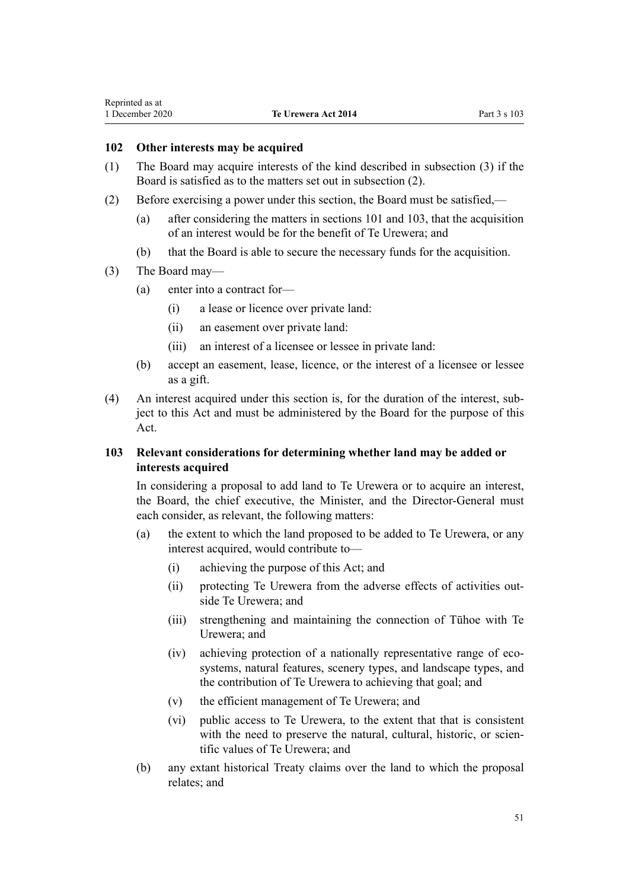### <span id="page-50-0"></span>**102 Other interests may be acquired**

- (1) The Board may acquire interests of the kind described in subsection (3) if the Board is satisfied as to the matters set out in subsection (2).
- (2) Before exercising a power under this section, the Board must be satisfied,—
	- (a) after considering the matters in [sections 101](#page-49-0) and 103, that the acquisition of an interest would be for the benefit of Te Urewera; and
	- (b) that the Board is able to secure the necessary funds for the acquisition.
- (3) The Board may—
	- (a) enter into a contract for—
		- (i) a lease or licence over private land:
		- (ii) an easement over private land:
		- (iii) an interest of a licensee or lessee in private land:
	- (b) accept an easement, lease, licence, or the interest of a licensee or lessee as a gift.
- (4) An interest acquired under this section is, for the duration of the interest, subject to this Act and must be administered by the Board for the purpose of this Act.

# **103 Relevant considerations for determining whether land may be added or interests acquired**

In considering a proposal to add land to Te Urewera or to acquire an interest, the Board, the chief executive, the Minister, and the Director-General must each consider, as relevant, the following matters:

- (a) the extent to which the land proposed to be added to Te Urewera, or any interest acquired, would contribute to—
	- (i) achieving the purpose of this Act; and
	- (ii) protecting Te Urewera from the adverse effects of activities outside Te Urewera; and
	- (iii) strengthening and maintaining the connection of Tūhoe with Te Urewera; and
	- (iv) achieving protection of a nationally representative range of ecosystems, natural features, scenery types, and landscape types, and the contribution of Te Urewera to achieving that goal; and
	- (v) the efficient management of Te Urewera; and
	- (vi) public access to Te Urewera, to the extent that that is consistent with the need to preserve the natural, cultural, historic, or scientific values of Te Urewera; and
- (b) any extant historical Treaty claims over the land to which the proposal relates; and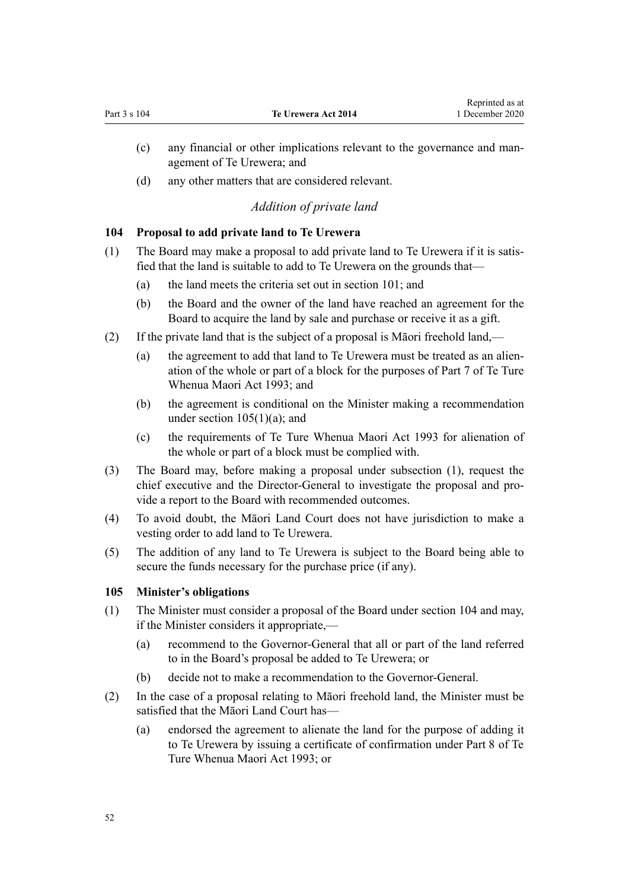- <span id="page-51-0"></span>(c) any financial or other implications relevant to the governance and management of Te Urewera; and
- (d) any other matters that are considered relevant.

# *Addition of private land*

#### **104 Proposal to add private land to Te Urewera**

- (1) The Board may make a proposal to add private land to Te Urewera if it is satisfied that the land is suitable to add to Te Urewera on the grounds that—
	- (a) the land meets the criteria set out in [section 101;](#page-49-0) and
	- (b) the Board and the owner of the land have reached an agreement for the Board to acquire the land by sale and purchase or receive it as a gift.
- (2) If the private land that is the subject of a proposal is Māori freehold land,—
	- (a) the agreement to add that land to Te Urewera must be treated as an alienation of the whole or part of a block for the purposes of [Part 7](http://legislation.govt.nz/pdflink.aspx?id=DLM291510) of Te Ture Whenua Maori Act 1993; and
	- (b) the agreement is conditional on the Minister making a recommendation under section  $105(1)(a)$ ; and
	- (c) the requirements of [Te Ture Whenua Maori Act 1993](http://legislation.govt.nz/pdflink.aspx?id=DLM289881) for alienation of the whole or part of a block must be complied with.
- (3) The Board may, before making a proposal under subsection (1), request the chief executive and the Director-General to investigate the proposal and provide a report to the Board with recommended outcomes.
- (4) To avoid doubt, the Māori Land Court does not have jurisdiction to make a vesting order to add land to Te Urewera.
- (5) The addition of any land to Te Urewera is subject to the Board being able to secure the funds necessary for the purchase price (if any).

#### **105 Minister's obligations**

- (1) The Minister must consider a proposal of the Board under section 104 and may, if the Minister considers it appropriate,—
	- (a) recommend to the Governor-General that all or part of the land referred to in the Board's proposal be added to Te Urewera; or
	- (b) decide not to make a recommendation to the Governor-General.
- (2) In the case of a proposal relating to Māori freehold land, the Minister must be satisfied that the Māori Land Court has—
	- (a) endorsed the agreement to alienate the land for the purpose of adding it to Te Urewera by issuing a certificate of confirmation under [Part 8](http://legislation.govt.nz/pdflink.aspx?id=DLM291539) of Te Ture Whenua Maori Act 1993; or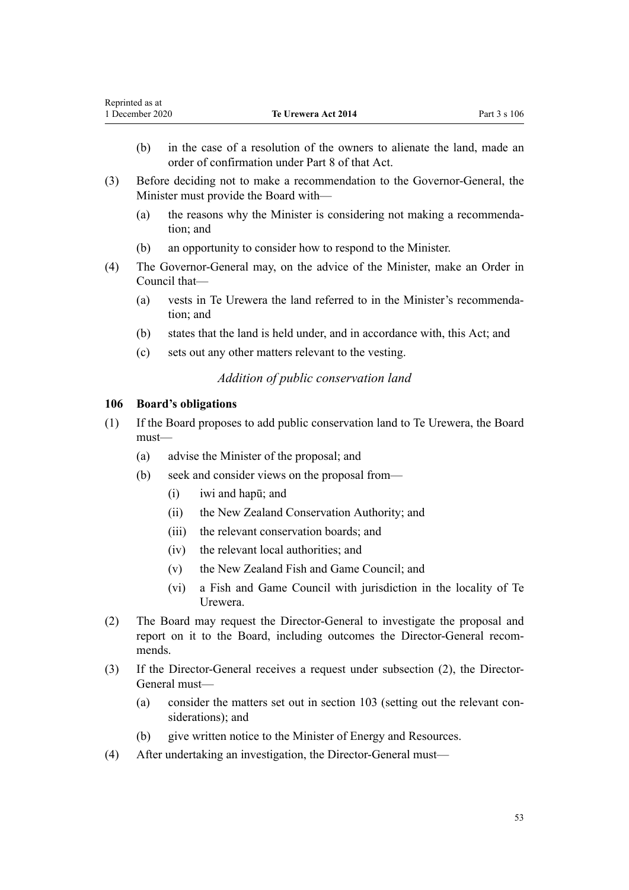- <span id="page-52-0"></span>(b) in the case of a resolution of the owners to alienate the land, made an order of confirmation under [Part 8](http://legislation.govt.nz/pdflink.aspx?id=DLM291539) of that Act.
- (3) Before deciding not to make a recommendation to the Governor-General, the Minister must provide the Board with—
	- (a) the reasons why the Minister is considering not making a recommendation; and
	- (b) an opportunity to consider how to respond to the Minister.
- (4) The Governor-General may, on the advice of the Minister, make an Order in Council that—
	- (a) vests in Te Urewera the land referred to in the Minister's recommendation; and
	- (b) states that the land is held under, and in accordance with, this Act; and
	- (c) sets out any other matters relevant to the vesting.

# *Addition of public conservation land*

# **106 Board's obligations**

- (1) If the Board proposes to add public conservation land to Te Urewera, the Board must—
	- (a) advise the Minister of the proposal; and
	- (b) seek and consider views on the proposal from—
		- (i) iwi and hapū; and
		- (ii) the New Zealand Conservation Authority; and
		- (iii) the relevant conservation boards; and
		- (iv) the relevant local authorities; and
		- (v) the New Zealand Fish and Game Council; and
		- (vi) a Fish and Game Council with jurisdiction in the locality of Te Urewera.
- (2) The Board may request the Director-General to investigate the proposal and report on it to the Board, including outcomes the Director-General recommends.
- (3) If the Director-General receives a request under subsection (2), the Director-General must—
	- (a) consider the matters set out in [section 103](#page-50-0) (setting out the relevant considerations); and
	- (b) give written notice to the Minister of Energy and Resources.
- (4) After undertaking an investigation, the Director-General must—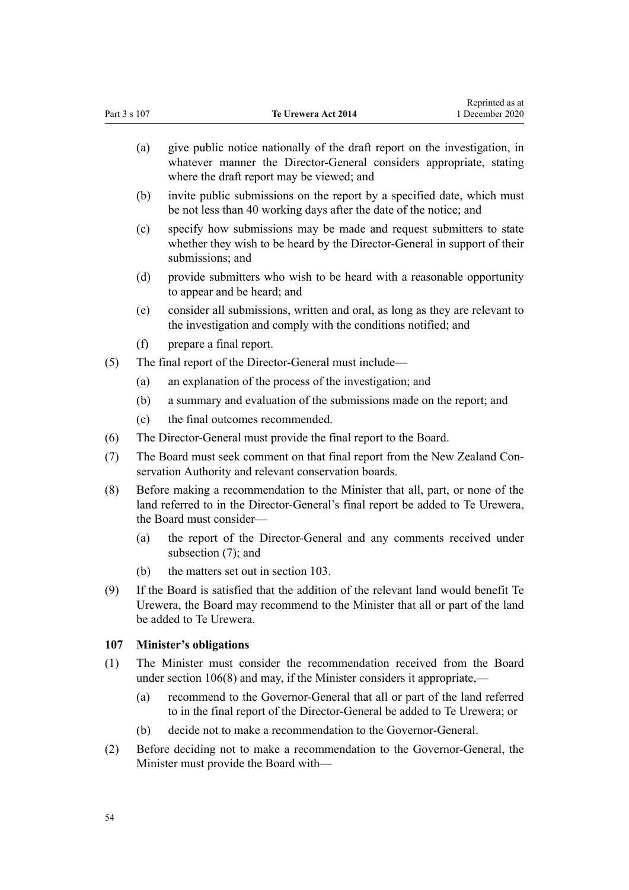<span id="page-53-0"></span>

| Part 3 s 107 |                                                                                                                                     | Te Urewera Act 2014                                                                                                                                                                            | 1 December 2020 |
|--------------|-------------------------------------------------------------------------------------------------------------------------------------|------------------------------------------------------------------------------------------------------------------------------------------------------------------------------------------------|-----------------|
|              | (a)                                                                                                                                 | give public notice nationally of the draft report on the investigation, in<br>whatever manner the Director-General considers appropriate, stating<br>where the draft report may be viewed; and |                 |
|              | (b)                                                                                                                                 | invite public submissions on the report by a specified date, which must<br>be not less than 40 working days after the date of the notice; and                                                  |                 |
|              | (c)                                                                                                                                 | specify how submissions may be made and request submitters to state<br>whether they wish to be heard by the Director-General in support of their<br>submissions; and                           |                 |
|              | (d)                                                                                                                                 | provide submitters who wish to be heard with a reasonable opportunity<br>to appear and be heard; and                                                                                           |                 |
|              | (e)                                                                                                                                 | consider all submissions, written and oral, as long as they are relevant to<br>the investigation and comply with the conditions notified; and                                                  |                 |
|              | (f)                                                                                                                                 | prepare a final report.                                                                                                                                                                        |                 |
| (5)          |                                                                                                                                     | The final report of the Director-General must include—                                                                                                                                         |                 |
|              | (a)                                                                                                                                 | an explanation of the process of the investigation; and                                                                                                                                        |                 |
|              | (b)                                                                                                                                 | a summary and evaluation of the submissions made on the report; and                                                                                                                            |                 |
|              | (c)                                                                                                                                 | the final outcomes recommended.                                                                                                                                                                |                 |
| (6)          |                                                                                                                                     | The Director-General must provide the final report to the Board.                                                                                                                               |                 |
| (7)          | The Board must seek comment on that final report from the New Zealand Con-<br>servation Authority and relevant conservation boards. |                                                                                                                                                                                                |                 |
| (8)          |                                                                                                                                     | Before making a recommendation to the Minister that all, part, or none of the<br>land referred to in the Director-General's final report be added to Te Urewera,<br>the Board must consider—   |                 |
|              | (a)                                                                                                                                 | the report of the Director-General and any comments received under<br>subsection $(7)$ ; and                                                                                                   |                 |
|              | (b)                                                                                                                                 | the matters set out in section 103.                                                                                                                                                            |                 |
| (9)          |                                                                                                                                     | If the Board is satisfied that the addition of the relevant land would benefit Te<br>Urewera, the Board may recommend to the Minister that all or part of the land<br>be added to Te Urewera.  |                 |
| 107          |                                                                                                                                     | <b>Minister's obligations</b>                                                                                                                                                                  |                 |
| (1)          |                                                                                                                                     | The Minister must consider the recommendation received from the Board<br>under section $106(8)$ and may, if the Minister considers it appropriate,—                                            |                 |
|              | (a)                                                                                                                                 | recommend to the Governor-General that all or part of the land referred<br>to in the final report of the Director-General be added to Te Urewera; or                                           |                 |
|              | (b)                                                                                                                                 | decide not to make a recommendation to the Governor-General.                                                                                                                                   |                 |
| (2)          |                                                                                                                                     | Before deciding not to make a recommendation to the Governor-General, the<br>Minister must provide the Board with—                                                                             |                 |

Reprinted as at

Part 3 s 107 **Te Urewera Act 2014**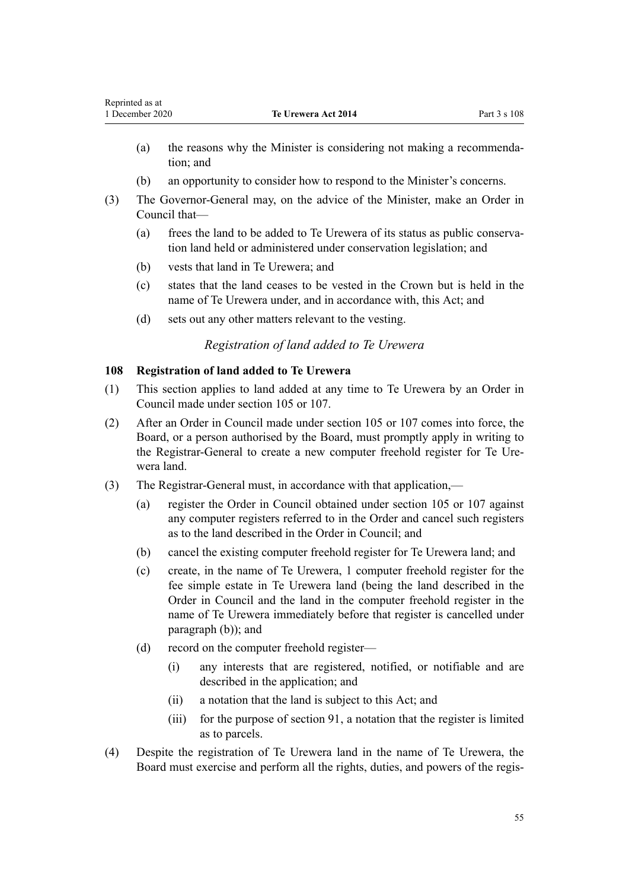- (a) the reasons why the Minister is considering not making a recommendation; and
- (b) an opportunity to consider how to respond to the Minister's concerns.
- (3) The Governor-General may, on the advice of the Minister, make an Order in Council that—
	- (a) frees the land to be added to Te Urewera of its status as public conservation land held or administered under conservation legislation; and
	- (b) vests that land in Te Urewera; and
	- (c) states that the land ceases to be vested in the Crown but is held in the name of Te Urewera under, and in accordance with, this Act; and
	- (d) sets out any other matters relevant to the vesting.

# *Registration of land added to Te Urewera*

# **108 Registration of land added to Te Urewera**

- (1) This section applies to land added at any time to Te Urewera by an Order in Council made under [section 105](#page-51-0) or [107.](#page-53-0)
- (2) After an Order in Council made under [section 105](#page-51-0) or [107](#page-53-0) comes into force, the Board, or a person authorised by the Board, must promptly apply in writing to the Registrar-General to create a new computer freehold register for Te Urewera land.
- (3) The Registrar-General must, in accordance with that application,—
	- (a) register the Order in Council obtained under [section 105](#page-51-0) or [107](#page-53-0) against any computer registers referred to in the Order and cancel such registers as to the land described in the Order in Council; and
	- (b) cancel the existing computer freehold register for Te Urewera land; and
	- (c) create, in the name of Te Urewera, 1 computer freehold register for the fee simple estate in Te Urewera land (being the land described in the Order in Council and the land in the computer freehold register in the name of Te Urewera immediately before that register is cancelled under paragraph (b)); and
	- (d) record on the computer freehold register—
		- (i) any interests that are registered, notified, or notifiable and are described in the application; and
		- (ii) a notation that the land is subject to this Act; and
		- (iii) for the purpose of [section 91](#page-45-0), a notation that the register is limited as to parcels.
- (4) Despite the registration of Te Urewera land in the name of Te Urewera, the Board must exercise and perform all the rights, duties, and powers of the regis-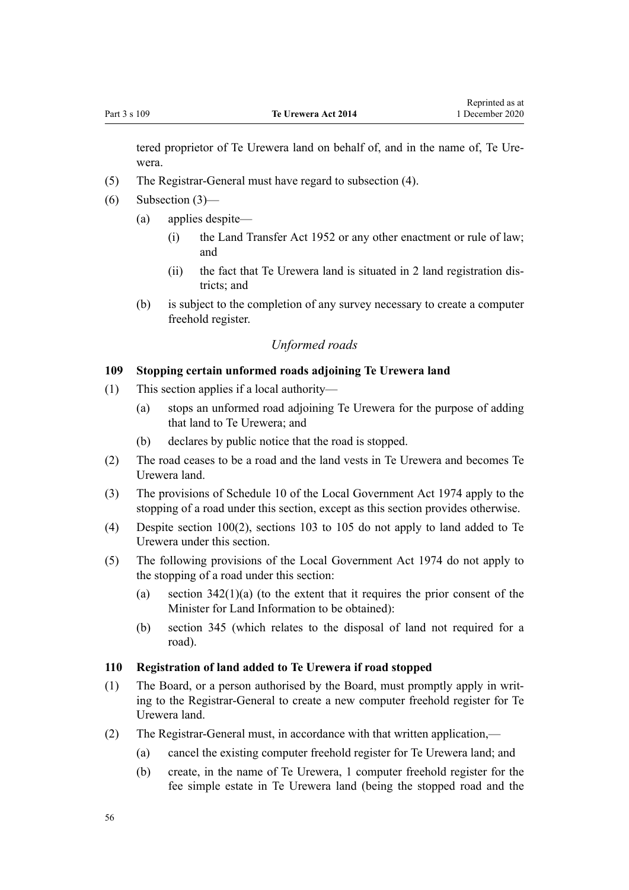tered proprietor of Te Urewera land on behalf of, and in the name of, Te Urewera.

- (5) The Registrar-General must have regard to subsection (4).
- (6) Subsection (3)—
	- (a) applies despite—
		- (i) the [Land Transfer Act 1952](http://legislation.govt.nz/pdflink.aspx?id=DLM269031) or any other enactment or rule of law; and
		- (ii) the fact that Te Urewera land is situated in 2 land registration districts; and
	- (b) is subject to the completion of any survey necessary to create a computer freehold register.

# *Unformed roads*

# **109 Stopping certain unformed roads adjoining Te Urewera land**

- (1) This section applies if a local authority—
	- (a) stops an unformed road adjoining Te Urewera for the purpose of adding that land to Te Urewera; and
	- (b) declares by public notice that the road is stopped.
- (2) The road ceases to be a road and the land vests in Te Urewera and becomes Te Urewera land.
- (3) The provisions of [Schedule 10](http://legislation.govt.nz/pdflink.aspx?id=DLM425592) of the Local Government Act 1974 apply to the stopping of a road under this section, except as this section provides otherwise.
- (4) Despite [section 100\(2\),](#page-49-0) [sections 103 to 105](#page-50-0) do not apply to land added to Te Urewera under this section.
- (5) The following provisions of the [Local Government Act 1974](http://legislation.govt.nz/pdflink.aspx?id=DLM415531) do not apply to the stopping of a road under this section:
	- (a) section  $342(1)(a)$  (to the extent that it requires the prior consent of the Minister for Land Information to be obtained):
	- (b) [section 345](http://legislation.govt.nz/pdflink.aspx?id=DLM420626) (which relates to the disposal of land not required for a road).

#### **110 Registration of land added to Te Urewera if road stopped**

- (1) The Board, or a person authorised by the Board, must promptly apply in writing to the Registrar-General to create a new computer freehold register for Te Urewera land.
- (2) The Registrar-General must, in accordance with that written application,—
	- (a) cancel the existing computer freehold register for Te Urewera land; and
	- (b) create, in the name of Te Urewera, 1 computer freehold register for the fee simple estate in Te Urewera land (being the stopped road and the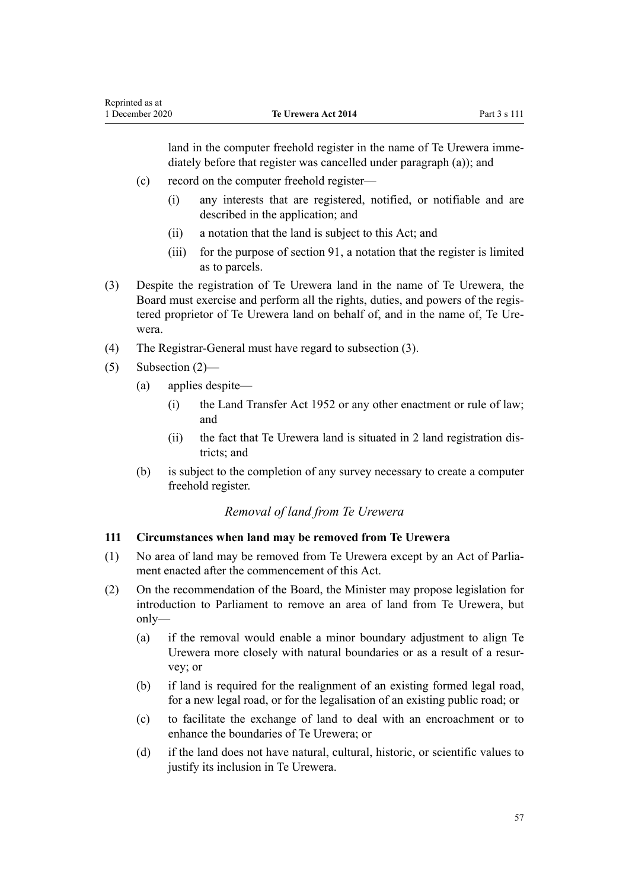<span id="page-56-0"></span>land in the computer freehold register in the name of Te Urewera immediately before that register was cancelled under paragraph (a)); and

- (c) record on the computer freehold register—
	- (i) any interests that are registered, notified, or notifiable and are described in the application; and
	- (ii) a notation that the land is subject to this Act; and
	- (iii) for the purpose of [section 91](#page-45-0), a notation that the register is limited as to parcels.
- (3) Despite the registration of Te Urewera land in the name of Te Urewera, the Board must exercise and perform all the rights, duties, and powers of the registered proprietor of Te Urewera land on behalf of, and in the name of, Te Urewera.
- (4) The Registrar-General must have regard to subsection (3).
- (5) Subsection (2)—
	- (a) applies despite—
		- (i) the Land Transfer Act 1952 or any other enactment or rule of law; and
		- (ii) the fact that Te Urewera land is situated in 2 land registration districts; and
	- (b) is subject to the completion of any survey necessary to create a computer freehold register.

# *Removal of land from Te Urewera*

#### **111 Circumstances when land may be removed from Te Urewera**

- (1) No area of land may be removed from Te Urewera except by an Act of Parliament enacted after the commencement of this Act.
- (2) On the recommendation of the Board, the Minister may propose legislation for introduction to Parliament to remove an area of land from Te Urewera, but only—
	- (a) if the removal would enable a minor boundary adjustment to align Te Urewera more closely with natural boundaries or as a result of a resurvey; or
	- (b) if land is required for the realignment of an existing formed legal road, for a new legal road, or for the legalisation of an existing public road; or
	- (c) to facilitate the exchange of land to deal with an encroachment or to enhance the boundaries of Te Urewera; or
	- (d) if the land does not have natural, cultural, historic, or scientific values to justify its inclusion in Te Urewera.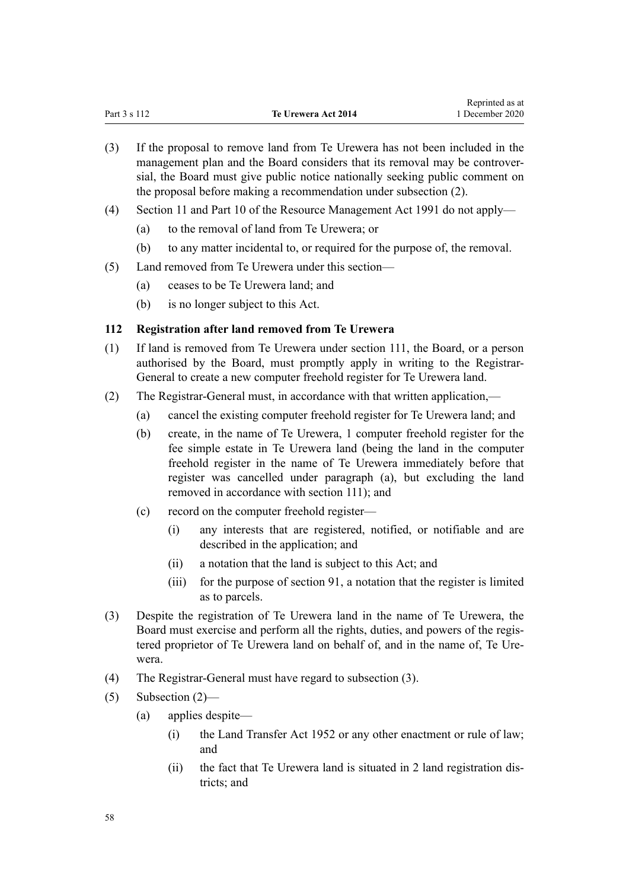(3) If the proposal to remove land from Te Urewera has not been included in the management plan and the Board considers that its removal may be controversial, the Board must give public notice nationally seeking public comment on the proposal before making a recommendation under subsection (2).

Reprinted as at

- (4) [Section 11](http://legislation.govt.nz/pdflink.aspx?id=DLM231942) and [Part 10](http://legislation.govt.nz/pdflink.aspx?id=DLM236786) of the Resource Management Act 1991 do not apply—
	- (a) to the removal of land from Te Urewera; or
	- (b) to any matter incidental to, or required for the purpose of, the removal.
- (5) Land removed from Te Urewera under this section—
	- (a) ceases to be Te Urewera land; and
	- (b) is no longer subject to this Act.

### **112 Registration after land removed from Te Urewera**

- (1) If land is removed from Te Urewera under [section 111,](#page-56-0) the Board, or a person authorised by the Board, must promptly apply in writing to the Registrar-General to create a new computer freehold register for Te Urewera land.
- (2) The Registrar-General must, in accordance with that written application,—
	- (a) cancel the existing computer freehold register for Te Urewera land; and
	- (b) create, in the name of Te Urewera, 1 computer freehold register for the fee simple estate in Te Urewera land (being the land in the computer freehold register in the name of Te Urewera immediately before that register was cancelled under paragraph (a), but excluding the land removed in accordance with [section 111\)](#page-56-0); and
	- (c) record on the computer freehold register—
		- (i) any interests that are registered, notified, or notifiable and are described in the application; and
		- (ii) a notation that the land is subject to this Act; and
		- (iii) for the purpose of [section 91](#page-45-0), a notation that the register is limited as to parcels.
- (3) Despite the registration of Te Urewera land in the name of Te Urewera, the Board must exercise and perform all the rights, duties, and powers of the registered proprietor of Te Urewera land on behalf of, and in the name of, Te Urewera.
- (4) The Registrar-General must have regard to subsection (3).
- (5) Subsection (2)—
	- (a) applies despite—
		- (i) the [Land Transfer Act 1952](http://legislation.govt.nz/pdflink.aspx?id=DLM269031) or any other enactment or rule of law; and
		- (ii) the fact that Te Urewera land is situated in 2 land registration districts; and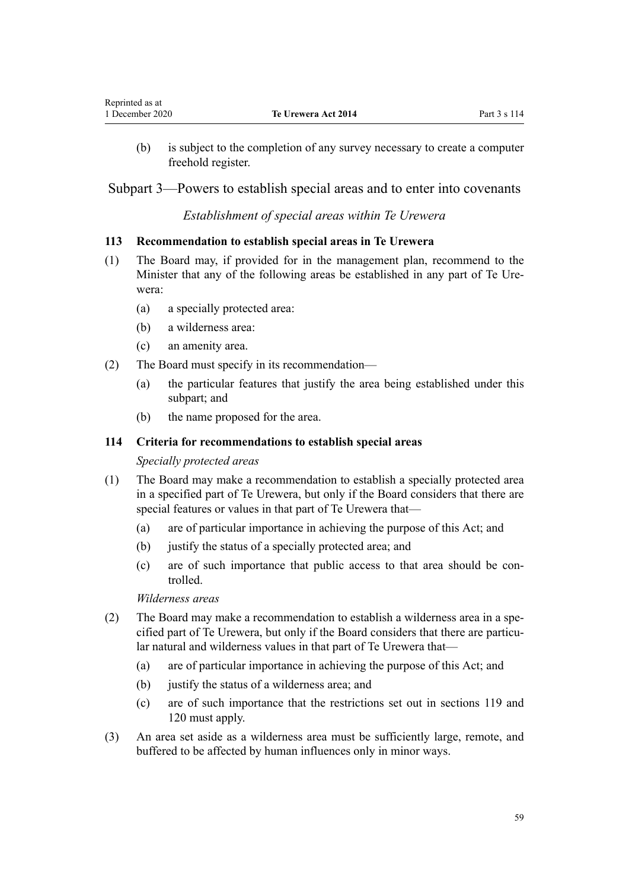<span id="page-58-0"></span>(b) is subject to the completion of any survey necessary to create a computer freehold register.

Subpart 3—Powers to establish special areas and to enter into covenants

# *Establishment of special areas within Te Urewera*

# **113 Recommendation to establish special areas in Te Urewera**

- (1) The Board may, if provided for in the management plan, recommend to the Minister that any of the following areas be established in any part of Te Urewera:
	- (a) a specially protected area:
	- (b) a wilderness area:
	- (c) an amenity area.
- (2) The Board must specify in its recommendation—
	- (a) the particular features that justify the area being established under this subpart; and
	- (b) the name proposed for the area.

### **114 Criteria for recommendations to establish special areas**

#### *Specially protected areas*

- (1) The Board may make a recommendation to establish a specially protected area in a specified part of Te Urewera, but only if the Board considers that there are special features or values in that part of Te Urewera that—
	- (a) are of particular importance in achieving the purpose of this Act; and
	- (b) justify the status of a specially protected area; and
	- (c) are of such importance that public access to that area should be controlled.

*Wilderness areas*

- (2) The Board may make a recommendation to establish a wilderness area in a specified part of Te Urewera, but only if the Board considers that there are particular natural and wilderness values in that part of Te Urewera that—
	- (a) are of particular importance in achieving the purpose of this Act; and
	- (b) justify the status of a wilderness area; and
	- (c) are of such importance that the restrictions set out in [sections 119](#page-60-0) and [120](#page-60-0) must apply.
- (3) An area set aside as a wilderness area must be sufficiently large, remote, and buffered to be affected by human influences only in minor ways.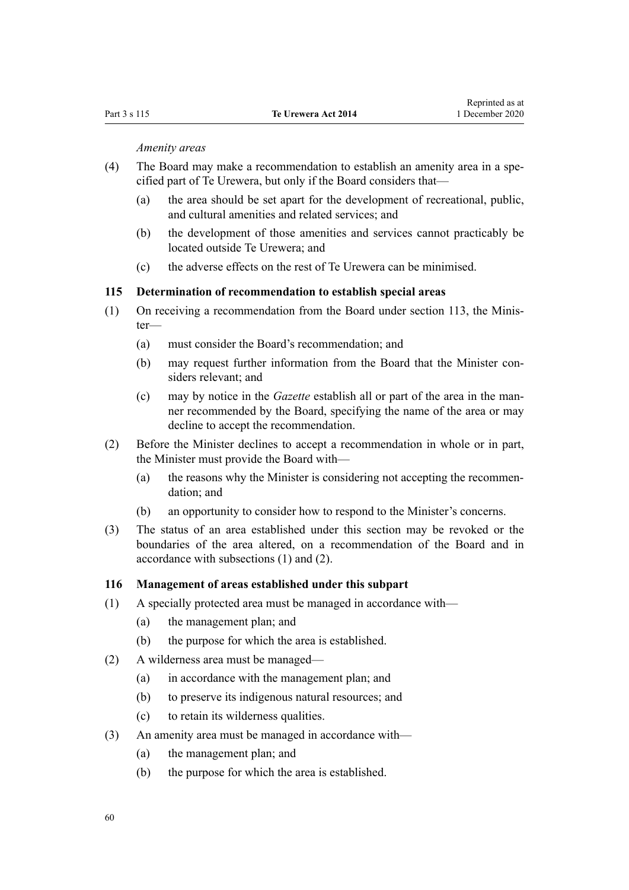*Amenity areas*

- (4) The Board may make a recommendation to establish an amenity area in a specified part of Te Urewera, but only if the Board considers that—
	- (a) the area should be set apart for the development of recreational, public, and cultural amenities and related services; and
	- (b) the development of those amenities and services cannot practicably be located outside Te Urewera; and
	- (c) the adverse effects on the rest of Te Urewera can be minimised.

#### **115 Determination of recommendation to establish special areas**

- (1) On receiving a recommendation from the Board under [section 113](#page-58-0), the Minister—
	- (a) must consider the Board's recommendation; and
	- (b) may request further information from the Board that the Minister considers relevant; and
	- (c) may by notice in the *Gazette* establish all or part of the area in the manner recommended by the Board, specifying the name of the area or may decline to accept the recommendation.
- (2) Before the Minister declines to accept a recommendation in whole or in part, the Minister must provide the Board with—
	- (a) the reasons why the Minister is considering not accepting the recommendation; and
	- (b) an opportunity to consider how to respond to the Minister's concerns.
- (3) The status of an area established under this section may be revoked or the boundaries of the area altered, on a recommendation of the Board and in accordance with subsections (1) and (2).

#### **116 Management of areas established under this subpart**

- (1) A specially protected area must be managed in accordance with—
	- (a) the management plan; and
	- (b) the purpose for which the area is established.
- (2) A wilderness area must be managed—
	- (a) in accordance with the management plan; and
	- (b) to preserve its indigenous natural resources; and
	- (c) to retain its wilderness qualities.
- (3) An amenity area must be managed in accordance with—
	- (a) the management plan; and
	- (b) the purpose for which the area is established.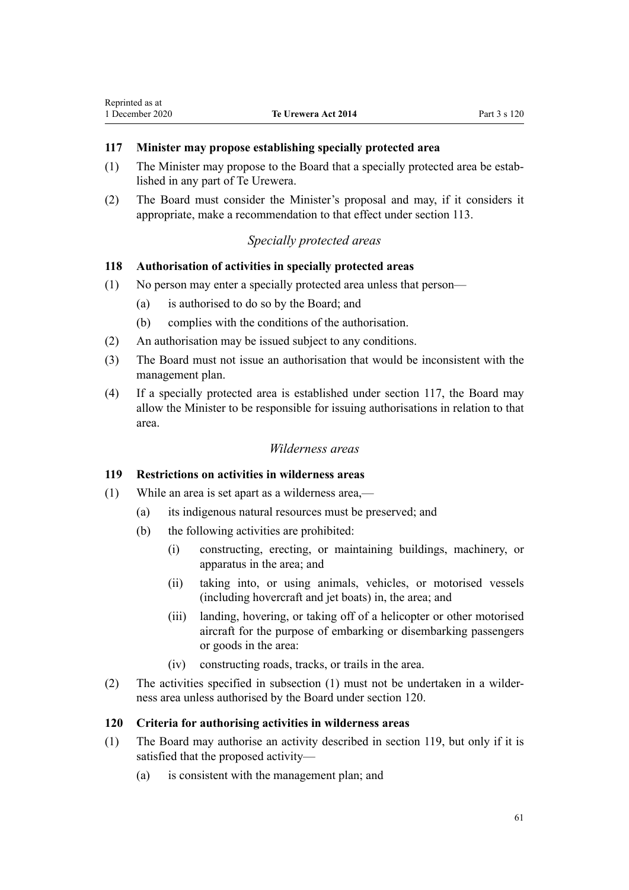#### <span id="page-60-0"></span>**117 Minister may propose establishing specially protected area**

- (1) The Minister may propose to the Board that a specially protected area be established in any part of Te Urewera.
- (2) The Board must consider the Minister's proposal and may, if it considers it appropriate, make a recommendation to that effect under [section 113](#page-58-0).

# *Specially protected areas*

#### **118 Authorisation of activities in specially protected areas**

- (1) No person may enter a specially protected area unless that person—
	- (a) is authorised to do so by the Board; and
	- (b) complies with the conditions of the authorisation.
- (2) An authorisation may be issued subject to any conditions.
- (3) The Board must not issue an authorisation that would be inconsistent with the management plan.
- (4) If a specially protected area is established under section 117, the Board may allow the Minister to be responsible for issuing authorisations in relation to that area.

#### *Wilderness areas*

#### **119 Restrictions on activities in wilderness areas**

- (1) While an area is set apart as a wilderness area,—
	- (a) its indigenous natural resources must be preserved; and
	- (b) the following activities are prohibited:
		- (i) constructing, erecting, or maintaining buildings, machinery, or apparatus in the area; and
		- (ii) taking into, or using animals, vehicles, or motorised vessels (including hovercraft and jet boats) in, the area; and
		- (iii) landing, hovering, or taking off of a helicopter or other motorised aircraft for the purpose of embarking or disembarking passengers or goods in the area:
		- (iv) constructing roads, tracks, or trails in the area.
- (2) The activities specified in subsection (1) must not be undertaken in a wilderness area unless authorised by the Board under section 120.

#### **120 Criteria for authorising activities in wilderness areas**

- (1) The Board may authorise an activity described in section 119, but only if it is satisfied that the proposed activity—
	- (a) is consistent with the management plan; and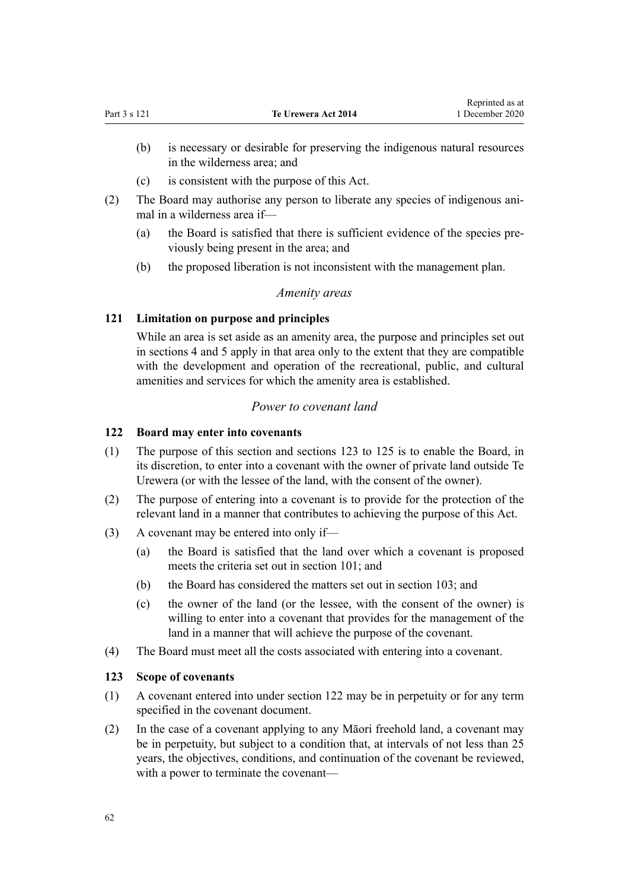- <span id="page-61-0"></span>(b) is necessary or desirable for preserving the indigenous natural resources in the wilderness area; and
- (c) is consistent with the purpose of this Act.
- (2) The Board may authorise any person to liberate any species of indigenous animal in a wilderness area if—
	- (a) the Board is satisfied that there is sufficient evidence of the species previously being present in the area; and
	- (b) the proposed liberation is not inconsistent with the management plan.

# *Amenity areas*

# **121 Limitation on purpose and principles**

While an area is set aside as an amenity area, the purpose and principles set out in [sections 4](#page-8-0) and [5](#page-8-0) apply in that area only to the extent that they are compatible with the development and operation of the recreational, public, and cultural amenities and services for which the amenity area is established.

# *Power to covenant land*

# **122 Board may enter into covenants**

- (1) The purpose of this section and sections 123 to 125 is to enable the Board, in its discretion, to enter into a covenant with the owner of private land outside Te Urewera (or with the lessee of the land, with the consent of the owner).
- (2) The purpose of entering into a covenant is to provide for the protection of the relevant land in a manner that contributes to achieving the purpose of this Act.
- (3) A covenant may be entered into only if—
	- (a) the Board is satisfied that the land over which a covenant is proposed meets the criteria set out in [section 101](#page-49-0); and
	- (b) the Board has considered the matters set out in [section 103](#page-50-0); and
	- (c) the owner of the land (or the lessee, with the consent of the owner) is willing to enter into a covenant that provides for the management of the land in a manner that will achieve the purpose of the covenant.
- (4) The Board must meet all the costs associated with entering into a covenant.

# **123 Scope of covenants**

- (1) A covenant entered into under section 122 may be in perpetuity or for any term specified in the covenant document.
- (2) In the case of a covenant applying to any Māori freehold land, a covenant may be in perpetuity, but subject to a condition that, at intervals of not less than 25 years, the objectives, conditions, and continuation of the covenant be reviewed, with a power to terminate the covenant—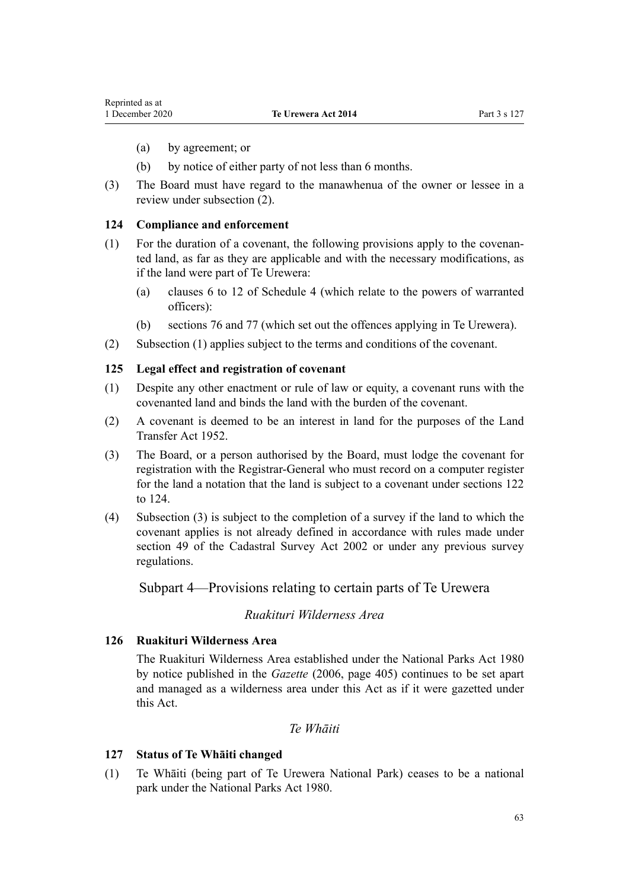- (a) by agreement; or
- (b) by notice of either party of not less than 6 months.
- (3) The Board must have regard to the manawhenua of the owner or lessee in a review under subsection (2).

#### **124 Compliance and enforcement**

- (1) For the duration of a covenant, the following provisions apply to the covenanted land, as far as they are applicable and with the necessary modifications, as if the land were part of Te Urewera:
	- (a) [clauses 6 to 12](#page-101-0) of Schedule 4 (which relate to the powers of warranted officers):
	- (b) [sections 76](#page-38-0) and [77](#page-40-0) (which set out the offences applying in Te Urewera).
- (2) Subsection (1) applies subject to the terms and conditions of the covenant.

#### **125 Legal effect and registration of covenant**

- (1) Despite any other enactment or rule of law or equity, a covenant runs with the covenanted land and binds the land with the burden of the covenant.
- (2) A covenant is deemed to be an interest in land for the purposes of the [Land](http://legislation.govt.nz/pdflink.aspx?id=DLM269031) [Transfer Act 1952](http://legislation.govt.nz/pdflink.aspx?id=DLM269031).
- (3) The Board, or a person authorised by the Board, must lodge the covenant for registration with the Registrar-General who must record on a computer register for the land a notation that the land is subject to a covenant under [sections 122](#page-61-0) [to 124](#page-61-0).
- (4) Subsection (3) is subject to the completion of a survey if the land to which the covenant applies is not already defined in accordance with rules made under [section 49](http://legislation.govt.nz/pdflink.aspx?id=DLM142600) of the Cadastral Survey Act 2002 or under any previous survey regulations.

Subpart 4—Provisions relating to certain parts of Te Urewera

#### *Ruakituri Wilderness Area*

#### **126 Ruakituri Wilderness Area**

The Ruakituri Wilderness Area established under the [National Parks Act 1980](http://legislation.govt.nz/pdflink.aspx?id=DLM36962) by notice published in the *Gazette* (2006, page 405) continues to be set apart and managed as a wilderness area under this Act as if it were gazetted under this Act.

## *Te Whāiti*

#### **127 Status of Te Whāiti changed**

(1) Te Whāiti (being part of Te Urewera National Park) ceases to be a national park under the [National Parks Act 1980.](http://legislation.govt.nz/pdflink.aspx?id=DLM36962)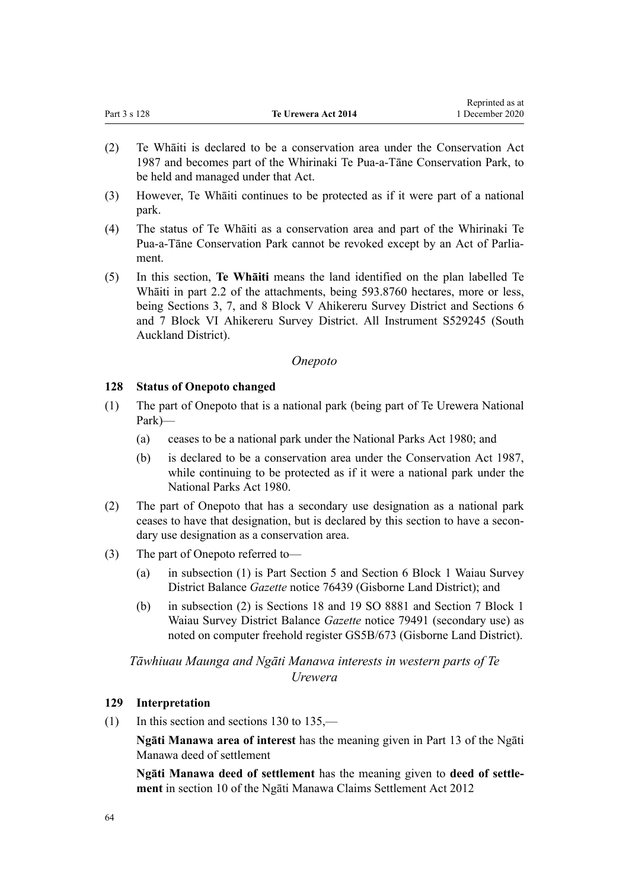<span id="page-63-0"></span>

|              |                     | Reprinted as at |
|--------------|---------------------|-----------------|
| Part 3 s 128 | Te Urewera Act 2014 | 1 December 2020 |

- (2) Te Whāiti is declared to be a conservation area under the [Conservation Act](http://legislation.govt.nz/pdflink.aspx?id=DLM103609) [1987](http://legislation.govt.nz/pdflink.aspx?id=DLM103609) and becomes part of the Whirinaki Te Pua-a-Tāne Conservation Park, to be held and managed under that Act.
- (3) However, Te Whāiti continues to be protected as if it were part of a national park.
- (4) The status of Te Whāiti as a conservation area and part of the Whirinaki Te Pua-a-Tāne Conservation Park cannot be revoked except by an Act of Parliament.
- (5) In this section, **Te Whāiti** means the land identified on the plan labelled Te Whāiti in part 2.2 of the attachments, being 593.8760 hectares, more or less, being Sections 3, 7, and 8 Block V Ahikereru Survey District and Sections 6 and 7 Block VI Ahikereru Survey District. All Instrument S529245 (South Auckland District).

# *Onepoto*

# **128 Status of Onepoto changed**

- (1) The part of Onepoto that is a national park (being part of Te Urewera National Park)—
	- (a) ceases to be a national park under the [National Parks Act 1980;](http://legislation.govt.nz/pdflink.aspx?id=DLM36962) and
	- (b) is declared to be a conservation area under the [Conservation Act 1987](http://legislation.govt.nz/pdflink.aspx?id=DLM103609), while continuing to be protected as if it were a national park under the [National Parks Act 1980.](http://legislation.govt.nz/pdflink.aspx?id=DLM36962)
- (2) The part of Onepoto that has a secondary use designation as a national park ceases to have that designation, but is declared by this section to have a secondary use designation as a conservation area.
- (3) The part of Onepoto referred to—
	- (a) in subsection (1) is Part Section 5 and Section 6 Block 1 Waiau Survey District Balance *Gazette* notice 76439 (Gisborne Land District); and
	- (b) in subsection (2) is Sections 18 and 19 SO 8881 and Section 7 Block 1 Waiau Survey District Balance *Gazette* notice 79491 (secondary use) as noted on computer freehold register GS5B/673 (Gisborne Land District).

# *Tāwhiuau Maunga and Ngāti Manawa interests in western parts of Te Urewera*

# **129 Interpretation**

(1) In this section and [sections 130 to 135](#page-64-0),—

**Ngāti Manawa area of interest** has the meaning given in Part 13 of the Ngāti Manawa deed of settlement

**Ngāti Manawa deed of settlement** has the meaning given to **deed of settlement** in [section 10](http://legislation.govt.nz/pdflink.aspx?id=DLM3276821) of the Ngāti Manawa Claims Settlement Act 2012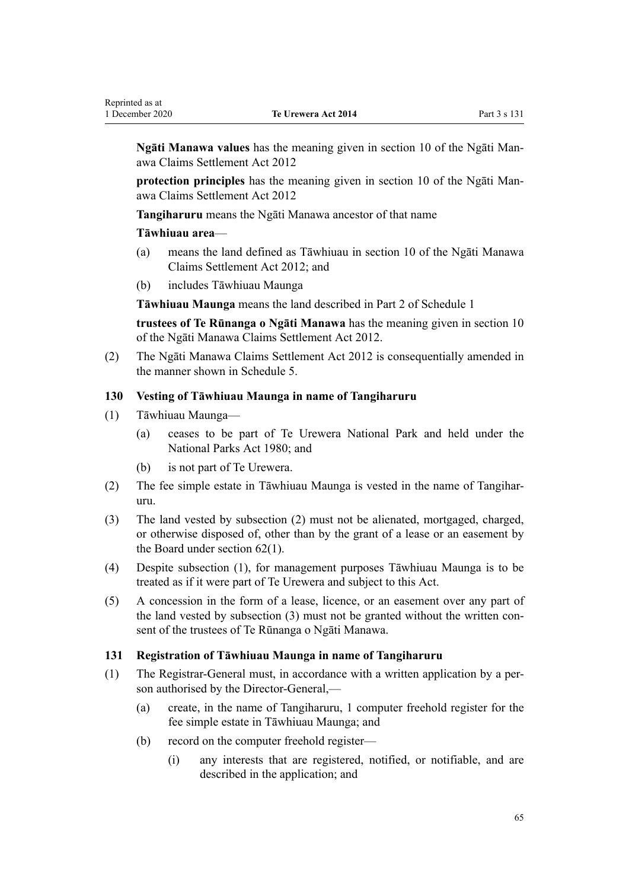<span id="page-64-0"></span>**Ngāti Manawa values** has the meaning given in [section 10](http://legislation.govt.nz/pdflink.aspx?id=DLM3276821) of the Ngāti Manawa Claims Settlement Act 2012

**protection principles** has the meaning given in [section 10](http://legislation.govt.nz/pdflink.aspx?id=DLM3276821) of the Ngāti Manawa Claims Settlement Act 2012

**Tangiharuru** means the Ngāti Manawa ancestor of that name

# **Tāwhiuau area**—

- (a) means the land defined as Tāwhiuau in [section 10](http://legislation.govt.nz/pdflink.aspx?id=DLM3276821) of the Ngāti Manawa Claims Settlement Act 2012; and
- (b) includes Tāwhiuau Maunga

**Tāwhiuau Maunga** means the land described in [Part 2](#page-68-0) of Schedule 1

**trustees of Te Rūnanga o Ngāti Manawa** has the meaning given in [section 10](http://legislation.govt.nz/pdflink.aspx?id=DLM3276821) of the Ngāti Manawa Claims Settlement Act 2012.

(2) The [Ngāti Manawa Claims Settlement Act 2012](http://legislation.govt.nz/pdflink.aspx?id=DLM3276800) is consequentially amended in the manner shown in [Schedule 5](#page-112-0).

# **130 Vesting of Tāwhiuau Maunga in name of Tangiharuru**

- (1) Tāwhiuau Maunga—
	- (a) ceases to be part of Te Urewera National Park and held under the [National Parks Act 1980;](http://legislation.govt.nz/pdflink.aspx?id=DLM36962) and
	- (b) is not part of Te Urewera.
- (2) The fee simple estate in Tāwhiuau Maunga is vested in the name of Tangiharuru.
- (3) The land vested by subsection (2) must not be alienated, mortgaged, charged, or otherwise disposed of, other than by the grant of a lease or an easement by the Board under [section 62\(1\).](#page-32-0)
- (4) Despite subsection (1), for management purposes Tāwhiuau Maunga is to be treated as if it were part of Te Urewera and subject to this Act.
- (5) A concession in the form of a lease, licence, or an easement over any part of the land vested by subsection (3) must not be granted without the written consent of the trustees of Te Rūnanga o Ngāti Manawa.

#### **131 Registration of Tāwhiuau Maunga in name of Tangiharuru**

- (1) The Registrar-General must, in accordance with a written application by a person authorised by the Director-General,—
	- (a) create, in the name of Tangiharuru, 1 computer freehold register for the fee simple estate in Tāwhiuau Maunga; and
	- (b) record on the computer freehold register—
		- (i) any interests that are registered, notified, or notifiable, and are described in the application; and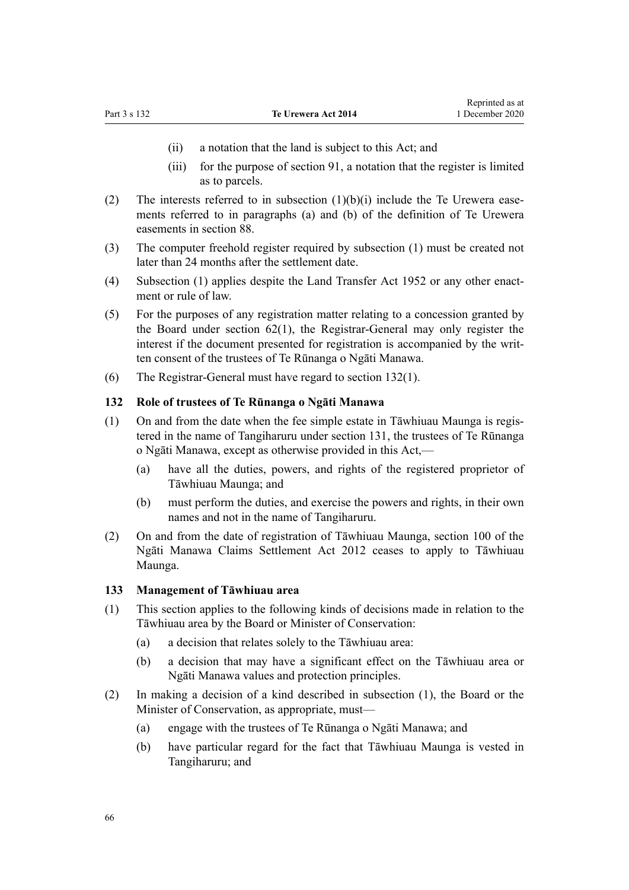- (ii) a notation that the land is subject to this Act; and
- (iii) for the purpose of [section 91](#page-45-0), a notation that the register is limited as to parcels.
- (2) The interests referred to in subsection  $(1)(b)(i)$  include the Te Urewera easements referred to in paragraphs (a) and (b) of the definition of Te Urewera easements in [section 88](#page-43-0).
- (3) The computer freehold register required by subsection (1) must be created not later than 24 months after the settlement date.
- (4) Subsection (1) applies despite the Land Transfer Act 1952 or any other enactment or rule of law.
- (5) For the purposes of any registration matter relating to a concession granted by the Board under [section 62\(1\)](#page-32-0), the Registrar-General may only register the interest if the document presented for registration is accompanied by the written consent of the trustees of Te Rūnanga o Ngāti Manawa.
- (6) The Registrar-General must have regard to section 132(1).

# **132 Role of trustees of Te Rūnanga o Ngāti Manawa**

- (1) On and from the date when the fee simple estate in Tāwhiuau Maunga is registered in the name of Tangiharuru under [section 131,](#page-64-0) the trustees of Te Rūnanga o Ngāti Manawa, except as otherwise provided in this Act,—
	- (a) have all the duties, powers, and rights of the registered proprietor of Tāwhiuau Maunga; and
	- (b) must perform the duties, and exercise the powers and rights, in their own names and not in the name of Tangiharuru.
- (2) On and from the date of registration of Tāwhiuau Maunga, [section 100](http://legislation.govt.nz/pdflink.aspx?id=DLM3277079) of the Ngāti Manawa Claims Settlement Act 2012 ceases to apply to Tāwhiuau Maunga.

#### **133 Management of Tāwhiuau area**

- (1) This section applies to the following kinds of decisions made in relation to the Tāwhiuau area by the Board or Minister of Conservation:
	- (a) a decision that relates solely to the Tāwhiuau area:
	- (b) a decision that may have a significant effect on the Tāwhiuau area or Ngāti Manawa values and protection principles.
- (2) In making a decision of a kind described in subsection (1), the Board or the Minister of Conservation, as appropriate, must—
	- (a) engage with the trustees of Te Rūnanga o Ngāti Manawa; and
	- (b) have particular regard for the fact that Tāwhiuau Maunga is vested in Tangiharuru; and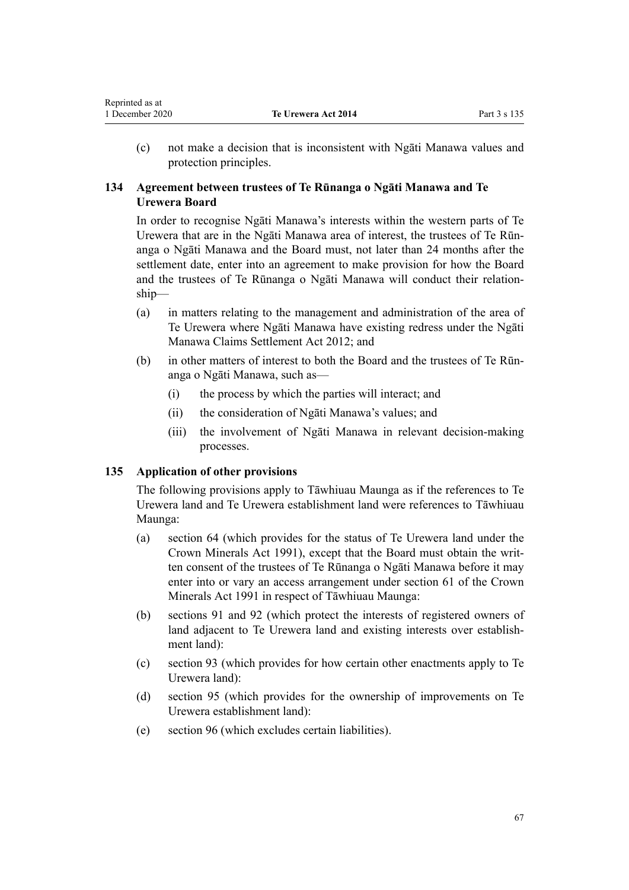(c) not make a decision that is inconsistent with Ngāti Manawa values and protection principles.

# **134 Agreement between trustees of Te Rūnanga o Ngāti Manawa and Te Urewera Board**

In order to recognise Ngāti Manawa's interests within the western parts of Te Urewera that are in the Ngāti Manawa area of interest, the trustees of Te Rūnanga o Ngāti Manawa and the Board must, not later than 24 months after the settlement date, enter into an agreement to make provision for how the Board and the trustees of Te Rūnanga o Ngāti Manawa will conduct their relationship—

- (a) in matters relating to the management and administration of the area of Te Urewera where Ngāti Manawa have existing redress under the [Ngāti](http://legislation.govt.nz/pdflink.aspx?id=DLM3276800) [Manawa Claims Settlement Act 2012;](http://legislation.govt.nz/pdflink.aspx?id=DLM3276800) and
- (b) in other matters of interest to both the Board and the trustees of Te Rūnanga o Ngāti Manawa, such as—
	- (i) the process by which the parties will interact; and
	- (ii) the consideration of Ngāti Manawa's values; and
	- (iii) the involvement of Ngāti Manawa in relevant decision-making processes.

# **135 Application of other provisions**

Reprinted as at

The following provisions apply to Tāwhiuau Maunga as if the references to Te Urewera land and Te Urewera establishment land were references to Tāwhiuau Maunga:

- (a) [section 64](#page-33-0) (which provides for the status of Te Urewera land under the Crown Minerals Act 1991), except that the Board must obtain the written consent of the trustees of Te Rūnanga o Ngāti Manawa before it may enter into or vary an access arrangement under [section 61](http://legislation.govt.nz/pdflink.aspx?id=DLM246714) of the Crown Minerals Act 1991 in respect of Tāwhiuau Maunga:
- (b) [sections 91](#page-45-0) and [92](#page-45-0) (which protect the interests of registered owners of land adjacent to Te Urewera land and existing interests over establishment land):
- (c) [section 93](#page-46-0) (which provides for how certain other enactments apply to Te Urewera land):
- (d) [section 95](#page-46-0) (which provides for the ownership of improvements on Te Urewera establishment land):
- (e) [section 96](#page-47-0) (which excludes certain liabilities).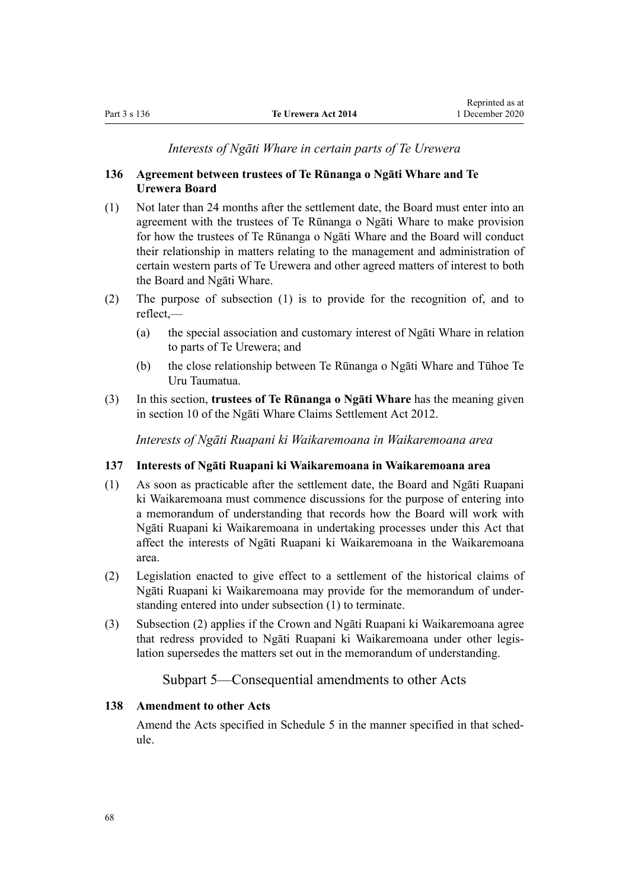#### *Interests of Ngāti Whare in certain parts of Te Urewera*

# **136 Agreement between trustees of Te Rūnanga o Ngāti Whare and Te Urewera Board**

- (1) Not later than 24 months after the settlement date, the Board must enter into an agreement with the trustees of Te Rūnanga o Ngāti Whare to make provision for how the trustees of Te Rūnanga o Ngāti Whare and the Board will conduct their relationship in matters relating to the management and administration of certain western parts of Te Urewera and other agreed matters of interest to both the Board and Ngāti Whare.
- (2) The purpose of subsection (1) is to provide for the recognition of, and to reflect,—
	- (a) the special association and customary interest of Ngāti Whare in relation to parts of Te Urewera; and
	- (b) the close relationship between Te Rūnanga o Ngāti Whare and Tūhoe Te Uru Taumatua.
- (3) In this section, **trustees of Te Rūnanga o Ngāti Whare** has the meaning given in [section 10](http://legislation.govt.nz/pdflink.aspx?id=DLM4339919) of the Ngāti Whare Claims Settlement Act 2012.

*Interests of Ngāti Ruapani ki Waikaremoana in Waikaremoana area*

#### **137 Interests of Ngāti Ruapani ki Waikaremoana in Waikaremoana area**

- (1) As soon as practicable after the settlement date, the Board and Ngāti Ruapani ki Waikaremoana must commence discussions for the purpose of entering into a memorandum of understanding that records how the Board will work with Ngāti Ruapani ki Waikaremoana in undertaking processes under this Act that affect the interests of Ngāti Ruapani ki Waikaremoana in the Waikaremoana area.
- (2) Legislation enacted to give effect to a settlement of the historical claims of Ngāti Ruapani ki Waikaremoana may provide for the memorandum of understanding entered into under subsection (1) to terminate.
- (3) Subsection (2) applies if the Crown and Ngāti Ruapani ki Waikaremoana agree that redress provided to Ngāti Ruapani ki Waikaremoana under other legislation supersedes the matters set out in the memorandum of understanding.

# Subpart 5—Consequential amendments to other Acts

#### **138 Amendment to other Acts**

Amend the Acts specified in [Schedule 5](#page-112-0) in the manner specified in that schedule.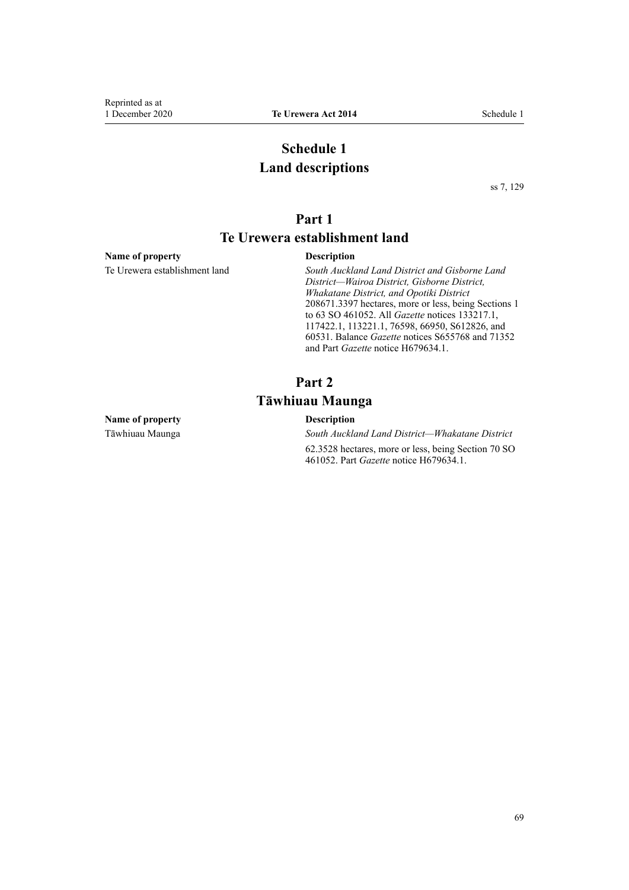# **Schedule 1 Land descriptions**

[ss 7](#page-8-0), [129](#page-63-0)

# **Part 1**

# **Te Urewera establishment land**

#### <span id="page-68-0"></span>**Name of property Description**

Te Urewera establishment land *South Auckland Land District and Gisborne Land District—Wairoa District, Gisborne District, Whakatane District, and Opotiki District* 208671.3397 hectares, more or less, being Sections 1 to 63 SO 461052. All *Gazette* notices 133217.1, 117422.1, 113221.1, 76598, 66950, S612826, and 60531. Balance *Gazette* notices S655768 and 71352 and Part *Gazette* notice H679634.1.

# **Part 2 Tāwhiuau Maunga**

#### **Name of property Description**

Tāwhiuau Maunga *South Auckland Land District—Whakatane District*

62.3528 hectares, more or less, being Section 70 SO 461052. Part *Gazette* notice H679634.1.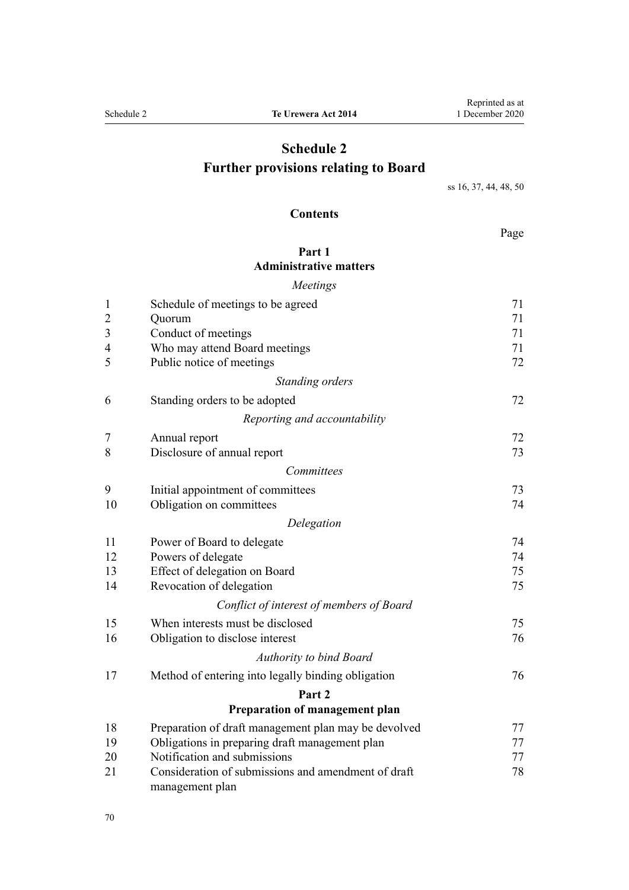# **Schedule 2 Further provisions relating to Board**

[ss 16](#page-15-0), [37,](#page-23-0) [44](#page-25-0), [48, 50](#page-27-0)

# **Contents**

Page

# **[Part 1](#page-70-0) [Administrative matters](#page-70-0)**

|                | Meetings                                             |    |
|----------------|------------------------------------------------------|----|
| $\mathbf{1}$   | Schedule of meetings to be agreed                    | 71 |
| $\overline{c}$ | Quorum                                               | 71 |
| 3              | Conduct of meetings                                  | 71 |
| 4              | Who may attend Board meetings                        | 71 |
| 5              | Public notice of meetings                            | 72 |
|                | Standing orders                                      |    |
| 6              | Standing orders to be adopted                        | 72 |
|                | Reporting and accountability                         |    |
| 7              | Annual report                                        | 72 |
| 8              | Disclosure of annual report                          | 73 |
|                | Committees                                           |    |
| 9              | Initial appointment of committees                    | 73 |
| 10             | Obligation on committees                             | 74 |
|                | Delegation                                           |    |
| 11             | Power of Board to delegate                           | 74 |
| 12             | Powers of delegate                                   | 74 |
| 13             | Effect of delegation on Board                        | 75 |
| 14             | Revocation of delegation                             | 75 |
|                | Conflict of interest of members of Board             |    |
| 15             | When interests must be disclosed                     | 75 |
| 16             | Obligation to disclose interest                      | 76 |
|                | <b>Authority to bind Board</b>                       |    |
| 17             | Method of entering into legally binding obligation   | 76 |
|                | Part 2                                               |    |
|                | Preparation of management plan                       |    |
| 18             | Preparation of draft management plan may be devolved | 77 |
| 19             | Obligations in preparing draft management plan       | 77 |
| 20             | Notification and submissions                         | 77 |
| 21             | Consideration of submissions and amendment of draft  | 78 |

[management plan](#page-77-0)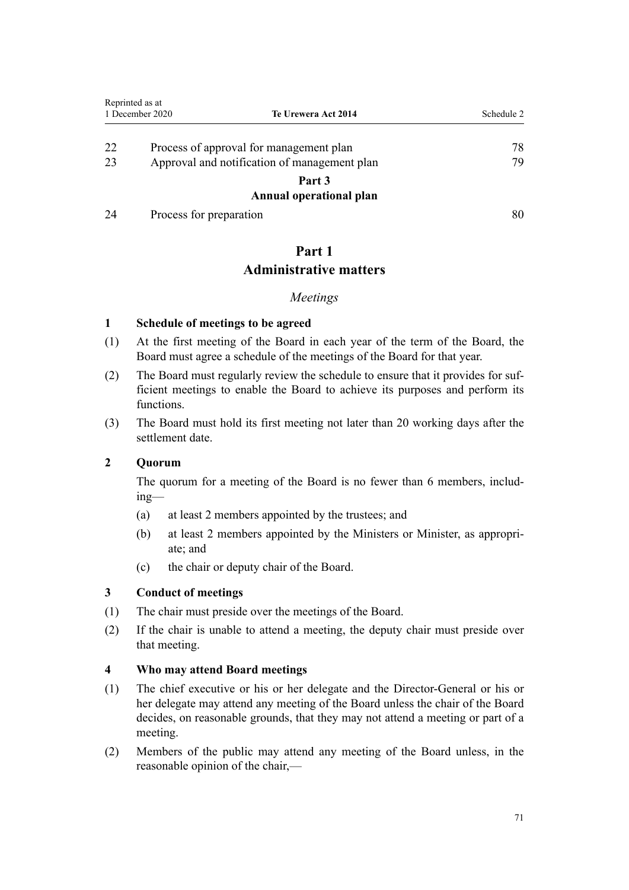<span id="page-70-0"></span>

|    | Reprinted as at<br>1 December 2020           | Te Urewera Act 2014     | Schedule 2 |
|----|----------------------------------------------|-------------------------|------------|
|    |                                              |                         |            |
| 22 | Process of approval for management plan      |                         | 78         |
| 23 | Approval and notification of management plan |                         | 79         |
|    |                                              | Part 3                  |            |
|    |                                              | Annual operational plan |            |
| 24 | Process for preparation                      |                         | 80         |

# **Part 1**

# **Administrative matters**

# *Meetings*

# **1 Schedule of meetings to be agreed**

- (1) At the first meeting of the Board in each year of the term of the Board, the Board must agree a schedule of the meetings of the Board for that year.
- (2) The Board must regularly review the schedule to ensure that it provides for sufficient meetings to enable the Board to achieve its purposes and perform its functions.
- (3) The Board must hold its first meeting not later than 20 working days after the settlement date.

# **2 Quorum**

The quorum for a meeting of the Board is no fewer than 6 members, including—

- (a) at least 2 members appointed by the trustees; and
- (b) at least 2 members appointed by the Ministers or Minister, as appropriate; and
- (c) the chair or deputy chair of the Board.

# **3 Conduct of meetings**

- (1) The chair must preside over the meetings of the Board.
- (2) If the chair is unable to attend a meeting, the deputy chair must preside over that meeting.

# **4 Who may attend Board meetings**

- (1) The chief executive or his or her delegate and the Director-General or his or her delegate may attend any meeting of the Board unless the chair of the Board decides, on reasonable grounds, that they may not attend a meeting or part of a meeting.
- (2) Members of the public may attend any meeting of the Board unless, in the reasonable opinion of the chair,—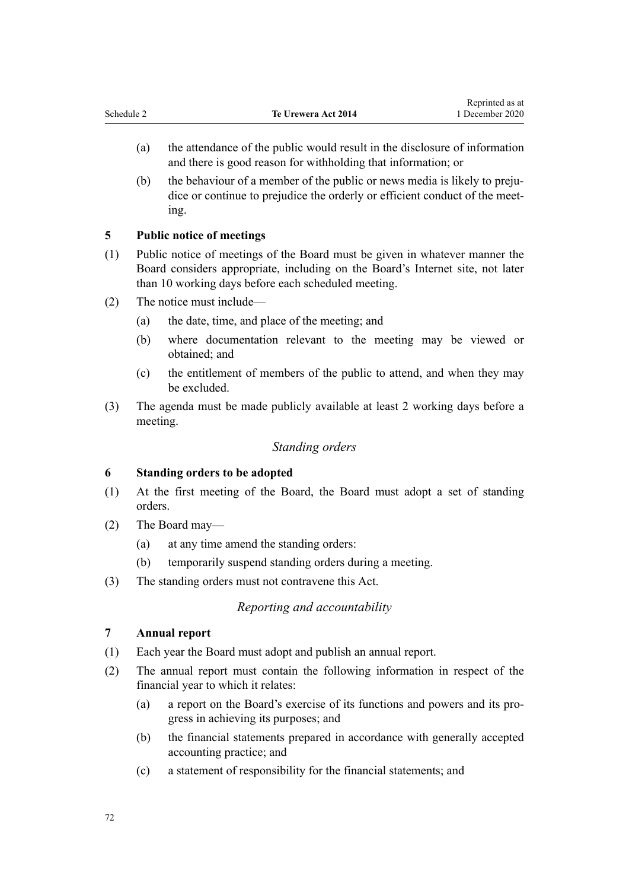- <span id="page-71-0"></span>(a) the attendance of the public would result in the disclosure of information and there is good reason for withholding that information; or
- (b) the behaviour of a member of the public or news media is likely to prejudice or continue to prejudice the orderly or efficient conduct of the meeting.

# **5 Public notice of meetings**

- (1) Public notice of meetings of the Board must be given in whatever manner the Board considers appropriate, including on the Board's Internet site, not later than 10 working days before each scheduled meeting.
- (2) The notice must include—
	- (a) the date, time, and place of the meeting; and
	- (b) where documentation relevant to the meeting may be viewed or obtained; and
	- (c) the entitlement of members of the public to attend, and when they may be excluded.
- (3) The agenda must be made publicly available at least 2 working days before a meeting.

# *Standing orders*

# **6 Standing orders to be adopted**

- (1) At the first meeting of the Board, the Board must adopt a set of standing orders.
- (2) The Board may—
	- (a) at any time amend the standing orders:
	- (b) temporarily suspend standing orders during a meeting.
- (3) The standing orders must not contravene this Act.

# *Reporting and accountability*

# **7 Annual report**

- (1) Each year the Board must adopt and publish an annual report.
- (2) The annual report must contain the following information in respect of the financial year to which it relates:
	- (a) a report on the Board's exercise of its functions and powers and its progress in achieving its purposes; and
	- (b) the financial statements prepared in accordance with generally accepted accounting practice; and
	- (c) a statement of responsibility for the financial statements; and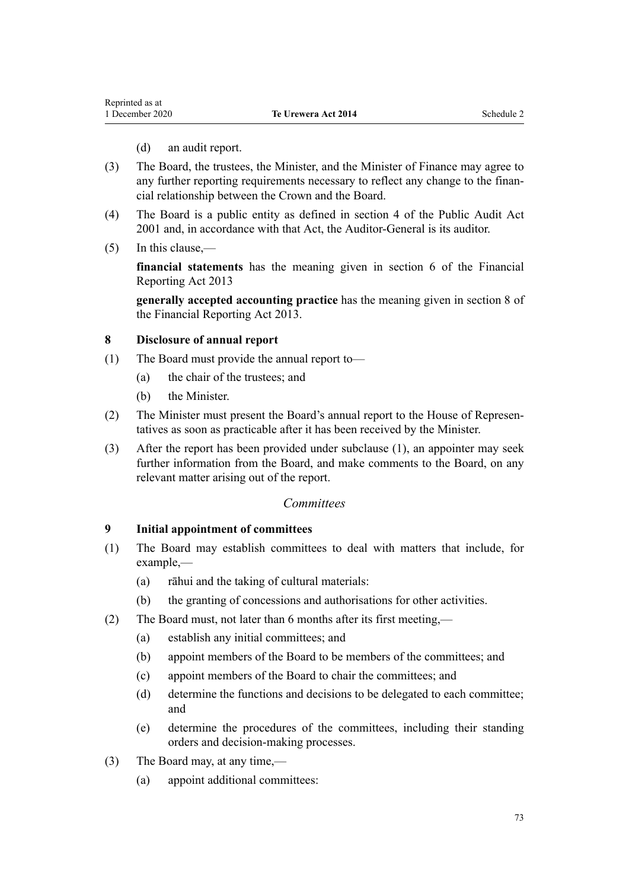- (d) an audit report.
- (3) The Board, the trustees, the Minister, and the Minister of Finance may agree to any further reporting requirements necessary to reflect any change to the financial relationship between the Crown and the Board.
- (4) The Board is a public entity as defined in [section 4](http://legislation.govt.nz/pdflink.aspx?id=DLM88548) of the Public Audit Act 2001 and, in accordance with that Act, the Auditor-General is its auditor.
- (5) In this clause,—

**financial statements** has the meaning given in [section 6](http://legislation.govt.nz/pdflink.aspx?id=DLM4632890) of the Financial Reporting Act 2013

**generally accepted accounting practice** has the meaning given in [section 8](http://legislation.govt.nz/pdflink.aspx?id=DLM4632894) of the Financial Reporting Act 2013.

#### **8 Disclosure of annual report**

- (1) The Board must provide the annual report to—
	- (a) the chair of the trustees; and
	- (b) the Minister.
- (2) The Minister must present the Board's annual report to the House of Representatives as soon as practicable after it has been received by the Minister.
- (3) After the report has been provided under subclause (1), an appointer may seek further information from the Board, and make comments to the Board, on any relevant matter arising out of the report.

#### *Committees*

#### **9 Initial appointment of committees**

- (1) The Board may establish committees to deal with matters that include, for example,—
	- (a) rāhui and the taking of cultural materials:
	- (b) the granting of concessions and authorisations for other activities.
- (2) The Board must, not later than 6 months after its first meeting,—
	- (a) establish any initial committees; and
	- (b) appoint members of the Board to be members of the committees; and
	- (c) appoint members of the Board to chair the committees; and
	- (d) determine the functions and decisions to be delegated to each committee; and
	- (e) determine the procedures of the committees, including their standing orders and decision-making processes.
- (3) The Board may, at any time,—
	- (a) appoint additional committees: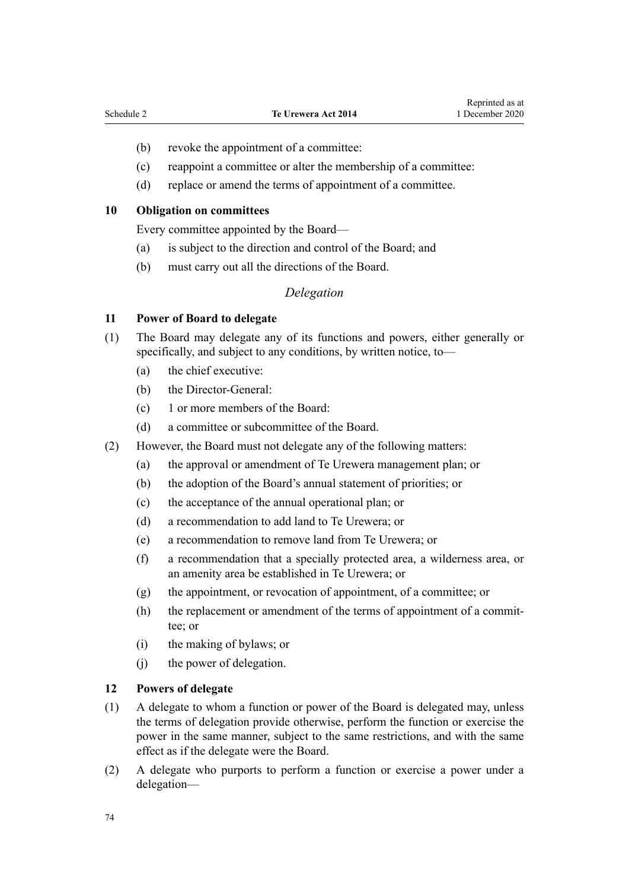- (b) revoke the appointment of a committee:
- (c) reappoint a committee or alter the membership of a committee:
- (d) replace or amend the terms of appointment of a committee.

#### **10 Obligation on committees**

Every committee appointed by the Board—

- (a) is subject to the direction and control of the Board; and
- (b) must carry out all the directions of the Board.

#### *Delegation*

#### **11 Power of Board to delegate**

- (1) The Board may delegate any of its functions and powers, either generally or specifically, and subject to any conditions, by written notice, to—
	- (a) the chief executive:
	- (b) the Director-General:
	- (c) 1 or more members of the Board:
	- (d) a committee or subcommittee of the Board.
- (2) However, the Board must not delegate any of the following matters:
	- (a) the approval or amendment of Te Urewera management plan; or
	- (b) the adoption of the Board's annual statement of priorities; or
	- (c) the acceptance of the annual operational plan; or
	- (d) a recommendation to add land to Te Urewera; or
	- (e) a recommendation to remove land from Te Urewera; or
	- (f) a recommendation that a specially protected area, a wilderness area, or an amenity area be established in Te Urewera; or
	- (g) the appointment, or revocation of appointment, of a committee; or
	- (h) the replacement or amendment of the terms of appointment of a committee; or
	- (i) the making of bylaws; or
	- (j) the power of delegation.

#### **12 Powers of delegate**

- (1) A delegate to whom a function or power of the Board is delegated may, unless the terms of delegation provide otherwise, perform the function or exercise the power in the same manner, subject to the same restrictions, and with the same effect as if the delegate were the Board.
- (2) A delegate who purports to perform a function or exercise a power under a delegation—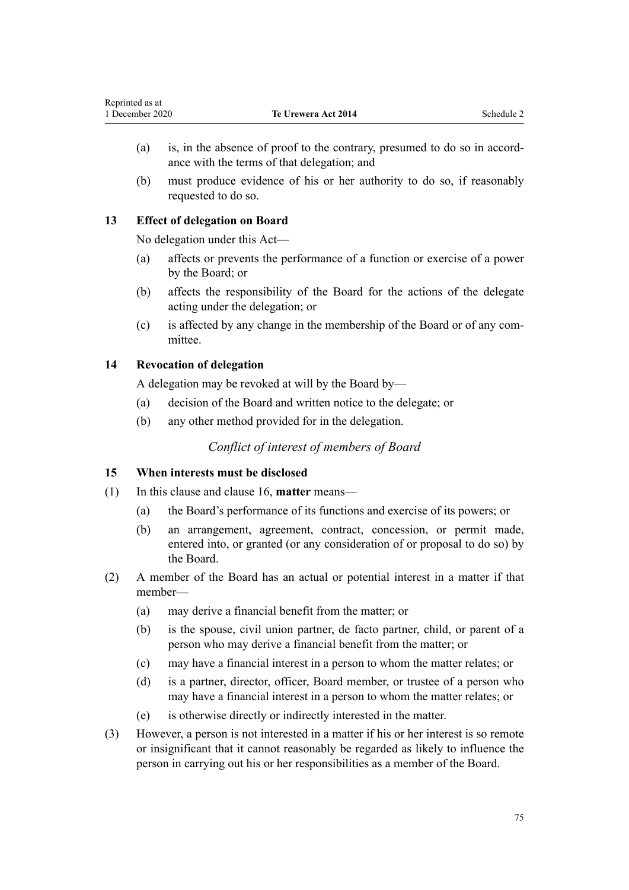- (a) is, in the absence of proof to the contrary, presumed to do so in accordance with the terms of that delegation; and
- (b) must produce evidence of his or her authority to do so, if reasonably requested to do so.

## **13 Effect of delegation on Board**

No delegation under this Act—

- (a) affects or prevents the performance of a function or exercise of a power by the Board; or
- (b) affects the responsibility of the Board for the actions of the delegate acting under the delegation; or
- (c) is affected by any change in the membership of the Board or of any committee.

# **14 Revocation of delegation**

A delegation may be revoked at will by the Board by—

- (a) decision of the Board and written notice to the delegate; or
- (b) any other method provided for in the delegation.

# *Conflict of interest of members of Board*

### **15 When interests must be disclosed**

- (1) In this clause and [clause 16](#page-75-0), **matter** means—
	- (a) the Board's performance of its functions and exercise of its powers; or
	- (b) an arrangement, agreement, contract, concession, or permit made, entered into, or granted (or any consideration of or proposal to do so) by the Board.
- (2) A member of the Board has an actual or potential interest in a matter if that member—
	- (a) may derive a financial benefit from the matter; or
	- (b) is the spouse, civil union partner, de facto partner, child, or parent of a person who may derive a financial benefit from the matter; or
	- (c) may have a financial interest in a person to whom the matter relates; or
	- (d) is a partner, director, officer, Board member, or trustee of a person who may have a financial interest in a person to whom the matter relates; or
	- (e) is otherwise directly or indirectly interested in the matter.
- (3) However, a person is not interested in a matter if his or her interest is so remote or insignificant that it cannot reasonably be regarded as likely to influence the person in carrying out his or her responsibilities as a member of the Board.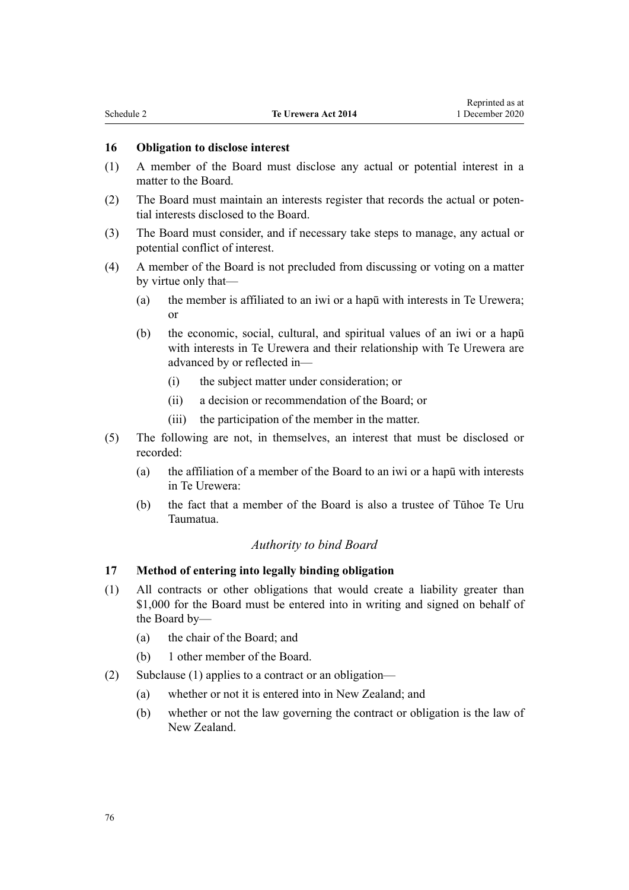#### <span id="page-75-0"></span>**16 Obligation to disclose interest**

- (1) A member of the Board must disclose any actual or potential interest in a matter to the Board.
- (2) The Board must maintain an interests register that records the actual or potential interests disclosed to the Board.
- (3) The Board must consider, and if necessary take steps to manage, any actual or potential conflict of interest.
- (4) A member of the Board is not precluded from discussing or voting on a matter by virtue only that—
	- (a) the member is affiliated to an iwi or a hapū with interests in Te Urewera; or
	- (b) the economic, social, cultural, and spiritual values of an iwi or a hapū with interests in Te Urewera and their relationship with Te Urewera are advanced by or reflected in—
		- (i) the subject matter under consideration; or
		- (ii) a decision or recommendation of the Board; or
		- (iii) the participation of the member in the matter.
- (5) The following are not, in themselves, an interest that must be disclosed or recorded:
	- (a) the affiliation of a member of the Board to an iwi or a hapū with interests in Te Urewera:
	- (b) the fact that a member of the Board is also a trustee of Tūhoe Te Uru Taumatua.

#### *Authority to bind Board*

#### **17 Method of entering into legally binding obligation**

- (1) All contracts or other obligations that would create a liability greater than \$1,000 for the Board must be entered into in writing and signed on behalf of the Board by—
	- (a) the chair of the Board; and
	- (b) 1 other member of the Board.
- (2) Subclause (1) applies to a contract or an obligation—
	- (a) whether or not it is entered into in New Zealand; and
	- (b) whether or not the law governing the contract or obligation is the law of New Zealand.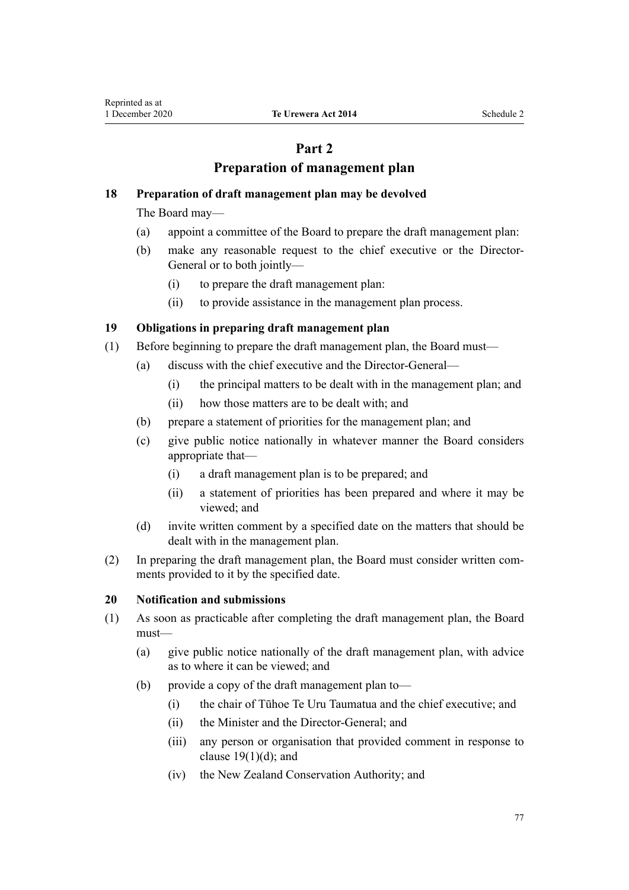# **Part 2**

# **Preparation of management plan**

## **18 Preparation of draft management plan may be devolved**

The Board may—

- (a) appoint a committee of the Board to prepare the draft management plan:
- (b) make any reasonable request to the chief executive or the Director-General or to both jointly—
	- (i) to prepare the draft management plan:
	- (ii) to provide assistance in the management plan process.

### **19 Obligations in preparing draft management plan**

- (1) Before beginning to prepare the draft management plan, the Board must—
	- (a) discuss with the chief executive and the Director-General—
		- (i) the principal matters to be dealt with in the management plan; and
		- (ii) how those matters are to be dealt with; and
	- (b) prepare a statement of priorities for the management plan; and
	- (c) give public notice nationally in whatever manner the Board considers appropriate that—
		- (i) a draft management plan is to be prepared; and
		- (ii) a statement of priorities has been prepared and where it may be viewed; and
	- (d) invite written comment by a specified date on the matters that should be dealt with in the management plan.
- (2) In preparing the draft management plan, the Board must consider written comments provided to it by the specified date.

### **20 Notification and submissions**

- (1) As soon as practicable after completing the draft management plan, the Board must—
	- (a) give public notice nationally of the draft management plan, with advice as to where it can be viewed; and
	- (b) provide a copy of the draft management plan to—
		- (i) the chair of Tūhoe Te Uru Taumatua and the chief executive; and
		- (ii) the Minister and the Director-General; and
		- (iii) any person or organisation that provided comment in response to clause  $19(1)(d)$ ; and
		- (iv) the New Zealand Conservation Authority; and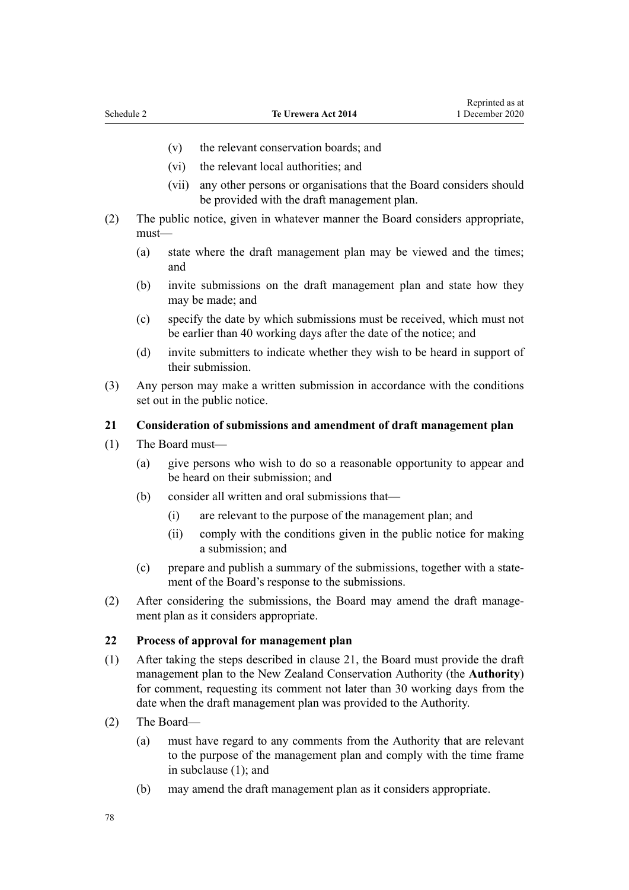- <span id="page-77-0"></span>(v) the relevant conservation boards; and
- (vi) the relevant local authorities; and
- (vii) any other persons or organisations that the Board considers should be provided with the draft management plan.
- (2) The public notice, given in whatever manner the Board considers appropriate, must—
	- (a) state where the draft management plan may be viewed and the times; and
	- (b) invite submissions on the draft management plan and state how they may be made; and
	- (c) specify the date by which submissions must be received, which must not be earlier than 40 working days after the date of the notice; and
	- (d) invite submitters to indicate whether they wish to be heard in support of their submission.
- (3) Any person may make a written submission in accordance with the conditions set out in the public notice.

#### **21 Consideration of submissions and amendment of draft management plan**

- (1) The Board must—
	- (a) give persons who wish to do so a reasonable opportunity to appear and be heard on their submission; and
	- (b) consider all written and oral submissions that—
		- (i) are relevant to the purpose of the management plan; and
		- (ii) comply with the conditions given in the public notice for making a submission; and
	- (c) prepare and publish a summary of the submissions, together with a statement of the Board's response to the submissions.
- (2) After considering the submissions, the Board may amend the draft management plan as it considers appropriate.

#### **22 Process of approval for management plan**

- (1) After taking the steps described in clause 21, the Board must provide the draft management plan to the New Zealand Conservation Authority (the **Authority**) for comment, requesting its comment not later than 30 working days from the date when the draft management plan was provided to the Authority.
- (2) The Board—
	- (a) must have regard to any comments from the Authority that are relevant to the purpose of the management plan and comply with the time frame in subclause (1); and
	- (b) may amend the draft management plan as it considers appropriate.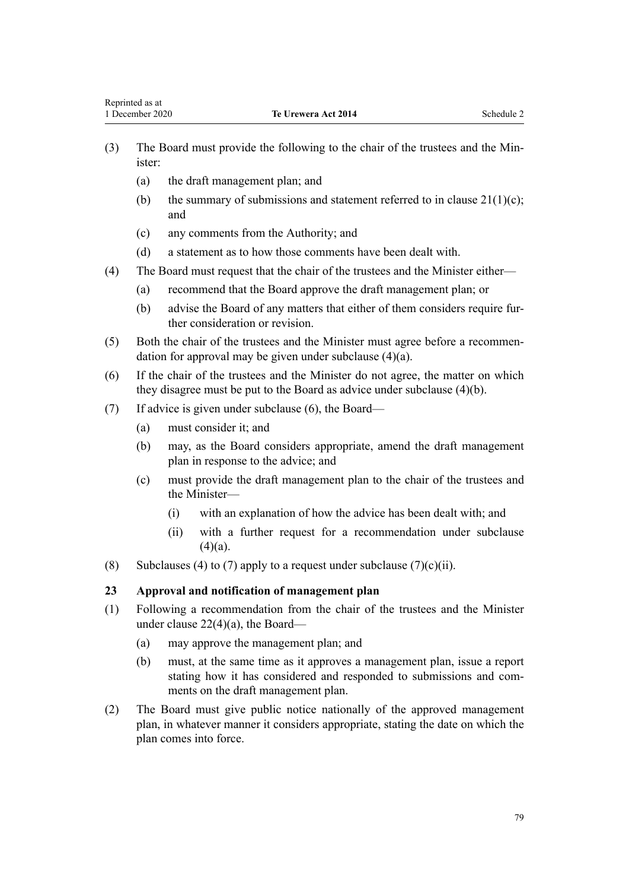- (3) The Board must provide the following to the chair of the trustees and the Minister:
	- (a) the draft management plan; and
	- (b) the summary of submissions and statement referred to in clause  $21(1)(c)$ ; and
	- (c) any comments from the Authority; and
	- (d) a statement as to how those comments have been dealt with.
- (4) The Board must request that the chair of the trustees and the Minister either—
	- (a) recommend that the Board approve the draft management plan; or
	- (b) advise the Board of any matters that either of them considers require further consideration or revision.
- (5) Both the chair of the trustees and the Minister must agree before a recommendation for approval may be given under subclause (4)(a).
- (6) If the chair of the trustees and the Minister do not agree, the matter on which they disagree must be put to the Board as advice under subclause (4)(b).
- (7) If advice is given under subclause (6), the Board—
	- (a) must consider it; and
	- (b) may, as the Board considers appropriate, amend the draft management plan in response to the advice; and
	- (c) must provide the draft management plan to the chair of the trustees and the Minister—
		- (i) with an explanation of how the advice has been dealt with; and
		- (ii) with a further request for a recommendation under subclause  $(4)(a)$ .
- (8) Subclauses (4) to (7) apply to a request under subclause (7)(c)(ii).

### **23 Approval and notification of management plan**

- (1) Following a recommendation from the chair of the trustees and the Minister under [clause 22\(4\)\(a\),](#page-77-0) the Board—
	- (a) may approve the management plan; and
	- (b) must, at the same time as it approves a management plan, issue a report stating how it has considered and responded to submissions and comments on the draft management plan.
- (2) The Board must give public notice nationally of the approved management plan, in whatever manner it considers appropriate, stating the date on which the plan comes into force.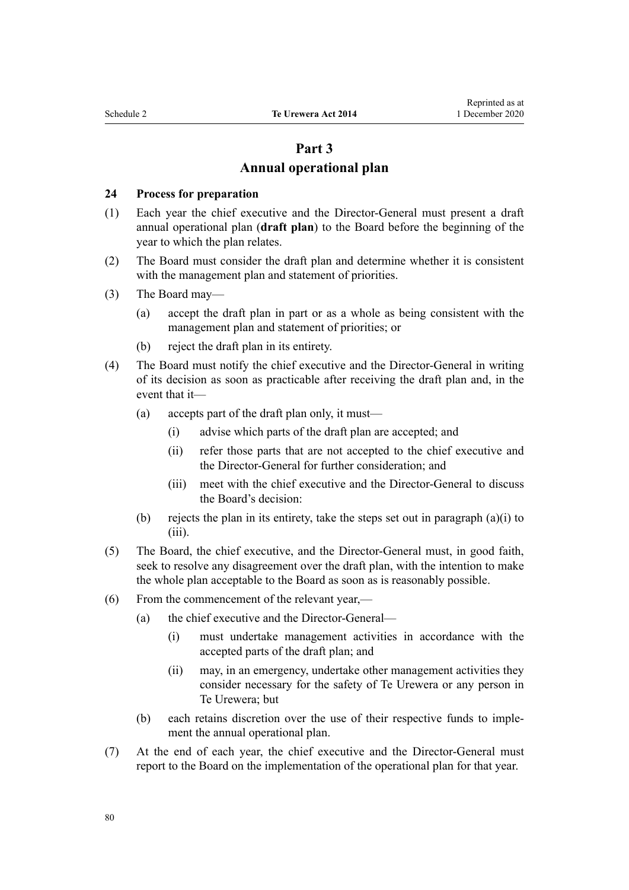# **Part 3 Annual operational plan**

#### **24 Process for preparation**

- (1) Each year the chief executive and the Director-General must present a draft annual operational plan (**draft plan**) to the Board before the beginning of the year to which the plan relates.
- (2) The Board must consider the draft plan and determine whether it is consistent with the management plan and statement of priorities.
- (3) The Board may—
	- (a) accept the draft plan in part or as a whole as being consistent with the management plan and statement of priorities; or
	- (b) reject the draft plan in its entirety.
- (4) The Board must notify the chief executive and the Director-General in writing of its decision as soon as practicable after receiving the draft plan and, in the event that it—
	- (a) accepts part of the draft plan only, it must—
		- (i) advise which parts of the draft plan are accepted; and
		- (ii) refer those parts that are not accepted to the chief executive and the Director-General for further consideration; and
		- (iii) meet with the chief executive and the Director-General to discuss the Board's decision:
	- (b) rejects the plan in its entirety, take the steps set out in paragraph (a)(i) to (iii).
- (5) The Board, the chief executive, and the Director-General must, in good faith, seek to resolve any disagreement over the draft plan, with the intention to make the whole plan acceptable to the Board as soon as is reasonably possible.
- (6) From the commencement of the relevant year,—
	- (a) the chief executive and the Director-General—
		- (i) must undertake management activities in accordance with the accepted parts of the draft plan; and
		- (ii) may, in an emergency, undertake other management activities they consider necessary for the safety of Te Urewera or any person in Te Urewera; but
	- (b) each retains discretion over the use of their respective funds to implement the annual operational plan.
- (7) At the end of each year, the chief executive and the Director-General must report to the Board on the implementation of the operational plan for that year.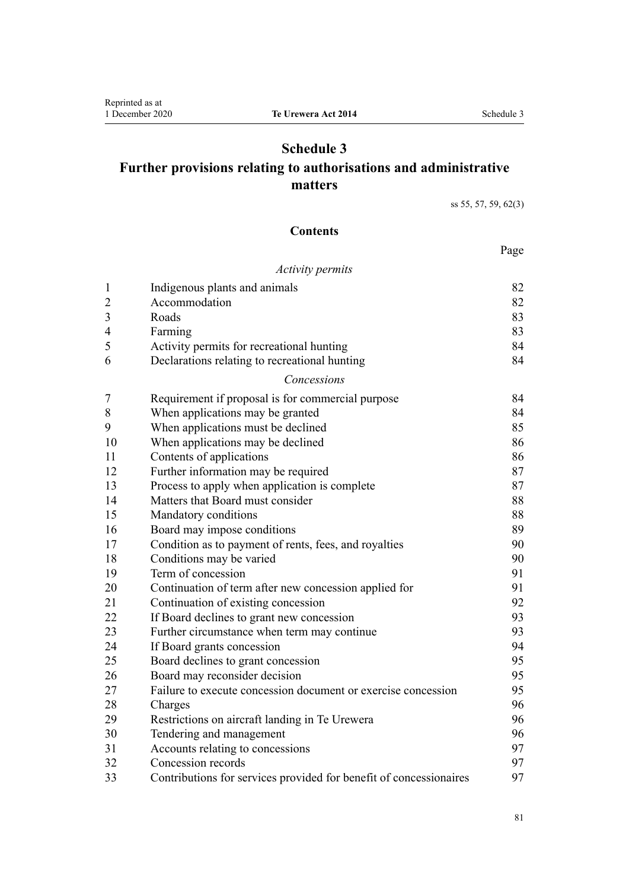# **Schedule 3**

# **Further provisions relating to authorisations and administrative matters**

[ss 55](#page-30-0), [57, 59](#page-31-0), [62\(3\)](#page-32-0)

# **Contents**

#### Page

#### *[Activity permits](#page-81-0)*

| $\mathbf{1}$   | Indigenous plants and animals                                      | 82 |
|----------------|--------------------------------------------------------------------|----|
| $\overline{2}$ | Accommodation                                                      | 82 |
| 3              | Roads                                                              | 83 |
| 4              | Farming                                                            | 83 |
| 5              | Activity permits for recreational hunting                          | 84 |
| 6              | Declarations relating to recreational hunting                      | 84 |
|                | Concessions                                                        |    |
| 7              | Requirement if proposal is for commercial purpose                  | 84 |
| 8              | When applications may be granted                                   | 84 |
| 9              | When applications must be declined                                 | 85 |
| 10             | When applications may be declined                                  | 86 |
| 11             | Contents of applications                                           | 86 |
| 12             | Further information may be required                                | 87 |
| 13             | Process to apply when application is complete                      | 87 |
| 14             | Matters that Board must consider                                   | 88 |
| 15             | Mandatory conditions                                               | 88 |
| 16             | Board may impose conditions                                        | 89 |
| 17             | Condition as to payment of rents, fees, and royalties              | 90 |
| 18             | Conditions may be varied                                           | 90 |
| 19             | Term of concession                                                 | 91 |
| 20             | Continuation of term after new concession applied for              | 91 |
| 21             | Continuation of existing concession                                | 92 |
| 22             | If Board declines to grant new concession                          | 93 |
| 23             | Further circumstance when term may continue                        | 93 |
| 24             | If Board grants concession                                         | 94 |
| 25             | Board declines to grant concession                                 | 95 |
| 26             | Board may reconsider decision                                      | 95 |
| 27             | Failure to execute concession document or exercise concession      | 95 |
| 28             | Charges                                                            | 96 |
| 29             | Restrictions on aircraft landing in Te Urewera                     | 96 |
| 30             | Tendering and management                                           | 96 |
| 31             | Accounts relating to concessions                                   | 97 |
| 32             | Concession records                                                 | 97 |
| 33             | Contributions for services provided for benefit of concessionaires | 97 |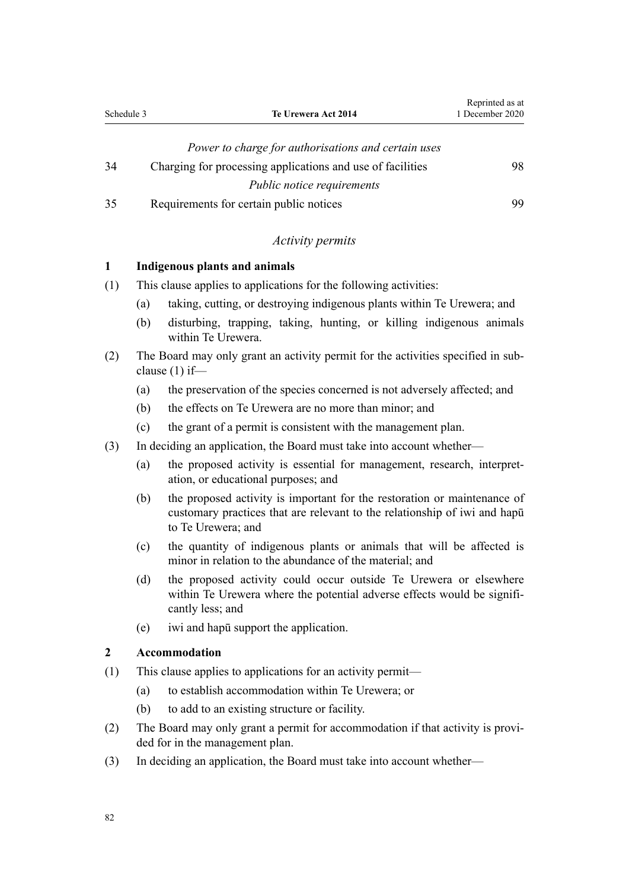<span id="page-81-0"></span>

| Schedule 3 | Te Urewera Act 2014                                        | 1 December 2020 |
|------------|------------------------------------------------------------|-----------------|
|            | Power to charge for authorisations and certain uses        |                 |
| 34         | Charging for processing applications and use of facilities | 98              |
|            | <i>Public notice requirements</i>                          |                 |

Reprinted as at

[35](#page-98-0) [Requirements for certain public notices](#page-98-0) [99](#page-98-0)

### *Activity permits*

#### **1 Indigenous plants and animals**

- (1) This clause applies to applications for the following activities:
	- (a) taking, cutting, or destroying indigenous plants within Te Urewera; and
	- (b) disturbing, trapping, taking, hunting, or killing indigenous animals within Te Urewera.
- (2) The Board may only grant an activity permit for the activities specified in subclause (1) if—
	- (a) the preservation of the species concerned is not adversely affected; and
	- (b) the effects on Te Urewera are no more than minor; and
	- (c) the grant of a permit is consistent with the management plan.
- (3) In deciding an application, the Board must take into account whether—
	- (a) the proposed activity is essential for management, research, interpretation, or educational purposes; and
	- (b) the proposed activity is important for the restoration or maintenance of customary practices that are relevant to the relationship of iwi and hapū to Te Urewera; and
	- (c) the quantity of indigenous plants or animals that will be affected is minor in relation to the abundance of the material; and
	- (d) the proposed activity could occur outside Te Urewera or elsewhere within Te Urewera where the potential adverse effects would be significantly less; and
	- (e) iwi and hapū support the application.

#### **2 Accommodation**

- (1) This clause applies to applications for an activity permit—
	- (a) to establish accommodation within Te Urewera; or
	- (b) to add to an existing structure or facility.
- (2) The Board may only grant a permit for accommodation if that activity is provided for in the management plan.
- (3) In deciding an application, the Board must take into account whether—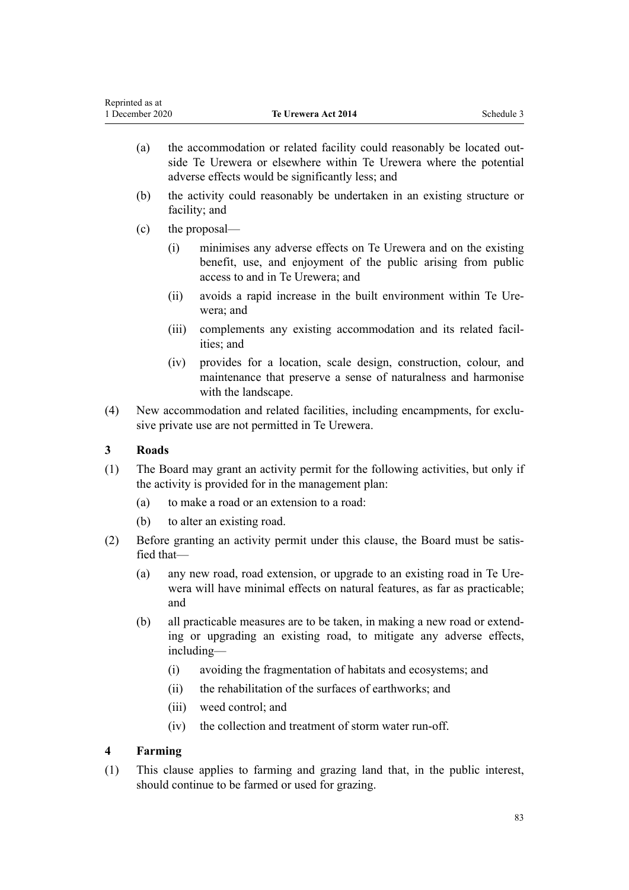|              | (b)                                                                                                                                                                   |              | the activity could reasonably be undertaken in an existing structure or<br>facility; and                                                                             |  |
|--------------|-----------------------------------------------------------------------------------------------------------------------------------------------------------------------|--------------|----------------------------------------------------------------------------------------------------------------------------------------------------------------------|--|
|              | (c)                                                                                                                                                                   |              | the proposal—                                                                                                                                                        |  |
|              |                                                                                                                                                                       | (i)          | minimises any adverse effects on Te Urewera and on the existing<br>benefit, use, and enjoyment of the public arising from public<br>access to and in Te Urewera; and |  |
|              |                                                                                                                                                                       | (ii)         | avoids a rapid increase in the built environment within Te Ure-<br>wera; and                                                                                         |  |
|              |                                                                                                                                                                       | (iii)        | complements any existing accommodation and its related facil-<br>ities; and                                                                                          |  |
|              |                                                                                                                                                                       | (iv)         | provides for a location, scale design, construction, colour, and<br>maintenance that preserve a sense of naturalness and harmonise<br>with the landscape.            |  |
| (4)          |                                                                                                                                                                       |              | New accommodation and related facilities, including encampments, for exclu-<br>sive private use are not permitted in Te Urewera.                                     |  |
| $\mathbf{3}$ |                                                                                                                                                                       | <b>Roads</b> |                                                                                                                                                                      |  |
| (1)          | The Board may grant an activity permit for the following activities, but only if<br>the activity is provided for in the management plan:                              |              |                                                                                                                                                                      |  |
|              | (a)                                                                                                                                                                   |              | to make a road or an extension to a road:                                                                                                                            |  |
|              | (b)                                                                                                                                                                   |              | to alter an existing road.                                                                                                                                           |  |
| (2)          | fied that-                                                                                                                                                            |              | Before granting an activity permit under this clause, the Board must be satis-                                                                                       |  |
|              | (a)                                                                                                                                                                   | and          | any new road, road extension, or upgrade to an existing road in Te Ure-<br>wera will have minimal effects on natural features, as far as practicable;                |  |
|              | (b)<br>all practicable measures are to be taken, in making a new road or extend-<br>ing or upgrading an existing road, to mitigate any adverse effects,<br>including- |              |                                                                                                                                                                      |  |
|              |                                                                                                                                                                       | (i)          | avoiding the fragmentation of habitats and ecosystems; and                                                                                                           |  |
|              |                                                                                                                                                                       | (ii)         | the rehabilitation of the surfaces of earthworks; and                                                                                                                |  |
|              |                                                                                                                                                                       | (iii)        | weed control; and                                                                                                                                                    |  |
|              |                                                                                                                                                                       | (iv)         | the collection and treatment of storm water run-off.                                                                                                                 |  |
| 4            | <b>Farming</b>                                                                                                                                                        |              |                                                                                                                                                                      |  |
| (1)          |                                                                                                                                                                       |              | This clause applies to farming and grazing land that, in the public interest,<br>should continue to be farmed or used for grazing.                                   |  |
|              |                                                                                                                                                                       |              | 83                                                                                                                                                                   |  |
|              |                                                                                                                                                                       |              |                                                                                                                                                                      |  |

(a) the accommodation or related facility could reasonably be located out-

adverse effects would be significantly less; and

<span id="page-82-0"></span>Reprinted as at<br>1 December 2020

side Te Urewera or elsewhere within Te Urewera where the potential

**1 Te Urewera Act 2014** Schedule 3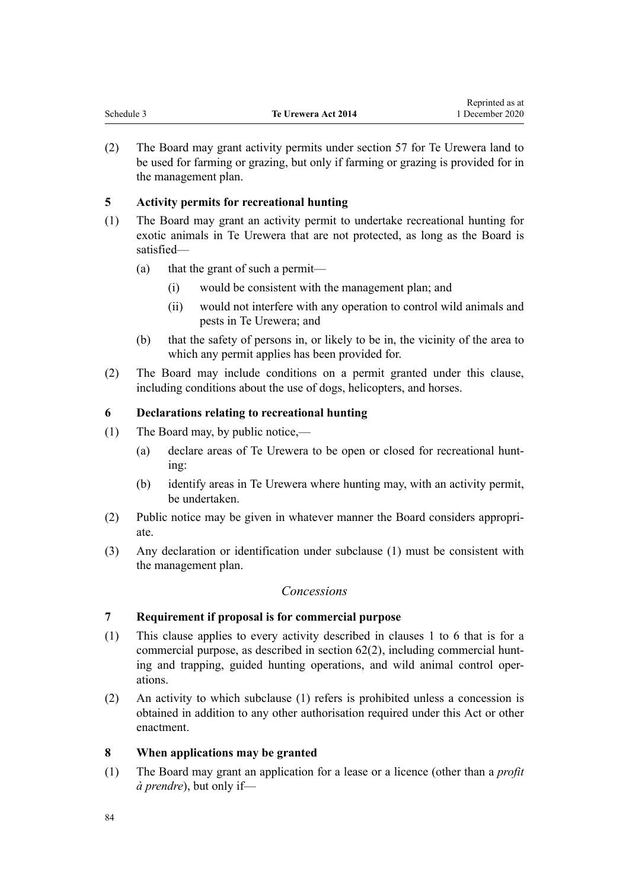<span id="page-83-0"></span>

|            |                     | Reprinted as at |
|------------|---------------------|-----------------|
| Schedule 3 | Te Urewera Act 2014 | 1 December 2020 |

(2) The Board may grant activity permits under [section 57](#page-31-0) for Te Urewera land to be used for farming or grazing, but only if farming or grazing is provided for in the management plan.

# **5 Activity permits for recreational hunting**

- (1) The Board may grant an activity permit to undertake recreational hunting for exotic animals in Te Urewera that are not protected, as long as the Board is satisfied—
	- (a) that the grant of such a permit—
		- (i) would be consistent with the management plan; and
		- (ii) would not interfere with any operation to control wild animals and pests in Te Urewera; and
	- (b) that the safety of persons in, or likely to be in, the vicinity of the area to which any permit applies has been provided for.
- (2) The Board may include conditions on a permit granted under this clause, including conditions about the use of dogs, helicopters, and horses.

### **6 Declarations relating to recreational hunting**

- (1) The Board may, by public notice,—
	- (a) declare areas of Te Urewera to be open or closed for recreational hunting:
	- (b) identify areas in Te Urewera where hunting may, with an activity permit, be undertaken.
- (2) Public notice may be given in whatever manner the Board considers appropriate.
- (3) Any declaration or identification under subclause (1) must be consistent with the management plan.

### *Concessions*

### **7 Requirement if proposal is for commercial purpose**

- (1) This clause applies to every activity described in [clauses 1 to 6](#page-81-0) that is for a commercial purpose, as described in [section 62\(2\),](#page-32-0) including commercial hunting and trapping, guided hunting operations, and wild animal control operations.
- (2) An activity to which subclause (1) refers is prohibited unless a concession is obtained in addition to any other authorisation required under this Act or other enactment.

### **8 When applications may be granted**

(1) The Board may grant an application for a lease or a licence (other than a *profit à prendre*), but only if—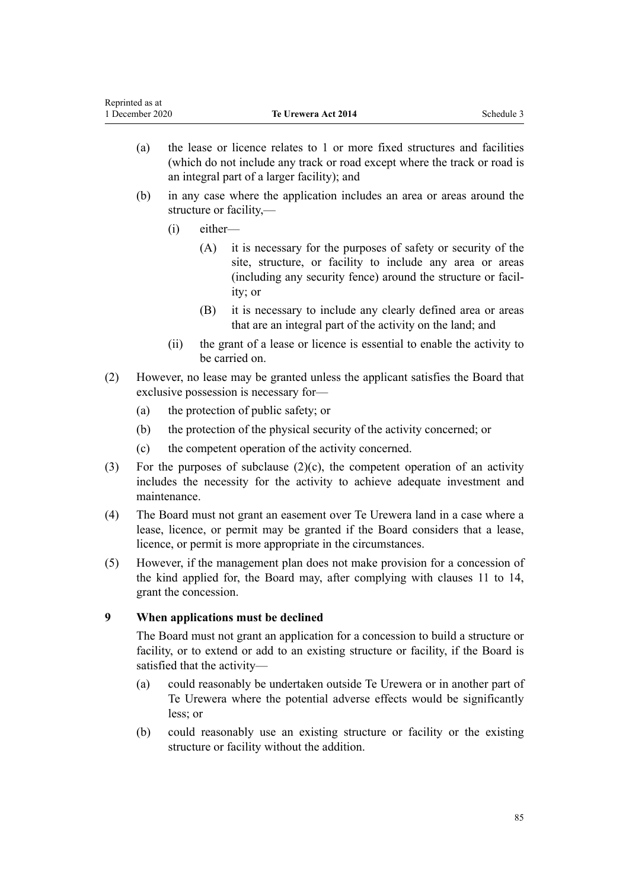- <span id="page-84-0"></span>(a) the lease or licence relates to 1 or more fixed structures and facilities (which do not include any track or road except where the track or road is an integral part of a larger facility); and
- (b) in any case where the application includes an area or areas around the structure or facility,—
	- (i) either—
		- (A) it is necessary for the purposes of safety or security of the site, structure, or facility to include any area or areas (including any security fence) around the structure or facility; or
		- (B) it is necessary to include any clearly defined area or areas that are an integral part of the activity on the land; and
	- (ii) the grant of a lease or licence is essential to enable the activity to be carried on.
- (2) However, no lease may be granted unless the applicant satisfies the Board that exclusive possession is necessary for—
	- (a) the protection of public safety; or
	- (b) the protection of the physical security of the activity concerned; or
	- (c) the competent operation of the activity concerned.
- (3) For the purposes of subclause  $(2)(c)$ , the competent operation of an activity includes the necessity for the activity to achieve adequate investment and maintenance.
- (4) The Board must not grant an easement over Te Urewera land in a case where a lease, licence, or permit may be granted if the Board considers that a lease, licence, or permit is more appropriate in the circumstances.
- (5) However, if the management plan does not make provision for a concession of the kind applied for, the Board may, after complying with [clauses 11 to 14](#page-85-0), grant the concession.

# **9 When applications must be declined**

The Board must not grant an application for a concession to build a structure or facility, or to extend or add to an existing structure or facility, if the Board is satisfied that the activity—

- (a) could reasonably be undertaken outside Te Urewera or in another part of Te Urewera where the potential adverse effects would be significantly less; or
- (b) could reasonably use an existing structure or facility or the existing structure or facility without the addition.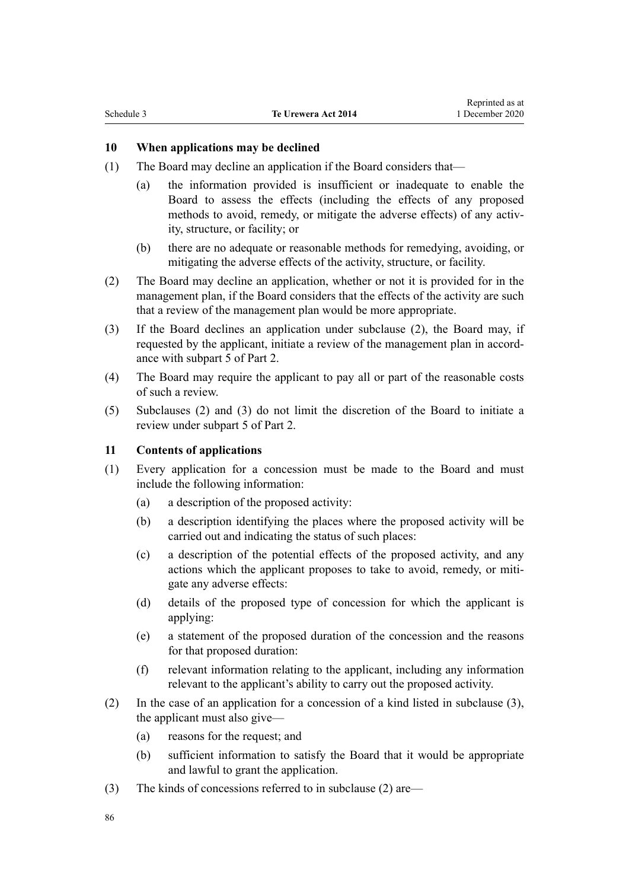#### <span id="page-85-0"></span>**10 When applications may be declined**

- (1) The Board may decline an application if the Board considers that—
	- (a) the information provided is insufficient or inadequate to enable the Board to assess the effects (including the effects of any proposed methods to avoid, remedy, or mitigate the adverse effects) of any activity, structure, or facility; or
	- (b) there are no adequate or reasonable methods for remedying, avoiding, or mitigating the adverse effects of the activity, structure, or facility.
- (2) The Board may decline an application, whether or not it is provided for in the management plan, if the Board considers that the effects of the activity are such that a review of the management plan would be more appropriate.
- (3) If the Board declines an application under subclause (2), the Board may, if requested by the applicant, initiate a review of the management plan in accordance with [subpart 5](#page-33-0) of Part 2.
- (4) The Board may require the applicant to pay all or part of the reasonable costs of such a review.
- (5) Subclauses (2) and (3) do not limit the discretion of the Board to initiate a review under [subpart 5](#page-33-0) of Part 2.

#### **11 Contents of applications**

- (1) Every application for a concession must be made to the Board and must include the following information:
	- (a) a description of the proposed activity:
	- (b) a description identifying the places where the proposed activity will be carried out and indicating the status of such places:
	- (c) a description of the potential effects of the proposed activity, and any actions which the applicant proposes to take to avoid, remedy, or mitigate any adverse effects:
	- (d) details of the proposed type of concession for which the applicant is applying:
	- (e) a statement of the proposed duration of the concession and the reasons for that proposed duration:
	- (f) relevant information relating to the applicant, including any information relevant to the applicant's ability to carry out the proposed activity.
- (2) In the case of an application for a concession of a kind listed in subclause (3), the applicant must also give—
	- (a) reasons for the request; and
	- (b) sufficient information to satisfy the Board that it would be appropriate and lawful to grant the application.
- (3) The kinds of concessions referred to in subclause (2) are—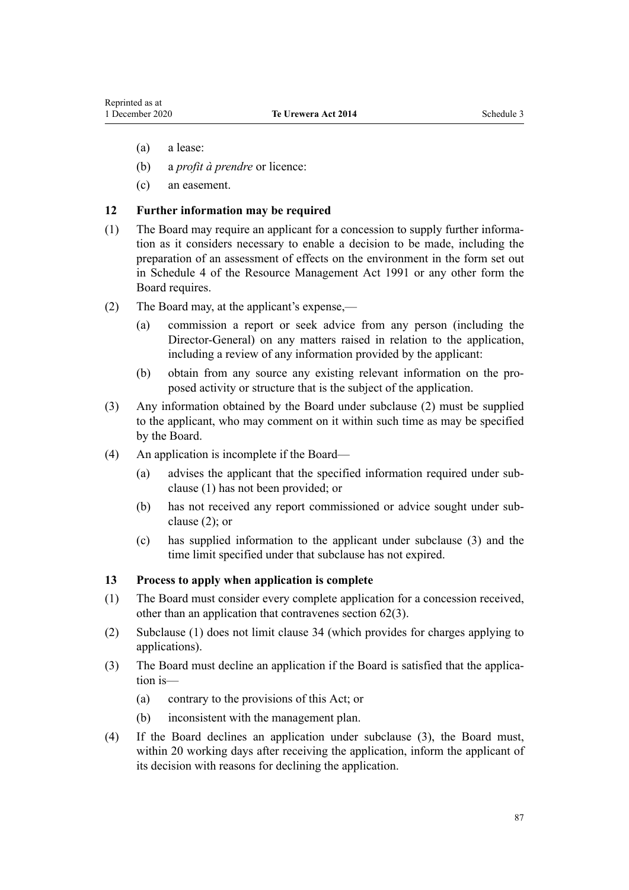- <span id="page-86-0"></span>(a) a lease:
- (b) a *profit à prendre* or licence:
- (c) an easement.

#### **12 Further information may be required**

- (1) The Board may require an applicant for a concession to supply further information as it considers necessary to enable a decision to be made, including the preparation of an assessment of effects on the environment in the form set out in Schedule 4 of the Resource Management Act 1991 or any other form the Board requires.
- (2) The Board may, at the applicant's expense,—
	- (a) commission a report or seek advice from any person (including the Director-General) on any matters raised in relation to the application, including a review of any information provided by the applicant:
	- (b) obtain from any source any existing relevant information on the proposed activity or structure that is the subject of the application.
- (3) Any information obtained by the Board under subclause (2) must be supplied to the applicant, who may comment on it within such time as may be specified by the Board.
- (4) An application is incomplete if the Board—
	- (a) advises the applicant that the specified information required under subclause (1) has not been provided; or
	- (b) has not received any report commissioned or advice sought under subclause (2); or
	- (c) has supplied information to the applicant under subclause (3) and the time limit specified under that subclause has not expired.

#### **13 Process to apply when application is complete**

- (1) The Board must consider every complete application for a concession received, other than an application that contravenes [section 62\(3\)](#page-32-0).
- (2) Subclause (1) does not limit [clause 34](#page-97-0) (which provides for charges applying to applications).
- (3) The Board must decline an application if the Board is satisfied that the application is—
	- (a) contrary to the provisions of this Act; or
	- (b) inconsistent with the management plan.
- (4) If the Board declines an application under subclause (3), the Board must, within 20 working days after receiving the application, inform the applicant of its decision with reasons for declining the application.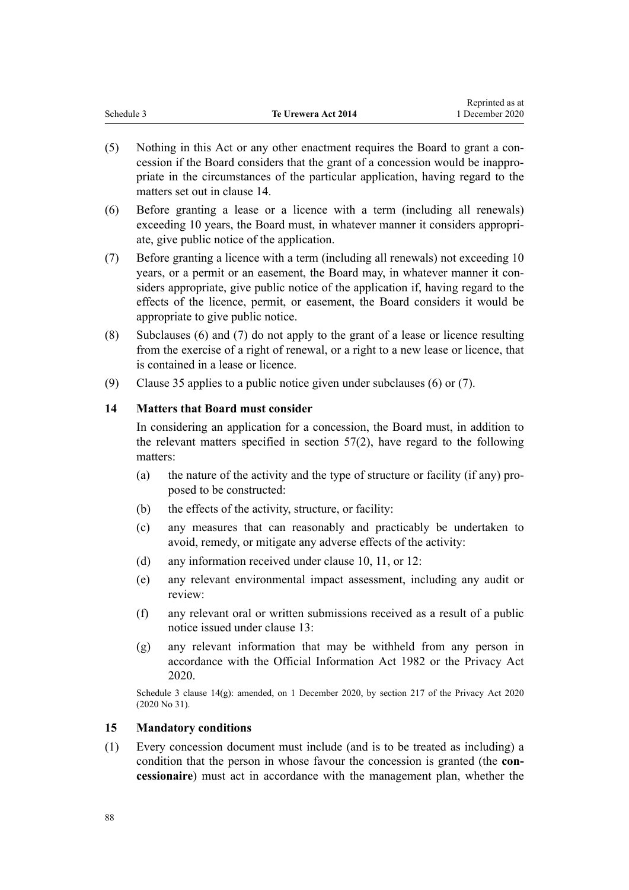<span id="page-87-0"></span>

|            |                     | Reprinted as at |
|------------|---------------------|-----------------|
| Schedule 3 | Te Urewera Act 2014 | 1 December 2020 |

- (5) Nothing in this Act or any other enactment requires the Board to grant a concession if the Board considers that the grant of a concession would be inappropriate in the circumstances of the particular application, having regard to the matters set out in clause 14.
- (6) Before granting a lease or a licence with a term (including all renewals) exceeding 10 years, the Board must, in whatever manner it considers appropriate, give public notice of the application.
- (7) Before granting a licence with a term (including all renewals) not exceeding 10 years, or a permit or an easement, the Board may, in whatever manner it considers appropriate, give public notice of the application if, having regard to the effects of the licence, permit, or easement, the Board considers it would be appropriate to give public notice.
- (8) Subclauses (6) and (7) do not apply to the grant of a lease or licence resulting from the exercise of a right of renewal, or a right to a new lease or licence, that is contained in a lease or licence.
- (9) [Clause 35](#page-98-0) applies to a public notice given under subclauses (6) or (7).

#### **14 Matters that Board must consider**

In considering an application for a concession, the Board must, in addition to the relevant matters specified in [section 57\(2\),](#page-31-0) have regard to the following matters:

- (a) the nature of the activity and the type of structure or facility (if any) proposed to be constructed:
- (b) the effects of the activity, structure, or facility:
- (c) any measures that can reasonably and practicably be undertaken to avoid, remedy, or mitigate any adverse effects of the activity:
- (d) any information received under [clause 10,](#page-85-0) [11,](#page-85-0) or [12](#page-86-0):
- (e) any relevant environmental impact assessment, including any audit or review:
- (f) any relevant oral or written submissions received as a result of a public notice issued under [clause 13:](#page-86-0)
- (g) any relevant information that may be withheld from any person in accordance with the [Official Information Act 1982](http://legislation.govt.nz/pdflink.aspx?id=DLM64784) or the [Privacy Act](http://legislation.govt.nz/pdflink.aspx?id=LMS23193) [2020](http://legislation.govt.nz/pdflink.aspx?id=LMS23193).

Schedule 3 clause 14(g): amended, on 1 December 2020, by [section 217](http://legislation.govt.nz/pdflink.aspx?id=LMS23706) of the Privacy Act 2020 (2020 No 31).

#### **15 Mandatory conditions**

(1) Every concession document must include (and is to be treated as including) a condition that the person in whose favour the concession is granted (the **concessionaire**) must act in accordance with the management plan, whether the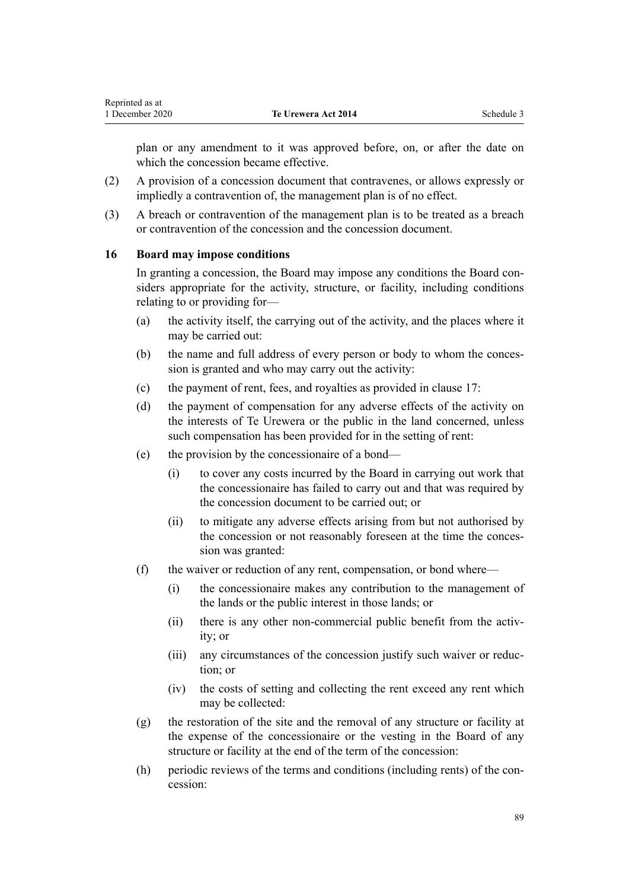<span id="page-88-0"></span>plan or any amendment to it was approved before, on, or after the date on which the concession became effective.

- (2) A provision of a concession document that contravenes, or allows expressly or impliedly a contravention of, the management plan is of no effect.
- (3) A breach or contravention of the management plan is to be treated as a breach or contravention of the concession and the concession document.

#### **16 Board may impose conditions**

In granting a concession, the Board may impose any conditions the Board considers appropriate for the activity, structure, or facility, including conditions relating to or providing for—

- (a) the activity itself, the carrying out of the activity, and the places where it may be carried out:
- (b) the name and full address of every person or body to whom the concession is granted and who may carry out the activity:
- (c) the payment of rent, fees, and royalties as provided in [clause 17](#page-89-0):
- (d) the payment of compensation for any adverse effects of the activity on the interests of Te Urewera or the public in the land concerned, unless such compensation has been provided for in the setting of rent:
- (e) the provision by the concessionaire of a bond—
	- (i) to cover any costs incurred by the Board in carrying out work that the concessionaire has failed to carry out and that was required by the concession document to be carried out; or
	- (ii) to mitigate any adverse effects arising from but not authorised by the concession or not reasonably foreseen at the time the concession was granted:
- (f) the waiver or reduction of any rent, compensation, or bond where—
	- (i) the concessionaire makes any contribution to the management of the lands or the public interest in those lands; or
	- (ii) there is any other non-commercial public benefit from the activity; or
	- (iii) any circumstances of the concession justify such waiver or reduction; or
	- (iv) the costs of setting and collecting the rent exceed any rent which may be collected:
- (g) the restoration of the site and the removal of any structure or facility at the expense of the concessionaire or the vesting in the Board of any structure or facility at the end of the term of the concession:
- (h) periodic reviews of the terms and conditions (including rents) of the concession: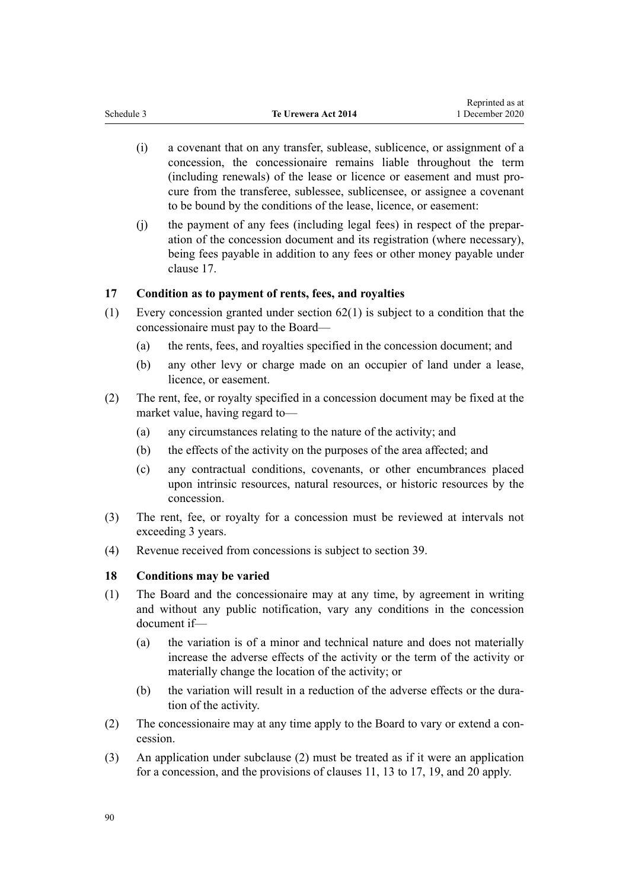- <span id="page-89-0"></span>(i) a covenant that on any transfer, sublease, sublicence, or assignment of a concession, the concessionaire remains liable throughout the term (including renewals) of the lease or licence or easement and must procure from the transferee, sublessee, sublicensee, or assignee a covenant to be bound by the conditions of the lease, licence, or easement:
- (j) the payment of any fees (including legal fees) in respect of the preparation of the concession document and its registration (where necessary), being fees payable in addition to any fees or other money payable under clause 17.

#### **17 Condition as to payment of rents, fees, and royalties**

- (1) Every concession granted under [section 62\(1\)](#page-32-0) is subject to a condition that the concessionaire must pay to the Board—
	- (a) the rents, fees, and royalties specified in the concession document; and
	- (b) any other levy or charge made on an occupier of land under a lease, licence, or easement.
- (2) The rent, fee, or royalty specified in a concession document may be fixed at the market value, having regard to—
	- (a) any circumstances relating to the nature of the activity; and
	- (b) the effects of the activity on the purposes of the area affected; and
	- (c) any contractual conditions, covenants, or other encumbrances placed upon intrinsic resources, natural resources, or historic resources by the concession.
- (3) The rent, fee, or royalty for a concession must be reviewed at intervals not exceeding 3 years.
- (4) Revenue received from concessions is subject to [section 39.](#page-23-0)

#### **18 Conditions may be varied**

- (1) The Board and the concessionaire may at any time, by agreement in writing and without any public notification, vary any conditions in the concession document if—
	- (a) the variation is of a minor and technical nature and does not materially increase the adverse effects of the activity or the term of the activity or materially change the location of the activity; or
	- (b) the variation will result in a reduction of the adverse effects or the duration of the activity.
- (2) The concessionaire may at any time apply to the Board to vary or extend a concession.
- (3) An application under subclause (2) must be treated as if it were an application for a concession, and the provisions of [clauses 11](#page-85-0), [13](#page-86-0) to 17, [19](#page-90-0), and [20](#page-90-0) apply.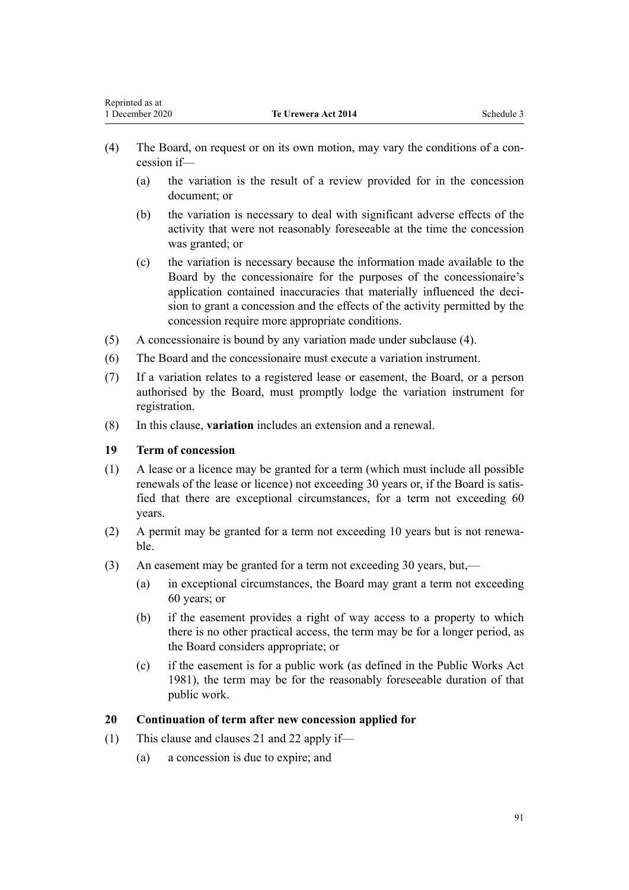- <span id="page-90-0"></span>(4) The Board, on request or on its own motion, may vary the conditions of a concession if—
	- (a) the variation is the result of a review provided for in the concession document; or
	- (b) the variation is necessary to deal with significant adverse effects of the activity that were not reasonably foreseeable at the time the concession was granted; or
	- (c) the variation is necessary because the information made available to the Board by the concessionaire for the purposes of the concessionaire's application contained inaccuracies that materially influenced the decision to grant a concession and the effects of the activity permitted by the concession require more appropriate conditions.
- (5) A concessionaire is bound by any variation made under subclause (4).
- (6) The Board and the concessionaire must execute a variation instrument.
- (7) If a variation relates to a registered lease or easement, the Board, or a person authorised by the Board, must promptly lodge the variation instrument for registration.
- (8) In this clause, **variation** includes an extension and a renewal.

#### **19 Term of concession**

- (1) A lease or a licence may be granted for a term (which must include all possible renewals of the lease or licence) not exceeding 30 years or, if the Board is satisfied that there are exceptional circumstances, for a term not exceeding 60 years.
- (2) A permit may be granted for a term not exceeding 10 years but is not renewable.
- (3) An easement may be granted for a term not exceeding 30 years, but,—
	- (a) in exceptional circumstances, the Board may grant a term not exceeding 60 years; or
	- (b) if the easement provides a right of way access to a property to which there is no other practical access, the term may be for a longer period, as the Board considers appropriate; or
	- (c) if the easement is for a public work (as defined in the [Public Works Act](http://legislation.govt.nz/pdflink.aspx?id=DLM45426) [1981](http://legislation.govt.nz/pdflink.aspx?id=DLM45426)), the term may be for the reasonably foreseeable duration of that public work.

### **20 Continuation of term after new concession applied for**

- (1) This clause and [clauses 21](#page-91-0) and [22](#page-92-0) apply if—
	- (a) a concession is due to expire; and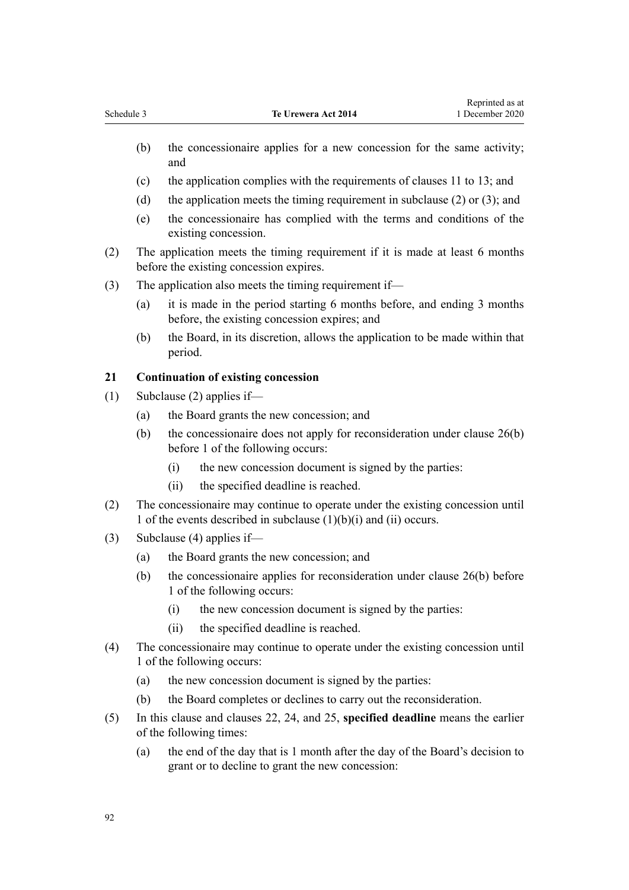- <span id="page-91-0"></span>(b) the concessionaire applies for a new concession for the same activity; and
- (c) the application complies with the requirements of [clauses 11 to 13](#page-85-0); and
- (d) the application meets the timing requirement in subclause (2) or (3); and
- (e) the concessionaire has complied with the terms and conditions of the existing concession.
- (2) The application meets the timing requirement if it is made at least 6 months before the existing concession expires.
- (3) The application also meets the timing requirement if—
	- (a) it is made in the period starting 6 months before, and ending 3 months before, the existing concession expires; and
	- (b) the Board, in its discretion, allows the application to be made within that period.

#### **21 Continuation of existing concession**

- (1) Subclause (2) applies if—
	- (a) the Board grants the new concession; and
	- (b) the concessionaire does not apply for reconsideration under [clause 26\(b\)](#page-94-0) before 1 of the following occurs:
		- (i) the new concession document is signed by the parties:
		- (ii) the specified deadline is reached.
- (2) The concessionaire may continue to operate under the existing concession until 1 of the events described in subclause (1)(b)(i) and (ii) occurs.
- (3) Subclause (4) applies if—
	- (a) the Board grants the new concession; and
	- (b) the concessionaire applies for reconsideration under [clause 26\(b\)](#page-94-0) before 1 of the following occurs:
		- (i) the new concession document is signed by the parties:
		- (ii) the specified deadline is reached.
- (4) The concessionaire may continue to operate under the existing concession until 1 of the following occurs:
	- (a) the new concession document is signed by the parties:
	- (b) the Board completes or declines to carry out the reconsideration.
- (5) In this clause and [clauses 22,](#page-92-0) [24,](#page-93-0) and [25,](#page-94-0) **specified deadline** means the earlier of the following times:
	- (a) the end of the day that is 1 month after the day of the Board's decision to grant or to decline to grant the new concession: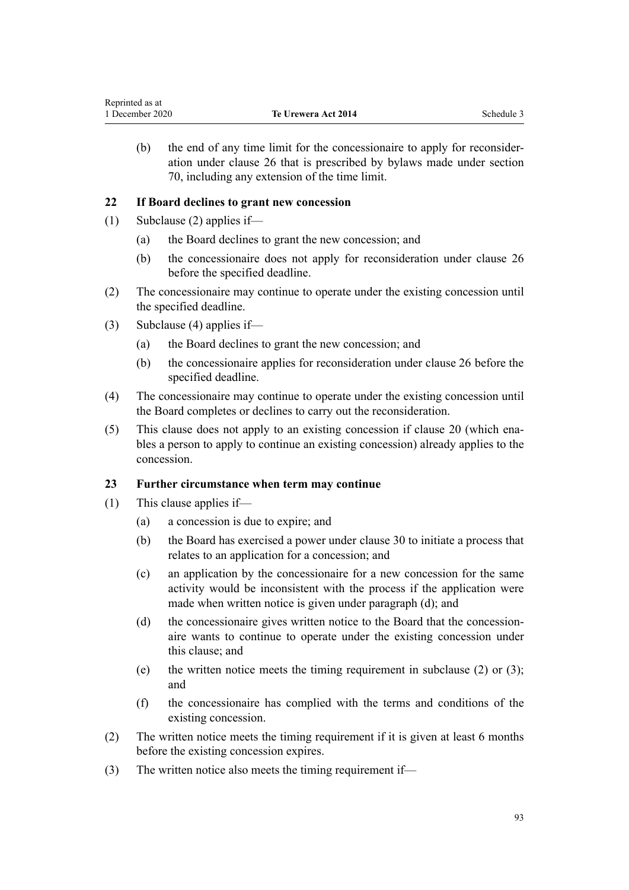<span id="page-92-0"></span>(b) the end of any time limit for the concessionaire to apply for reconsideration under [clause 26](#page-94-0) that is prescribed by bylaws made under [section](#page-35-0) [70,](#page-35-0) including any extension of the time limit.

#### **22 If Board declines to grant new concession**

- (1) Subclause (2) applies if—
	- (a) the Board declines to grant the new concession; and
	- (b) the concessionaire does not apply for reconsideration under [clause 26](#page-94-0) before the specified deadline.
- (2) The concessionaire may continue to operate under the existing concession until the specified deadline.
- (3) Subclause (4) applies if—
	- (a) the Board declines to grant the new concession; and
	- (b) the concessionaire applies for reconsideration under [clause 26](#page-94-0) before the specified deadline.
- (4) The concessionaire may continue to operate under the existing concession until the Board completes or declines to carry out the reconsideration.
- (5) This clause does not apply to an existing concession if [clause 20](#page-90-0) (which enables a person to apply to continue an existing concession) already applies to the concession.

#### **23 Further circumstance when term may continue**

- (1) This clause applies if—
	- (a) a concession is due to expire; and
	- (b) the Board has exercised a power under [clause 30](#page-95-0) to initiate a process that relates to an application for a concession; and
	- (c) an application by the concessionaire for a new concession for the same activity would be inconsistent with the process if the application were made when written notice is given under paragraph (d); and
	- (d) the concessionaire gives written notice to the Board that the concessionaire wants to continue to operate under the existing concession under this clause; and
	- (e) the written notice meets the timing requirement in subclause (2) or (3); and
	- (f) the concessionaire has complied with the terms and conditions of the existing concession.
- (2) The written notice meets the timing requirement if it is given at least 6 months before the existing concession expires.
- (3) The written notice also meets the timing requirement if—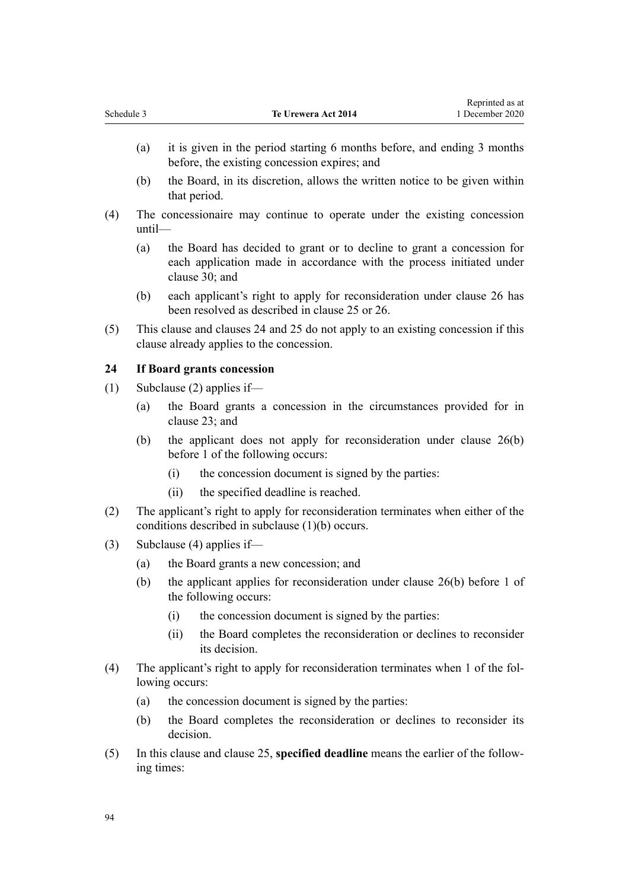<span id="page-93-0"></span>

| Schedule 3 | <b>Te Urewera Act 2014</b> | <sup>1</sup> December 2020 |
|------------|----------------------------|----------------------------|
|            |                            | Reprinted as at            |

(a) it is given in the period starting 6 months before, and ending 3 months before, the existing concession expires; and

Representative as a series of

- (b) the Board, in its discretion, allows the written notice to be given within that period.
- (4) The concessionaire may continue to operate under the existing concession until—
	- (a) the Board has decided to grant or to decline to grant a concession for each application made in accordance with the process initiated under [clause 30](#page-95-0); and
	- (b) each applicant's right to apply for reconsideration under [clause 26](#page-94-0) has been resolved as described in [clause 25](#page-94-0) or [26.](#page-94-0)
- (5) This clause and clauses 24 and [25](#page-94-0) do not apply to an existing concession if this clause already applies to the concession.

#### **24 If Board grants concession**

- (1) Subclause (2) applies if—
	- (a) the Board grants a concession in the circumstances provided for in [clause 23](#page-92-0); and
	- (b) the applicant does not apply for reconsideration under [clause 26\(b\)](#page-94-0) before 1 of the following occurs:
		- (i) the concession document is signed by the parties:
		- (ii) the specified deadline is reached.
- (2) The applicant's right to apply for reconsideration terminates when either of the conditions described in subclause (1)(b) occurs.
- (3) Subclause (4) applies if—
	- (a) the Board grants a new concession; and
	- (b) the applicant applies for reconsideration under [clause 26\(b\)](#page-94-0) before 1 of the following occurs:
		- (i) the concession document is signed by the parties:
		- (ii) the Board completes the reconsideration or declines to reconsider its decision.
- (4) The applicant's right to apply for reconsideration terminates when 1 of the following occurs:
	- (a) the concession document is signed by the parties:
	- (b) the Board completes the reconsideration or declines to reconsider its decision.
- (5) In this clause and [clause 25](#page-94-0), **specified deadline** means the earlier of the following times: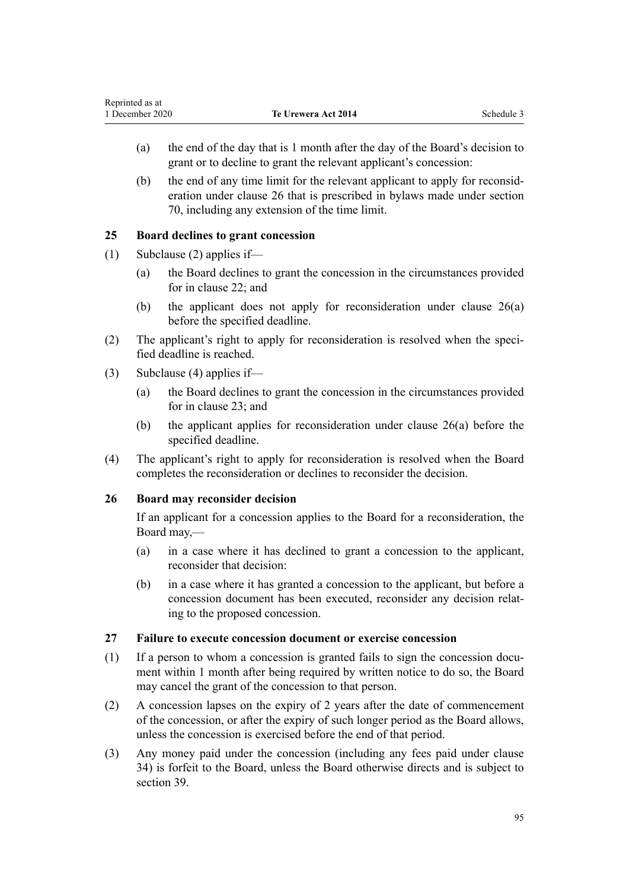- <span id="page-94-0"></span>(a) the end of the day that is 1 month after the day of the Board's decision to grant or to decline to grant the relevant applicant's concession:
- (b) the end of any time limit for the relevant applicant to apply for reconsideration under clause 26 that is prescribed in bylaws made under [section](#page-35-0) [70,](#page-35-0) including any extension of the time limit.

# **25 Board declines to grant concession**

- (1) Subclause (2) applies if—
	- (a) the Board declines to grant the concession in the circumstances provided for in [clause 22](#page-92-0); and
	- (b) the applicant does not apply for reconsideration under clause 26(a) before the specified deadline.
- (2) The applicant's right to apply for reconsideration is resolved when the specified deadline is reached.
- (3) Subclause (4) applies if—
	- (a) the Board declines to grant the concession in the circumstances provided for in [clause 23](#page-92-0); and
	- (b) the applicant applies for reconsideration under clause 26(a) before the specified deadline.
- (4) The applicant's right to apply for reconsideration is resolved when the Board completes the reconsideration or declines to reconsider the decision.

### **26 Board may reconsider decision**

If an applicant for a concession applies to the Board for a reconsideration, the Board may,—

- (a) in a case where it has declined to grant a concession to the applicant, reconsider that decision:
- (b) in a case where it has granted a concession to the applicant, but before a concession document has been executed, reconsider any decision relating to the proposed concession.

### **27 Failure to execute concession document or exercise concession**

- (1) If a person to whom a concession is granted fails to sign the concession document within 1 month after being required by written notice to do so, the Board may cancel the grant of the concession to that person.
- (2) A concession lapses on the expiry of 2 years after the date of commencement of the concession, or after the expiry of such longer period as the Board allows, unless the concession is exercised before the end of that period.
- (3) Any money paid under the concession (including any fees paid under [clause](#page-97-0) [34\)](#page-97-0) is forfeit to the Board, unless the Board otherwise directs and is subject to [section 39](#page-23-0).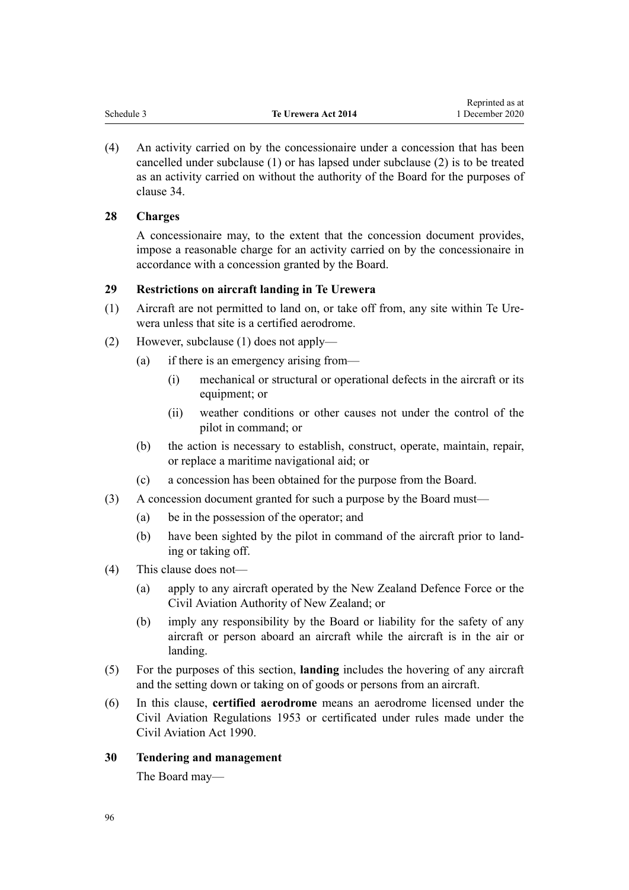<span id="page-95-0"></span>

| reprinted as at                                             |  |
|-------------------------------------------------------------|--|
| Schedule 3<br>1 December 2020<br><b>Te Urewera Act 2014</b> |  |

Reprinted as at

(4) An activity carried on by the concessionaire under a concession that has been cancelled under subclause (1) or has lapsed under subclause (2) is to be treated as an activity carried on without the authority of the Board for the purposes of [clause 34](#page-97-0).

#### **28 Charges**

A concessionaire may, to the extent that the concession document provides, impose a reasonable charge for an activity carried on by the concessionaire in accordance with a concession granted by the Board.

## **29 Restrictions on aircraft landing in Te Urewera**

- (1) Aircraft are not permitted to land on, or take off from, any site within Te Urewera unless that site is a certified aerodrome.
- (2) However, subclause (1) does not apply—
	- (a) if there is an emergency arising from—
		- (i) mechanical or structural or operational defects in the aircraft or its equipment; or
		- (ii) weather conditions or other causes not under the control of the pilot in command; or
	- (b) the action is necessary to establish, construct, operate, maintain, repair, or replace a maritime navigational aid; or
	- (c) a concession has been obtained for the purpose from the Board.
- (3) A concession document granted for such a purpose by the Board must—
	- (a) be in the possession of the operator; and
	- (b) have been sighted by the pilot in command of the aircraft prior to landing or taking off.
- (4) This clause does not—
	- (a) apply to any aircraft operated by the New Zealand Defence Force or the Civil Aviation Authority of New Zealand; or
	- (b) imply any responsibility by the Board or liability for the safety of any aircraft or person aboard an aircraft while the aircraft is in the air or landing.
- (5) For the purposes of this section, **landing** includes the hovering of any aircraft and the setting down or taking on of goods or persons from an aircraft.
- (6) In this clause, **certified aerodrome** means an aerodrome licensed under the Civil Aviation Regulations 1953 or certificated under rules made under the [Civil Aviation Act 1990.](http://legislation.govt.nz/pdflink.aspx?id=DLM214686)
- **30 Tendering and management**

The Board may—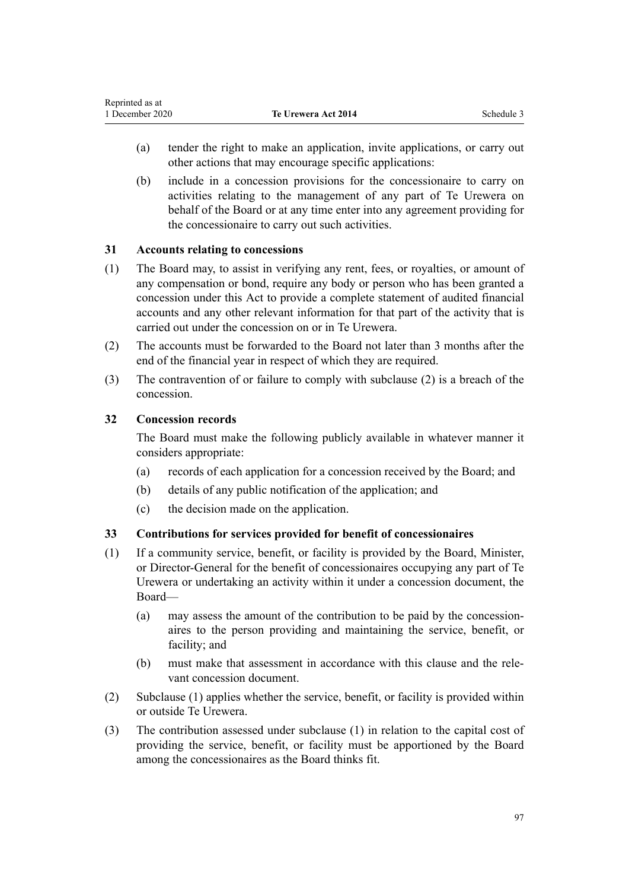- <span id="page-96-0"></span>(a) tender the right to make an application, invite applications, or carry out other actions that may encourage specific applications:
- (b) include in a concession provisions for the concessionaire to carry on activities relating to the management of any part of Te Urewera on behalf of the Board or at any time enter into any agreement providing for the concessionaire to carry out such activities.

### **31 Accounts relating to concessions**

- (1) The Board may, to assist in verifying any rent, fees, or royalties, or amount of any compensation or bond, require any body or person who has been granted a concession under this Act to provide a complete statement of audited financial accounts and any other relevant information for that part of the activity that is carried out under the concession on or in Te Urewera.
- (2) The accounts must be forwarded to the Board not later than 3 months after the end of the financial year in respect of which they are required.
- (3) The contravention of or failure to comply with subclause (2) is a breach of the concession.

# **32 Concession records**

The Board must make the following publicly available in whatever manner it considers appropriate:

- (a) records of each application for a concession received by the Board; and
- (b) details of any public notification of the application; and
- (c) the decision made on the application.

### **33 Contributions for services provided for benefit of concessionaires**

- (1) If a community service, benefit, or facility is provided by the Board, Minister, or Director-General for the benefit of concessionaires occupying any part of Te Urewera or undertaking an activity within it under a concession document, the Board—
	- (a) may assess the amount of the contribution to be paid by the concessionaires to the person providing and maintaining the service, benefit, or facility; and
	- (b) must make that assessment in accordance with this clause and the relevant concession document.
- (2) Subclause (1) applies whether the service, benefit, or facility is provided within or outside Te Urewera.
- (3) The contribution assessed under subclause (1) in relation to the capital cost of providing the service, benefit, or facility must be apportioned by the Board among the concessionaires as the Board thinks fit.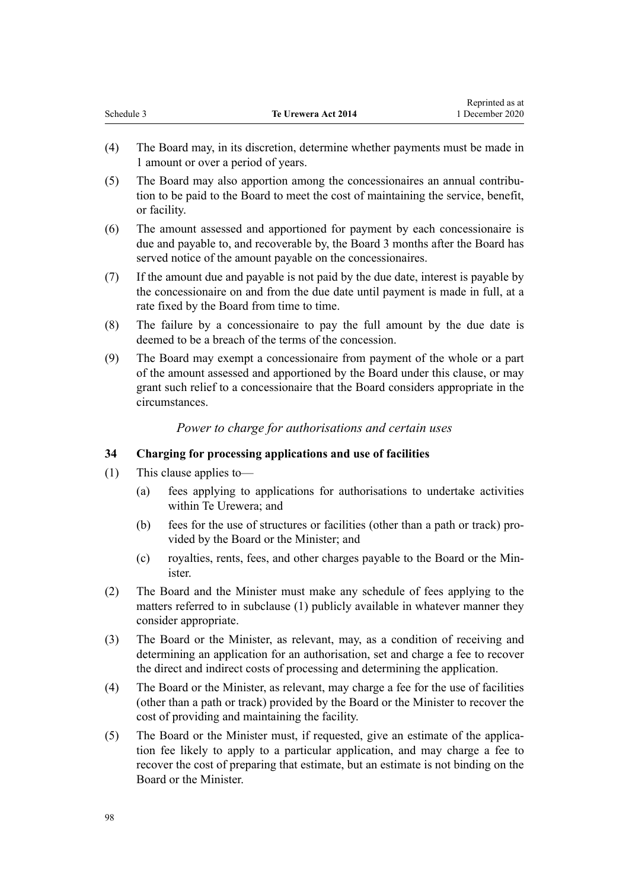<span id="page-97-0"></span>

|            |                     | wephinted as at |
|------------|---------------------|-----------------|
| Schedule 3 | Te Urewera Act 2014 | 1 December 2020 |

Reprinted as at

- (4) The Board may, in its discretion, determine whether payments must be made in 1 amount or over a period of years.
- (5) The Board may also apportion among the concessionaires an annual contribution to be paid to the Board to meet the cost of maintaining the service, benefit, or facility.
- (6) The amount assessed and apportioned for payment by each concessionaire is due and payable to, and recoverable by, the Board 3 months after the Board has served notice of the amount payable on the concessionaires.
- (7) If the amount due and payable is not paid by the due date, interest is payable by the concessionaire on and from the due date until payment is made in full, at a rate fixed by the Board from time to time.
- (8) The failure by a concessionaire to pay the full amount by the due date is deemed to be a breach of the terms of the concession.
- (9) The Board may exempt a concessionaire from payment of the whole or a part of the amount assessed and apportioned by the Board under this clause, or may grant such relief to a concessionaire that the Board considers appropriate in the circumstances.

### *Power to charge for authorisations and certain uses*

#### **34 Charging for processing applications and use of facilities**

- (1) This clause applies to—
	- (a) fees applying to applications for authorisations to undertake activities within Te Urewera; and
	- (b) fees for the use of structures or facilities (other than a path or track) provided by the Board or the Minister; and
	- (c) royalties, rents, fees, and other charges payable to the Board or the Minister.
- (2) The Board and the Minister must make any schedule of fees applying to the matters referred to in subclause (1) publicly available in whatever manner they consider appropriate.
- (3) The Board or the Minister, as relevant, may, as a condition of receiving and determining an application for an authorisation, set and charge a fee to recover the direct and indirect costs of processing and determining the application.
- (4) The Board or the Minister, as relevant, may charge a fee for the use of facilities (other than a path or track) provided by the Board or the Minister to recover the cost of providing and maintaining the facility.
- (5) The Board or the Minister must, if requested, give an estimate of the application fee likely to apply to a particular application, and may charge a fee to recover the cost of preparing that estimate, but an estimate is not binding on the Board or the Minister.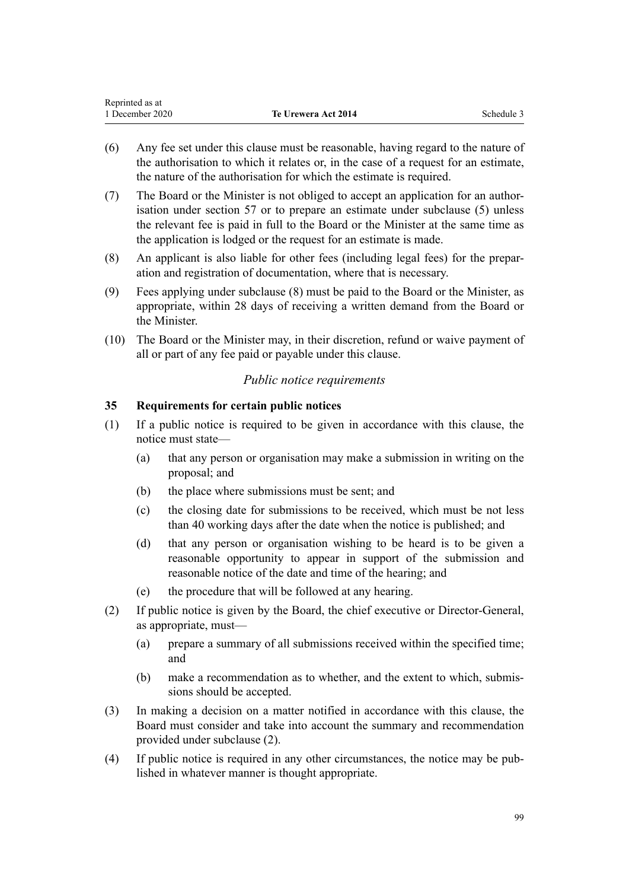<span id="page-98-0"></span>

| Reprinted as at |                     |            |
|-----------------|---------------------|------------|
| 1 December 2020 | Te Urewera Act 2014 | Schedule 3 |

- (6) Any fee set under this clause must be reasonable, having regard to the nature of the authorisation to which it relates or, in the case of a request for an estimate, the nature of the authorisation for which the estimate is required.
- (7) The Board or the Minister is not obliged to accept an application for an authorisation under [section 57](#page-31-0) or to prepare an estimate under subclause (5) unless the relevant fee is paid in full to the Board or the Minister at the same time as the application is lodged or the request for an estimate is made.
- (8) An applicant is also liable for other fees (including legal fees) for the preparation and registration of documentation, where that is necessary.
- (9) Fees applying under subclause (8) must be paid to the Board or the Minister, as appropriate, within 28 days of receiving a written demand from the Board or the Minister.
- (10) The Board or the Minister may, in their discretion, refund or waive payment of all or part of any fee paid or payable under this clause.

#### *Public notice requirements*

#### **35 Requirements for certain public notices**

- (1) If a public notice is required to be given in accordance with this clause, the notice must state—
	- (a) that any person or organisation may make a submission in writing on the proposal; and
	- (b) the place where submissions must be sent; and
	- (c) the closing date for submissions to be received, which must be not less than 40 working days after the date when the notice is published; and
	- (d) that any person or organisation wishing to be heard is to be given a reasonable opportunity to appear in support of the submission and reasonable notice of the date and time of the hearing; and
	- (e) the procedure that will be followed at any hearing.
- (2) If public notice is given by the Board, the chief executive or Director-General, as appropriate, must—
	- (a) prepare a summary of all submissions received within the specified time; and
	- (b) make a recommendation as to whether, and the extent to which, submissions should be accepted.
- (3) In making a decision on a matter notified in accordance with this clause, the Board must consider and take into account the summary and recommendation provided under subclause (2).
- (4) If public notice is required in any other circumstances, the notice may be published in whatever manner is thought appropriate.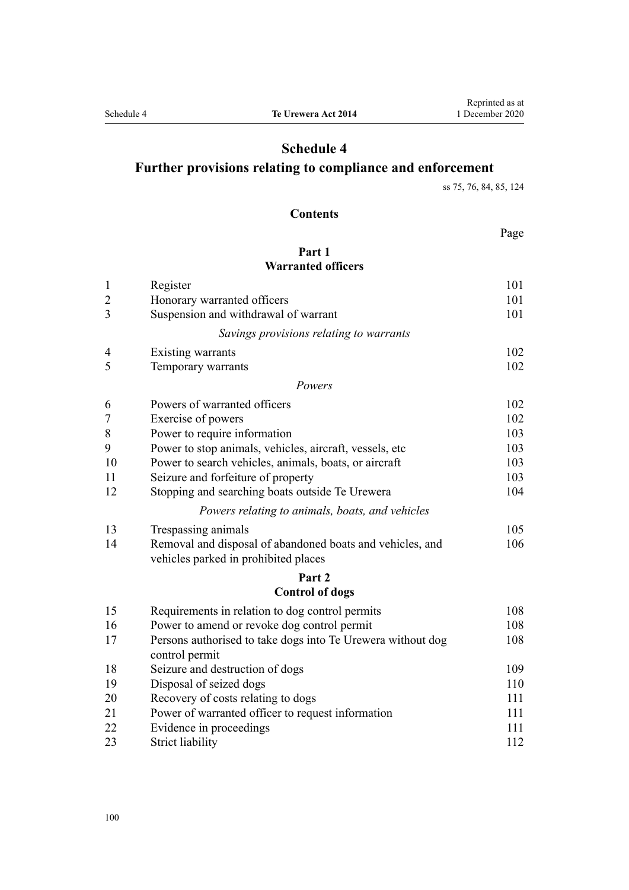# **Schedule 4**

# **Further provisions relating to compliance and enforcement**

[ss 75, 76](#page-38-0), [84, 85](#page-42-0), [124](#page-62-0)

#### **Contents**

Page

### **[Part 1](#page-100-0) [Warranted officers](#page-100-0)**

| $\mathbf{1}$   | Register                                                    | 101 |
|----------------|-------------------------------------------------------------|-----|
| $\overline{2}$ | Honorary warranted officers                                 | 101 |
| 3              | Suspension and withdrawal of warrant                        | 101 |
|                | Savings provisions relating to warrants                     |     |
| 4              | Existing warrants                                           | 102 |
| 5              | Temporary warrants                                          | 102 |
|                | Powers                                                      |     |
| 6              | Powers of warranted officers                                | 102 |
| $\overline{7}$ | Exercise of powers                                          | 102 |
| $\,$ $\,$      | Power to require information                                | 103 |
| 9              | Power to stop animals, vehicles, aircraft, vessels, etc.    | 103 |
| 10             | Power to search vehicles, animals, boats, or aircraft       | 103 |
| 11             | Seizure and forfeiture of property                          | 103 |
| 12             | Stopping and searching boats outside Te Urewera             | 104 |
|                | Powers relating to animals, boats, and vehicles             |     |
| 13             | Trespassing animals                                         | 105 |
| 14             | Removal and disposal of abandoned boats and vehicles, and   | 106 |
|                | vehicles parked in prohibited places                        |     |
|                | Part <sub>2</sub>                                           |     |
|                | <b>Control of dogs</b>                                      |     |
| 15             | Requirements in relation to dog control permits             | 108 |
| 16             | Power to amend or revoke dog control permit                 | 108 |
| 17             | Persons authorised to take dogs into Te Urewera without dog | 108 |
|                | control permit                                              |     |
| 18             | Seizure and destruction of dogs                             | 109 |
| 19             | Disposal of seized dogs                                     | 110 |
| 20             | Recovery of costs relating to dogs                          | 111 |
| 21             | Power of warranted officer to request information           | 111 |
| 22             | Evidence in proceedings                                     | 111 |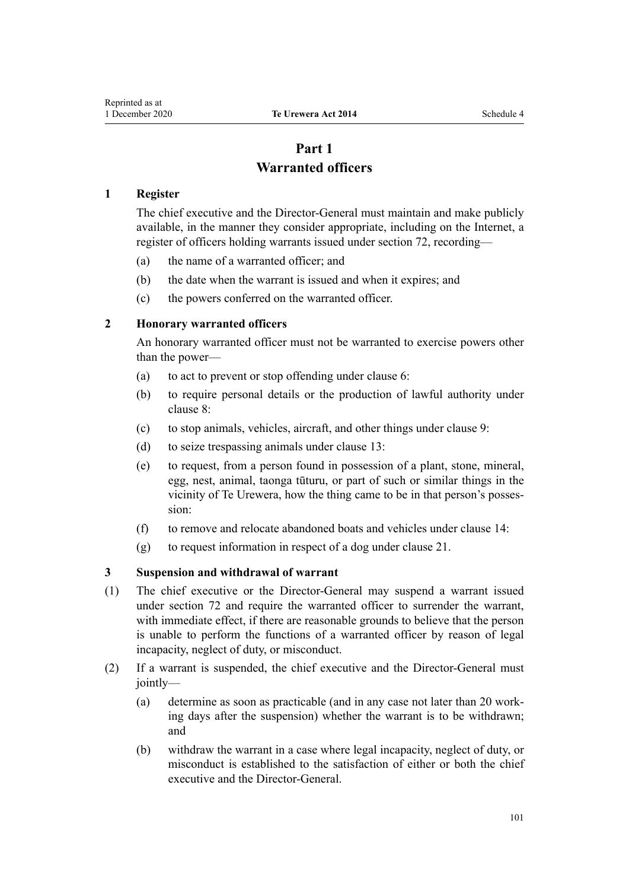# **Part 1 Warranted officers**

#### <span id="page-100-0"></span>**1 Register**

The chief executive and the Director-General must maintain and make publicly available, in the manner they consider appropriate, including on the Internet, a register of officers holding warrants issued under [section 72,](#page-37-0) recording—

- (a) the name of a warranted officer; and
- (b) the date when the warrant is issued and when it expires; and
- (c) the powers conferred on the warranted officer.

#### **2 Honorary warranted officers**

An honorary warranted officer must not be warranted to exercise powers other than the power—

- (a) to act to prevent or stop offending under [clause 6:](#page-101-0)
- (b) to require personal details or the production of lawful authority under [clause 8:](#page-102-0)
- (c) to stop animals, vehicles, aircraft, and other things under [clause 9](#page-102-0):
- (d) to seize trespassing animals under [clause 13:](#page-104-0)
- (e) to request, from a person found in possession of a plant, stone, mineral, egg, nest, animal, taonga tūturu, or part of such or similar things in the vicinity of Te Urewera, how the thing came to be in that person's possession:
- (f) to remove and relocate abandoned boats and vehicles under [clause 14](#page-105-0):
- (g) to request information in respect of a dog under [clause 21](#page-110-0).

#### **3 Suspension and withdrawal of warrant**

- (1) The chief executive or the Director-General may suspend a warrant issued under [section 72](#page-37-0) and require the warranted officer to surrender the warrant, with immediate effect, if there are reasonable grounds to believe that the person is unable to perform the functions of a warranted officer by reason of legal incapacity, neglect of duty, or misconduct.
- (2) If a warrant is suspended, the chief executive and the Director-General must jointly—
	- (a) determine as soon as practicable (and in any case not later than 20 working days after the suspension) whether the warrant is to be withdrawn; and
	- (b) withdraw the warrant in a case where legal incapacity, neglect of duty, or misconduct is established to the satisfaction of either or both the chief executive and the Director-General.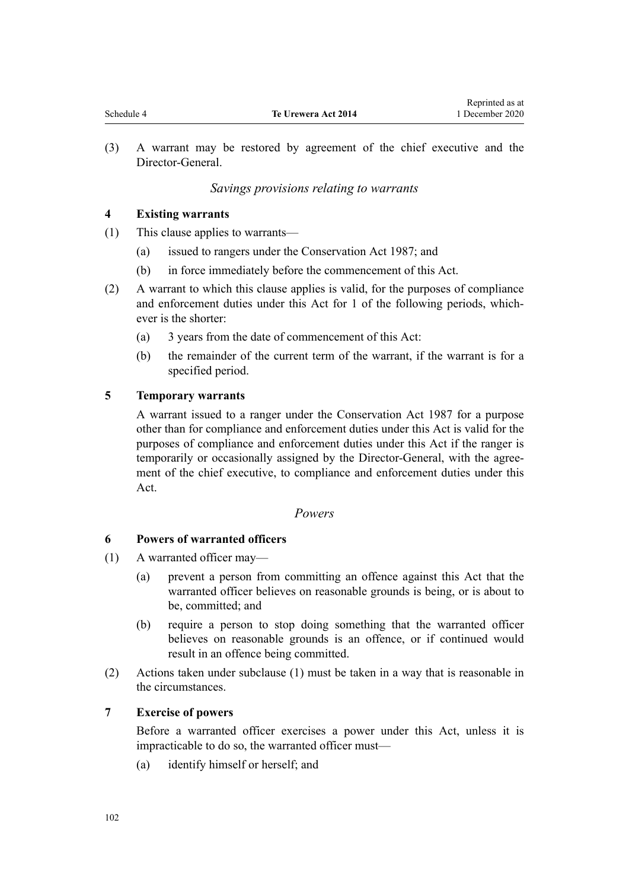Reprinted as at

<span id="page-101-0"></span>(3) A warrant may be restored by agreement of the chief executive and the Director-General.

# *Savings provisions relating to warrants*

## **4 Existing warrants**

- (1) This clause applies to warrants—
	- (a) issued to rangers under the Conservation Act 1987; and
	- (b) in force immediately before the commencement of this Act.
- (2) A warrant to which this clause applies is valid, for the purposes of compliance and enforcement duties under this Act for 1 of the following periods, whichever is the shorter:
	- (a) 3 years from the date of commencement of this Act:
	- (b) the remainder of the current term of the warrant, if the warrant is for a specified period.

### **5 Temporary warrants**

A warrant issued to a ranger under the Conservation Act 1987 for a purpose other than for compliance and enforcement duties under this Act is valid for the purposes of compliance and enforcement duties under this Act if the ranger is temporarily or occasionally assigned by the Director-General, with the agreement of the chief executive, to compliance and enforcement duties under this Act.

### *Powers*

### **6 Powers of warranted officers**

- (1) A warranted officer may—
	- (a) prevent a person from committing an offence against this Act that the warranted officer believes on reasonable grounds is being, or is about to be, committed; and
	- (b) require a person to stop doing something that the warranted officer believes on reasonable grounds is an offence, or if continued would result in an offence being committed.
- (2) Actions taken under subclause (1) must be taken in a way that is reasonable in the circumstances.

### **7 Exercise of powers**

Before a warranted officer exercises a power under this Act, unless it is impracticable to do so, the warranted officer must—

(a) identify himself or herself; and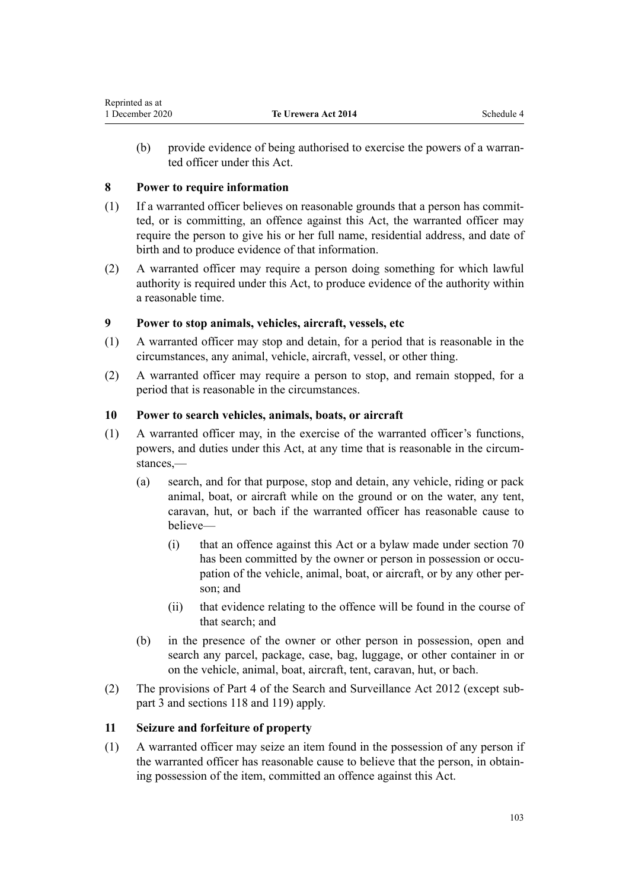<span id="page-102-0"></span>(b) provide evidence of being authorised to exercise the powers of a warranted officer under this Act.

## **8 Power to require information**

- (1) If a warranted officer believes on reasonable grounds that a person has committed, or is committing, an offence against this Act, the warranted officer may require the person to give his or her full name, residential address, and date of birth and to produce evidence of that information.
- (2) A warranted officer may require a person doing something for which lawful authority is required under this Act, to produce evidence of the authority within a reasonable time.

# **9 Power to stop animals, vehicles, aircraft, vessels, etc**

- (1) A warranted officer may stop and detain, for a period that is reasonable in the circumstances, any animal, vehicle, aircraft, vessel, or other thing.
- (2) A warranted officer may require a person to stop, and remain stopped, for a period that is reasonable in the circumstances.

### **10 Power to search vehicles, animals, boats, or aircraft**

- (1) A warranted officer may, in the exercise of the warranted officer's functions, powers, and duties under this Act, at any time that is reasonable in the circumstances —
	- (a) search, and for that purpose, stop and detain, any vehicle, riding or pack animal, boat, or aircraft while on the ground or on the water, any tent, caravan, hut, or bach if the warranted officer has reasonable cause to believe—
		- (i) that an offence against this Act or a bylaw made under [section 70](#page-35-0) has been committed by the owner or person in possession or occupation of the vehicle, animal, boat, or aircraft, or by any other person; and
		- (ii) that evidence relating to the offence will be found in the course of that search; and
	- (b) in the presence of the owner or other person in possession, open and search any parcel, package, case, bag, luggage, or other container in or on the vehicle, animal, boat, aircraft, tent, caravan, hut, or bach.
- (2) The provisions of [Part 4](http://legislation.govt.nz/pdflink.aspx?id=DLM2136770) of the Search and Surveillance Act 2012 (except [sub](http://legislation.govt.nz/pdflink.aspx?id=DLM2136781)[part 3](http://legislation.govt.nz/pdflink.aspx?id=DLM2136781) and [sections 118](http://legislation.govt.nz/pdflink.aspx?id=DLM2136813) and [119\)](http://legislation.govt.nz/pdflink.aspx?id=DLM2136815) apply.

### **11 Seizure and forfeiture of property**

(1) A warranted officer may seize an item found in the possession of any person if the warranted officer has reasonable cause to believe that the person, in obtaining possession of the item, committed an offence against this Act.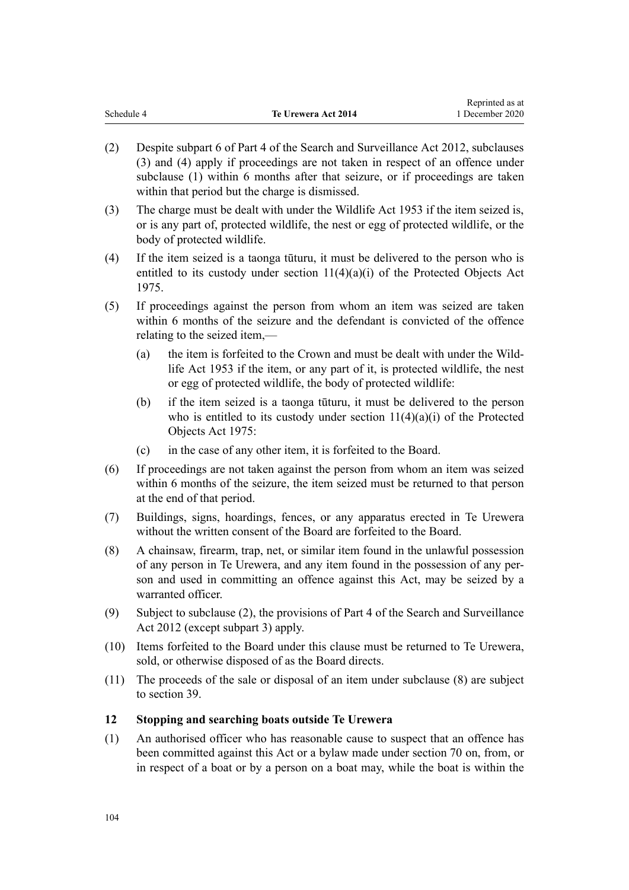<span id="page-103-0"></span>

|            |                     | Reprinted as at |
|------------|---------------------|-----------------|
| Schedule 4 | Te Urewera Act 2014 | 1 December 2020 |

- (2) Despite [subpart 6](http://legislation.govt.nz/pdflink.aspx?id=DLM2136860) of Part 4 of the Search and Surveillance Act 2012, subclauses (3) and (4) apply if proceedings are not taken in respect of an offence under subclause (1) within 6 months after that seizure, or if proceedings are taken within that period but the charge is dismissed.
- (3) The charge must be dealt with under the Wildlife Act 1953 if the item seized is, or is any part of, protected wildlife, the nest or egg of protected wildlife, or the body of protected wildlife.
- (4) If the item seized is a taonga tūturu, it must be delivered to the person who is entitled to its custody under [section 11\(4\)\(a\)\(i\)](http://legislation.govt.nz/pdflink.aspx?id=DLM432422) of the Protected Objects Act 1975.
- (5) If proceedings against the person from whom an item was seized are taken within 6 months of the seizure and the defendant is convicted of the offence relating to the seized item,—
	- (a) the item is forfeited to the Crown and must be dealt with under the [Wild](http://legislation.govt.nz/pdflink.aspx?id=DLM276813)[life Act 1953](http://legislation.govt.nz/pdflink.aspx?id=DLM276813) if the item, or any part of it, is protected wildlife, the nest or egg of protected wildlife, the body of protected wildlife:
	- (b) if the item seized is a taonga tūturu, it must be delivered to the person who is entitled to its custody under section  $11(4)(a)(i)$  of the Protected Objects Act 1975:
	- (c) in the case of any other item, it is forfeited to the Board.
- (6) If proceedings are not taken against the person from whom an item was seized within 6 months of the seizure, the item seized must be returned to that person at the end of that period.
- (7) Buildings, signs, hoardings, fences, or any apparatus erected in Te Urewera without the written consent of the Board are forfeited to the Board.
- (8) A chainsaw, firearm, trap, net, or similar item found in the unlawful possession of any person in Te Urewera, and any item found in the possession of any person and used in committing an offence against this Act, may be seized by a warranted officer.
- (9) Subject to subclause (2), the provisions of [Part 4](http://legislation.govt.nz/pdflink.aspx?id=DLM2136770) of the Search and Surveillance Act 2012 (except subpart 3) apply.
- (10) Items forfeited to the Board under this clause must be returned to Te Urewera, sold, or otherwise disposed of as the Board directs.
- (11) The proceeds of the sale or disposal of an item under subclause (8) are subject to [section 39.](#page-23-0)

### **12 Stopping and searching boats outside Te Urewera**

(1) An authorised officer who has reasonable cause to suspect that an offence has been committed against this Act or a bylaw made under [section 70](#page-35-0) on, from, or in respect of a boat or by a person on a boat may, while the boat is within the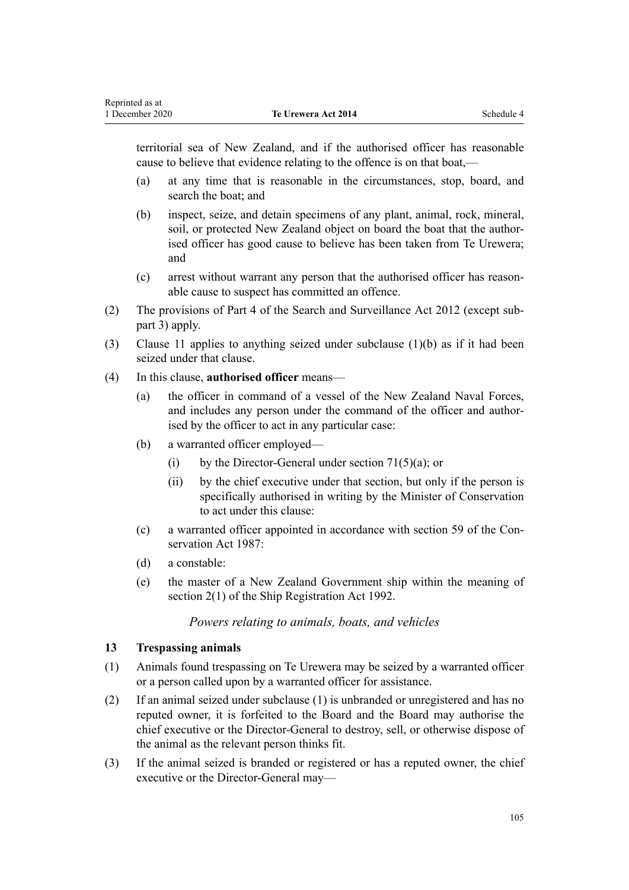territorial sea of New Zealand, and if the authorised officer has reasonable cause to believe that evidence relating to the offence is on that boat,—

- (a) at any time that is reasonable in the circumstances, stop, board, and search the boat; and
- (b) inspect, seize, and detain specimens of any plant, animal, rock, mineral, soil, or protected New Zealand object on board the boat that the authorised officer has good cause to believe has been taken from Te Urewera; and
- (c) arrest without warrant any person that the authorised officer has reasonable cause to suspect has committed an offence.
- (2) The provisions of [Part 4](http://legislation.govt.nz/pdflink.aspx?id=DLM2136770) of the Search and Surveillance Act 2012 (except subpart 3) apply.
- (3) [Clause 11](#page-102-0) applies to anything seized under subclause (1)(b) as if it had been seized under that clause.
- (4) In this clause, **authorised officer** means—
	- (a) the officer in command of a vessel of the New Zealand Naval Forces, and includes any person under the command of the officer and authorised by the officer to act in any particular case:
	- (b) a warranted officer employed—
		- (i) by the Director-General under section  $71(5)(a)$ ; or
		- (ii) by the chief executive under that section, but only if the person is specifically authorised in writing by the Minister of Conservation to act under this clause:
	- (c) a warranted officer appointed in accordance with [section 59](http://legislation.govt.nz/pdflink.aspx?id=DLM106939) of the Conservation Act 1987:
	- (d) a constable:

<span id="page-104-0"></span>Reprinted as at

(e) the master of a New Zealand Government ship within the meaning of [section 2\(1\)](http://legislation.govt.nz/pdflink.aspx?id=DLM275032) of the Ship Registration Act 1992.

#### *Powers relating to animals, boats, and vehicles*

#### **13 Trespassing animals**

- (1) Animals found trespassing on Te Urewera may be seized by a warranted officer or a person called upon by a warranted officer for assistance.
- (2) If an animal seized under subclause (1) is unbranded or unregistered and has no reputed owner, it is forfeited to the Board and the Board may authorise the chief executive or the Director-General to destroy, sell, or otherwise dispose of the animal as the relevant person thinks fit.
- (3) If the animal seized is branded or registered or has a reputed owner, the chief executive or the Director-General may—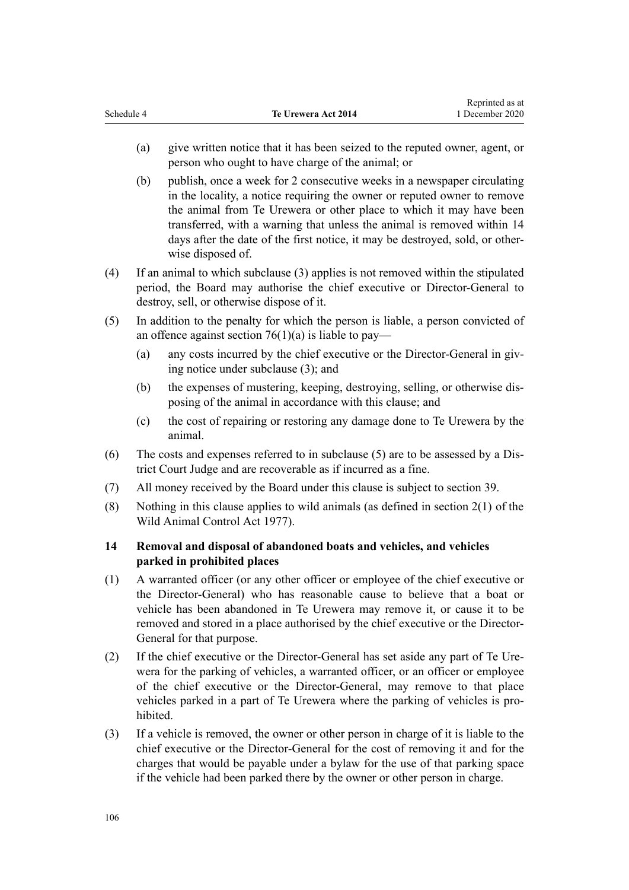- <span id="page-105-0"></span>(a) give written notice that it has been seized to the reputed owner, agent, or person who ought to have charge of the animal; or
- (b) publish, once a week for 2 consecutive weeks in a newspaper circulating in the locality, a notice requiring the owner or reputed owner to remove the animal from Te Urewera or other place to which it may have been transferred, with a warning that unless the animal is removed within 14 days after the date of the first notice, it may be destroyed, sold, or otherwise disposed of.
- (4) If an animal to which subclause (3) applies is not removed within the stipulated period, the Board may authorise the chief executive or Director-General to destroy, sell, or otherwise dispose of it.
- (5) In addition to the penalty for which the person is liable, a person convicted of an offence against section  $76(1)(a)$  is liable to pay—
	- (a) any costs incurred by the chief executive or the Director-General in giving notice under subclause (3); and
	- (b) the expenses of mustering, keeping, destroying, selling, or otherwise disposing of the animal in accordance with this clause; and
	- (c) the cost of repairing or restoring any damage done to Te Urewera by the animal.
- (6) The costs and expenses referred to in subclause (5) are to be assessed by a District Court Judge and are recoverable as if incurred as a fine.
- (7) All money received by the Board under this clause is subject to [section 39.](#page-23-0)
- (8) Nothing in this clause applies to wild animals (as defined in [section 2\(1\)](http://legislation.govt.nz/pdflink.aspx?id=DLM16628) of the Wild Animal Control Act 1977).

# **14 Removal and disposal of abandoned boats and vehicles, and vehicles parked in prohibited places**

- (1) A warranted officer (or any other officer or employee of the chief executive or the Director-General) who has reasonable cause to believe that a boat or vehicle has been abandoned in Te Urewera may remove it, or cause it to be removed and stored in a place authorised by the chief executive or the Director-General for that purpose.
- (2) If the chief executive or the Director-General has set aside any part of Te Urewera for the parking of vehicles, a warranted officer, or an officer or employee of the chief executive or the Director-General, may remove to that place vehicles parked in a part of Te Urewera where the parking of vehicles is prohibited.
- (3) If a vehicle is removed, the owner or other person in charge of it is liable to the chief executive or the Director-General for the cost of removing it and for the charges that would be payable under a bylaw for the use of that parking space if the vehicle had been parked there by the owner or other person in charge.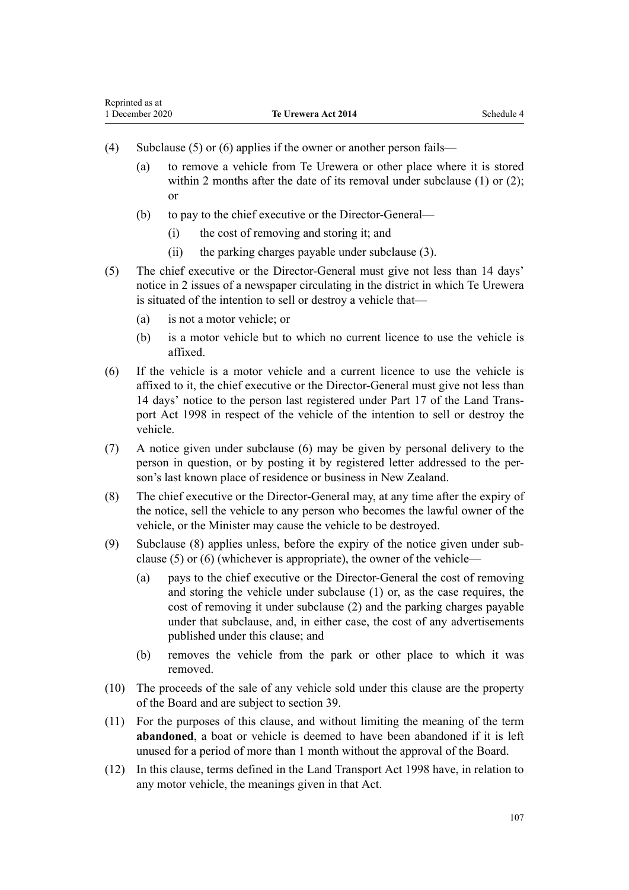- (4) Subclause (5) or (6) applies if the owner or another person fails—
	- (a) to remove a vehicle from Te Urewera or other place where it is stored within 2 months after the date of its removal under subclause (1) or (2): or
	- (b) to pay to the chief executive or the Director-General—
		- (i) the cost of removing and storing it; and
		- (ii) the parking charges payable under subclause (3).
- (5) The chief executive or the Director-General must give not less than 14 days' notice in 2 issues of a newspaper circulating in the district in which Te Urewera is situated of the intention to sell or destroy a vehicle that—
	- (a) is not a motor vehicle; or
	- (b) is a motor vehicle but to which no current licence to use the vehicle is affixed.
- (6) If the vehicle is a motor vehicle and a current licence to use the vehicle is affixed to it, the chief executive or the Director-General must give not less than 14 days' notice to the person last registered under [Part 17](http://legislation.govt.nz/pdflink.aspx?id=DLM2214226) of the Land Transport Act 1998 in respect of the vehicle of the intention to sell or destroy the vehicle.
- (7) A notice given under subclause (6) may be given by personal delivery to the person in question, or by posting it by registered letter addressed to the person's last known place of residence or business in New Zealand.
- (8) The chief executive or the Director-General may, at any time after the expiry of the notice, sell the vehicle to any person who becomes the lawful owner of the vehicle, or the Minister may cause the vehicle to be destroyed.
- (9) Subclause (8) applies unless, before the expiry of the notice given under subclause (5) or (6) (whichever is appropriate), the owner of the vehicle—
	- (a) pays to the chief executive or the Director-General the cost of removing and storing the vehicle under subclause (1) or, as the case requires, the cost of removing it under subclause (2) and the parking charges payable under that subclause, and, in either case, the cost of any advertisements published under this clause; and
	- (b) removes the vehicle from the park or other place to which it was removed.
- (10) The proceeds of the sale of any vehicle sold under this clause are the property of the Board and are subject to [section 39](#page-23-0).
- (11) For the purposes of this clause, and without limiting the meaning of the term **abandoned**, a boat or vehicle is deemed to have been abandoned if it is left unused for a period of more than 1 month without the approval of the Board.
- (12) In this clause, terms defined in the [Land Transport Act 1998](http://legislation.govt.nz/pdflink.aspx?id=DLM433612) have, in relation to any motor vehicle, the meanings given in that Act.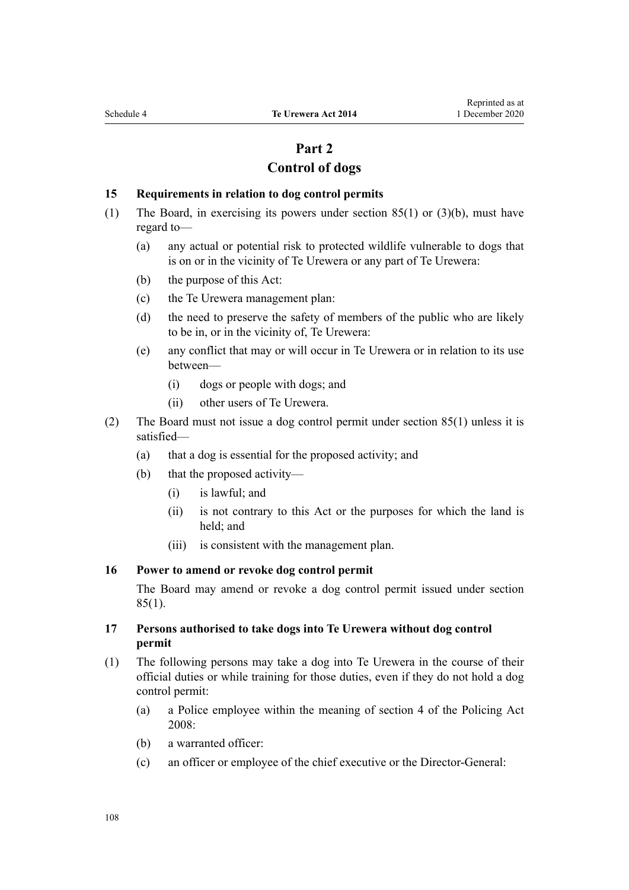# **Part 2**

# **Control of dogs**

#### <span id="page-107-0"></span>**15 Requirements in relation to dog control permits**

- (1) The Board, in exercising its powers under [section 85\(1\) or \(3\)\(b\),](#page-42-0) must have regard to—
	- (a) any actual or potential risk to protected wildlife vulnerable to dogs that is on or in the vicinity of Te Urewera or any part of Te Urewera:
	- (b) the purpose of this Act:
	- (c) the Te Urewera management plan:
	- (d) the need to preserve the safety of members of the public who are likely to be in, or in the vicinity of, Te Urewera:
	- (e) any conflict that may or will occur in Te Urewera or in relation to its use between—
		- (i) dogs or people with dogs; and
		- (ii) other users of Te Urewera.
- (2) The Board must not issue a dog control permit under [section 85\(1\)](#page-42-0) unless it is satisfied—
	- (a) that a dog is essential for the proposed activity; and
	- (b) that the proposed activity—
		- (i) is lawful; and
		- (ii) is not contrary to this Act or the purposes for which the land is held; and
		- (iii) is consistent with the management plan.

#### **16 Power to amend or revoke dog control permit**

The Board may amend or revoke a dog control permit issued under [section](#page-42-0)  $85(1)$ .

#### **17 Persons authorised to take dogs into Te Urewera without dog control permit**

- (1) The following persons may take a dog into Te Urewera in the course of their official duties or while training for those duties, even if they do not hold a dog control permit:
	- (a) a Police employee within the meaning of [section 4](http://legislation.govt.nz/pdflink.aspx?id=DLM1102132) of the Policing Act 2008:
	- (b) a warranted officer:
	- (c) an officer or employee of the chief executive or the Director-General: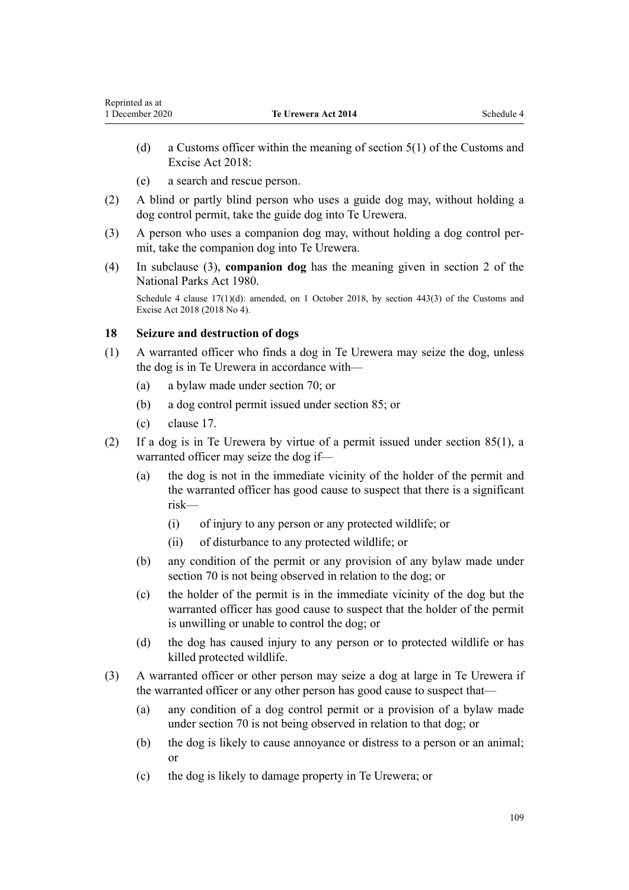- <span id="page-108-0"></span>(d) a Customs officer within the meaning of [section 5\(1\)](http://legislation.govt.nz/pdflink.aspx?id=DLM7038971) of the Customs and Excise Act 2018:
- (e) a search and rescue person.
- (2) A blind or partly blind person who uses a guide dog may, without holding a dog control permit, take the guide dog into Te Urewera.
- (3) A person who uses a companion dog may, without holding a dog control permit, take the companion dog into Te Urewera.
- (4) In subclause (3), **companion dog** has the meaning given in [section 2](http://legislation.govt.nz/pdflink.aspx?id=DLM36968) of the National Parks Act 1980.

Schedule 4 clause  $17(1)(d)$ : amended, on 1 October 2018, by [section 443\(3\)](http://legislation.govt.nz/pdflink.aspx?id=DLM7039957) of the Customs and Excise Act 2018 (2018 No 4).

### **18 Seizure and destruction of dogs**

- (1) A warranted officer who finds a dog in Te Urewera may seize the dog, unless the dog is in Te Urewera in accordance with—
	- (a) a bylaw made under [section 70;](#page-35-0) or
	- (b) a dog control permit issued under [section 85](#page-42-0); or
	- (c) [clause 17](#page-107-0).
- (2) If a dog is in Te Urewera by virtue of a permit issued under [section 85\(1\),](#page-42-0) a warranted officer may seize the dog if—
	- (a) the dog is not in the immediate vicinity of the holder of the permit and the warranted officer has good cause to suspect that there is a significant risk—
		- (i) of injury to any person or any protected wildlife; or
		- (ii) of disturbance to any protected wildlife; or
	- (b) any condition of the permit or any provision of any bylaw made under [section 70](#page-35-0) is not being observed in relation to the dog; or
	- (c) the holder of the permit is in the immediate vicinity of the dog but the warranted officer has good cause to suspect that the holder of the permit is unwilling or unable to control the dog; or
	- (d) the dog has caused injury to any person or to protected wildlife or has killed protected wildlife.
- (3) A warranted officer or other person may seize a dog at large in Te Urewera if the warranted officer or any other person has good cause to suspect that—
	- (a) any condition of a dog control permit or a provision of a bylaw made under [section 70](#page-35-0) is not being observed in relation to that dog; or
	- (b) the dog is likely to cause annoyance or distress to a person or an animal; or
	- (c) the dog is likely to damage property in Te Urewera; or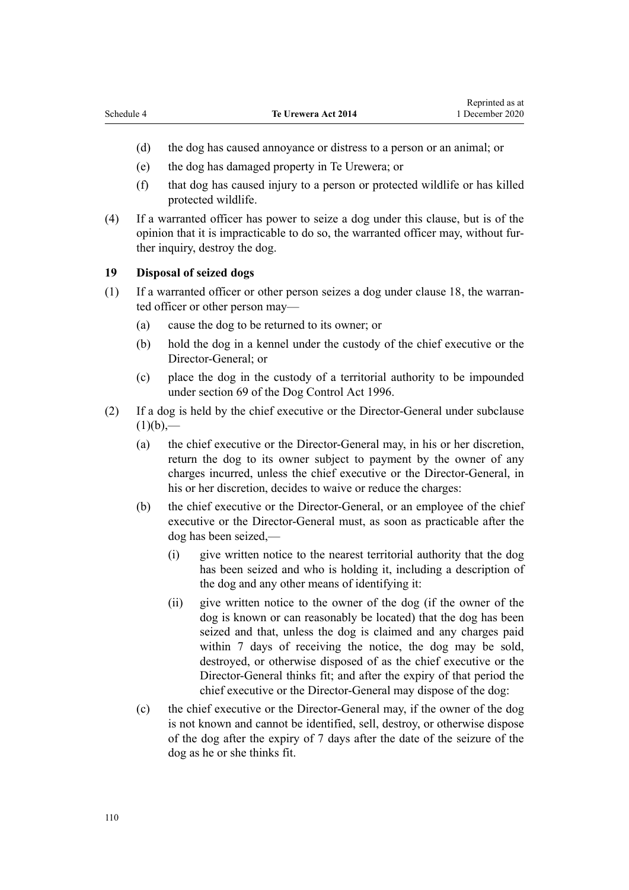- (d) the dog has caused annoyance or distress to a person or an animal; or
- (e) the dog has damaged property in Te Urewera; or
- (f) that dog has caused injury to a person or protected wildlife or has killed protected wildlife.
- (4) If a warranted officer has power to seize a dog under this clause, but is of the opinion that it is impracticable to do so, the warranted officer may, without further inquiry, destroy the dog.

# **19 Disposal of seized dogs**

- (1) If a warranted officer or other person seizes a dog under [clause 18,](#page-108-0) the warranted officer or other person may—
	- (a) cause the dog to be returned to its owner; or
	- (b) hold the dog in a kennel under the custody of the chief executive or the Director-General; or
	- (c) place the dog in the custody of a territorial authority to be impounded under [section 69](http://legislation.govt.nz/pdflink.aspx?id=DLM375442) of the Dog Control Act 1996.
- (2) If a dog is held by the chief executive or the Director-General under subclause  $(1)(b)$ ,—
	- (a) the chief executive or the Director-General may, in his or her discretion, return the dog to its owner subject to payment by the owner of any charges incurred, unless the chief executive or the Director-General, in his or her discretion, decides to waive or reduce the charges:
	- (b) the chief executive or the Director-General, or an employee of the chief executive or the Director-General must, as soon as practicable after the dog has been seized,—
		- (i) give written notice to the nearest territorial authority that the dog has been seized and who is holding it, including a description of the dog and any other means of identifying it:
		- (ii) give written notice to the owner of the dog (if the owner of the dog is known or can reasonably be located) that the dog has been seized and that, unless the dog is claimed and any charges paid within 7 days of receiving the notice, the dog may be sold, destroyed, or otherwise disposed of as the chief executive or the Director-General thinks fit; and after the expiry of that period the chief executive or the Director-General may dispose of the dog:
	- (c) the chief executive or the Director-General may, if the owner of the dog is not known and cannot be identified, sell, destroy, or otherwise dispose of the dog after the expiry of 7 days after the date of the seizure of the dog as he or she thinks fit.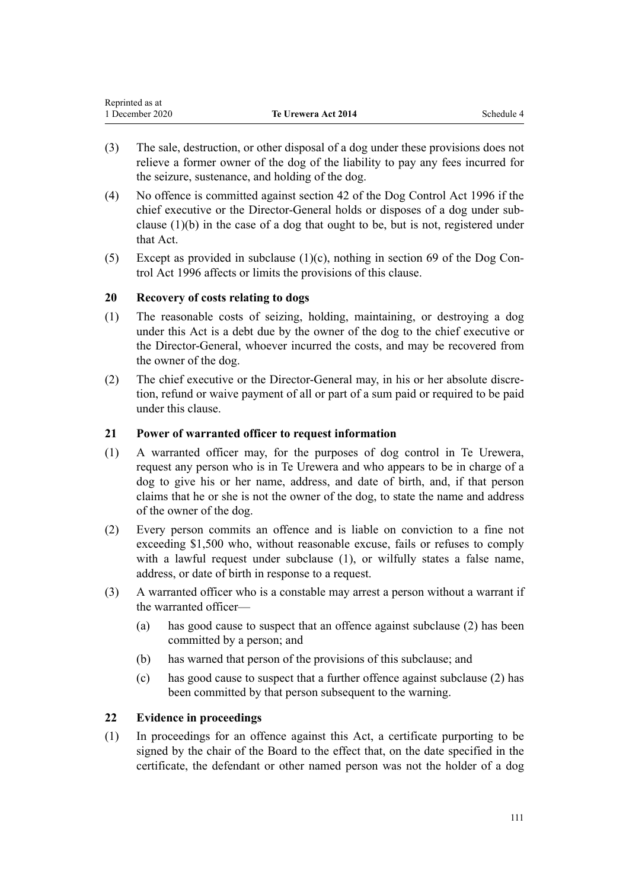| Reprinted as at |                            |            |
|-----------------|----------------------------|------------|
| 1 December 2020 | <b>Te Urewera Act 2014</b> | Schedule 4 |

- (3) The sale, destruction, or other disposal of a dog under these provisions does not relieve a former owner of the dog of the liability to pay any fees incurred for the seizure, sustenance, and holding of the dog.
- (4) No offence is committed against [section 42](http://legislation.govt.nz/pdflink.aspx?id=DLM375173) of the Dog Control Act 1996 if the chief executive or the Director-General holds or disposes of a dog under subclause (1)(b) in the case of a dog that ought to be, but is not, registered under that Act.
- (5) Except as provided in subclause  $(1)(c)$ , nothing in [section 69](http://legislation.govt.nz/pdflink.aspx?id=DLM375442) of the Dog Control Act 1996 affects or limits the provisions of this clause.

### **20 Recovery of costs relating to dogs**

- (1) The reasonable costs of seizing, holding, maintaining, or destroying a dog under this Act is a debt due by the owner of the dog to the chief executive or the Director-General, whoever incurred the costs, and may be recovered from the owner of the dog.
- (2) The chief executive or the Director-General may, in his or her absolute discretion, refund or waive payment of all or part of a sum paid or required to be paid under this clause.

### **21 Power of warranted officer to request information**

- (1) A warranted officer may, for the purposes of dog control in Te Urewera, request any person who is in Te Urewera and who appears to be in charge of a dog to give his or her name, address, and date of birth, and, if that person claims that he or she is not the owner of the dog, to state the name and address of the owner of the dog.
- (2) Every person commits an offence and is liable on conviction to a fine not exceeding \$1,500 who, without reasonable excuse, fails or refuses to comply with a lawful request under subclause (1), or wilfully states a false name, address, or date of birth in response to a request.
- (3) A warranted officer who is a constable may arrest a person without a warrant if the warranted officer—
	- (a) has good cause to suspect that an offence against subclause (2) has been committed by a person; and
	- (b) has warned that person of the provisions of this subclause; and
	- (c) has good cause to suspect that a further offence against subclause (2) has been committed by that person subsequent to the warning.

### **22 Evidence in proceedings**

(1) In proceedings for an offence against this Act, a certificate purporting to be signed by the chair of the Board to the effect that, on the date specified in the certificate, the defendant or other named person was not the holder of a dog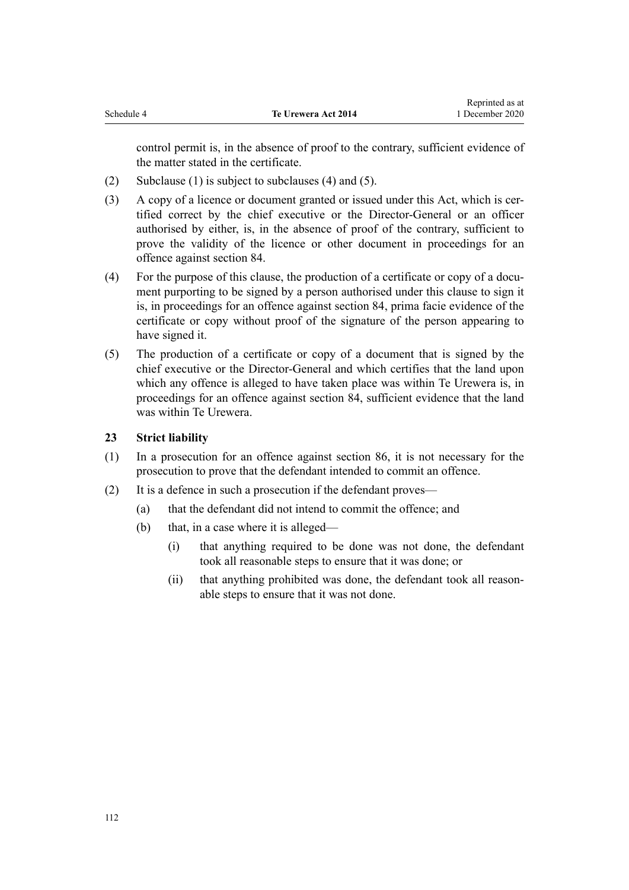control permit is, in the absence of proof to the contrary, sufficient evidence of the matter stated in the certificate.

- (2) Subclause (1) is subject to subclauses (4) and (5).
- (3) A copy of a licence or document granted or issued under this Act, which is certified correct by the chief executive or the Director-General or an officer authorised by either, is, in the absence of proof of the contrary, sufficient to prove the validity of the licence or other document in proceedings for an offence against [section 84.](#page-42-0)
- (4) For the purpose of this clause, the production of a certificate or copy of a document purporting to be signed by a person authorised under this clause to sign it is, in proceedings for an offence against [section 84](#page-42-0), prima facie evidence of the certificate or copy without proof of the signature of the person appearing to have signed it.
- (5) The production of a certificate or copy of a document that is signed by the chief executive or the Director-General and which certifies that the land upon which any offence is alleged to have taken place was within Te Urewera is, in proceedings for an offence against [section 84,](#page-42-0) sufficient evidence that the land was within Te Urewera.

# **23 Strict liability**

- (1) In a prosecution for an offence against [section 86,](#page-43-0) it is not necessary for the prosecution to prove that the defendant intended to commit an offence.
- (2) It is a defence in such a prosecution if the defendant proves—
	- (a) that the defendant did not intend to commit the offence; and
	- (b) that, in a case where it is alleged—
		- (i) that anything required to be done was not done, the defendant took all reasonable steps to ensure that it was done; or
		- (ii) that anything prohibited was done, the defendant took all reasonable steps to ensure that it was not done.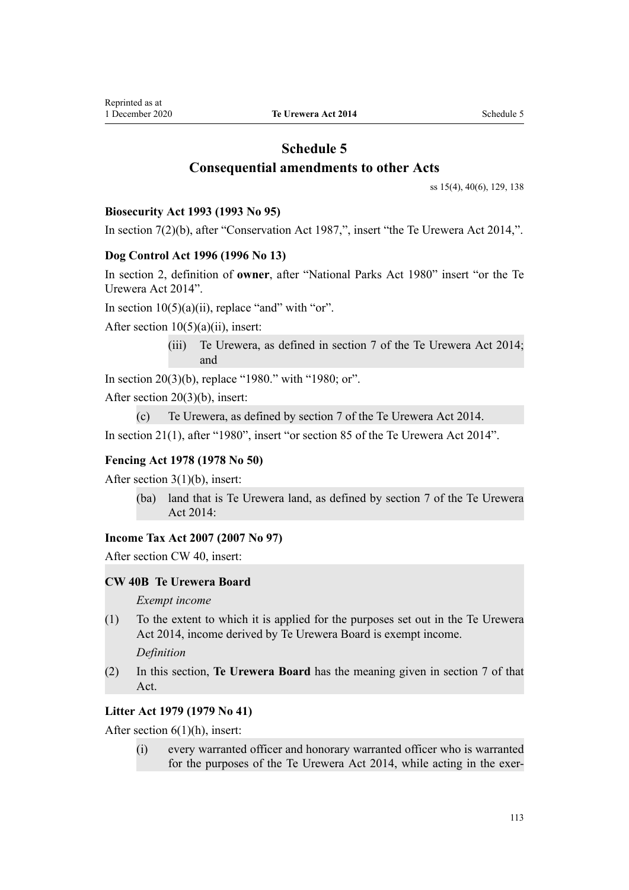# **Schedule 5 Consequential amendments to other Acts**

[ss 15\(4\)](#page-14-0), [40\(6\)](#page-24-0), [129](#page-63-0), [138](#page-67-0)

### **Biosecurity Act 1993 (1993 No 95)**

In [section 7\(2\)\(b\),](http://legislation.govt.nz/pdflink.aspx?id=DLM315227) after "Conservation Act 1987,", insert "the Te Urewera Act 2014,".

### **Dog Control Act 1996 (1996 No 13)**

In [section 2](http://legislation.govt.nz/pdflink.aspx?id=DLM374415), definition of **owner**, after "National Parks Act 1980" insert "or the Te Urewera Act 2014".

In section  $10(5)(a)(ii)$ , replace "and" with "or".

After section  $10(5)(a)(ii)$ , insert:

(iii) Te Urewera, as defined in section 7 of the Te Urewera Act 2014; and

In [section 20\(3\)\(b\)](http://legislation.govt.nz/pdflink.aspx?id=DLM374833), replace "1980." with "1980; or".

After [section 20\(3\)\(b\)](http://legislation.govt.nz/pdflink.aspx?id=DLM374833), insert:

```
(c) Te Urewera, as defined by section 7 of the Te Urewera Act 2014.
```
In [section 21\(1\)](http://legislation.govt.nz/pdflink.aspx?id=DLM374839), after "1980", insert "or section 85 of the Te Urewera Act 2014".

### **Fencing Act 1978 (1978 No 50)**

After [section 3\(1\)\(b\)](http://legislation.govt.nz/pdflink.aspx?id=DLM21842), insert:

(ba) land that is Te Urewera land, as defined by section 7 of the Te Urewera Act 2014:

### **Income Tax Act 2007 (2007 No 97)**

After [section CW 40,](http://legislation.govt.nz/pdflink.aspx?id=DLM1513267) insert:

### **CW 40B Te Urewera Board**

*Exempt income*

(1) To the extent to which it is applied for the purposes set out in the Te Urewera Act 2014, income derived by Te Urewera Board is exempt income.

*Definition*

(2) In this section, **Te Urewera Board** has the meaning given in section 7 of that Act.

# **Litter Act 1979 (1979 No 41)**

After [section 6\(1\)\(h\)](http://legislation.govt.nz/pdflink.aspx?id=DLM33430), insert:

(i) every warranted officer and honorary warranted officer who is warranted for the purposes of the Te Urewera Act 2014, while acting in the exer-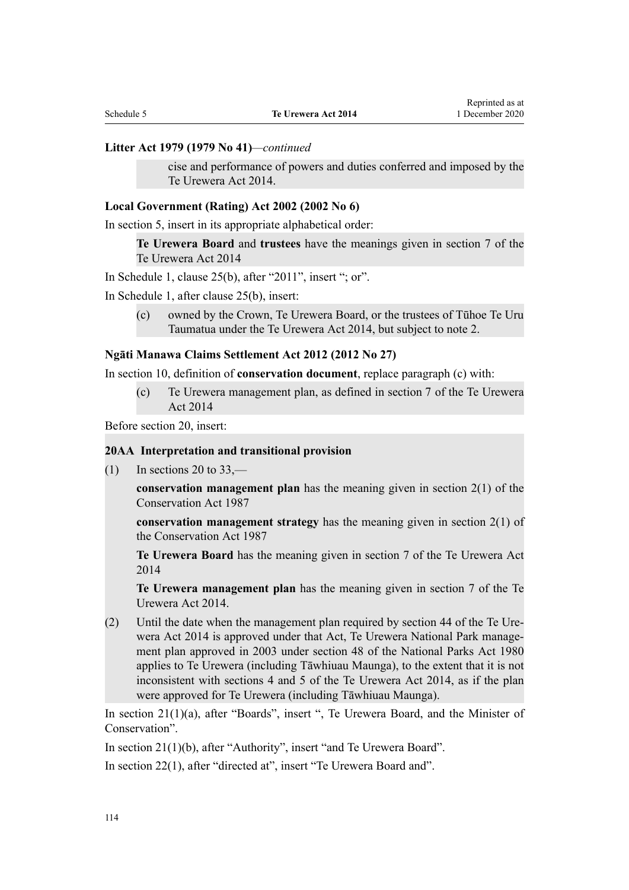#### **Litter Act 1979 (1979 No 41)***—continued*

cise and performance of powers and duties conferred and imposed by the Te Urewera Act 2014.

#### **Local Government (Rating) Act 2002 (2002 No 6)**

In [section 5,](http://legislation.govt.nz/pdflink.aspx?id=DLM132004) insert in its appropriate alphabetical order:

**Te Urewera Board** and **trustees** have the meanings given in section 7 of the Te Urewera Act 2014

In Schedule 1, [clause 25\(b\),](http://legislation.govt.nz/pdflink.aspx?id=DLM3682516) after "2011", insert "; or".

In Schedule 1, after [clause 25\(b\),](http://legislation.govt.nz/pdflink.aspx?id=DLM3682516) insert:

(c) owned by the Crown, Te Urewera Board, or the trustees of Tūhoe Te Uru Taumatua under the Te Urewera Act 2014, but subject to note 2.

### **Ngāti Manawa Claims Settlement Act 2012 (2012 No 27)**

In [section 10,](http://legislation.govt.nz/pdflink.aspx?id=DLM3276821) definition of **conservation document**, replace paragraph (c) with:

(c) Te Urewera management plan, as defined in section 7 of the Te Urewera Act 2014

Before [section 20](http://legislation.govt.nz/pdflink.aspx?id=DLM3276973), insert:

### **20AA Interpretation and transitional provision**

 $(1)$  In sections 20 to 33,—

**conservation management plan** has the meaning given in section 2(1) of the Conservation Act 1987

**conservation management strategy** has the meaning given in section 2(1) of the Conservation Act 1987

**Te Urewera Board** has the meaning given in section 7 of the Te Urewera Act 2014

**Te Urewera management plan** has the meaning given in section 7 of the Te Urewera Act 2014.

(2) Until the date when the management plan required by section 44 of the Te Urewera Act 2014 is approved under that Act, Te Urewera National Park management plan approved in 2003 under section 48 of the National Parks Act 1980 applies to Te Urewera (including Tāwhiuau Maunga), to the extent that it is not inconsistent with sections 4 and 5 of the Te Urewera Act 2014, as if the plan were approved for Te Urewera (including Tāwhiuau Maunga).

In [section 21\(1\)\(a\)](http://legislation.govt.nz/pdflink.aspx?id=DLM3276974), after "Boards", insert ", Te Urewera Board, and the Minister of Conservation".

In [section 21\(1\)\(b\)](http://legislation.govt.nz/pdflink.aspx?id=DLM3276974), after "Authority", insert "and Te Urewera Board".

In [section 22\(1\)](http://legislation.govt.nz/pdflink.aspx?id=DLM3276975), after "directed at", insert "Te Urewera Board and".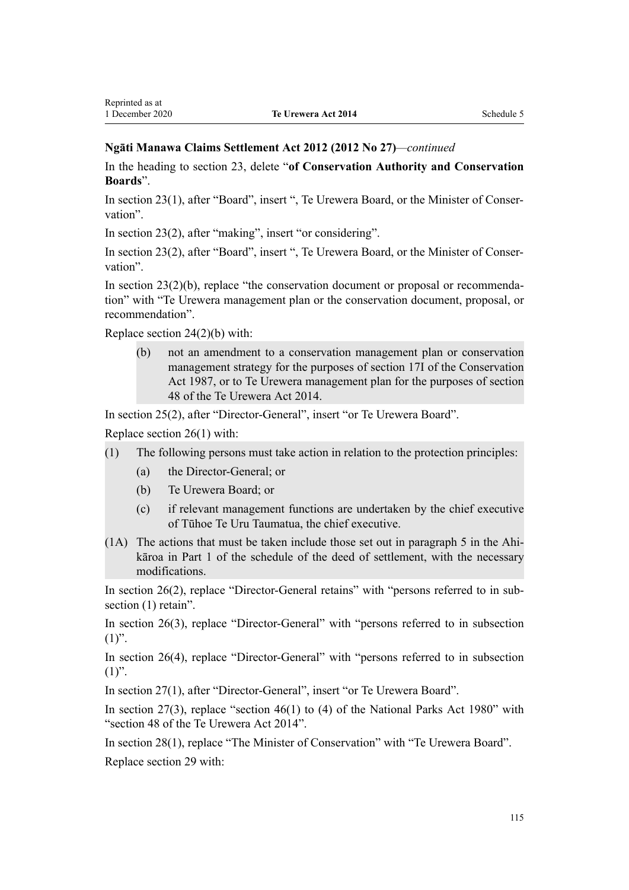### **Ngāti Manawa Claims Settlement Act 2012 (2012 No 27)***—continued*

In the heading to [section 23](http://legislation.govt.nz/pdflink.aspx?id=DLM3276976), delete "**of Conservation Authority and Conservation Boards**".

In [section 23\(1\)](http://legislation.govt.nz/pdflink.aspx?id=DLM3276976), after "Board", insert ", Te Urewera Board, or the Minister of Conservation".

In [section 23\(2\)](http://legislation.govt.nz/pdflink.aspx?id=DLM3276976), after "making", insert "or considering".

In [section 23\(2\)](http://legislation.govt.nz/pdflink.aspx?id=DLM3276976), after "Board", insert ", Te Urewera Board, or the Minister of Conservation".

In [section 23\(2\)\(b\),](http://legislation.govt.nz/pdflink.aspx?id=DLM3276976) replace "the conservation document or proposal or recommendation" with "Te Urewera management plan or the conservation document, proposal, or recommendation".

Replace [section 24\(2\)\(b\)](http://legislation.govt.nz/pdflink.aspx?id=DLM3276977) with:

(b) not an amendment to a conservation management plan or conservation management strategy for the purposes of section 17I of the Conservation Act 1987, or to Te Urewera management plan for the purposes of section 48 of the Te Urewera Act 2014.

In [section 25\(2\)](http://legislation.govt.nz/pdflink.aspx?id=DLM3276978), after "Director-General", insert "or Te Urewera Board".

Replace [section 26\(1\)](http://legislation.govt.nz/pdflink.aspx?id=DLM3276979) with:

- (1) The following persons must take action in relation to the protection principles:
	- (a) the Director-General; or
	- (b) Te Urewera Board; or
	- (c) if relevant management functions are undertaken by the chief executive of Tūhoe Te Uru Taumatua, the chief executive.
- (1A) The actions that must be taken include those set out in paragraph 5 in the Ahikāroa in Part 1 of the schedule of the deed of settlement, with the necessary modifications.

In [section 26\(2\),](http://legislation.govt.nz/pdflink.aspx?id=DLM3276979) replace "Director-General retains" with "persons referred to in subsection  $(1)$  retain".

In [section 26\(3\),](http://legislation.govt.nz/pdflink.aspx?id=DLM3276979) replace "Director-General" with "persons referred to in subsection  $(1)$ ".

In [section 26\(4\),](http://legislation.govt.nz/pdflink.aspx?id=DLM3276979) replace "Director-General" with "persons referred to in subsection  $(1)$ ".

In [section 27\(1\)](http://legislation.govt.nz/pdflink.aspx?id=DLM3276980), after "Director-General", insert "or Te Urewera Board".

In [section 27\(3\)](http://legislation.govt.nz/pdflink.aspx?id=DLM3276980), replace "section 46(1) to (4) of the National Parks Act 1980" with "section 48 of the Te Urewera Act 2014".

In [section 28\(1\)](http://legislation.govt.nz/pdflink.aspx?id=DLM3276981), replace "The Minister of Conservation" with "Te Urewera Board". Replace [section 29](http://legislation.govt.nz/pdflink.aspx?id=DLM3276982) with: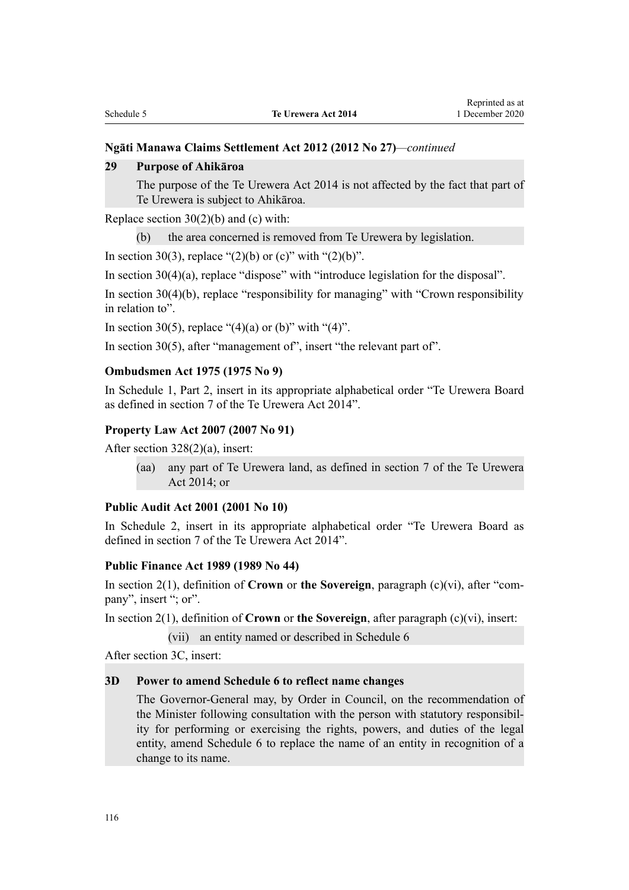### **Ngāti Manawa Claims Settlement Act 2012 (2012 No 27)***—continued*

#### **29 Purpose of Ahikāroa**

The purpose of the Te Urewera Act 2014 is not affected by the fact that part of Te Urewera is subject to Ahikāroa.

Replace section  $30(2)(b)$  and (c) with:

(b) the area concerned is removed from Te Urewera by legislation.

In [section 30\(3\)](http://legislation.govt.nz/pdflink.aspx?id=DLM3276983), replace "(2)(b) or (c)" with "(2)(b)".

In [section 30\(4\)\(a\),](http://legislation.govt.nz/pdflink.aspx?id=DLM3276983) replace "dispose" with "introduce legislation for the disposal".

In [section 30\(4\)\(b\)](http://legislation.govt.nz/pdflink.aspx?id=DLM3276983), replace "responsibility for managing" with "Crown responsibility in relation to".

In [section 30\(5\)](http://legislation.govt.nz/pdflink.aspx?id=DLM3276983), replace "(4)(a) or (b)" with "(4)".

In [section 30\(5\)](http://legislation.govt.nz/pdflink.aspx?id=DLM3276983), after "management of", insert "the relevant part of".

### **Ombudsmen Act 1975 (1975 No 9)**

In Schedule 1, [Part 2,](http://legislation.govt.nz/pdflink.aspx?id=DLM431296) insert in its appropriate alphabetical order "Te Urewera Board as defined in section 7 of the Te Urewera Act 2014".

#### **Property Law Act 2007 (2007 No 91)**

After [section 328\(2\)\(a\)](http://legislation.govt.nz/pdflink.aspx?id=DLM969585), insert:

(aa) any part of Te Urewera land, as defined in section 7 of the Te Urewera Act 2014; or

#### **Public Audit Act 2001 (2001 No 10)**

In [Schedule 2,](http://legislation.govt.nz/pdflink.aspx?id=DLM88987) insert in its appropriate alphabetical order "Te Urewera Board as defined in section 7 of the Te Urewera Act 2014".

#### **Public Finance Act 1989 (1989 No 44)**

In [section 2\(1\)](http://legislation.govt.nz/pdflink.aspx?id=DLM160819), definition of **Crown** or **the Sovereign**, paragraph (c)(vi), after "company", insert "; or".

In [section 2\(1\)](http://legislation.govt.nz/pdflink.aspx?id=DLM160819), definition of **Crown** or **the Sovereign**, after paragraph (c)(vi), insert:

(vii) an entity named or described in Schedule 6

After [section 3C](http://legislation.govt.nz/pdflink.aspx?id=DLM4576347), insert:

### **3D Power to amend Schedule 6 to reflect name changes**

The Governor-General may, by Order in Council, on the recommendation of the Minister following consultation with the person with statutory responsibility for performing or exercising the rights, powers, and duties of the legal entity, amend Schedule 6 to replace the name of an entity in recognition of a change to its name.